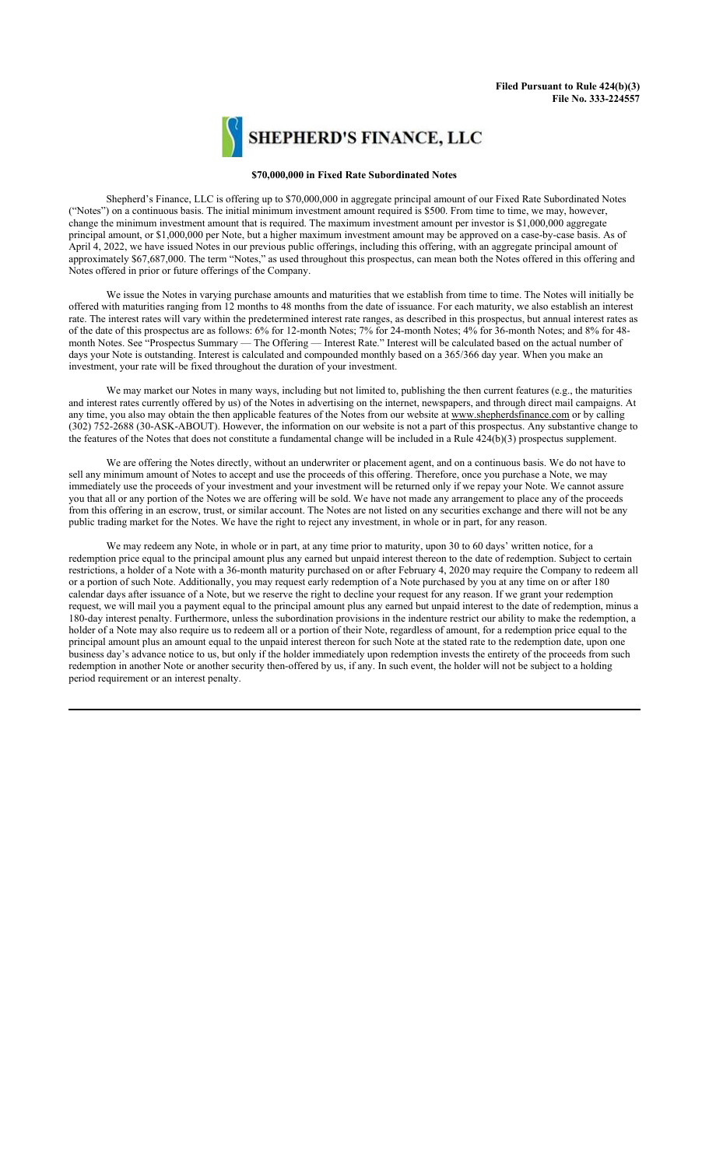

## **\$70,000,000 in Fixed Rate Subordinated Notes**

Shepherd's Finance, LLC is offering up to \$70,000,000 in aggregate principal amount of our Fixed Rate Subordinated Notes ("Notes") on a continuous basis. The initial minimum investment amount required is \$500. From time to time, we may, however, change the minimum investment amount that is required. The maximum investment amount per investor is \$1,000,000 aggregate principal amount, or \$1,000,000 per Note, but a higher maximum investment amount may be approved on a case-by-case basis. As of April 4, 2022, we have issued Notes in our previous public offerings, including this offering, with an aggregate principal amount of approximately \$67,687,000. The term "Notes," as used throughout this prospectus, can mean both the Notes offered in this offering and Notes offered in prior or future offerings of the Company.

We issue the Notes in varying purchase amounts and maturities that we establish from time to time. The Notes will initially be offered with maturities ranging from 12 months to 48 months from the date of issuance. For each maturity, we also establish an interest rate. The interest rates will vary within the predetermined interest rate ranges, as described in this prospectus, but annual interest rates as of the date of this prospectus are as follows: 6% for 12-month Notes; 7% for 24-month Notes; 4% for 36-month Notes; and 8% for 48 month Notes. See "Prospectus Summary — The Offering — Interest Rate." Interest will be calculated based on the actual number of days your Note is outstanding. Interest is calculated and compounded monthly based on a 365/366 day year. When you make an investment, your rate will be fixed throughout the duration of your investment.

We may market our Notes in many ways, including but not limited to, publishing the then current features (e.g., the maturities and interest rates currently offered by us) of the Notes in advertising on the internet, newspapers, and through direct mail campaigns. At any time, you also may obtain the then applicable features of the Notes from our website at www.shepherdsfinance.com or by calling (302) 752-2688 (30-ASK-ABOUT). However, the information on our website is not a part of this prospectus. Any substantive change to the features of the Notes that does not constitute a fundamental change will be included in a Rule  $424(b)(3)$  prospectus supplement.

We are offering the Notes directly, without an underwriter or placement agent, and on a continuous basis. We do not have to sell any minimum amount of Notes to accept and use the proceeds of this offering. Therefore, once you purchase a Note, we may immediately use the proceeds of your investment and your investment will be returned only if we repay your Note. We cannot assure you that all or any portion of the Notes we are offering will be sold. We have not made any arrangement to place any of the proceeds from this offering in an escrow, trust, or similar account. The Notes are not listed on any securities exchange and there will not be any public trading market for the Notes. We have the right to reject any investment, in whole or in part, for any reason.

We may redeem any Note, in whole or in part, at any time prior to maturity, upon 30 to 60 days' written notice, for a redemption price equal to the principal amount plus any earned but unpaid interest thereon to the date of redemption. Subject to certain restrictions, a holder of a Note with a 36-month maturity purchased on or after February 4, 2020 may require the Company to redeem all or a portion of such Note. Additionally, you may request early redemption of a Note purchased by you at any time on or after 180 calendar days after issuance of a Note, but we reserve the right to decline your request for any reason. If we grant your redemption request, we will mail you a payment equal to the principal amount plus any earned but unpaid interest to the date of redemption, minus a 180-day interest penalty. Furthermore, unless the subordination provisions in the indenture restrict our ability to make the redemption, a holder of a Note may also require us to redeem all or a portion of their Note, regardless of amount, for a redemption price equal to the principal amount plus an amount equal to the unpaid interest thereon for such Note at the stated rate to the redemption date, upon one business day's advance notice to us, but only if the holder immediately upon redemption invests the entirety of the proceeds from such redemption in another Note or another security then-offered by us, if any. In such event, the holder will not be subject to a holding period requirement or an interest penalty.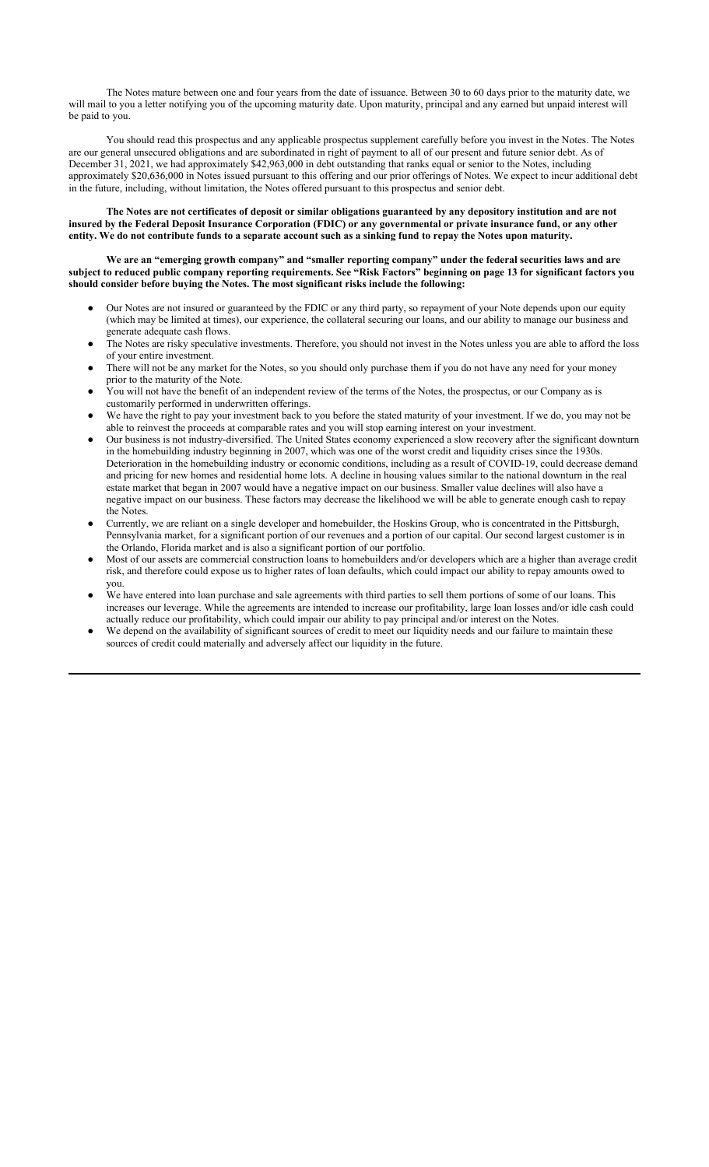The Notes mature between one and four years from the date of issuance. Between 30 to 60 days prior to the maturity date, we will mail to you a letter notifying you of the upcoming maturity date. Upon maturity, principal and any earned but unpaid interest will be paid to you.

You should read this prospectus and any applicable prospectus supplement carefully before you invest in the Notes. The Notes are our general unsecured obligations and are subordinated in right of payment to all of our present and future senior debt. As of December 31, 2021, we had approximately \$42,963,000 in debt outstanding that ranks equal or senior to the Notes, including approximately \$20,636,000 in Notes issued pursuant to this offering and our prior offerings of Notes. We expect to incur additional debt in the future, including, without limitation, the Notes offered pursuant to this prospectus and senior debt.

**The Notes are not certificates of deposit or similar obligations guaranteed by any depository institution and are not insured by the Federal Deposit Insurance Corporation (FDIC) or any governmental or private insurance fund, or any other entity. We do not contribute funds to a separate account such as a sinking fund to repay the Notes upon maturity.**

**We are an "emerging growth company" and "smaller reporting company" under the federal securities laws and are subject to reduced public company reporting requirements. See "Risk Factors" beginning on page 13 for significant factors you should consider before buying the Notes. The most significant risks include the following:**

- Our Notes are not insured or guaranteed by the FDIC or any third party, so repayment of your Note depends upon our equity (which may be limited at times), our experience, the collateral securing our loans, and our ability to manage our business and generate adequate cash flows.
- The Notes are risky speculative investments. Therefore, you should not invest in the Notes unless you are able to afford the loss of your entire investment.
- There will not be any market for the Notes, so you should only purchase them if you do not have any need for your money prior to the maturity of the Note.
- You will not have the benefit of an independent review of the terms of the Notes, the prospectus, or our Company as is customarily performed in underwritten offerings.
- We have the right to pay your investment back to you before the stated maturity of your investment. If we do, you may not be able to reinvest the proceeds at comparable rates and you will stop earning interest on your investment.
- Our business is not industry-diversified. The United States economy experienced a slow recovery after the significant downturn in the homebuilding industry beginning in 2007, which was one of the worst credit and liquidity crises since the 1930s. Deterioration in the homebuilding industry or economic conditions, including as a result of COVID-19, could decrease demand and pricing for new homes and residential home lots. A decline in housing values similar to the national downturn in the real estate market that began in 2007 would have a negative impact on our business. Smaller value declines will also have a negative impact on our business. These factors may decrease the likelihood we will be able to generate enough cash to repay the Notes.
- Currently, we are reliant on a single developer and homebuilder, the Hoskins Group, who is concentrated in the Pittsburgh, Pennsylvania market, for a significant portion of our revenues and a portion of our capital. Our second largest customer is in the Orlando, Florida market and is also a significant portion of our portfolio.
- Most of our assets are commercial construction loans to homebuilders and/or developers which are a higher than average credit risk, and therefore could expose us to higher rates of loan defaults, which could impact our ability to repay amounts owed to you.
- We have entered into loan purchase and sale agreements with third parties to sell them portions of some of our loans. This increases our leverage. While the agreements are intended to increase our profitability, large loan losses and/or idle cash could actually reduce our profitability, which could impair our ability to pay principal and/or interest on the Notes.
- We depend on the availability of significant sources of credit to meet our liquidity needs and our failure to maintain these sources of credit could materially and adversely affect our liquidity in the future.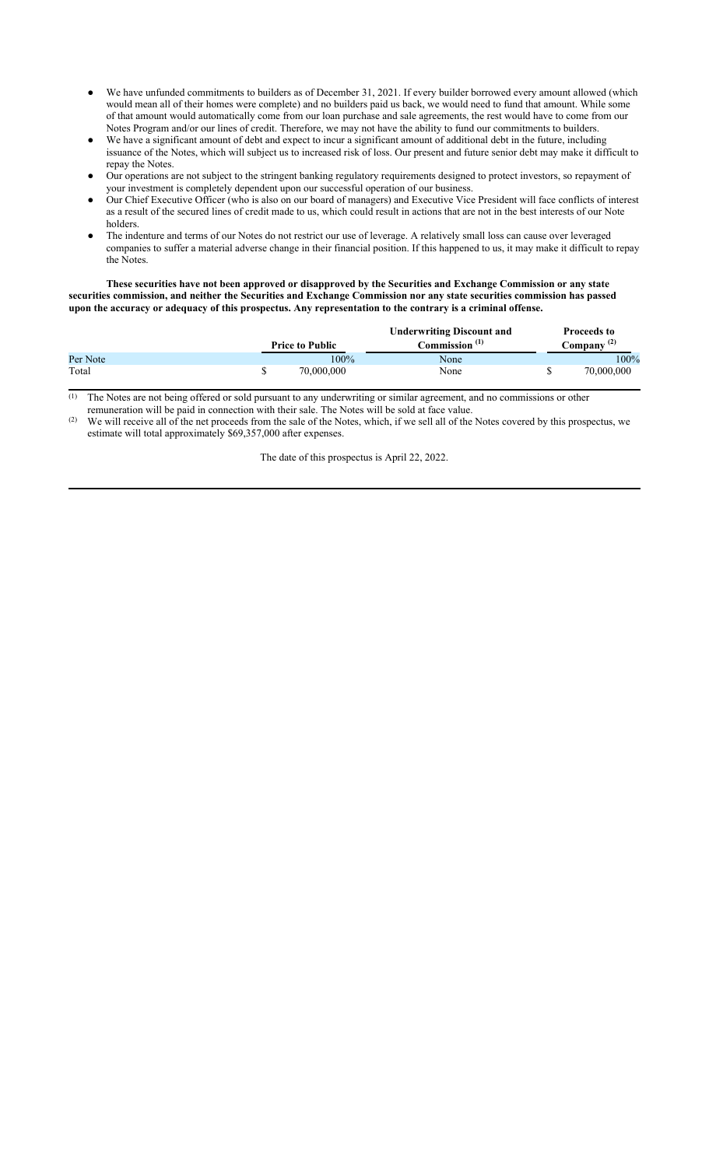- We have unfunded commitments to builders as of December 31, 2021. If every builder borrowed every amount allowed (which would mean all of their homes were complete) and no builders paid us back, we would need to fund that amount. While some of that amount would automatically come from our loan purchase and sale agreements, the rest would have to come from our Notes Program and/or our lines of credit. Therefore, we may not have the ability to fund our commitments to builders.
- We have a significant amount of debt and expect to incur a significant amount of additional debt in the future, including issuance of the Notes, which will subject us to increased risk of loss. Our present and future senior debt may make it difficult to repay the Notes.
- Our operations are not subject to the stringent banking regulatory requirements designed to protect investors, so repayment of your investment is completely dependent upon our successful operation of our business.
- Our Chief Executive Officer (who is also on our board of managers) and Executive Vice President will face conflicts of interest as a result of the secured lines of credit made to us, which could result in actions that are not in the best interests of our Note holders.
- The indenture and terms of our Notes do not restrict our use of leverage. A relatively small loss can cause over leveraged companies to suffer a material adverse change in their financial position. If this happened to us, it may make it difficult to repay the Notes.

**These securities have not been approved or disapproved by the Securities and Exchange Commission or any state securities commission, and neither the Securities and Exchange Commission nor any state securities commission has passed upon the accuracy or adequacy of this prospectus. Any representation to the contrary is a criminal offense.**

|          |                        | <b>Underwriting Discount and</b> | <b>Proceeds to</b>     |
|----------|------------------------|----------------------------------|------------------------|
|          | <b>Price to Public</b> | Commission <sup>(1)</sup>        | Company <sup>(2)</sup> |
| Per Note | 100%                   | None                             | 100%                   |
| Total    | 70,000,000             | None                             | 70,000,000             |

 $<sup>(1)</sup>$  The Notes are not being offered or sold pursuant to any underwriting or similar agreement, and no commissions or other</sup> remuneration will be paid in connection with their sale. The Notes will be sold at face value.

 $(2)$  We will receive all of the net proceeds from the sale of the Notes, which, if we sell all of the Notes covered by this prospectus, we estimate will total approximately \$69,357,000 after expenses.

The date of this prospectus is April 22, 2022.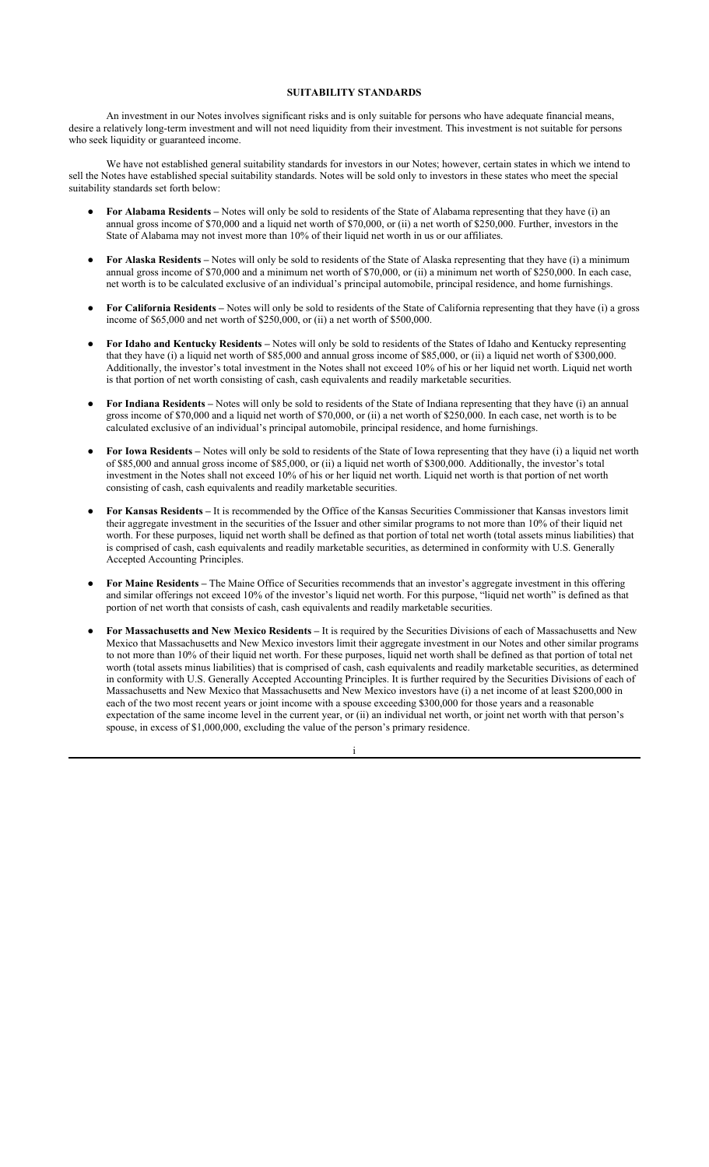#### **SUITABILITY STANDARDS**

An investment in our Notes involves significant risks and is only suitable for persons who have adequate financial means, desire a relatively long-term investment and will not need liquidity from their investment. This investment is not suitable for persons who seek liquidity or guaranteed income.

We have not established general suitability standards for investors in our Notes; however, certain states in which we intend to sell the Notes have established special suitability standards. Notes will be sold only to investors in these states who meet the special suitability standards set forth below:

- **For Alabama Residents** Notes will only be sold to residents of the State of Alabama representing that they have (i) an annual gross income of \$70,000 and a liquid net worth of \$70,000, or (ii) a net worth of \$250,000. Further, investors in the State of Alabama may not invest more than 10% of their liquid net worth in us or our affiliates.
- **For Alaska Residents** Notes will only be sold to residents of the State of Alaska representing that they have (i) a minimum annual gross income of \$70,000 and a minimum net worth of \$70,000, or (ii) a minimum net worth of \$250,000. In each case, net worth is to be calculated exclusive of an individual's principal automobile, principal residence, and home furnishings.
- **For California Residents** Notes will only be sold to residents of the State of California representing that they have (i) a gross income of \$65,000 and net worth of \$250,000, or (ii) a net worth of \$500,000.
- **For Idaho and Kentucky Residents** Notes will only be sold to residents of the States of Idaho and Kentucky representing that they have (i) a liquid net worth of \$85,000 and annual gross income of \$85,000, or (ii) a liquid net worth of \$300,000. Additionally, the investor's total investment in the Notes shall not exceed 10% of his or her liquid net worth. Liquid net worth is that portion of net worth consisting of cash, cash equivalents and readily marketable securities.
- **For Indiana Residents** Notes will only be sold to residents of the State of Indiana representing that they have (i) an annual gross income of \$70,000 and a liquid net worth of \$70,000, or (ii) a net worth of \$250,000. In each case, net worth is to be calculated exclusive of an individual's principal automobile, principal residence, and home furnishings.
- **For Iowa Residents** Notes will only be sold to residents of the State of Iowa representing that they have (i) a liquid net worth of \$85,000 and annual gross income of \$85,000, or (ii) a liquid net worth of \$300,000. Additionally, the investor's total investment in the Notes shall not exceed 10% of his or her liquid net worth. Liquid net worth is that portion of net worth consisting of cash, cash equivalents and readily marketable securities.
- **For Kansas Residents** It is recommended by the Office of the Kansas Securities Commissioner that Kansas investors limit their aggregate investment in the securities of the Issuer and other similar programs to not more than 10% of their liquid net worth. For these purposes, liquid net worth shall be defined as that portion of total net worth (total assets minus liabilities) that is comprised of cash, cash equivalents and readily marketable securities, as determined in conformity with U.S. Generally Accepted Accounting Principles.
- **For Maine Residents** The Maine Office of Securities recommends that an investor's aggregate investment in this offering and similar offerings not exceed 10% of the investor's liquid net worth. For this purpose, "liquid net worth" is defined as that portion of net worth that consists of cash, cash equivalents and readily marketable securities.
- **For Massachusetts and New Mexico Residents** It is required by the Securities Divisions of each of Massachusetts and New Mexico that Massachusetts and New Mexico investors limit their aggregate investment in our Notes and other similar programs to not more than 10% of their liquid net worth. For these purposes, liquid net worth shall be defined as that portion of total net worth (total assets minus liabilities) that is comprised of cash, cash equivalents and readily marketable securities, as determined in conformity with U.S. Generally Accepted Accounting Principles. It is further required by the Securities Divisions of each of Massachusetts and New Mexico that Massachusetts and New Mexico investors have (i) a net income of at least \$200,000 in each of the two most recent years or joint income with a spouse exceeding \$300,000 for those years and a reasonable expectation of the same income level in the current year, or (ii) an individual net worth, or joint net worth with that person's spouse, in excess of \$1,000,000, excluding the value of the person's primary residence.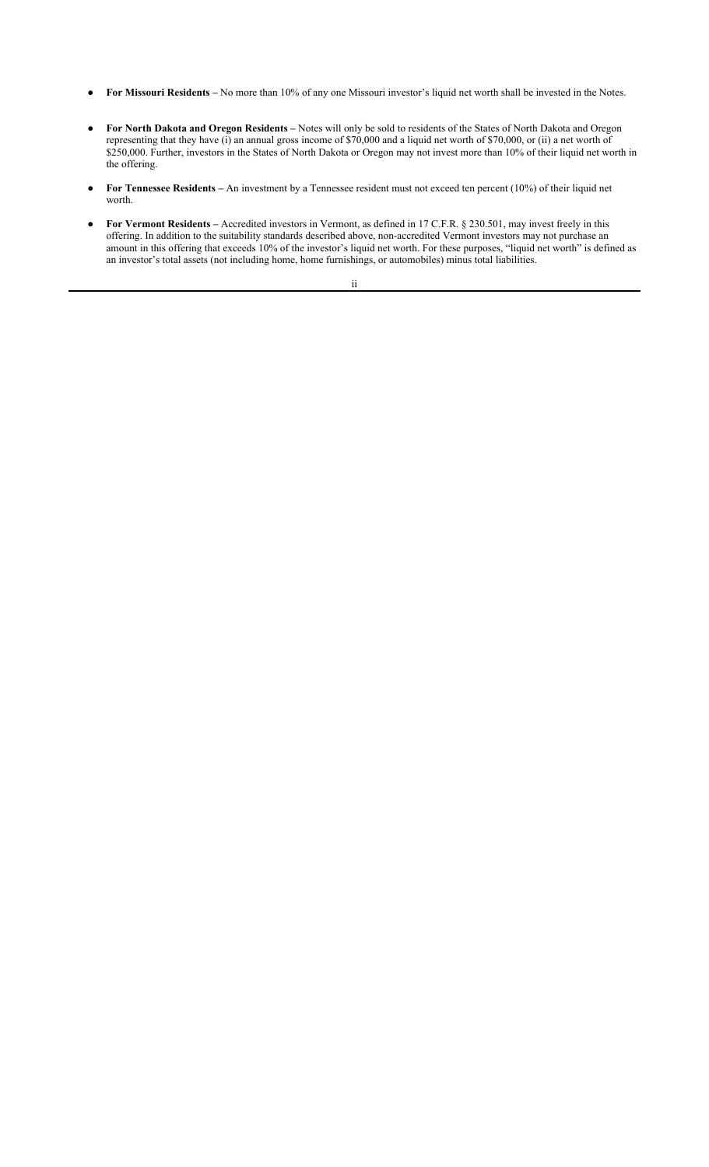- **For Missouri Residents** No more than 10% of any one Missouri investor's liquid net worth shall be invested in the Notes.
- **For North Dakota and Oregon Residents** Notes will only be sold to residents of the States of North Dakota and Oregon representing that they have (i) an annual gross income of \$70,000 and a liquid net worth of \$70,000, or (ii) a net worth of \$250,000. Further, investors in the States of North Dakota or Oregon may not invest more than 10% of their liquid net worth in the offering.
- **For Tennessee Residents** An investment by a Tennessee resident must not exceed ten percent (10%) of their liquid net worth.
- **For Vermont Residents** Accredited investors in Vermont, as defined in 17 C.F.R. § 230.501, may invest freely in this offering. In addition to the suitability standards described above, non-accredited Vermont investors may not purchase an amount in this offering that exceeds 10% of the investor's liquid net worth. For these purposes, "liquid net worth" is defined as an investor's total assets (not including home, home furnishings, or automobiles) minus total liabilities.

ii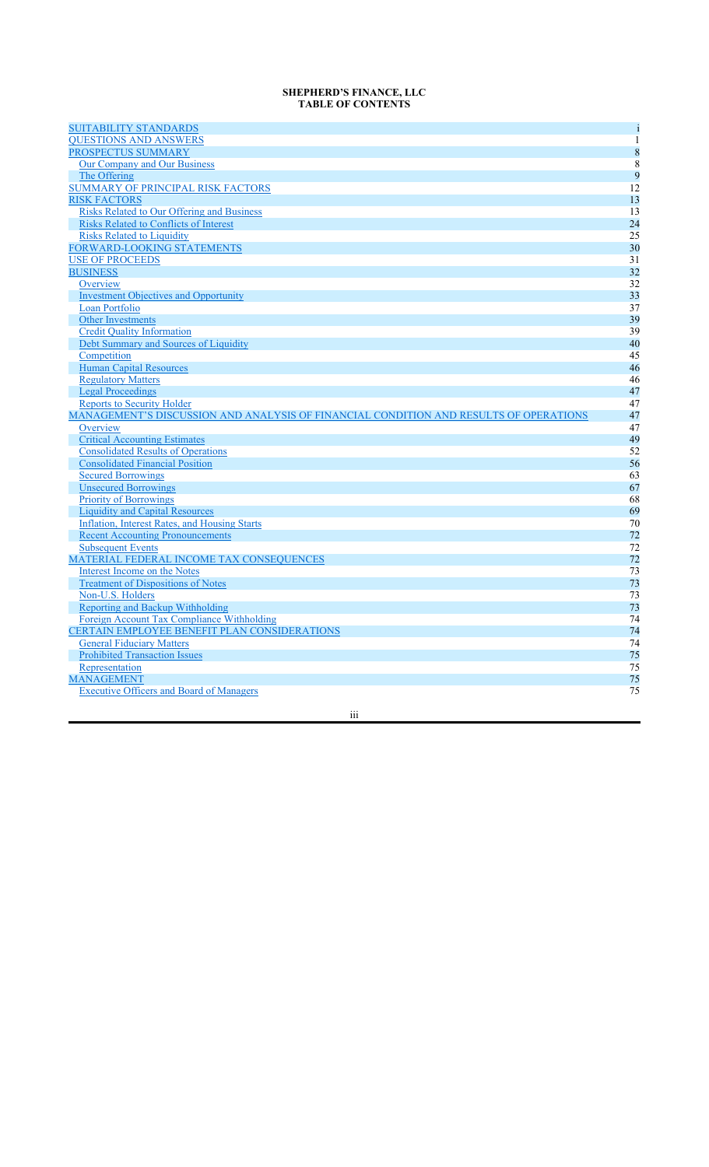## **SHEPHERD'S FINANCE, LLC TABLE OF CONTENTS**

| <b>SUITABILITY STANDARDS</b>                                                          | i            |
|---------------------------------------------------------------------------------------|--------------|
| <b>OUESTIONS AND ANSWERS</b>                                                          | $\mathbf{1}$ |
| PROSPECTUS SUMMARY                                                                    | 8            |
| Our Company and Our Business                                                          | 8            |
| The Offering                                                                          | 9            |
| SUMMARY OF PRINCIPAL RISK FACTORS                                                     | 12           |
| <b>RISK FACTORS</b>                                                                   | 13           |
| <b>Risks Related to Our Offering and Business</b>                                     | 13           |
| <b>Risks Related to Conflicts of Interest</b>                                         | 24           |
| <b>Risks Related to Liquidity</b>                                                     | 25           |
| <b>FORWARD-LOOKING STATEMENTS</b>                                                     | 30           |
| <b>USE OF PROCEEDS</b>                                                                | 31           |
| <b>BUSINESS</b>                                                                       | 32           |
| Overview                                                                              | 32           |
| <b>Investment Objectives and Opportunity</b>                                          | 33           |
| Loan Portfolio                                                                        | 37           |
| <b>Other Investments</b>                                                              | 39           |
| <b>Credit Quality Information</b>                                                     | 39           |
| Debt Summary and Sources of Liquidity                                                 | 40           |
| Competition                                                                           | 45           |
| <b>Human Capital Resources</b>                                                        | 46           |
| <b>Regulatory Matters</b>                                                             | 46           |
| <b>Legal Proceedings</b>                                                              | 47           |
| <b>Reports to Security Holder</b>                                                     | 47           |
| MANAGEMENT'S DISCUSSION AND ANALYSIS OF FINANCIAL CONDITION AND RESULTS OF OPERATIONS | 47           |
| Overview                                                                              | 47           |
| <b>Critical Accounting Estimates</b>                                                  | 49           |
| <b>Consolidated Results of Operations</b>                                             | 52           |
| <b>Consolidated Financial Position</b>                                                | 56           |
| <b>Secured Borrowings</b>                                                             | 63           |
| <b>Unsecured Borrowings</b>                                                           | 67           |
| <b>Priority of Borrowings</b>                                                         | 68           |
| <b>Liquidity and Capital Resources</b>                                                | 69           |
| Inflation, Interest Rates, and Housing Starts                                         | 70           |
| <b>Recent Accounting Pronouncements</b>                                               | 72           |
| <b>Subsequent Events</b>                                                              | 72           |
| MATERIAL FEDERAL INCOME TAX CONSEQUENCES                                              | 72           |
|                                                                                       | 73<br>73     |
| Interest Income on the Notes                                                          |              |
| <b>Treatment of Dispositions of Notes</b>                                             |              |
| Non-U.S. Holders                                                                      | 73           |
| Reporting and Backup Withholding                                                      | 73           |
| Foreign Account Tax Compliance Withholding                                            | 74           |
| CERTAIN EMPLOYEE BENEFIT PLAN CONSIDERATIONS                                          | 74           |
| <b>General Fiduciary Matters</b>                                                      | 74           |
| <b>Prohibited Transaction Issues</b>                                                  | 75           |
| Representation                                                                        | 75           |
| <b>MANAGEMENT</b><br><b>Executive Officers and Board of Managers</b>                  | 75<br>75     |

iii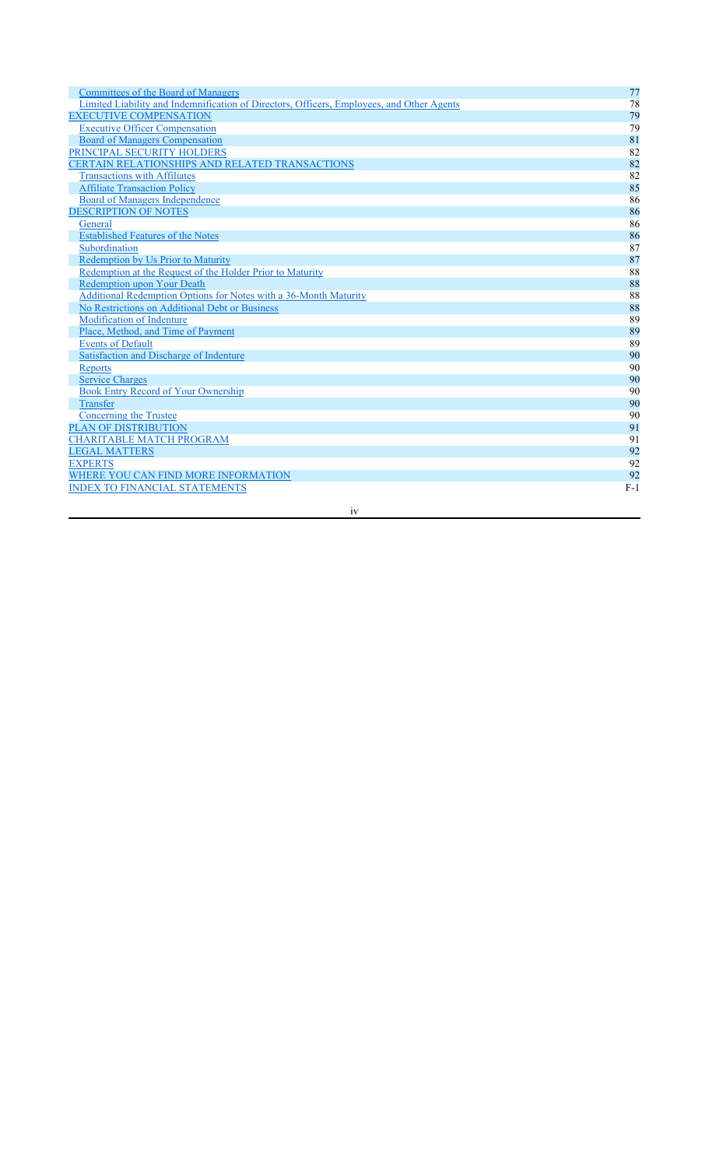| Committees of the Board of Managers                                                       | 77    |
|-------------------------------------------------------------------------------------------|-------|
| Limited Liability and Indemnification of Directors, Officers, Employees, and Other Agents | 78    |
| <b>EXECUTIVE COMPENSATION</b>                                                             | 79    |
| <b>Executive Officer Compensation</b>                                                     | 79    |
| <b>Board of Managers Compensation</b>                                                     | 81    |
| PRINCIPAL SECURITY HOLDERS                                                                | 82    |
| <b>CERTAIN RELATIONSHIPS AND RELATED TRANSACTIONS</b>                                     | 82    |
| <b>Transactions with Affiliates</b>                                                       | 82    |
| <b>Affiliate Transaction Policy</b>                                                       | 85    |
| Board of Managers Independence                                                            | 86    |
| <b>DESCRIPTION OF NOTES</b>                                                               | 86    |
| General                                                                                   | 86    |
| <b>Established Features of the Notes</b>                                                  | 86    |
| Subordination                                                                             | 87    |
| Redemption by Us Prior to Maturity                                                        | 87    |
| Redemption at the Request of the Holder Prior to Maturity                                 | 88    |
| Redemption upon Your Death                                                                | 88    |
| Additional Redemption Options for Notes with a 36-Month Maturity                          | 88    |
| No Restrictions on Additional Debt or Business                                            | 88    |
| Modification of Indenture                                                                 | 89    |
| Place, Method, and Time of Payment                                                        | 89    |
| <b>Events of Default</b>                                                                  | 89    |
| Satisfaction and Discharge of Indenture                                                   | 90    |
| <b>Reports</b>                                                                            | 90    |
| <b>Service Charges</b>                                                                    | 90    |
| Book Entry Record of Your Ownership                                                       | 90    |
| Transfer                                                                                  | 90    |
| <b>Concerning the Trustee</b>                                                             | 90    |
| PLAN OF DISTRIBUTION                                                                      | 91    |
| <b>CHARITABLE MATCH PROGRAM</b>                                                           | 91    |
| <b>LEGAL MATTERS</b>                                                                      | 92    |
| <b>EXPERTS</b>                                                                            | 92    |
| WHERE YOU CAN FIND MORE INFORMATION                                                       | 92    |
| <b>INDEX TO FINANCIAL STATEMENTS</b>                                                      | $F-1$ |

iv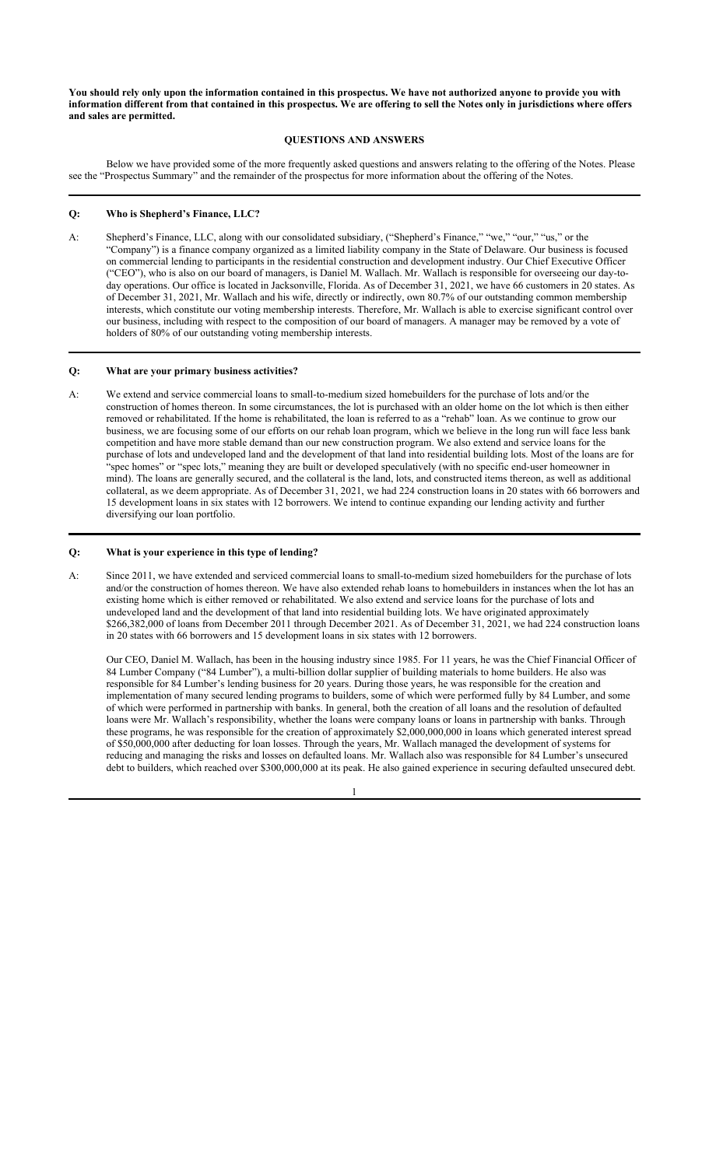**You should rely only upon the information contained in this prospectus. We have not authorized anyone to provide you with information different from that contained in this prospectus. We are offering to sell the Notes only in jurisdictions where offers and sales are permitted.**

## **QUESTIONS AND ANSWERS**

Below we have provided some of the more frequently asked questions and answers relating to the offering of the Notes. Please see the "Prospectus Summary" and the remainder of the prospectus for more information about the offering of the Notes.

#### **Q: Who is Shepherd's Finance, LLC?**

A: Shepherd's Finance, LLC, along with our consolidated subsidiary, ("Shepherd's Finance," "we," "our," "us," or the "Company") is a finance company organized as a limited liability company in the State of Delaware. Our business is focused on commercial lending to participants in the residential construction and development industry. Our Chief Executive Officer ("CEO"), who is also on our board of managers, is Daniel M. Wallach. Mr. Wallach is responsible for overseeing our day-today operations. Our office is located in Jacksonville, Florida. As of December 31, 2021, we have 66 customers in 20 states. As of December 31, 2021, Mr. Wallach and his wife, directly or indirectly, own 80.7% of our outstanding common membership interests, which constitute our voting membership interests. Therefore, Mr. Wallach is able to exercise significant control over our business, including with respect to the composition of our board of managers. A manager may be removed by a vote of holders of 80% of our outstanding voting membership interests.

## **Q: What are your primary business activities?**

A: We extend and service commercial loans to small-to-medium sized homebuilders for the purchase of lots and/or the construction of homes thereon. In some circumstances, the lot is purchased with an older home on the lot which is then either removed or rehabilitated. If the home is rehabilitated, the loan is referred to as a "rehab" loan. As we continue to grow our business, we are focusing some of our efforts on our rehab loan program, which we believe in the long run will face less bank competition and have more stable demand than our new construction program. We also extend and service loans for the purchase of lots and undeveloped land and the development of that land into residential building lots. Most of the loans are for "spec homes" or "spec lots," meaning they are built or developed speculatively (with no specific end-user homeowner in mind). The loans are generally secured, and the collateral is the land, lots, and constructed items thereon, as well as additional collateral, as we deem appropriate. As of December 31, 2021, we had 224 construction loans in 20 states with 66 borrowers and 15 development loans in six states with 12 borrowers. We intend to continue expanding our lending activity and further diversifying our loan portfolio.

## **Q: What is your experience in this type of lending?**

A: Since 2011, we have extended and serviced commercial loans to small-to-medium sized homebuilders for the purchase of lots and/or the construction of homes thereon. We have also extended rehab loans to homebuilders in instances when the lot has an existing home which is either removed or rehabilitated. We also extend and service loans for the purchase of lots and undeveloped land and the development of that land into residential building lots. We have originated approximately \$266,382,000 of loans from December 2011 through December 2021. As of December 31, 2021, we had 224 construction loans in 20 states with 66 borrowers and 15 development loans in six states with 12 borrowers.

Our CEO, Daniel M. Wallach, has been in the housing industry since 1985. For 11 years, he was the Chief Financial Officer of 84 Lumber Company ("84 Lumber"), a multi-billion dollar supplier of building materials to home builders. He also was responsible for 84 Lumber's lending business for 20 years. During those years, he was responsible for the creation and implementation of many secured lending programs to builders, some of which were performed fully by 84 Lumber, and some of which were performed in partnership with banks. In general, both the creation of all loans and the resolution of defaulted loans were Mr. Wallach's responsibility, whether the loans were company loans or loans in partnership with banks. Through these programs, he was responsible for the creation of approximately \$2,000,000,000 in loans which generated interest spread of \$50,000,000 after deducting for loan losses. Through the years, Mr. Wallach managed the development of systems for reducing and managing the risks and losses on defaulted loans. Mr. Wallach also was responsible for 84 Lumber's unsecured debt to builders, which reached over \$300,000,000 at its peak. He also gained experience in securing defaulted unsecured debt.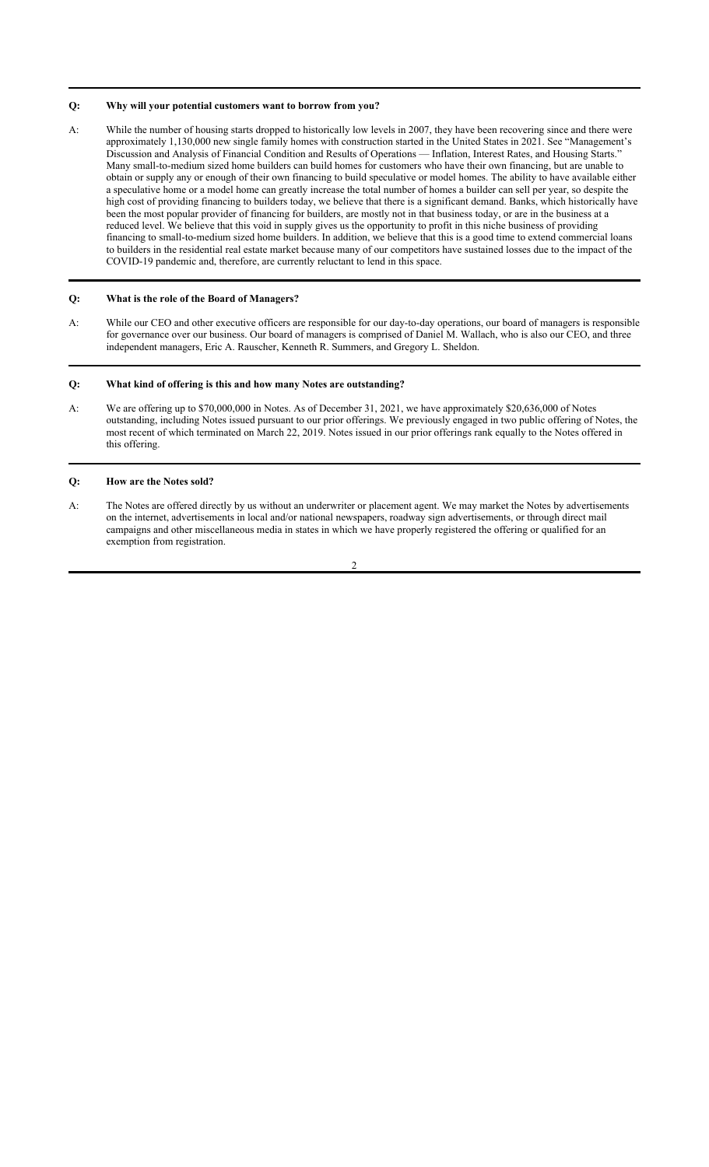## **Q: Why will your potential customers want to borrow from you?**

A: While the number of housing starts dropped to historically low levels in 2007, they have been recovering since and there were approximately 1,130,000 new single family homes with construction started in the United States in 2021. See "Management's Discussion and Analysis of Financial Condition and Results of Operations — Inflation, Interest Rates, and Housing Starts." Many small-to-medium sized home builders can build homes for customers who have their own financing, but are unable to obtain or supply any or enough of their own financing to build speculative or model homes. The ability to have available either a speculative home or a model home can greatly increase the total number of homes a builder can sell per year, so despite the high cost of providing financing to builders today, we believe that there is a significant demand. Banks, which historically have been the most popular provider of financing for builders, are mostly not in that business today, or are in the business at a reduced level. We believe that this void in supply gives us the opportunity to profit in this niche business of providing financing to small-to-medium sized home builders. In addition, we believe that this is a good time to extend commercial loans to builders in the residential real estate market because many of our competitors have sustained losses due to the impact of the COVID-19 pandemic and, therefore, are currently reluctant to lend in this space.

## **Q: What is the role of the Board of Managers?**

A: While our CEO and other executive officers are responsible for our day-to-day operations, our board of managers is responsible for governance over our business. Our board of managers is comprised of Daniel M. Wallach, who is also our CEO, and three independent managers, Eric A. Rauscher, Kenneth R. Summers, and Gregory L. Sheldon.

#### **Q: What kind of offering is this and how many Notes are outstanding?**

A: We are offering up to \$70,000,000 in Notes. As of December 31, 2021, we have approximately \$20,636,000 of Notes outstanding, including Notes issued pursuant to our prior offerings. We previously engaged in two public offering of Notes, the most recent of which terminated on March 22, 2019. Notes issued in our prior offerings rank equally to the Notes offered in this offering.

## **Q: How are the Notes sold?**

A: The Notes are offered directly by us without an underwriter or placement agent. We may market the Notes by advertisements on the internet, advertisements in local and/or national newspapers, roadway sign advertisements, or through direct mail campaigns and other miscellaneous media in states in which we have properly registered the offering or qualified for an exemption from registration.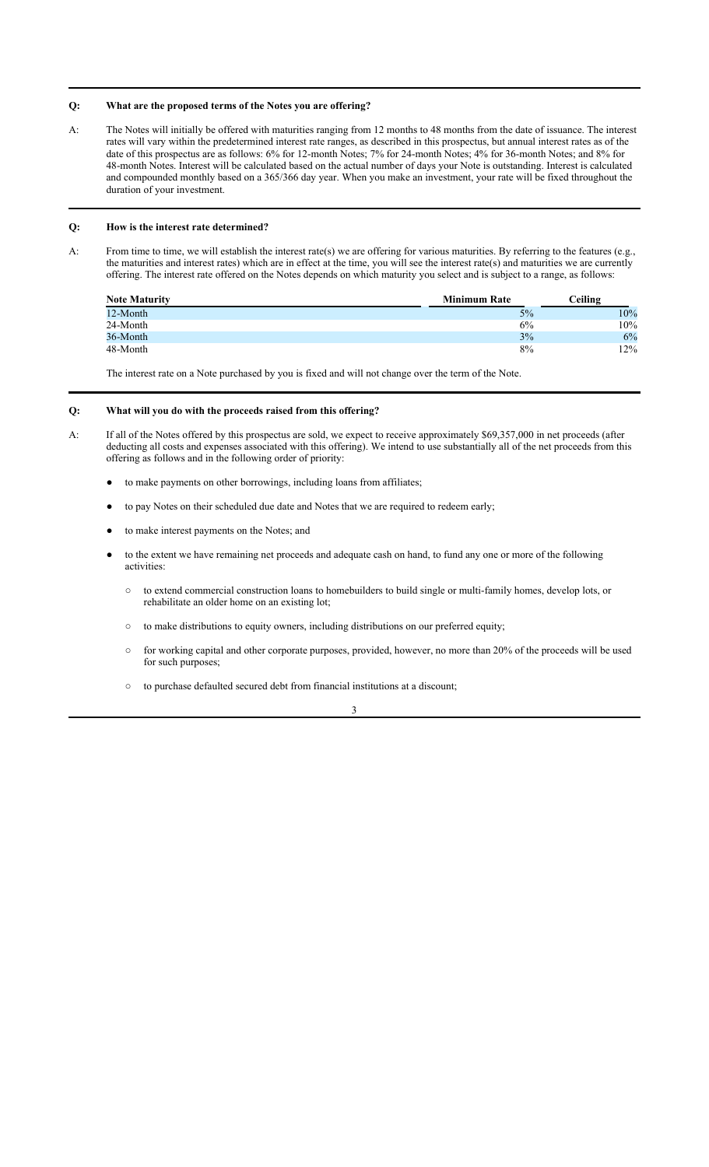## **Q: What are the proposed terms of the Notes you are offering?**

A: The Notes will initially be offered with maturities ranging from 12 months to 48 months from the date of issuance. The interest rates will vary within the predetermined interest rate ranges, as described in this prospectus, but annual interest rates as of the date of this prospectus are as follows: 6% for 12-month Notes; 7% for 24-month Notes; 4% for 36-month Notes; and 8% for 48-month Notes. Interest will be calculated based on the actual number of days your Note is outstanding. Interest is calculated and compounded monthly based on a 365/366 day year. When you make an investment, your rate will be fixed throughout the duration of your investment.

## **Q: How is the interest rate determined?**

A: From time to time, we will establish the interest rate(s) we are offering for various maturities. By referring to the features (e.g., the maturities and interest rates) which are in effect at the time, you will see the interest rate(s) and maturities we are currently offering. The interest rate offered on the Notes depends on which maturity you select and is subject to a range, as follows:

| <b>Note Maturity</b> | <b>Minimum Rate</b> | Ceiling |
|----------------------|---------------------|---------|
| 12-Month             | 5%                  | 10%     |
| 24-Month             | 6%                  | 10%     |
| 36-Month             | 3%                  | 6%      |
| 48-Month             | 8%                  | 12%     |

The interest rate on a Note purchased by you is fixed and will not change over the term of the Note.

## **Q: What will you do with the proceeds raised from this offering?**

- A: If all of the Notes offered by this prospectus are sold, we expect to receive approximately \$69,357,000 in net proceeds (after deducting all costs and expenses associated with this offering). We intend to use substantially all of the net proceeds from this offering as follows and in the following order of priority:
	- to make payments on other borrowings, including loans from affiliates;
	- to pay Notes on their scheduled due date and Notes that we are required to redeem early;
	- to make interest payments on the Notes; and
	- to the extent we have remaining net proceeds and adequate cash on hand, to fund any one or more of the following activities:
		- to extend commercial construction loans to homebuilders to build single or multi-family homes, develop lots, or rehabilitate an older home on an existing lot;
		- to make distributions to equity owners, including distributions on our preferred equity;
		- for working capital and other corporate purposes, provided, however, no more than 20% of the proceeds will be used for such purposes;
		- to purchase defaulted secured debt from financial institutions at a discount;

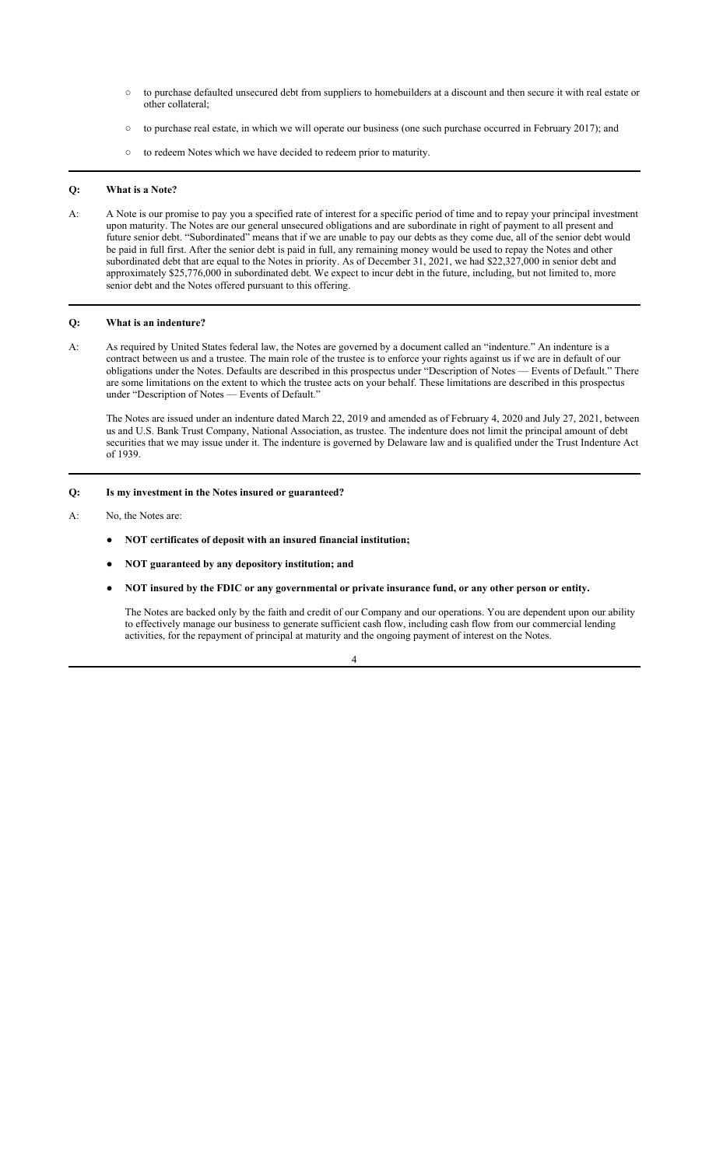- to purchase defaulted unsecured debt from suppliers to homebuilders at a discount and then secure it with real estate or other collateral;
- to purchase real estate, in which we will operate our business (one such purchase occurred in February 2017); and
- to redeem Notes which we have decided to redeem prior to maturity.

## **Q: What is a Note?**

A: A Note is our promise to pay you a specified rate of interest for a specific period of time and to repay your principal investment upon maturity. The Notes are our general unsecured obligations and are subordinate in right of payment to all present and future senior debt. "Subordinated" means that if we are unable to pay our debts as they come due, all of the senior debt would be paid in full first. After the senior debt is paid in full, any remaining money would be used to repay the Notes and other subordinated debt that are equal to the Notes in priority. As of December 31, 2021, we had \$22,327,000 in senior debt and approximately \$25,776,000 in subordinated debt. We expect to incur debt in the future, including, but not limited to, more senior debt and the Notes offered pursuant to this offering.

## **Q: What is an indenture?**

A: As required by United States federal law, the Notes are governed by a document called an "indenture." An indenture is a contract between us and a trustee. The main role of the trustee is to enforce your rights against us if we are in default of our obligations under the Notes. Defaults are described in this prospectus under "Description of Notes — Events of Default." There are some limitations on the extent to which the trustee acts on your behalf. These limitations are described in this prospectus under "Description of Notes — Events of Default."

The Notes are issued under an indenture dated March 22, 2019 and amended as of February 4, 2020 and July 27, 2021, between us and U.S. Bank Trust Company, National Association, as trustee. The indenture does not limit the principal amount of debt securities that we may issue under it. The indenture is governed by Delaware law and is qualified under the Trust Indenture Act of 1939.

## **Q: Is my investment in the Notes insured or guaranteed?**

- A: No, the Notes are:
	- **NOT certificates of deposit with an insured financial institution;**
	- **NOT guaranteed by any depository institution; and**
	- **NOT insured by the FDIC or any governmental or private insurance fund, or any other person or entity.**

The Notes are backed only by the faith and credit of our Company and our operations. You are dependent upon our ability to effectively manage our business to generate sufficient cash flow, including cash flow from our commercial lending activities, for the repayment of principal at maturity and the ongoing payment of interest on the Notes.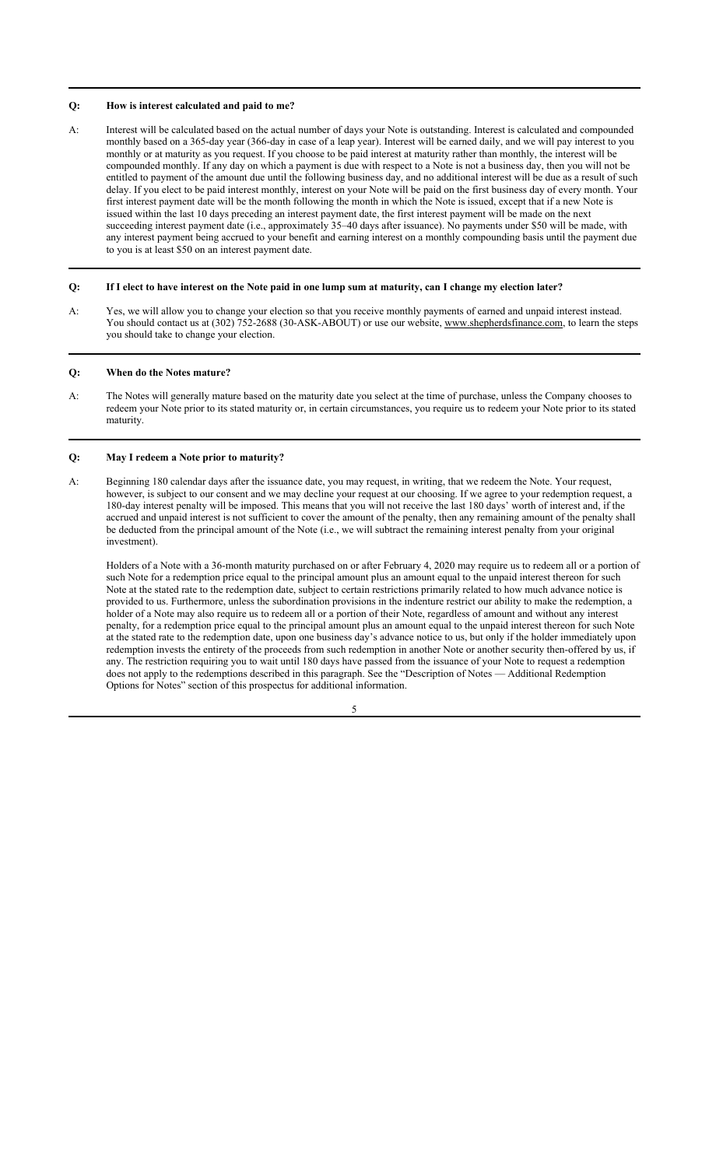#### **Q: How is interest calculated and paid to me?**

A: Interest will be calculated based on the actual number of days your Note is outstanding. Interest is calculated and compounded monthly based on a 365-day year (366-day in case of a leap year). Interest will be earned daily, and we will pay interest to you monthly or at maturity as you request. If you choose to be paid interest at maturity rather than monthly, the interest will be compounded monthly. If any day on which a payment is due with respect to a Note is not a business day, then you will not be entitled to payment of the amount due until the following business day, and no additional interest will be due as a result of such delay. If you elect to be paid interest monthly, interest on your Note will be paid on the first business day of every month. Your first interest payment date will be the month following the month in which the Note is issued, except that if a new Note is issued within the last 10 days preceding an interest payment date, the first interest payment will be made on the next succeeding interest payment date (i.e., approximately 35–40 days after issuance). No payments under \$50 will be made, with any interest payment being accrued to your benefit and earning interest on a monthly compounding basis until the payment due to you is at least \$50 on an interest payment date.

## **Q: If I elect to have interest on the Note paid in one lump sum at maturity, can I change my election later?**

A: Yes, we will allow you to change your election so that you receive monthly payments of earned and unpaid interest instead. You should contact us at (302) 752-2688 (30-ASK-ABOUT) or use our website, www.shepherdsfinance.com, to learn the steps you should take to change your election.

#### **Q: When do the Notes mature?**

A: The Notes will generally mature based on the maturity date you select at the time of purchase, unless the Company chooses to redeem your Note prior to its stated maturity or, in certain circumstances, you require us to redeem your Note prior to its stated maturity.

#### **Q: May I redeem a Note prior to maturity?**

A: Beginning 180 calendar days after the issuance date, you may request, in writing, that we redeem the Note. Your request, however, is subject to our consent and we may decline your request at our choosing. If we agree to your redemption request, a 180-day interest penalty will be imposed. This means that you will not receive the last 180 days' worth of interest and, if the accrued and unpaid interest is not sufficient to cover the amount of the penalty, then any remaining amount of the penalty shall be deducted from the principal amount of the Note (i.e., we will subtract the remaining interest penalty from your original investment).

Holders of a Note with a 36-month maturity purchased on or after February 4, 2020 may require us to redeem all or a portion of such Note for a redemption price equal to the principal amount plus an amount equal to the unpaid interest thereon for such Note at the stated rate to the redemption date, subject to certain restrictions primarily related to how much advance notice is provided to us. Furthermore, unless the subordination provisions in the indenture restrict our ability to make the redemption, a holder of a Note may also require us to redeem all or a portion of their Note, regardless of amount and without any interest penalty, for a redemption price equal to the principal amount plus an amount equal to the unpaid interest thereon for such Note at the stated rate to the redemption date, upon one business day's advance notice to us, but only if the holder immediately upon redemption invests the entirety of the proceeds from such redemption in another Note or another security then-offered by us, if any. The restriction requiring you to wait until 180 days have passed from the issuance of your Note to request a redemption does not apply to the redemptions described in this paragraph. See the "Description of Notes — Additional Redemption Options for Notes" section of this prospectus for additional information.

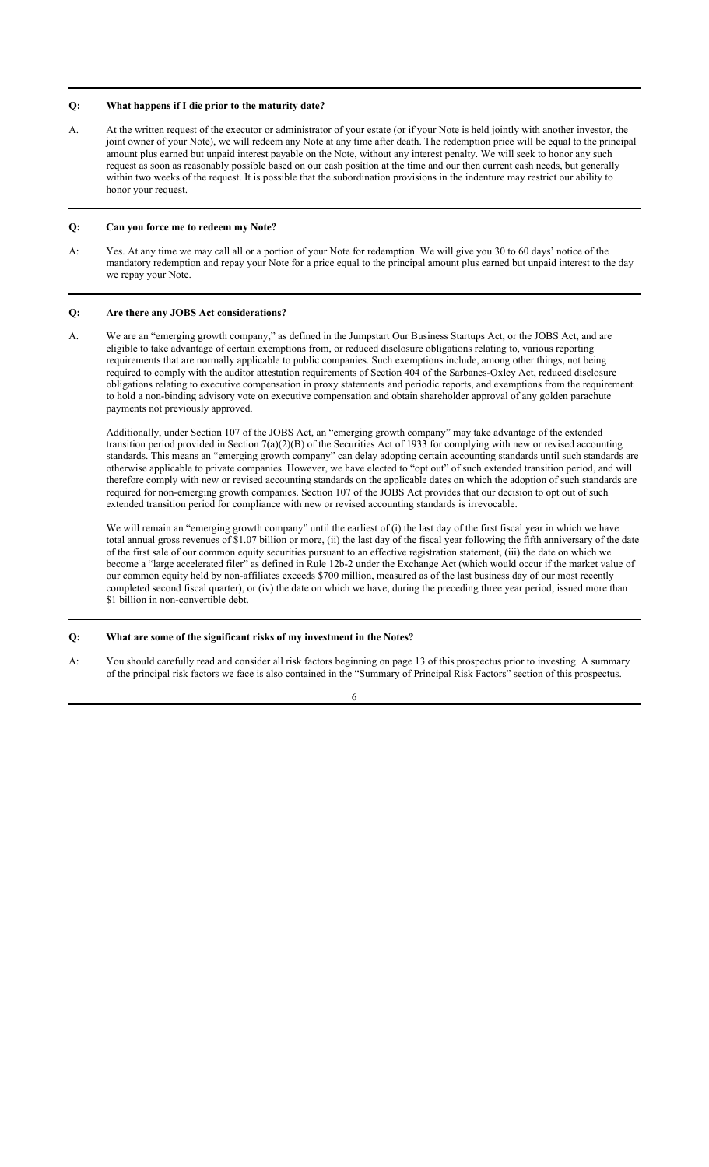## **Q: What happens if I die prior to the maturity date?**

A. At the written request of the executor or administrator of your estate (or if your Note is held jointly with another investor, the joint owner of your Note), we will redeem any Note at any time after death. The redemption price will be equal to the principal amount plus earned but unpaid interest payable on the Note, without any interest penalty. We will seek to honor any such request as soon as reasonably possible based on our cash position at the time and our then current cash needs, but generally within two weeks of the request. It is possible that the subordination provisions in the indenture may restrict our ability to honor your request.

## **Q: Can you force me to redeem my Note?**

A: Yes. At any time we may call all or a portion of your Note for redemption. We will give you 30 to 60 days' notice of the mandatory redemption and repay your Note for a price equal to the principal amount plus earned but unpaid interest to the day we repay your Note.

#### **Q: Are there any JOBS Act considerations?**

A. We are an "emerging growth company," as defined in the Jumpstart Our Business Startups Act, or the JOBS Act, and are eligible to take advantage of certain exemptions from, or reduced disclosure obligations relating to, various reporting requirements that are normally applicable to public companies. Such exemptions include, among other things, not being required to comply with the auditor attestation requirements of Section 404 of the Sarbanes-Oxley Act, reduced disclosure obligations relating to executive compensation in proxy statements and periodic reports, and exemptions from the requirement to hold a non-binding advisory vote on executive compensation and obtain shareholder approval of any golden parachute payments not previously approved.

Additionally, under Section 107 of the JOBS Act, an "emerging growth company" may take advantage of the extended transition period provided in Section  $7(a)(2)(B)$  of the Securities Act of 1933 for complying with new or revised accounting standards. This means an "emerging growth company" can delay adopting certain accounting standards until such standards are otherwise applicable to private companies. However, we have elected to "opt out" of such extended transition period, and will therefore comply with new or revised accounting standards on the applicable dates on which the adoption of such standards are required for non-emerging growth companies. Section 107 of the JOBS Act provides that our decision to opt out of such extended transition period for compliance with new or revised accounting standards is irrevocable.

We will remain an "emerging growth company" until the earliest of (i) the last day of the first fiscal year in which we have total annual gross revenues of \$1.07 billion or more, (ii) the last day of the fiscal year following the fifth anniversary of the date of the first sale of our common equity securities pursuant to an effective registration statement, (iii) the date on which we become a "large accelerated filer" as defined in Rule 12b-2 under the Exchange Act (which would occur if the market value of our common equity held by non-affiliates exceeds \$700 million, measured as of the last business day of our most recently completed second fiscal quarter), or (iv) the date on which we have, during the preceding three year period, issued more than \$1 billion in non-convertible debt.

## **Q: What are some of the significant risks of my investment in the Notes?**

A: You should carefully read and consider all risk factors beginning on page 13 of this prospectus prior to investing. A summary of the principal risk factors we face is also contained in the "Summary of Principal Risk Factors" section of this prospectus.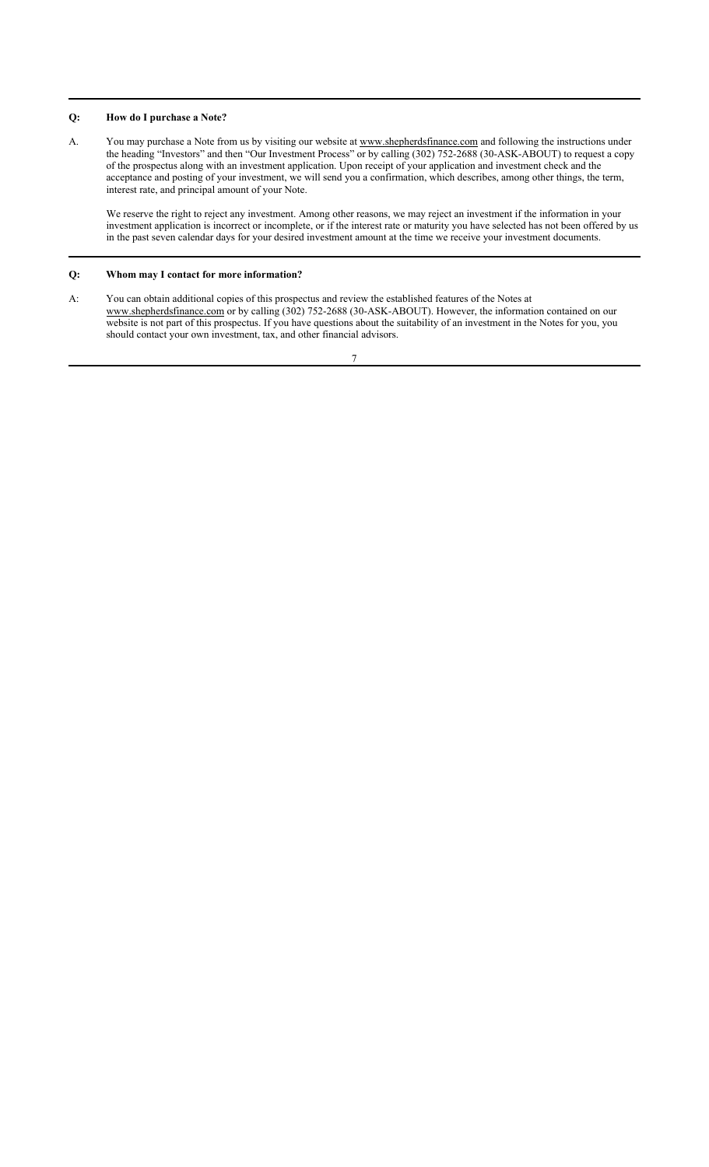## **Q: How do I purchase a Note?**

A. You may purchase a Note from us by visiting our website at www.shepherdsfinance.com and following the instructions under the heading "Investors" and then "Our Investment Process" or by calling (302) 752-2688 (30-ASK-ABOUT) to request a copy of the prospectus along with an investment application. Upon receipt of your application and investment check and the acceptance and posting of your investment, we will send you a confirmation, which describes, among other things, the term, interest rate, and principal amount of your Note.

We reserve the right to reject any investment. Among other reasons, we may reject an investment if the information in your investment application is incorrect or incomplete, or if the interest rate or maturity you have selected has not been offered by us in the past seven calendar days for your desired investment amount at the time we receive your investment documents.

## **Q: Whom may I contact for more information?**

A: You can obtain additional copies of this prospectus and review the established features of the Notes at www.shepherdsfinance.com or by calling (302) 752-2688 (30-ASK-ABOUT). However, the information contained on our website is not part of this prospectus. If you have questions about the suitability of an investment in the Notes for you, you should contact your own investment, tax, and other financial advisors.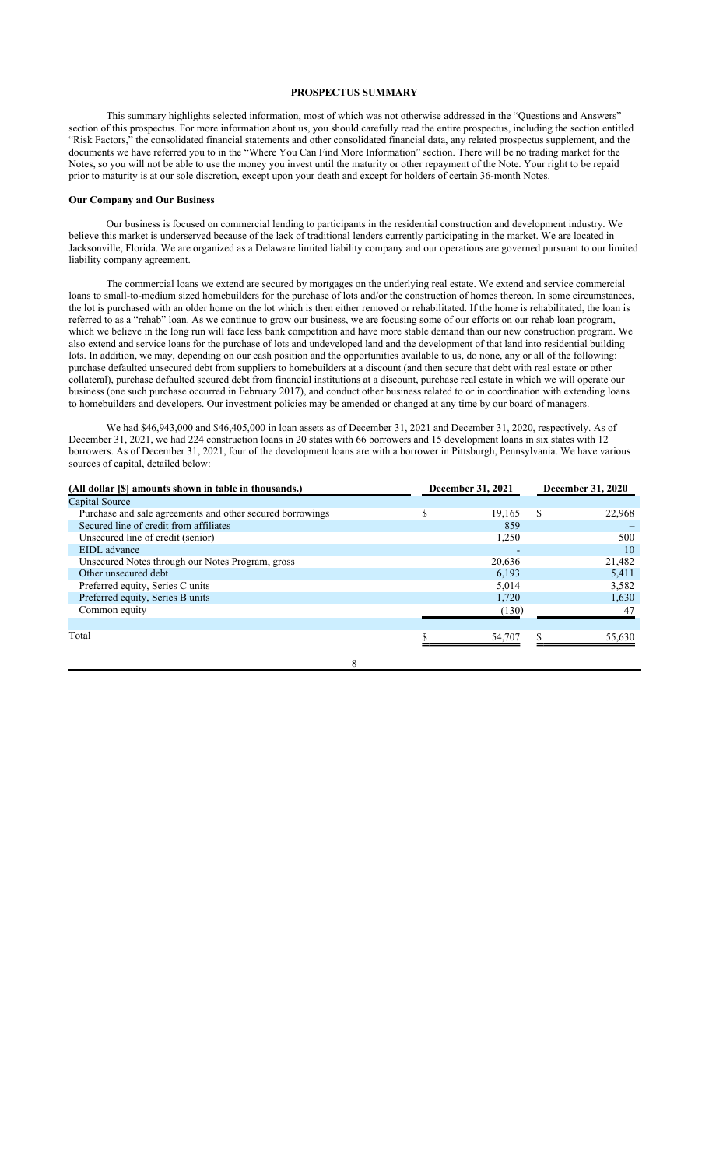## **PROSPECTUS SUMMARY**

This summary highlights selected information, most of which was not otherwise addressed in the "Questions and Answers" section of this prospectus. For more information about us, you should carefully read the entire prospectus, including the section entitled "Risk Factors," the consolidated financial statements and other consolidated financial data, any related prospectus supplement, and the documents we have referred you to in the "Where You Can Find More Information" section. There will be no trading market for the Notes, so you will not be able to use the money you invest until the maturity or other repayment of the Note. Your right to be repaid prior to maturity is at our sole discretion, except upon your death and except for holders of certain 36-month Notes.

## **Our Company and Our Business**

Our business is focused on commercial lending to participants in the residential construction and development industry. We believe this market is underserved because of the lack of traditional lenders currently participating in the market. We are located in Jacksonville, Florida. We are organized as a Delaware limited liability company and our operations are governed pursuant to our limited liability company agreement.

The commercial loans we extend are secured by mortgages on the underlying real estate. We extend and service commercial loans to small-to-medium sized homebuilders for the purchase of lots and/or the construction of homes thereon. In some circumstances, the lot is purchased with an older home on the lot which is then either removed or rehabilitated. If the home is rehabilitated, the loan is referred to as a "rehab" loan. As we continue to grow our business, we are focusing some of our efforts on our rehab loan program, which we believe in the long run will face less bank competition and have more stable demand than our new construction program. We also extend and service loans for the purchase of lots and undeveloped land and the development of that land into residential building lots. In addition, we may, depending on our cash position and the opportunities available to us, do none, any or all of the following: purchase defaulted unsecured debt from suppliers to homebuilders at a discount (and then secure that debt with real estate or other collateral), purchase defaulted secured debt from financial institutions at a discount, purchase real estate in which we will operate our business (one such purchase occurred in February 2017), and conduct other business related to or in coordination with extending loans to homebuilders and developers. Our investment policies may be amended or changed at any time by our board of managers.

We had \$46,943,000 and \$46,405,000 in loan assets as of December 31, 2021 and December 31, 2020, respectively. As of December 31, 2021, we had 224 construction loans in 20 states with 66 borrowers and 15 development loans in six states with 12 borrowers. As of December 31, 2021, four of the development loans are with a borrower in Pittsburgh, Pennsylvania. We have various sources of capital, detailed below:

| (All dollar [\$] amounts shown in table in thousands.)    | December 31, 2021 |        | December 31, 2020 |        |
|-----------------------------------------------------------|-------------------|--------|-------------------|--------|
| Capital Source                                            |                   |        |                   |        |
| Purchase and sale agreements and other secured borrowings | \$                | 19.165 | S                 | 22,968 |
| Secured line of credit from affiliates                    |                   | 859    |                   |        |
| Unsecured line of credit (senior)                         |                   | 1,250  |                   | 500    |
| EIDL advance                                              |                   |        |                   | 10     |
| Unsecured Notes through our Notes Program, gross          |                   | 20,636 |                   | 21,482 |
| Other unsecured debt                                      |                   | 6.193  |                   | 5,411  |
| Preferred equity, Series C units                          |                   | 5,014  |                   | 3,582  |
| Preferred equity, Series B units                          |                   | 1,720  |                   | 1,630  |
| Common equity                                             |                   | (130)  |                   | 47     |
|                                                           |                   |        |                   |        |
| Total                                                     |                   | 54,707 |                   | 55,630 |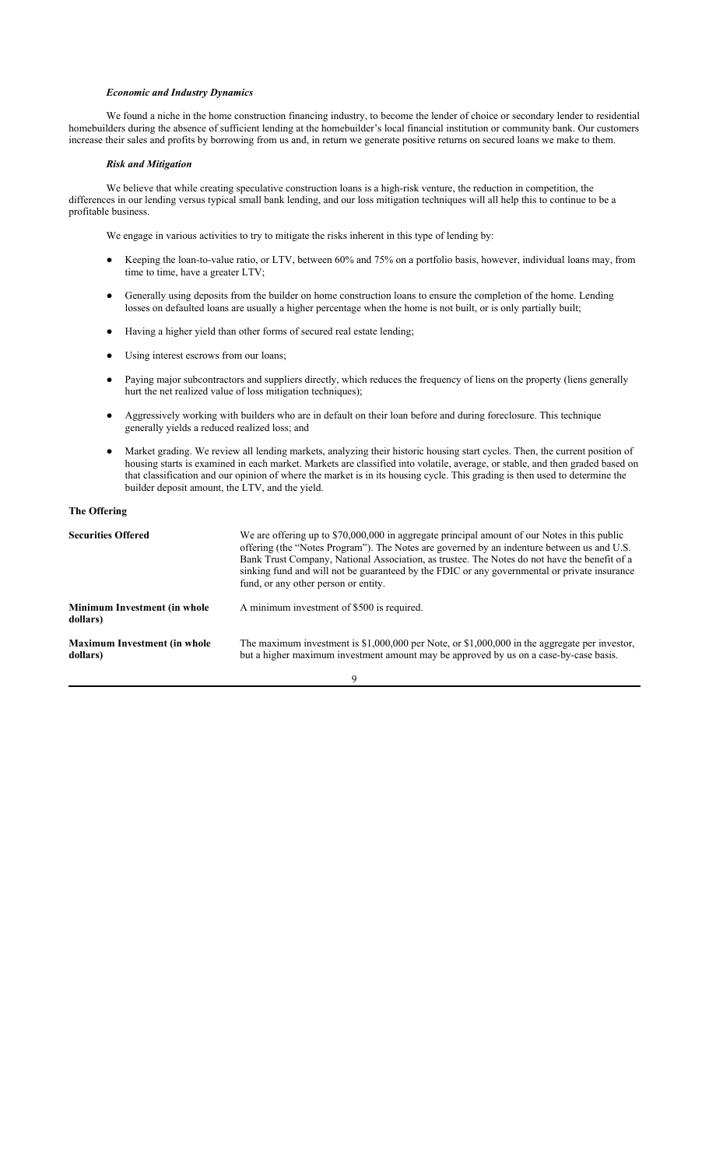#### *Economic and Industry Dynamics*

We found a niche in the home construction financing industry, to become the lender of choice or secondary lender to residential homebuilders during the absence of sufficient lending at the homebuilder's local financial institution or community bank. Our customers increase their sales and profits by borrowing from us and, in return we generate positive returns on secured loans we make to them.

#### *Risk and Mitigation*

We believe that while creating speculative construction loans is a high-risk venture, the reduction in competition, the differences in our lending versus typical small bank lending, and our loss mitigation techniques will all help this to continue to be a profitable business.

We engage in various activities to try to mitigate the risks inherent in this type of lending by:

- Keeping the loan-to-value ratio, or LTV, between 60% and 75% on a portfolio basis, however, individual loans may, from time to time, have a greater LTV;
- Generally using deposits from the builder on home construction loans to ensure the completion of the home. Lending losses on defaulted loans are usually a higher percentage when the home is not built, or is only partially built;
- Having a higher yield than other forms of secured real estate lending;
- Using interest escrows from our loans;
- Paying major subcontractors and suppliers directly, which reduces the frequency of liens on the property (liens generally hurt the net realized value of loss mitigation techniques);
- Aggressively working with builders who are in default on their loan before and during foreclosure. This technique generally yields a reduced realized loss; and
- Market grading. We review all lending markets, analyzing their historic housing start cycles. Then, the current position of housing starts is examined in each market. Markets are classified into volatile, average, or stable, and then graded based on that classification and our opinion of where the market is in its housing cycle. This grading is then used to determine the builder deposit amount, the LTV, and the yield.

#### **The Offering**

| <b>Securities Offered</b>                       | We are offering up to \$70,000,000 in aggregate principal amount of our Notes in this public<br>offering (the "Notes Program"). The Notes are governed by an indenture between us and U.S.<br>Bank Trust Company, National Association, as trustee. The Notes do not have the benefit of a<br>sinking fund and will not be guaranteed by the FDIC or any governmental or private insurance<br>fund, or any other person or entity. |
|-------------------------------------------------|------------------------------------------------------------------------------------------------------------------------------------------------------------------------------------------------------------------------------------------------------------------------------------------------------------------------------------------------------------------------------------------------------------------------------------|
| <b>Minimum Investment (in whole</b><br>dollars) | A minimum investment of \$500 is required.                                                                                                                                                                                                                                                                                                                                                                                         |
| <b>Maximum Investment (in whole</b><br>dollars) | The maximum investment is $$1,000,000$ per Note, or $$1,000,000$ in the aggregate per investor,<br>but a higher maximum investment amount may be approved by us on a case-by-case basis.                                                                                                                                                                                                                                           |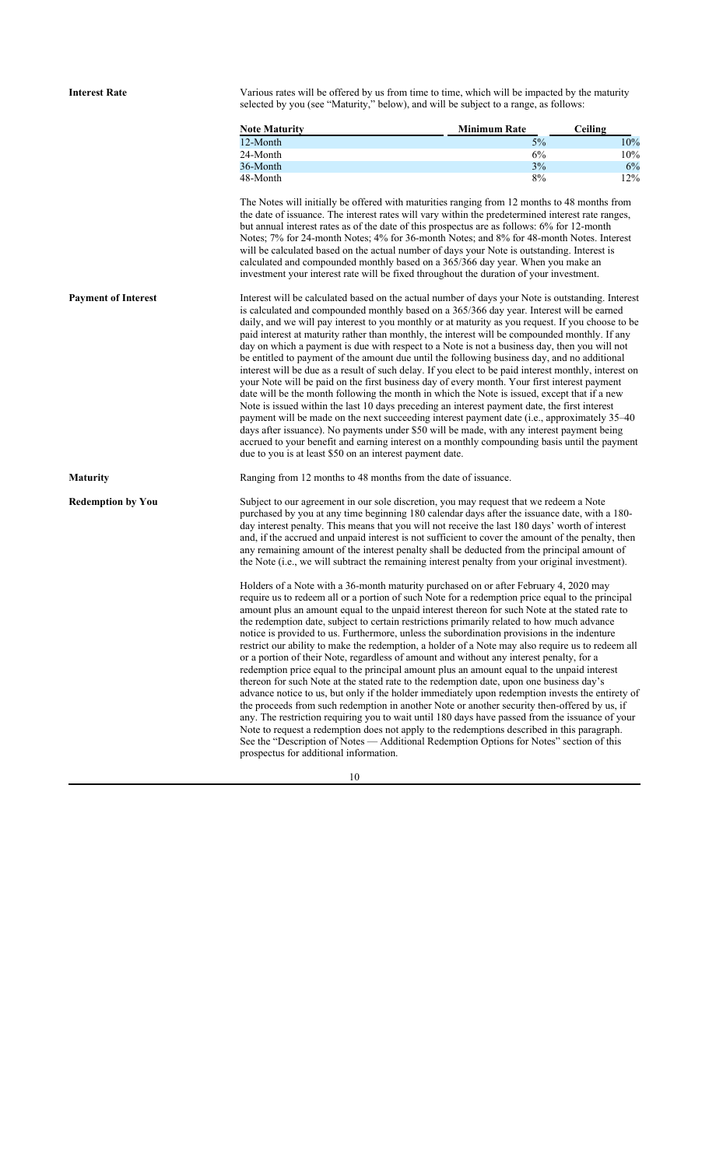**Interest Rate** Various rates will be offered by us from time to time, which will be impacted by the maturity selected by you (see "Maturity," below), and will be subject to a range, as follows:

| <b>Note Maturity</b> | <b>Minimum Rate</b> | Ceiling |
|----------------------|---------------------|---------|
| 12-Month             | 5%                  | $10\%$  |
| 24-Month             | 6%                  | 10%     |
| 36-Month             | 3%                  | 6%      |
| 48-Month             | 8%                  | 12%     |

The Notes will initially be offered with maturities ranging from 12 months to 48 months from the date of issuance. The interest rates will vary within the predetermined interest rate ranges, but annual interest rates as of the date of this prospectus are as follows: 6% for 12-month Notes; 7% for 24-month Notes; 4% for 36-month Notes; and 8% for 48-month Notes. Interest will be calculated based on the actual number of days your Note is outstanding. Interest is calculated and compounded monthly based on a 365/366 day year. When you make an investment your interest rate will be fixed throughout the duration of your investment.

**Payment of Interest** Interest will be calculated based on the actual number of days your Note is outstanding. Interest is calculated and compounded monthly based on a 365/366 day year. Interest will be earned daily, and we will pay interest to you monthly or at maturity as you request. If you choose to be paid interest at maturity rather than monthly, the interest will be compounded monthly. If any day on which a payment is due with respect to a Note is not a business day, then you will not be entitled to payment of the amount due until the following business day, and no additional interest will be due as a result of such delay. If you elect to be paid interest monthly, interest on your Note will be paid on the first business day of every month. Your first interest payment date will be the month following the month in which the Note is issued, except that if a new Note is issued within the last 10 days preceding an interest payment date, the first interest payment will be made on the next succeeding interest payment date (i.e., approximately 35–40 days after issuance). No payments under \$50 will be made, with any interest payment being accrued to your benefit and earning interest on a monthly compounding basis until the payment due to you is at least \$50 on an interest payment date.

**Maturity** Ranging from 12 months to 48 months from the date of issuance.

**Redemption by You** Subject to our agreement in our sole discretion, you may request that we redeem a Note purchased by you at any time beginning 180 calendar days after the issuance date, with a 180 day interest penalty. This means that you will not receive the last 180 days' worth of interest and, if the accrued and unpaid interest is not sufficient to cover the amount of the penalty, then any remaining amount of the interest penalty shall be deducted from the principal amount of the Note (i.e., we will subtract the remaining interest penalty from your original investment).

> Holders of a Note with a 36-month maturity purchased on or after February 4, 2020 may require us to redeem all or a portion of such Note for a redemption price equal to the principal amount plus an amount equal to the unpaid interest thereon for such Note at the stated rate to the redemption date, subject to certain restrictions primarily related to how much advance notice is provided to us. Furthermore, unless the subordination provisions in the indenture restrict our ability to make the redemption, a holder of a Note may also require us to redeem all or a portion of their Note, regardless of amount and without any interest penalty, for a redemption price equal to the principal amount plus an amount equal to the unpaid interest thereon for such Note at the stated rate to the redemption date, upon one business day's advance notice to us, but only if the holder immediately upon redemption invests the entirety of the proceeds from such redemption in another Note or another security then-offered by us, if any. The restriction requiring you to wait until 180 days have passed from the issuance of your Note to request a redemption does not apply to the redemptions described in this paragraph. See the "Description of Notes — Additional Redemption Options for Notes" section of this prospectus for additional information.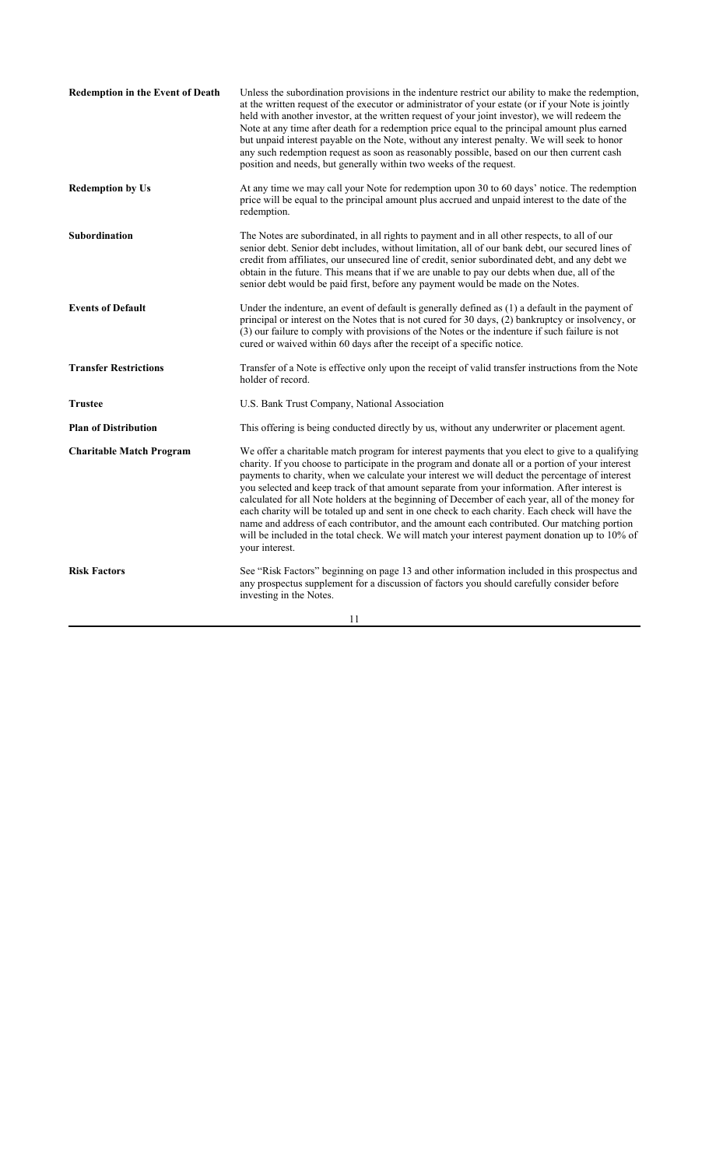| <b>Redemption in the Event of Death</b> | Unless the subordination provisions in the indenture restrict our ability to make the redemption,<br>at the written request of the executor or administrator of your estate (or if your Note is jointly<br>held with another investor, at the written request of your joint investor), we will redeem the<br>Note at any time after death for a redemption price equal to the principal amount plus earned<br>but unpaid interest payable on the Note, without any interest penalty. We will seek to honor<br>any such redemption request as soon as reasonably possible, based on our then current cash<br>position and needs, but generally within two weeks of the request.                                                                                                                                                   |
|-----------------------------------------|----------------------------------------------------------------------------------------------------------------------------------------------------------------------------------------------------------------------------------------------------------------------------------------------------------------------------------------------------------------------------------------------------------------------------------------------------------------------------------------------------------------------------------------------------------------------------------------------------------------------------------------------------------------------------------------------------------------------------------------------------------------------------------------------------------------------------------|
| <b>Redemption by Us</b>                 | At any time we may call your Note for redemption upon 30 to 60 days' notice. The redemption<br>price will be equal to the principal amount plus accrued and unpaid interest to the date of the<br>redemption.                                                                                                                                                                                                                                                                                                                                                                                                                                                                                                                                                                                                                    |
| Subordination                           | The Notes are subordinated, in all rights to payment and in all other respects, to all of our<br>senior debt. Senior debt includes, without limitation, all of our bank debt, our secured lines of<br>credit from affiliates, our unsecured line of credit, senior subordinated debt, and any debt we<br>obtain in the future. This means that if we are unable to pay our debts when due, all of the<br>senior debt would be paid first, before any payment would be made on the Notes.                                                                                                                                                                                                                                                                                                                                         |
| <b>Events of Default</b>                | Under the indenture, an event of default is generally defined as (1) a default in the payment of<br>principal or interest on the Notes that is not cured for 30 days, (2) bankruptcy or insolvency, or<br>(3) our failure to comply with provisions of the Notes or the indenture if such failure is not<br>cured or waived within 60 days after the receipt of a specific notice.                                                                                                                                                                                                                                                                                                                                                                                                                                               |
| <b>Transfer Restrictions</b>            | Transfer of a Note is effective only upon the receipt of valid transfer instructions from the Note<br>holder of record.                                                                                                                                                                                                                                                                                                                                                                                                                                                                                                                                                                                                                                                                                                          |
| <b>Trustee</b>                          | U.S. Bank Trust Company, National Association                                                                                                                                                                                                                                                                                                                                                                                                                                                                                                                                                                                                                                                                                                                                                                                    |
| <b>Plan of Distribution</b>             | This offering is being conducted directly by us, without any underwriter or placement agent.                                                                                                                                                                                                                                                                                                                                                                                                                                                                                                                                                                                                                                                                                                                                     |
| <b>Charitable Match Program</b>         | We offer a charitable match program for interest payments that you elect to give to a qualifying<br>charity. If you choose to participate in the program and donate all or a portion of your interest<br>payments to charity, when we calculate your interest we will deduct the percentage of interest<br>you selected and keep track of that amount separate from your information. After interest is<br>calculated for all Note holders at the beginning of December of each year, all of the money for<br>each charity will be totaled up and sent in one check to each charity. Each check will have the<br>name and address of each contributor, and the amount each contributed. Our matching portion<br>will be included in the total check. We will match your interest payment donation up to 10% of<br>your interest. |
| <b>Risk Factors</b>                     | See "Risk Factors" beginning on page 13 and other information included in this prospectus and<br>any prospectus supplement for a discussion of factors you should carefully consider before<br>investing in the Notes.                                                                                                                                                                                                                                                                                                                                                                                                                                                                                                                                                                                                           |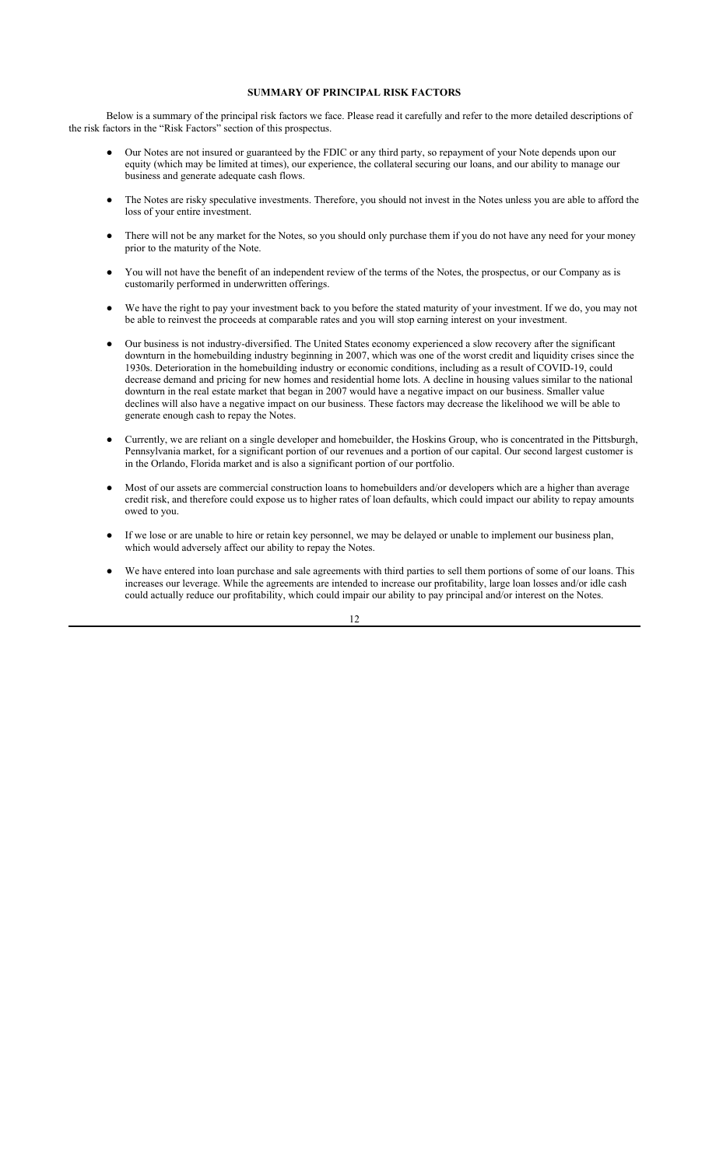## **SUMMARY OF PRINCIPAL RISK FACTORS**

Below is a summary of the principal risk factors we face. Please read it carefully and refer to the more detailed descriptions of the risk factors in the "Risk Factors" section of this prospectus.

- Our Notes are not insured or guaranteed by the FDIC or any third party, so repayment of your Note depends upon our equity (which may be limited at times), our experience, the collateral securing our loans, and our ability to manage our business and generate adequate cash flows.
- The Notes are risky speculative investments. Therefore, you should not invest in the Notes unless you are able to afford the loss of your entire investment.
- There will not be any market for the Notes, so you should only purchase them if you do not have any need for your money prior to the maturity of the Note.
- You will not have the benefit of an independent review of the terms of the Notes, the prospectus, or our Company as is customarily performed in underwritten offerings.
- We have the right to pay your investment back to you before the stated maturity of your investment. If we do, you may not be able to reinvest the proceeds at comparable rates and you will stop earning interest on your investment.
- Our business is not industry-diversified. The United States economy experienced a slow recovery after the significant downturn in the homebuilding industry beginning in 2007, which was one of the worst credit and liquidity crises since the 1930s. Deterioration in the homebuilding industry or economic conditions, including as a result of COVID-19, could decrease demand and pricing for new homes and residential home lots. A decline in housing values similar to the national downturn in the real estate market that began in 2007 would have a negative impact on our business. Smaller value declines will also have a negative impact on our business. These factors may decrease the likelihood we will be able to generate enough cash to repay the Notes.
- Currently, we are reliant on a single developer and homebuilder, the Hoskins Group, who is concentrated in the Pittsburgh, Pennsylvania market, for a significant portion of our revenues and a portion of our capital. Our second largest customer is in the Orlando, Florida market and is also a significant portion of our portfolio.
- Most of our assets are commercial construction loans to homebuilders and/or developers which are a higher than average credit risk, and therefore could expose us to higher rates of loan defaults, which could impact our ability to repay amounts owed to you.
- If we lose or are unable to hire or retain key personnel, we may be delayed or unable to implement our business plan, which would adversely affect our ability to repay the Notes.
- We have entered into loan purchase and sale agreements with third parties to sell them portions of some of our loans. This increases our leverage. While the agreements are intended to increase our profitability, large loan losses and/or idle cash could actually reduce our profitability, which could impair our ability to pay principal and/or interest on the Notes.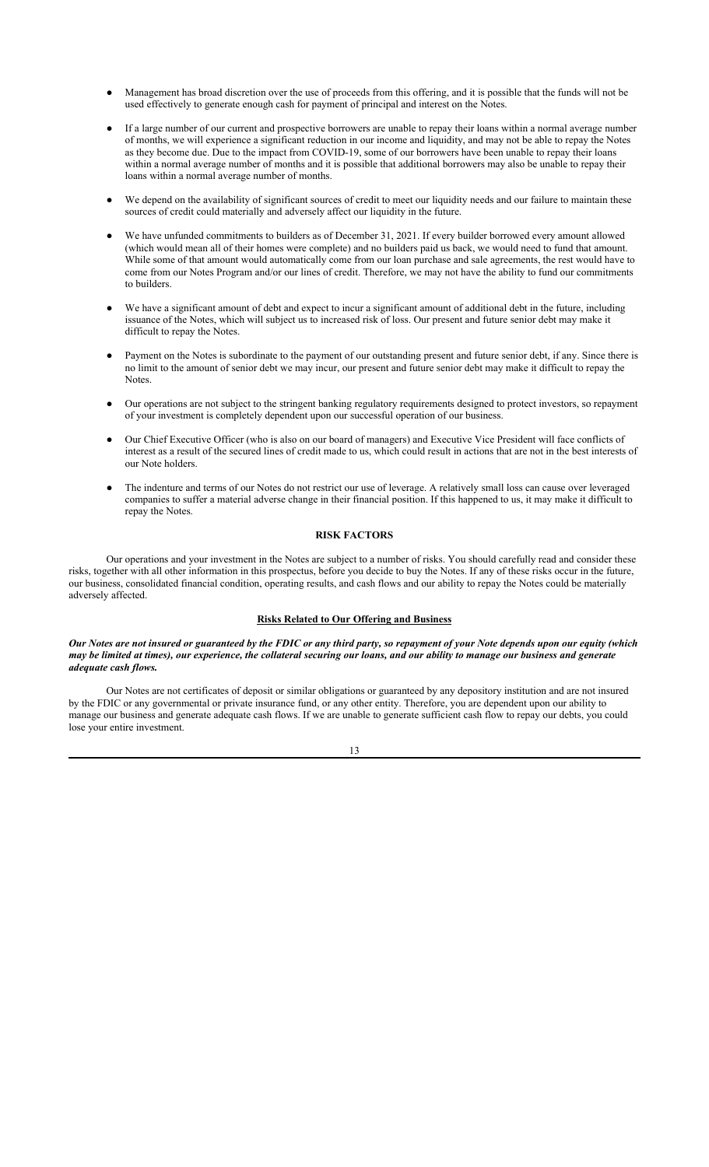- Management has broad discretion over the use of proceeds from this offering, and it is possible that the funds will not be used effectively to generate enough cash for payment of principal and interest on the Notes.
- If a large number of our current and prospective borrowers are unable to repay their loans within a normal average number of months, we will experience a significant reduction in our income and liquidity, and may not be able to repay the Notes as they become due. Due to the impact from COVID-19, some of our borrowers have been unable to repay their loans within a normal average number of months and it is possible that additional borrowers may also be unable to repay their loans within a normal average number of months.
- We depend on the availability of significant sources of credit to meet our liquidity needs and our failure to maintain these sources of credit could materially and adversely affect our liquidity in the future.
- We have unfunded commitments to builders as of December 31, 2021. If every builder borrowed every amount allowed (which would mean all of their homes were complete) and no builders paid us back, we would need to fund that amount. While some of that amount would automatically come from our loan purchase and sale agreements, the rest would have to come from our Notes Program and/or our lines of credit. Therefore, we may not have the ability to fund our commitments to builders.
- We have a significant amount of debt and expect to incur a significant amount of additional debt in the future, including issuance of the Notes, which will subject us to increased risk of loss. Our present and future senior debt may make it difficult to repay the Notes.
- Payment on the Notes is subordinate to the payment of our outstanding present and future senior debt, if any. Since there is no limit to the amount of senior debt we may incur, our present and future senior debt may make it difficult to repay the Notes.
- Our operations are not subject to the stringent banking regulatory requirements designed to protect investors, so repayment of your investment is completely dependent upon our successful operation of our business.
- Our Chief Executive Officer (who is also on our board of managers) and Executive Vice President will face conflicts of interest as a result of the secured lines of credit made to us, which could result in actions that are not in the best interests of our Note holders.
- The indenture and terms of our Notes do not restrict our use of leverage. A relatively small loss can cause over leveraged companies to suffer a material adverse change in their financial position. If this happened to us, it may make it difficult to repay the Notes.

## **RISK FACTORS**

Our operations and your investment in the Notes are subject to a number of risks. You should carefully read and consider these risks, together with all other information in this prospectus, before you decide to buy the Notes. If any of these risks occur in the future, our business, consolidated financial condition, operating results, and cash flows and our ability to repay the Notes could be materially adversely affected.

#### **Risks Related to Our Offering and Business**

*Our Notes are not insured or guaranteed by the FDIC or any third party, so repayment of your Note depends upon our equity (which may be limited at times), our experience, the collateral securing our loans, and our ability to manage our business and generate adequate cash flows.*

Our Notes are not certificates of deposit or similar obligations or guaranteed by any depository institution and are not insured by the FDIC or any governmental or private insurance fund, or any other entity. Therefore, you are dependent upon our ability to manage our business and generate adequate cash flows. If we are unable to generate sufficient cash flow to repay our debts, you could lose your entire investment.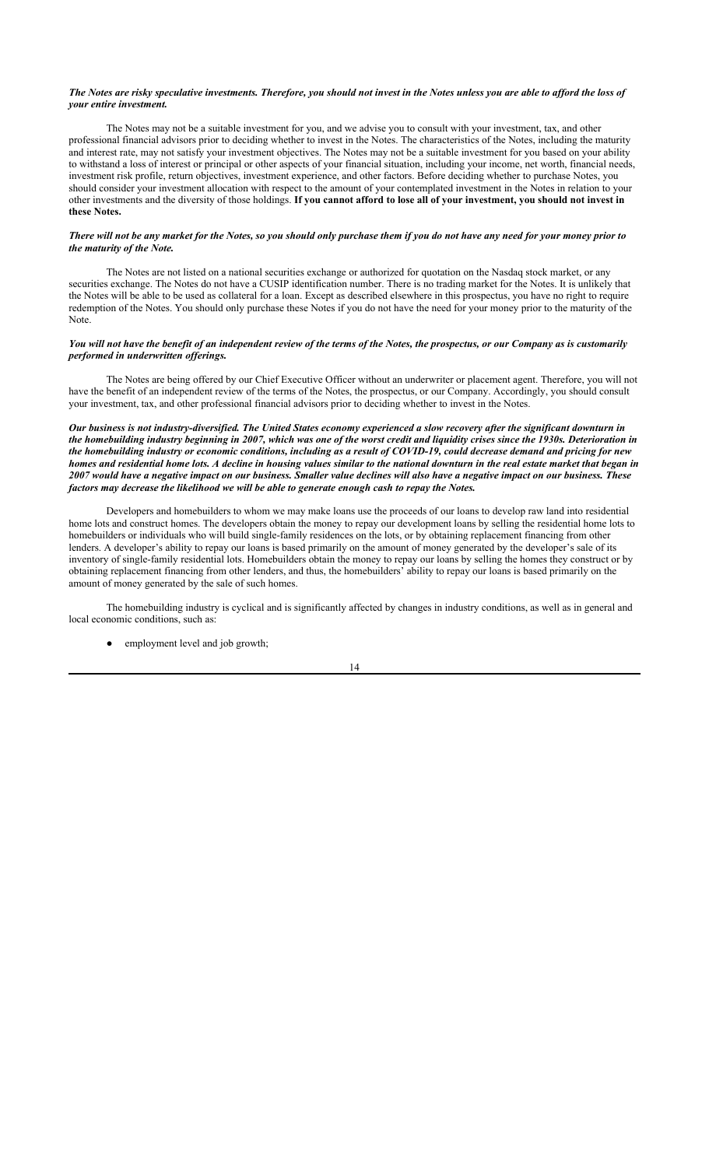## *The Notes are risky speculative investments. Therefore, you should not invest in the Notes unless you are able to afford the loss of your entire investment.*

The Notes may not be a suitable investment for you, and we advise you to consult with your investment, tax, and other professional financial advisors prior to deciding whether to invest in the Notes. The characteristics of the Notes, including the maturity and interest rate, may not satisfy your investment objectives. The Notes may not be a suitable investment for you based on your ability to withstand a loss of interest or principal or other aspects of your financial situation, including your income, net worth, financial needs, investment risk profile, return objectives, investment experience, and other factors. Before deciding whether to purchase Notes, you should consider your investment allocation with respect to the amount of your contemplated investment in the Notes in relation to your other investments and the diversity of those holdings. **If you cannot afford to lose all of your investment, you should not invest in these Notes.**

## *There will not be any market for the Notes, so you should only purchase them if you do not have any need for your money prior to the maturity of the Note.*

The Notes are not listed on a national securities exchange or authorized for quotation on the Nasdaq stock market, or any securities exchange. The Notes do not have a CUSIP identification number. There is no trading market for the Notes. It is unlikely that the Notes will be able to be used as collateral for a loan. Except as described elsewhere in this prospectus, you have no right to require redemption of the Notes. You should only purchase these Notes if you do not have the need for your money prior to the maturity of the Note.

## *You will not have the benefit of an independent review of the terms of the Notes, the prospectus, or our Company as is customarily performed in underwritten offerings.*

The Notes are being offered by our Chief Executive Officer without an underwriter or placement agent. Therefore, you will not have the benefit of an independent review of the terms of the Notes, the prospectus, or our Company. Accordingly, you should consult your investment, tax, and other professional financial advisors prior to deciding whether to invest in the Notes.

## *Our business is not industry-diversified. The United States economy experienced a slow recovery after the significant downturn in the homebuilding industry beginning in 2007, which was one of the worst credit and liquidity crises since the 1930s. Deterioration in the homebuilding industry or economic conditions, including as a result of COVID-19, could decrease demand and pricing for new homes and residential home lots. A decline in housing values similar to the national downturn in the real estate market that began in 2007 would have a negative impact on our business. Smaller value declines will also have a negative impact on our business. These factors may decrease the likelihood we will be able to generate enough cash to repay the Notes.*

Developers and homebuilders to whom we may make loans use the proceeds of our loans to develop raw land into residential home lots and construct homes. The developers obtain the money to repay our development loans by selling the residential home lots to homebuilders or individuals who will build single-family residences on the lots, or by obtaining replacement financing from other lenders. A developer's ability to repay our loans is based primarily on the amount of money generated by the developer's sale of its inventory of single-family residential lots. Homebuilders obtain the money to repay our loans by selling the homes they construct or by obtaining replacement financing from other lenders, and thus, the homebuilders' ability to repay our loans is based primarily on the amount of money generated by the sale of such homes.

The homebuilding industry is cyclical and is significantly affected by changes in industry conditions, as well as in general and local economic conditions, such as:

• employment level and job growth;

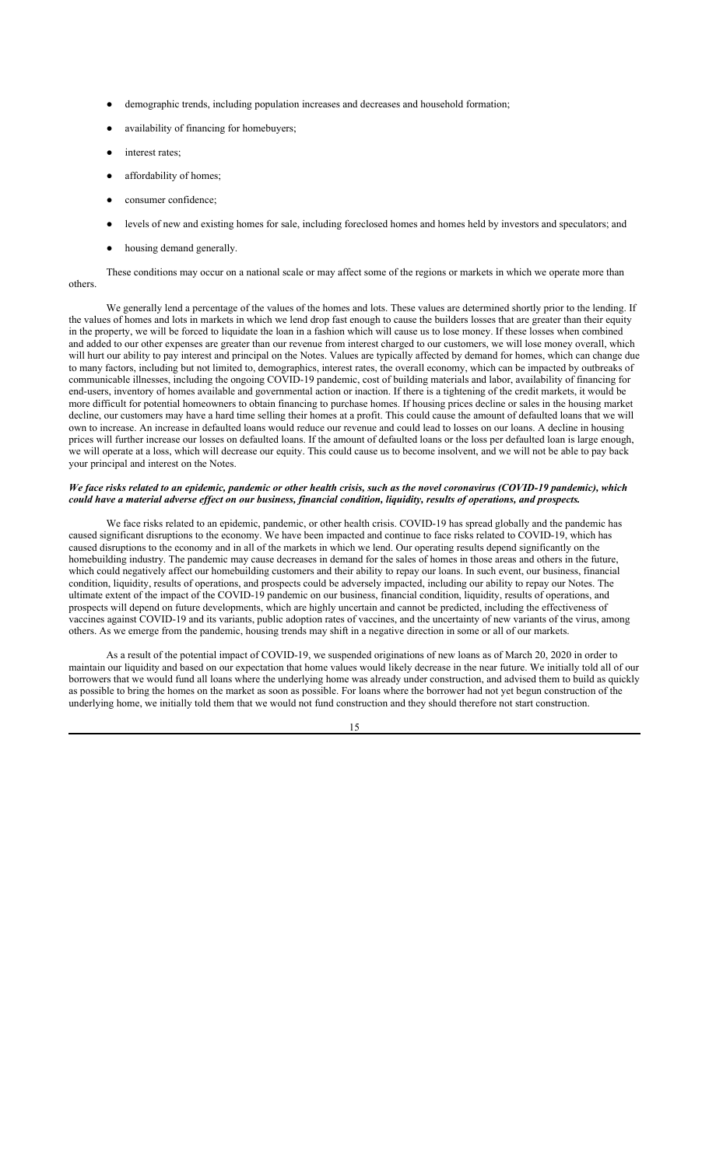- demographic trends, including population increases and decreases and household formation;
- availability of financing for homebuyers;
- interest rates;
- affordability of homes;
- consumer confidence:
- levels of new and existing homes for sale, including foreclosed homes and homes held by investors and speculators; and
- housing demand generally.

These conditions may occur on a national scale or may affect some of the regions or markets in which we operate more than others.

We generally lend a percentage of the values of the homes and lots. These values are determined shortly prior to the lending. If the values of homes and lots in markets in which we lend drop fast enough to cause the builders losses that are greater than their equity in the property, we will be forced to liquidate the loan in a fashion which will cause us to lose money. If these losses when combined and added to our other expenses are greater than our revenue from interest charged to our customers, we will lose money overall, which will hurt our ability to pay interest and principal on the Notes. Values are typically affected by demand for homes, which can change due to many factors, including but not limited to, demographics, interest rates, the overall economy, which can be impacted by outbreaks of communicable illnesses, including the ongoing COVID-19 pandemic, cost of building materials and labor, availability of financing for end-users, inventory of homes available and governmental action or inaction. If there is a tightening of the credit markets, it would be more difficult for potential homeowners to obtain financing to purchase homes. If housing prices decline or sales in the housing market decline, our customers may have a hard time selling their homes at a profit. This could cause the amount of defaulted loans that we will own to increase. An increase in defaulted loans would reduce our revenue and could lead to losses on our loans. A decline in housing prices will further increase our losses on defaulted loans. If the amount of defaulted loans or the loss per defaulted loan is large enough, we will operate at a loss, which will decrease our equity. This could cause us to become insolvent, and we will not be able to pay back your principal and interest on the Notes.

#### *We face risks related to an epidemic, pandemic or other health crisis, such as the novel coronavirus (COVID-19 pandemic), which could have a material adverse effect on our business, financial condition, liquidity, results of operations, and prospects.*

We face risks related to an epidemic, pandemic, or other health crisis. COVID-19 has spread globally and the pandemic has caused significant disruptions to the economy. We have been impacted and continue to face risks related to COVID-19, which has caused disruptions to the economy and in all of the markets in which we lend. Our operating results depend significantly on the homebuilding industry. The pandemic may cause decreases in demand for the sales of homes in those areas and others in the future, which could negatively affect our homebuilding customers and their ability to repay our loans. In such event, our business, financial condition, liquidity, results of operations, and prospects could be adversely impacted, including our ability to repay our Notes. The ultimate extent of the impact of the COVID-19 pandemic on our business, financial condition, liquidity, results of operations, and prospects will depend on future developments, which are highly uncertain and cannot be predicted, including the effectiveness of vaccines against COVID-19 and its variants, public adoption rates of vaccines, and the uncertainty of new variants of the virus, among others. As we emerge from the pandemic, housing trends may shift in a negative direction in some or all of our markets.

As a result of the potential impact of COVID-19, we suspended originations of new loans as of March 20, 2020 in order to maintain our liquidity and based on our expectation that home values would likely decrease in the near future. We initially told all of our borrowers that we would fund all loans where the underlying home was already under construction, and advised them to build as quickly as possible to bring the homes on the market as soon as possible. For loans where the borrower had not yet begun construction of the underlying home, we initially told them that we would not fund construction and they should therefore not start construction.

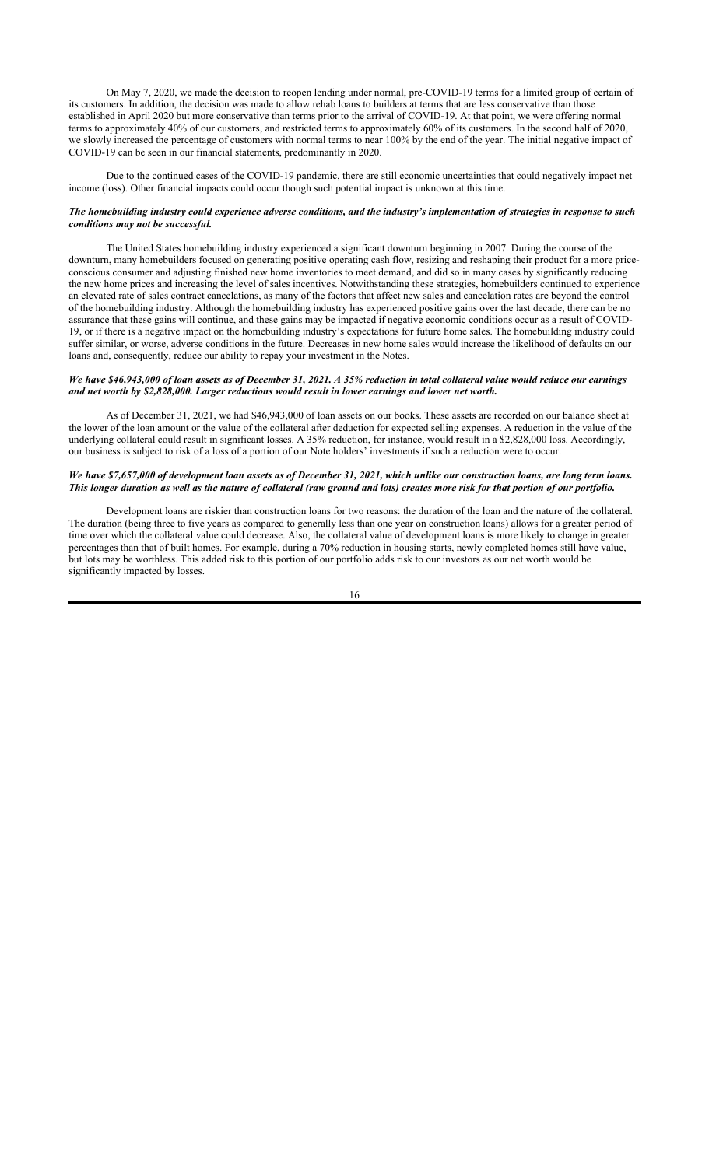On May 7, 2020, we made the decision to reopen lending under normal, pre-COVID-19 terms for a limited group of certain of its customers. In addition, the decision was made to allow rehab loans to builders at terms that are less conservative than those established in April 2020 but more conservative than terms prior to the arrival of COVID-19. At that point, we were offering normal terms to approximately 40% of our customers, and restricted terms to approximately 60% of its customers. In the second half of 2020, we slowly increased the percentage of customers with normal terms to near 100% by the end of the year. The initial negative impact of COVID-19 can be seen in our financial statements, predominantly in 2020.

Due to the continued cases of the COVID-19 pandemic, there are still economic uncertainties that could negatively impact net income (loss). Other financial impacts could occur though such potential impact is unknown at this time.

## *The homebuilding industry could experience adverse conditions, and the industry's implementation of strategies in response to such conditions may not be successful.*

The United States homebuilding industry experienced a significant downturn beginning in 2007. During the course of the downturn, many homebuilders focused on generating positive operating cash flow, resizing and reshaping their product for a more priceconscious consumer and adjusting finished new home inventories to meet demand, and did so in many cases by significantly reducing the new home prices and increasing the level of sales incentives. Notwithstanding these strategies, homebuilders continued to experience an elevated rate of sales contract cancelations, as many of the factors that affect new sales and cancelation rates are beyond the control of the homebuilding industry. Although the homebuilding industry has experienced positive gains over the last decade, there can be no assurance that these gains will continue, and these gains may be impacted if negative economic conditions occur as a result of COVID-19, or if there is a negative impact on the homebuilding industry's expectations for future home sales. The homebuilding industry could suffer similar, or worse, adverse conditions in the future. Decreases in new home sales would increase the likelihood of defaults on our loans and, consequently, reduce our ability to repay your investment in the Notes.

## *We have \$46,943,000 of loan assets as of December 31, 2021. A 35% reduction in total collateral value would reduce our earnings and net worth by \$2,828,000. Larger reductions would result in lower earnings and lower net worth.*

As of December 31, 2021, we had \$46,943,000 of loan assets on our books. These assets are recorded on our balance sheet at the lower of the loan amount or the value of the collateral after deduction for expected selling expenses. A reduction in the value of the underlying collateral could result in significant losses. A 35% reduction, for instance, would result in a \$2,828,000 loss. Accordingly, our business is subject to risk of a loss of a portion of our Note holders' investments if such a reduction were to occur.

## *We have \$7,657,000 of development loan assets as of December 31, 2021, which unlike our construction loans, are long term loans. This longer duration as well as the nature of collateral (raw ground and lots) creates more risk for that portion of our portfolio.*

Development loans are riskier than construction loans for two reasons: the duration of the loan and the nature of the collateral. The duration (being three to five years as compared to generally less than one year on construction loans) allows for a greater period of time over which the collateral value could decrease. Also, the collateral value of development loans is more likely to change in greater percentages than that of built homes. For example, during a 70% reduction in housing starts, newly completed homes still have value, but lots may be worthless. This added risk to this portion of our portfolio adds risk to our investors as our net worth would be significantly impacted by losses.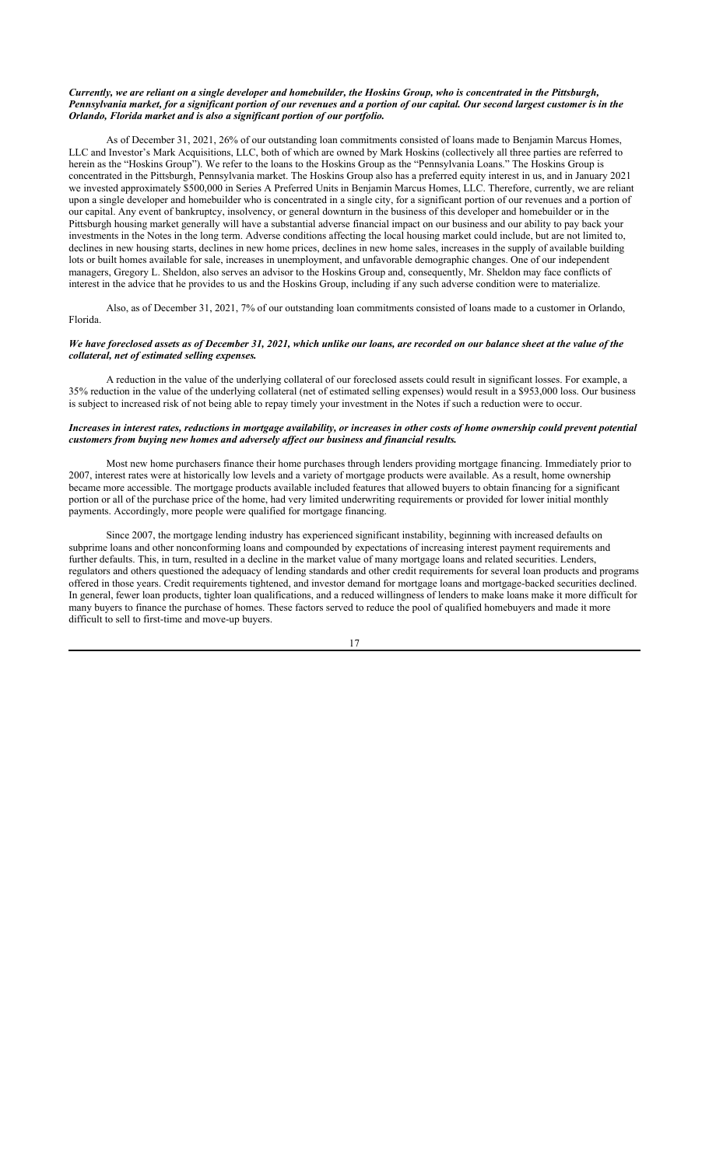## *Currently, we are reliant on a single developer and homebuilder, the Hoskins Group, who is concentrated in the Pittsburgh, Pennsylvania market, for a significant portion of our revenues and a portion of our capital. Our second largest customer is in the Orlando, Florida market and is also a significant portion of our portfolio.*

As of December 31, 2021, 26% of our outstanding loan commitments consisted of loans made to Benjamin Marcus Homes, LLC and Investor's Mark Acquisitions, LLC, both of which are owned by Mark Hoskins (collectively all three parties are referred to herein as the "Hoskins Group"). We refer to the loans to the Hoskins Group as the "Pennsylvania Loans." The Hoskins Group is concentrated in the Pittsburgh, Pennsylvania market. The Hoskins Group also has a preferred equity interest in us, and in January 2021 we invested approximately \$500,000 in Series A Preferred Units in Benjamin Marcus Homes, LLC. Therefore, currently, we are reliant upon a single developer and homebuilder who is concentrated in a single city, for a significant portion of our revenues and a portion of our capital. Any event of bankruptcy, insolvency, or general downturn in the business of this developer and homebuilder or in the Pittsburgh housing market generally will have a substantial adverse financial impact on our business and our ability to pay back your investments in the Notes in the long term. Adverse conditions affecting the local housing market could include, but are not limited to, declines in new housing starts, declines in new home prices, declines in new home sales, increases in the supply of available building lots or built homes available for sale, increases in unemployment, and unfavorable demographic changes. One of our independent managers, Gregory L. Sheldon, also serves an advisor to the Hoskins Group and, consequently, Mr. Sheldon may face conflicts of interest in the advice that he provides to us and the Hoskins Group, including if any such adverse condition were to materialize.

Also, as of December 31, 2021, 7% of our outstanding loan commitments consisted of loans made to a customer in Orlando, Florida.

## *We have foreclosed assets as of December 31, 2021, which unlike our loans, are recorded on our balance sheet at the value of the collateral, net of estimated selling expenses.*

A reduction in the value of the underlying collateral of our foreclosed assets could result in significant losses. For example, a 35% reduction in the value of the underlying collateral (net of estimated selling expenses) would result in a \$953,000 loss. Our business is subject to increased risk of not being able to repay timely your investment in the Notes if such a reduction were to occur.

## *Increases in interest rates, reductions in mortgage availability, or increases in other costs of home ownership could prevent potential customers from buying new homes and adversely affect our business and financial results.*

Most new home purchasers finance their home purchases through lenders providing mortgage financing. Immediately prior to 2007, interest rates were at historically low levels and a variety of mortgage products were available. As a result, home ownership became more accessible. The mortgage products available included features that allowed buyers to obtain financing for a significant portion or all of the purchase price of the home, had very limited underwriting requirements or provided for lower initial monthly payments. Accordingly, more people were qualified for mortgage financing.

Since 2007, the mortgage lending industry has experienced significant instability, beginning with increased defaults on subprime loans and other nonconforming loans and compounded by expectations of increasing interest payment requirements and further defaults. This, in turn, resulted in a decline in the market value of many mortgage loans and related securities. Lenders, regulators and others questioned the adequacy of lending standards and other credit requirements for several loan products and programs offered in those years. Credit requirements tightened, and investor demand for mortgage loans and mortgage-backed securities declined. In general, fewer loan products, tighter loan qualifications, and a reduced willingness of lenders to make loans make it more difficult for many buyers to finance the purchase of homes. These factors served to reduce the pool of qualified homebuyers and made it more difficult to sell to first-time and move-up buyers.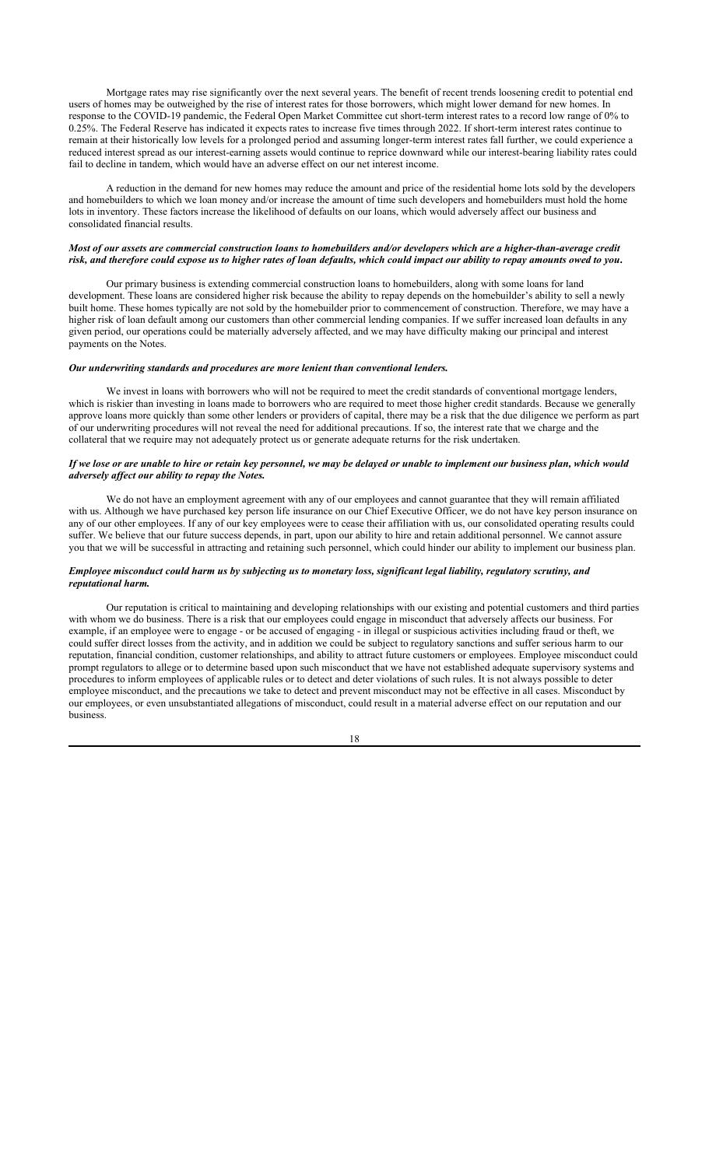Mortgage rates may rise significantly over the next several years. The benefit of recent trends loosening credit to potential end users of homes may be outweighed by the rise of interest rates for those borrowers, which might lower demand for new homes. In response to the COVID-19 pandemic, the Federal Open Market Committee cut short-term interest rates to a record low range of 0% to 0.25%. The Federal Reserve has indicated it expects rates to increase five times through 2022. If short-term interest rates continue to remain at their historically low levels for a prolonged period and assuming longer-term interest rates fall further, we could experience a reduced interest spread as our interest-earning assets would continue to reprice downward while our interest-bearing liability rates could fail to decline in tandem, which would have an adverse effect on our net interest income.

A reduction in the demand for new homes may reduce the amount and price of the residential home lots sold by the developers and homebuilders to which we loan money and/or increase the amount of time such developers and homebuilders must hold the home lots in inventory. These factors increase the likelihood of defaults on our loans, which would adversely affect our business and consolidated financial results.

## *Most of our assets are commercial construction loans to homebuilders and/or developers which are a higher-than-average credit risk, and therefore could expose us to higher rates of loan defaults, which could impact our ability to repay amounts owed to you***.**

Our primary business is extending commercial construction loans to homebuilders, along with some loans for land development. These loans are considered higher risk because the ability to repay depends on the homebuilder's ability to sell a newly built home. These homes typically are not sold by the homebuilder prior to commencement of construction. Therefore, we may have a higher risk of loan default among our customers than other commercial lending companies. If we suffer increased loan defaults in any given period, our operations could be materially adversely affected, and we may have difficulty making our principal and interest payments on the Notes.

## *Our underwriting standards and procedures are more lenient than conventional lenders.*

We invest in loans with borrowers who will not be required to meet the credit standards of conventional mortgage lenders, which is riskier than investing in loans made to borrowers who are required to meet those higher credit standards. Because we generally approve loans more quickly than some other lenders or providers of capital, there may be a risk that the due diligence we perform as part of our underwriting procedures will not reveal the need for additional precautions. If so, the interest rate that we charge and the collateral that we require may not adequately protect us or generate adequate returns for the risk undertaken.

## *If we lose or are unable to hire or retain key personnel, we may be delayed or unable to implement our business plan, which would adversely affect our ability to repay the Notes.*

We do not have an employment agreement with any of our employees and cannot guarantee that they will remain affiliated with us. Although we have purchased key person life insurance on our Chief Executive Officer, we do not have key person insurance on any of our other employees. If any of our key employees were to cease their affiliation with us, our consolidated operating results could suffer. We believe that our future success depends, in part, upon our ability to hire and retain additional personnel. We cannot assure you that we will be successful in attracting and retaining such personnel, which could hinder our ability to implement our business plan.

## *Employee misconduct could harm us by subjecting us to monetary loss, significant legal liability, regulatory scrutiny, and reputational harm.*

Our reputation is critical to maintaining and developing relationships with our existing and potential customers and third parties with whom we do business. There is a risk that our employees could engage in misconduct that adversely affects our business. For example, if an employee were to engage - or be accused of engaging - in illegal or suspicious activities including fraud or theft, we could suffer direct losses from the activity, and in addition we could be subject to regulatory sanctions and suffer serious harm to our reputation, financial condition, customer relationships, and ability to attract future customers or employees. Employee misconduct could prompt regulators to allege or to determine based upon such misconduct that we have not established adequate supervisory systems and procedures to inform employees of applicable rules or to detect and deter violations of such rules. It is not always possible to deter employee misconduct, and the precautions we take to detect and prevent misconduct may not be effective in all cases. Misconduct by our employees, or even unsubstantiated allegations of misconduct, could result in a material adverse effect on our reputation and our business.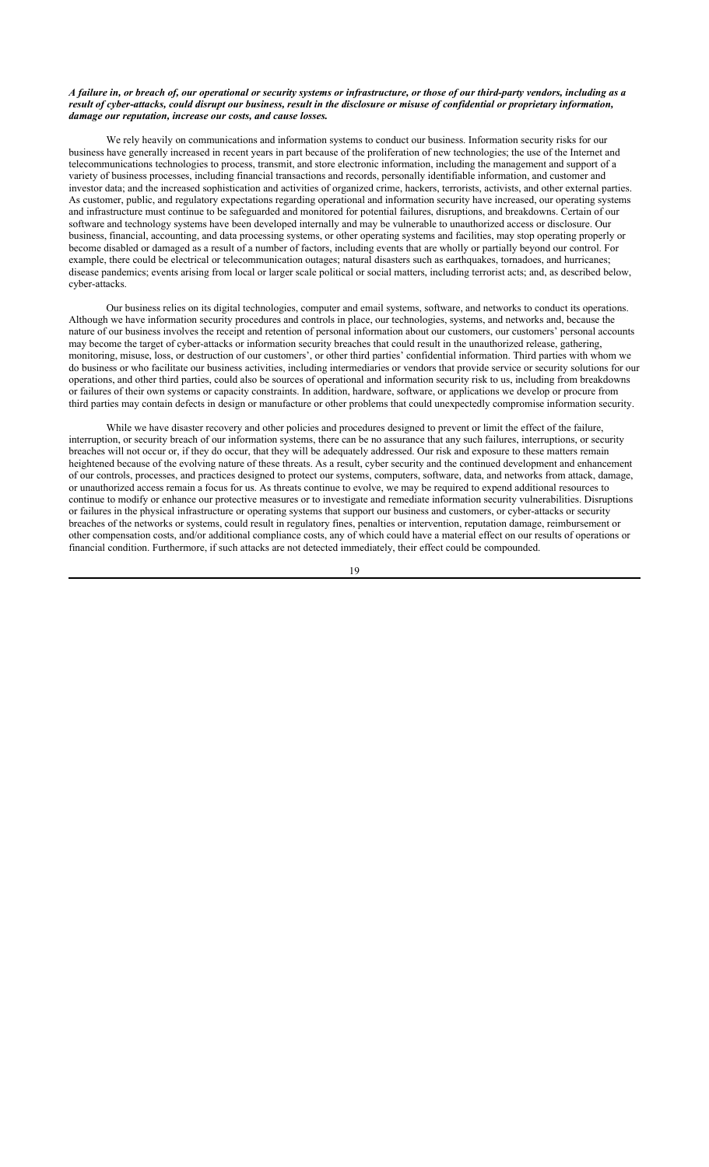## *A failure in, or breach of, our operational or security systems or infrastructure, or those of our third-party vendors, including as a result of cyber-attacks, could disrupt our business, result in the disclosure or misuse of confidential or proprietary information, damage our reputation, increase our costs, and cause losses.*

We rely heavily on communications and information systems to conduct our business. Information security risks for our business have generally increased in recent years in part because of the proliferation of new technologies; the use of the Internet and telecommunications technologies to process, transmit, and store electronic information, including the management and support of a variety of business processes, including financial transactions and records, personally identifiable information, and customer and investor data; and the increased sophistication and activities of organized crime, hackers, terrorists, activists, and other external parties. As customer, public, and regulatory expectations regarding operational and information security have increased, our operating systems and infrastructure must continue to be safeguarded and monitored for potential failures, disruptions, and breakdowns. Certain of our software and technology systems have been developed internally and may be vulnerable to unauthorized access or disclosure. Our business, financial, accounting, and data processing systems, or other operating systems and facilities, may stop operating properly or become disabled or damaged as a result of a number of factors, including events that are wholly or partially beyond our control. For example, there could be electrical or telecommunication outages; natural disasters such as earthquakes, tornadoes, and hurricanes; disease pandemics; events arising from local or larger scale political or social matters, including terrorist acts; and, as described below, cyber-attacks.

Our business relies on its digital technologies, computer and email systems, software, and networks to conduct its operations. Although we have information security procedures and controls in place, our technologies, systems, and networks and, because the nature of our business involves the receipt and retention of personal information about our customers, our customers' personal accounts may become the target of cyber-attacks or information security breaches that could result in the unauthorized release, gathering, monitoring, misuse, loss, or destruction of our customers', or other third parties' confidential information. Third parties with whom we do business or who facilitate our business activities, including intermediaries or vendors that provide service or security solutions for our operations, and other third parties, could also be sources of operational and information security risk to us, including from breakdowns or failures of their own systems or capacity constraints. In addition, hardware, software, or applications we develop or procure from third parties may contain defects in design or manufacture or other problems that could unexpectedly compromise information security.

While we have disaster recovery and other policies and procedures designed to prevent or limit the effect of the failure, interruption, or security breach of our information systems, there can be no assurance that any such failures, interruptions, or security breaches will not occur or, if they do occur, that they will be adequately addressed. Our risk and exposure to these matters remain heightened because of the evolving nature of these threats. As a result, cyber security and the continued development and enhancement of our controls, processes, and practices designed to protect our systems, computers, software, data, and networks from attack, damage, or unauthorized access remain a focus for us. As threats continue to evolve, we may be required to expend additional resources to continue to modify or enhance our protective measures or to investigate and remediate information security vulnerabilities. Disruptions or failures in the physical infrastructure or operating systems that support our business and customers, or cyber-attacks or security breaches of the networks or systems, could result in regulatory fines, penalties or intervention, reputation damage, reimbursement or other compensation costs, and/or additional compliance costs, any of which could have a material effect on our results of operations or financial condition. Furthermore, if such attacks are not detected immediately, their effect could be compounded.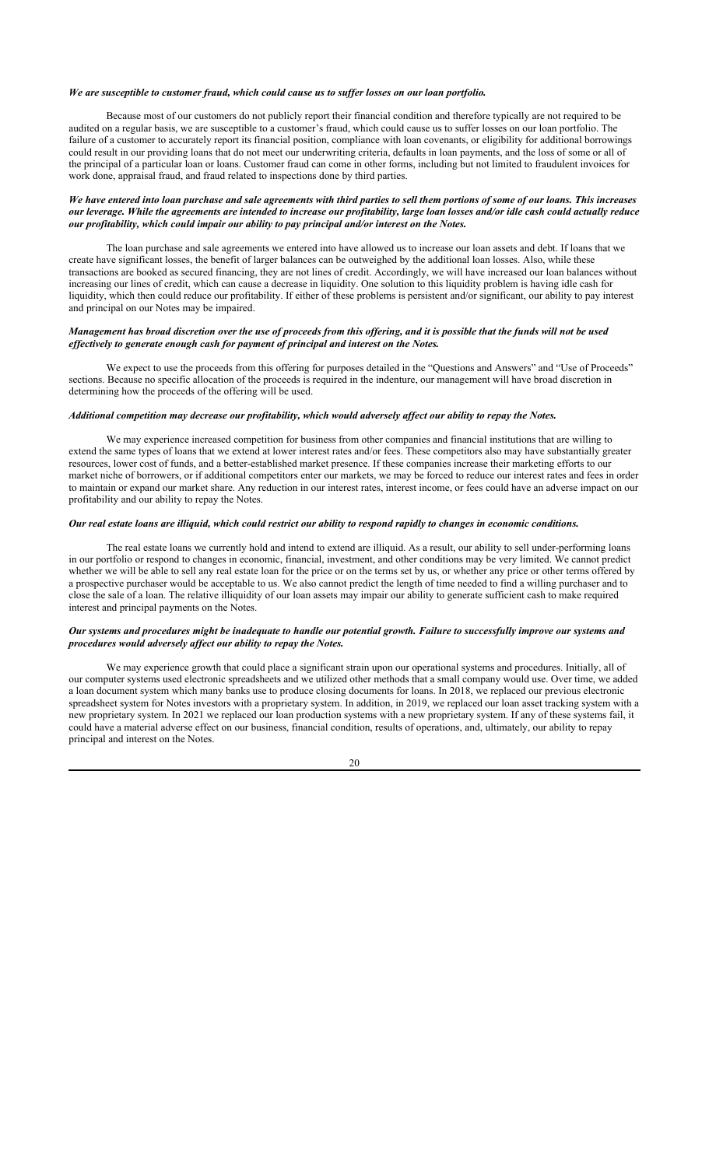#### *We are susceptible to customer fraud, which could cause us to suffer losses on our loan portfolio.*

Because most of our customers do not publicly report their financial condition and therefore typically are not required to be audited on a regular basis, we are susceptible to a customer's fraud, which could cause us to suffer losses on our loan portfolio. The failure of a customer to accurately report its financial position, compliance with loan covenants, or eligibility for additional borrowings could result in our providing loans that do not meet our underwriting criteria, defaults in loan payments, and the loss of some or all of the principal of a particular loan or loans. Customer fraud can come in other forms, including but not limited to fraudulent invoices for work done, appraisal fraud, and fraud related to inspections done by third parties.

## *We have entered into loan purchase and sale agreements with third parties to sell them portions of some of our loans. This increases our leverage. While the agreements are intended to increase our profitability, large loan losses and/or idle cash could actually reduce our profitability, which could impair our ability to pay principal and/or interest on the Notes.*

The loan purchase and sale agreements we entered into have allowed us to increase our loan assets and debt. If loans that we create have significant losses, the benefit of larger balances can be outweighed by the additional loan losses. Also, while these transactions are booked as secured financing, they are not lines of credit. Accordingly, we will have increased our loan balances without increasing our lines of credit, which can cause a decrease in liquidity. One solution to this liquidity problem is having idle cash for liquidity, which then could reduce our profitability. If either of these problems is persistent and/or significant, our ability to pay interest and principal on our Notes may be impaired.

## *Management has broad discretion over the use of proceeds from this offering, and it is possible that the funds will not be used effectively to generate enough cash for payment of principal and interest on the Notes.*

We expect to use the proceeds from this offering for purposes detailed in the "Questions and Answers" and "Use of Proceeds" sections. Because no specific allocation of the proceeds is required in the indenture, our management will have broad discretion in determining how the proceeds of the offering will be used.

## *Additional competition may decrease our profitability, which would adversely affect our ability to repay the Notes.*

We may experience increased competition for business from other companies and financial institutions that are willing to extend the same types of loans that we extend at lower interest rates and/or fees. These competitors also may have substantially greater resources, lower cost of funds, and a better-established market presence. If these companies increase their marketing efforts to our market niche of borrowers, or if additional competitors enter our markets, we may be forced to reduce our interest rates and fees in order to maintain or expand our market share. Any reduction in our interest rates, interest income, or fees could have an adverse impact on our profitability and our ability to repay the Notes.

## *Our real estate loans are illiquid, which could restrict our ability to respond rapidly to changes in economic conditions.*

The real estate loans we currently hold and intend to extend are illiquid. As a result, our ability to sell under-performing loans in our portfolio or respond to changes in economic, financial, investment, and other conditions may be very limited. We cannot predict whether we will be able to sell any real estate loan for the price or on the terms set by us, or whether any price or other terms offered by a prospective purchaser would be acceptable to us. We also cannot predict the length of time needed to find a willing purchaser and to close the sale of a loan. The relative illiquidity of our loan assets may impair our ability to generate sufficient cash to make required interest and principal payments on the Notes.

## *Our systems and procedures might be inadequate to handle our potential growth. Failure to successfully improve our systems and procedures would adversely affect our ability to repay the Notes.*

We may experience growth that could place a significant strain upon our operational systems and procedures. Initially, all of our computer systems used electronic spreadsheets and we utilized other methods that a small company would use. Over time, we added a loan document system which many banks use to produce closing documents for loans. In 2018, we replaced our previous electronic spreadsheet system for Notes investors with a proprietary system. In addition, in 2019, we replaced our loan asset tracking system with a new proprietary system. In 2021 we replaced our loan production systems with a new proprietary system. If any of these systems fail, it could have a material adverse effect on our business, financial condition, results of operations, and, ultimately, our ability to repay principal and interest on the Notes.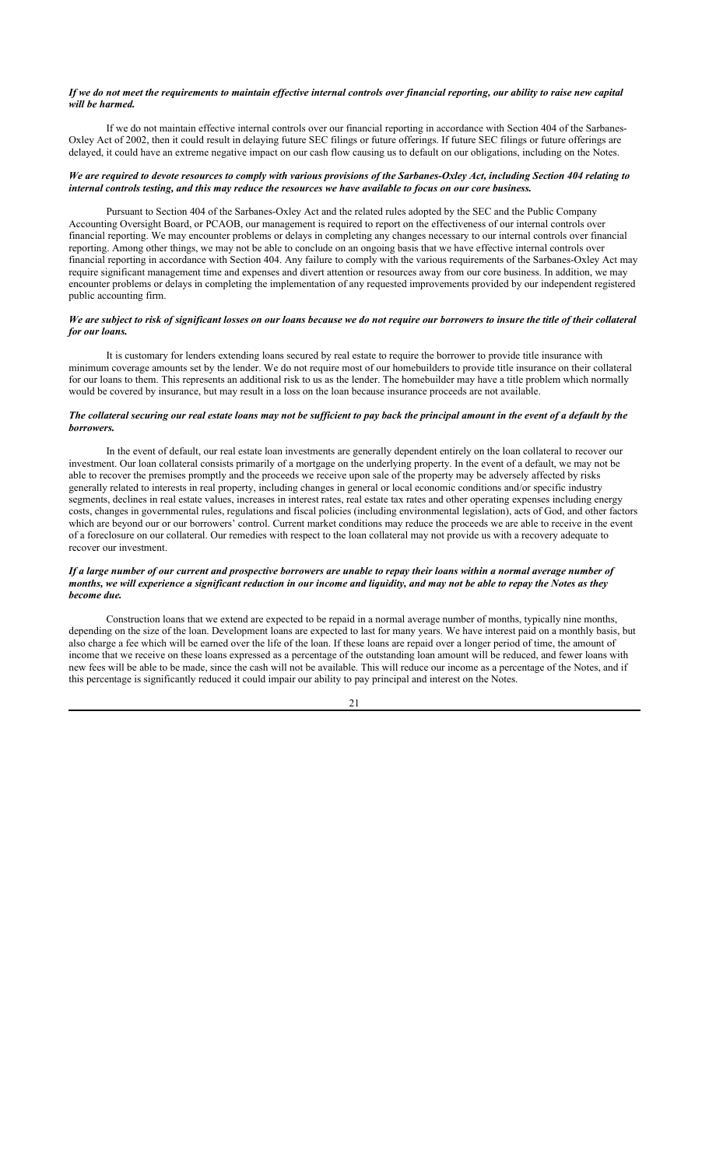## *If we do not meet the requirements to maintain effective internal controls over financial reporting, our ability to raise new capital will be harmed.*

If we do not maintain effective internal controls over our financial reporting in accordance with Section 404 of the Sarbanes-Oxley Act of 2002, then it could result in delaying future SEC filings or future offerings. If future SEC filings or future offerings are delayed, it could have an extreme negative impact on our cash flow causing us to default on our obligations, including on the Notes.

## *We are required to devote resources to comply with various provisions of the Sarbanes-Oxley Act, including Section 404 relating to internal controls testing, and this may reduce the resources we have available to focus on our core business.*

Pursuant to Section 404 of the Sarbanes-Oxley Act and the related rules adopted by the SEC and the Public Company Accounting Oversight Board, or PCAOB, our management is required to report on the effectiveness of our internal controls over financial reporting. We may encounter problems or delays in completing any changes necessary to our internal controls over financial reporting. Among other things, we may not be able to conclude on an ongoing basis that we have effective internal controls over financial reporting in accordance with Section 404. Any failure to comply with the various requirements of the Sarbanes-Oxley Act may require significant management time and expenses and divert attention or resources away from our core business. In addition, we may encounter problems or delays in completing the implementation of any requested improvements provided by our independent registered public accounting firm.

## *We are subject to risk of significant losses on our loans because we do not require our borrowers to insure the title of their collateral for our loans.*

It is customary for lenders extending loans secured by real estate to require the borrower to provide title insurance with minimum coverage amounts set by the lender. We do not require most of our homebuilders to provide title insurance on their collateral for our loans to them. This represents an additional risk to us as the lender. The homebuilder may have a title problem which normally would be covered by insurance, but may result in a loss on the loan because insurance proceeds are not available.

## *The collateral securing our real estate loans may not be sufficient to pay back the principal amount in the event of a default by the borrowers.*

In the event of default, our real estate loan investments are generally dependent entirely on the loan collateral to recover our investment. Our loan collateral consists primarily of a mortgage on the underlying property. In the event of a default, we may not be able to recover the premises promptly and the proceeds we receive upon sale of the property may be adversely affected by risks generally related to interests in real property, including changes in general or local economic conditions and/or specific industry segments, declines in real estate values, increases in interest rates, real estate tax rates and other operating expenses including energy costs, changes in governmental rules, regulations and fiscal policies (including environmental legislation), acts of God, and other factors which are beyond our or our borrowers' control. Current market conditions may reduce the proceeds we are able to receive in the event of a foreclosure on our collateral. Our remedies with respect to the loan collateral may not provide us with a recovery adequate to recover our investment.

## *If a large number of our current and prospective borrowers are unable to repay their loans within a normal average number of months, we will experience a significant reduction in our income and liquidity, and may not be able to repay the Notes as they become due.*

Construction loans that we extend are expected to be repaid in a normal average number of months, typically nine months, depending on the size of the loan. Development loans are expected to last for many years. We have interest paid on a monthly basis, but also charge a fee which will be earned over the life of the loan. If these loans are repaid over a longer period of time, the amount of income that we receive on these loans expressed as a percentage of the outstanding loan amount will be reduced, and fewer loans with new fees will be able to be made, since the cash will not be available. This will reduce our income as a percentage of the Notes, and if this percentage is significantly reduced it could impair our ability to pay principal and interest on the Notes.

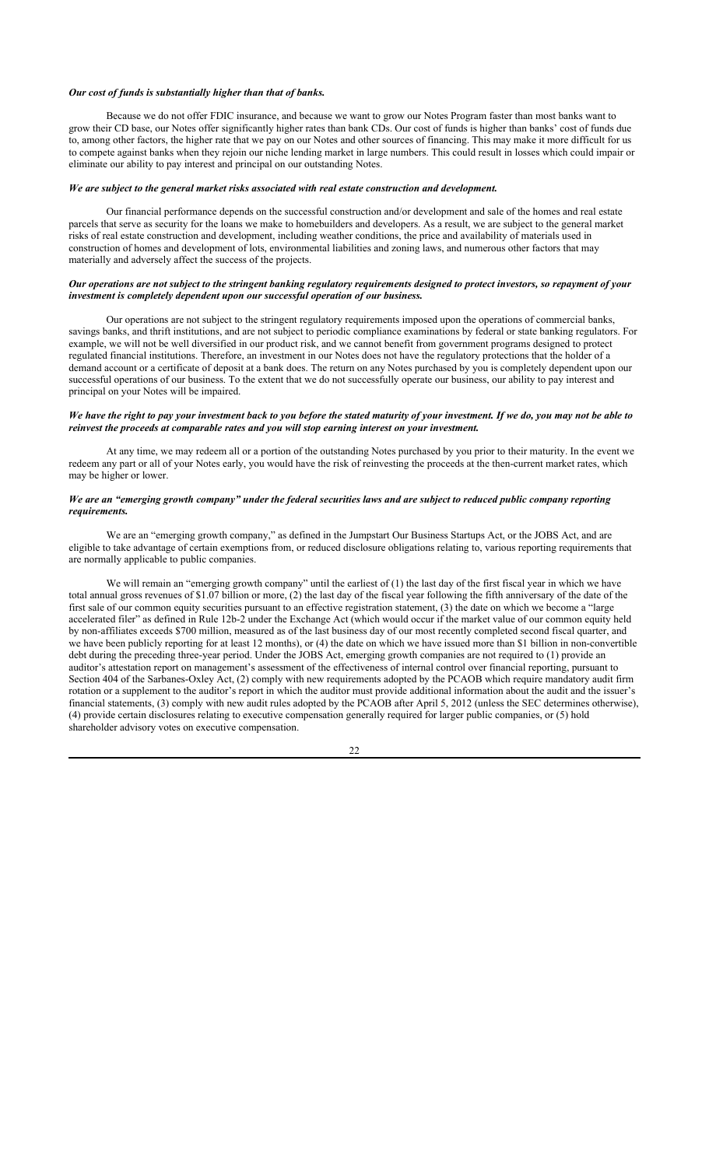#### *Our cost of funds is substantially higher than that of banks.*

Because we do not offer FDIC insurance, and because we want to grow our Notes Program faster than most banks want to grow their CD base, our Notes offer significantly higher rates than bank CDs. Our cost of funds is higher than banks' cost of funds due to, among other factors, the higher rate that we pay on our Notes and other sources of financing. This may make it more difficult for us to compete against banks when they rejoin our niche lending market in large numbers. This could result in losses which could impair or eliminate our ability to pay interest and principal on our outstanding Notes.

#### *We are subject to the general market risks associated with real estate construction and development.*

Our financial performance depends on the successful construction and/or development and sale of the homes and real estate parcels that serve as security for the loans we make to homebuilders and developers. As a result, we are subject to the general market risks of real estate construction and development, including weather conditions, the price and availability of materials used in construction of homes and development of lots, environmental liabilities and zoning laws, and numerous other factors that may materially and adversely affect the success of the projects.

#### *Our operations are not subject to the stringent banking regulatory requirements designed to protect investors, so repayment of your investment is completely dependent upon our successful operation of our business.*

Our operations are not subject to the stringent regulatory requirements imposed upon the operations of commercial banks, savings banks, and thrift institutions, and are not subject to periodic compliance examinations by federal or state banking regulators. For example, we will not be well diversified in our product risk, and we cannot benefit from government programs designed to protect regulated financial institutions. Therefore, an investment in our Notes does not have the regulatory protections that the holder of a demand account or a certificate of deposit at a bank does. The return on any Notes purchased by you is completely dependent upon our successful operations of our business. To the extent that we do not successfully operate our business, our ability to pay interest and principal on your Notes will be impaired.

## *We have the right to pay your investment back to you before the stated maturity of your investment. If we do, you may not be able to reinvest the proceeds at comparable rates and you will stop earning interest on your investment.*

At any time, we may redeem all or a portion of the outstanding Notes purchased by you prior to their maturity. In the event we redeem any part or all of your Notes early, you would have the risk of reinvesting the proceeds at the then-current market rates, which may be higher or lower.

## *We are an "emerging growth company" under the federal securities laws and are subject to reduced public company reporting requirements.*

We are an "emerging growth company," as defined in the Jumpstart Our Business Startups Act, or the JOBS Act, and are eligible to take advantage of certain exemptions from, or reduced disclosure obligations relating to, various reporting requirements that are normally applicable to public companies.

We will remain an "emerging growth company" until the earliest of (1) the last day of the first fiscal year in which we have total annual gross revenues of \$1.07 billion or more, (2) the last day of the fiscal year following the fifth anniversary of the date of the first sale of our common equity securities pursuant to an effective registration statement, (3) the date on which we become a "large accelerated filer" as defined in Rule 12b-2 under the Exchange Act (which would occur if the market value of our common equity held by non-affiliates exceeds \$700 million, measured as of the last business day of our most recently completed second fiscal quarter, and we have been publicly reporting for at least 12 months), or (4) the date on which we have issued more than \$1 billion in non-convertible debt during the preceding three-year period. Under the JOBS Act, emerging growth companies are not required to (1) provide an auditor's attestation report on management's assessment of the effectiveness of internal control over financial reporting, pursuant to Section 404 of the Sarbanes-Oxley Act, (2) comply with new requirements adopted by the PCAOB which require mandatory audit firm rotation or a supplement to the auditor's report in which the auditor must provide additional information about the audit and the issuer's financial statements, (3) comply with new audit rules adopted by the PCAOB after April 5, 2012 (unless the SEC determines otherwise), (4) provide certain disclosures relating to executive compensation generally required for larger public companies, or (5) hold shareholder advisory votes on executive compensation.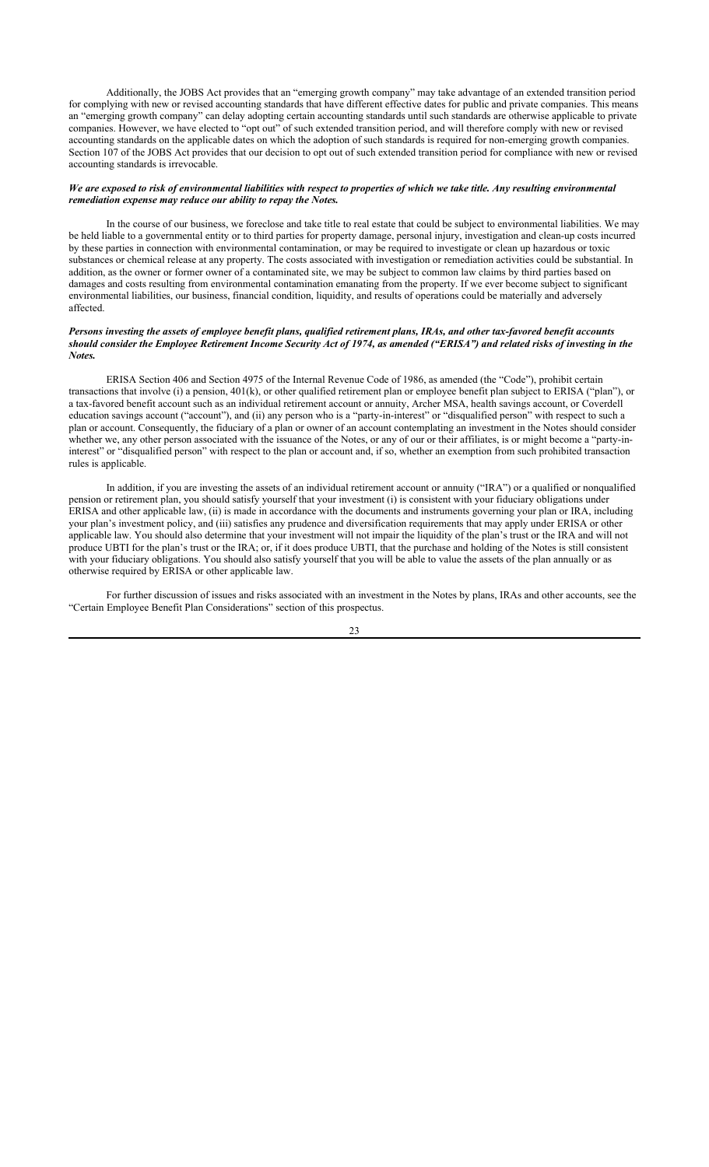Additionally, the JOBS Act provides that an "emerging growth company" may take advantage of an extended transition period for complying with new or revised accounting standards that have different effective dates for public and private companies. This means an "emerging growth company" can delay adopting certain accounting standards until such standards are otherwise applicable to private companies. However, we have elected to "opt out" of such extended transition period, and will therefore comply with new or revised accounting standards on the applicable dates on which the adoption of such standards is required for non-emerging growth companies. Section 107 of the JOBS Act provides that our decision to opt out of such extended transition period for compliance with new or revised accounting standards is irrevocable.

#### *We are exposed to risk of environmental liabilities with respect to properties of which we take title. Any resulting environmental remediation expense may reduce our ability to repay the Notes.*

In the course of our business, we foreclose and take title to real estate that could be subject to environmental liabilities. We may be held liable to a governmental entity or to third parties for property damage, personal injury, investigation and clean-up costs incurred by these parties in connection with environmental contamination, or may be required to investigate or clean up hazardous or toxic substances or chemical release at any property. The costs associated with investigation or remediation activities could be substantial. In addition, as the owner or former owner of a contaminated site, we may be subject to common law claims by third parties based on damages and costs resulting from environmental contamination emanating from the property. If we ever become subject to significant environmental liabilities, our business, financial condition, liquidity, and results of operations could be materially and adversely affected.

## *Persons investing the assets of employee benefit plans, qualified retirement plans, IRAs, and other tax-favored benefit accounts should consider the Employee Retirement Income Security Act of 1974, as amended ("ERISA") and related risks of investing in the Notes.*

ERISA Section 406 and Section 4975 of the Internal Revenue Code of 1986, as amended (the "Code"), prohibit certain transactions that involve (i) a pension, 401(k), or other qualified retirement plan or employee benefit plan subject to ERISA ("plan"), or a tax-favored benefit account such as an individual retirement account or annuity, Archer MSA, health savings account, or Coverdell education savings account ("account"), and (ii) any person who is a "party-in-interest" or "disqualified person" with respect to such a plan or account. Consequently, the fiduciary of a plan or owner of an account contemplating an investment in the Notes should consider whether we, any other person associated with the issuance of the Notes, or any of our or their affiliates, is or might become a "party-ininterest" or "disqualified person" with respect to the plan or account and, if so, whether an exemption from such prohibited transaction rules is applicable.

In addition, if you are investing the assets of an individual retirement account or annuity ("IRA") or a qualified or nonqualified pension or retirement plan, you should satisfy yourself that your investment (i) is consistent with your fiduciary obligations under ERISA and other applicable law, (ii) is made in accordance with the documents and instruments governing your plan or IRA, including your plan's investment policy, and (iii) satisfies any prudence and diversification requirements that may apply under ERISA or other applicable law. You should also determine that your investment will not impair the liquidity of the plan's trust or the IRA and will not produce UBTI for the plan's trust or the IRA; or, if it does produce UBTI, that the purchase and holding of the Notes is still consistent with your fiduciary obligations. You should also satisfy yourself that you will be able to value the assets of the plan annually or as otherwise required by ERISA or other applicable law.

For further discussion of issues and risks associated with an investment in the Notes by plans, IRAs and other accounts, see the "Certain Employee Benefit Plan Considerations" section of this prospectus.

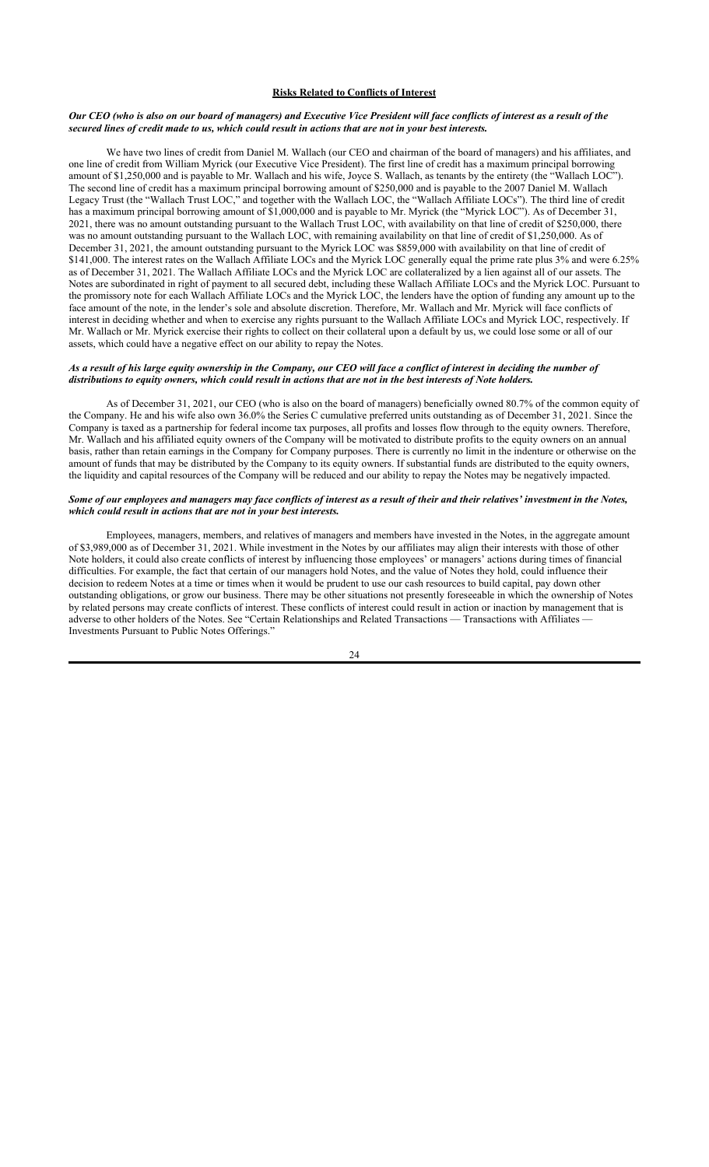## **Risks Related to Conflicts of Interest**

## *Our CEO (who is also on our board of managers) and Executive Vice President will face conflicts of interest as a result of the secured lines of credit made to us, which could result in actions that are not in your best interests.*

We have two lines of credit from Daniel M. Wallach (our CEO and chairman of the board of managers) and his affiliates, and one line of credit from William Myrick (our Executive Vice President). The first line of credit has a maximum principal borrowing amount of \$1,250,000 and is payable to Mr. Wallach and his wife, Joyce S. Wallach, as tenants by the entirety (the "Wallach LOC"). The second line of credit has a maximum principal borrowing amount of \$250,000 and is payable to the 2007 Daniel M. Wallach Legacy Trust (the "Wallach Trust LOC," and together with the Wallach LOC, the "Wallach Affiliate LOCs"). The third line of credit has a maximum principal borrowing amount of \$1,000,000 and is payable to Mr. Myrick (the "Myrick LOC"). As of December 31, 2021, there was no amount outstanding pursuant to the Wallach Trust LOC, with availability on that line of credit of \$250,000, there was no amount outstanding pursuant to the Wallach LOC, with remaining availability on that line of credit of \$1,250,000. As of December 31, 2021, the amount outstanding pursuant to the Myrick LOC was \$859,000 with availability on that line of credit of \$141,000. The interest rates on the Wallach Affiliate LOCs and the Myrick LOC generally equal the prime rate plus 3% and were 6.25% as of December 31, 2021. The Wallach Affiliate LOCs and the Myrick LOC are collateralized by a lien against all of our assets. The Notes are subordinated in right of payment to all secured debt, including these Wallach Affiliate LOCs and the Myrick LOC. Pursuant to the promissory note for each Wallach Affiliate LOCs and the Myrick LOC, the lenders have the option of funding any amount up to the face amount of the note, in the lender's sole and absolute discretion. Therefore, Mr. Wallach and Mr. Myrick will face conflicts of interest in deciding whether and when to exercise any rights pursuant to the Wallach Affiliate LOCs and Myrick LOC, respectively. If Mr. Wallach or Mr. Myrick exercise their rights to collect on their collateral upon a default by us, we could lose some or all of our assets, which could have a negative effect on our ability to repay the Notes.

## *As a result of his large equity ownership in the Company, our CEO will face a conflict of interest in deciding the number of distributions to equity owners, which could result in actions that are not in the best interests of Note holders.*

As of December 31, 2021, our CEO (who is also on the board of managers) beneficially owned 80.7% of the common equity of the Company. He and his wife also own 36.0% the Series C cumulative preferred units outstanding as of December 31, 2021. Since the Company is taxed as a partnership for federal income tax purposes, all profits and losses flow through to the equity owners. Therefore, Mr. Wallach and his affiliated equity owners of the Company will be motivated to distribute profits to the equity owners on an annual basis, rather than retain earnings in the Company for Company purposes. There is currently no limit in the indenture or otherwise on the amount of funds that may be distributed by the Company to its equity owners. If substantial funds are distributed to the equity owners, the liquidity and capital resources of the Company will be reduced and our ability to repay the Notes may be negatively impacted.

## *Some of our employees and managers may face conflicts of interest as a result of their and their relatives' investment in the Notes, which could result in actions that are not in your best interests.*

Employees, managers, members, and relatives of managers and members have invested in the Notes, in the aggregate amount of \$3,989,000 as of December 31, 2021. While investment in the Notes by our affiliates may align their interests with those of other Note holders, it could also create conflicts of interest by influencing those employees' or managers' actions during times of financial difficulties. For example, the fact that certain of our managers hold Notes, and the value of Notes they hold, could influence their decision to redeem Notes at a time or times when it would be prudent to use our cash resources to build capital, pay down other outstanding obligations, or grow our business. There may be other situations not presently foreseeable in which the ownership of Notes by related persons may create conflicts of interest. These conflicts of interest could result in action or inaction by management that is adverse to other holders of the Notes. See "Certain Relationships and Related Transactions — Transactions with Affiliates — Investments Pursuant to Public Notes Offerings."

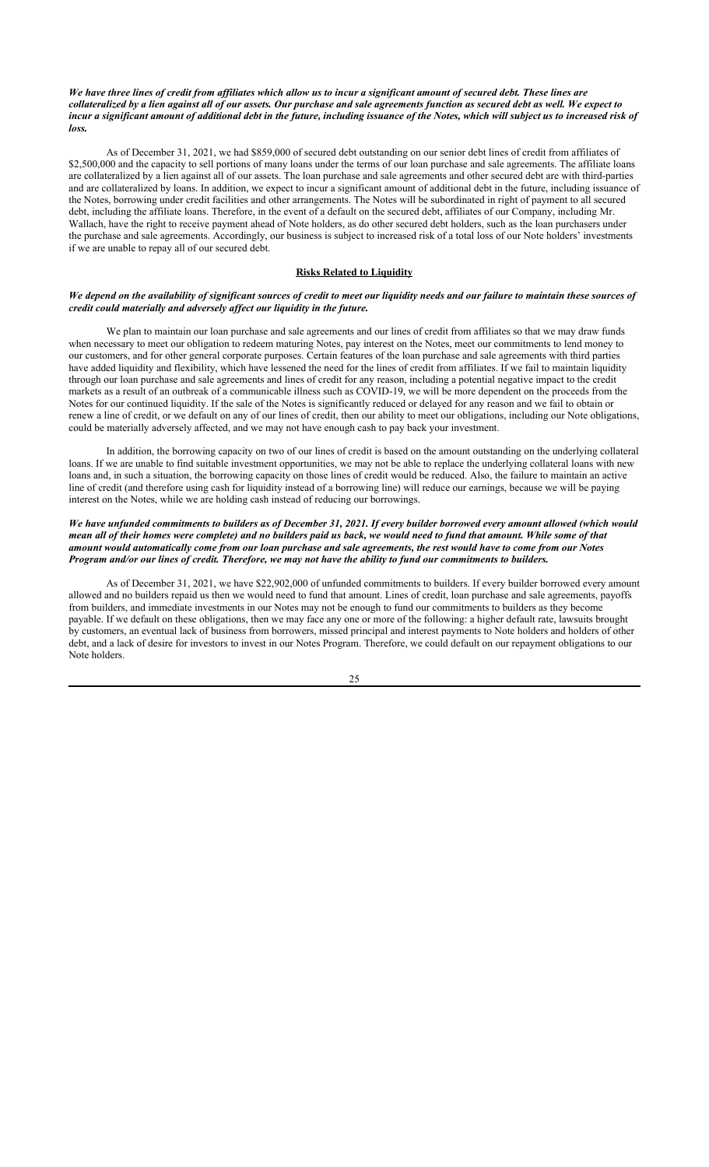## *We have three lines of credit from affiliates which allow us to incur a significant amount of secured debt. These lines are collateralized by a lien against all of our assets. Our purchase and sale agreements function as secured debt as well. We expect to*  incur a significant amount of additional debt in the future, including issuance of the Notes, which will subject us to increased risk of *loss.*

As of December 31, 2021, we had \$859,000 of secured debt outstanding on our senior debt lines of credit from affiliates of \$2,500,000 and the capacity to sell portions of many loans under the terms of our loan purchase and sale agreements. The affiliate loans are collateralized by a lien against all of our assets. The loan purchase and sale agreements and other secured debt are with third-parties and are collateralized by loans. In addition, we expect to incur a significant amount of additional debt in the future, including issuance of the Notes, borrowing under credit facilities and other arrangements. The Notes will be subordinated in right of payment to all secured debt, including the affiliate loans. Therefore, in the event of a default on the secured debt, affiliates of our Company, including Mr. Wallach, have the right to receive payment ahead of Note holders, as do other secured debt holders, such as the loan purchasers under the purchase and sale agreements. Accordingly, our business is subject to increased risk of a total loss of our Note holders' investments if we are unable to repay all of our secured debt.

#### **Risks Related to Liquidity**

### *We depend on the availability of significant sources of credit to meet our liquidity needs and our failure to maintain these sources of credit could materially and adversely affect our liquidity in the future.*

We plan to maintain our loan purchase and sale agreements and our lines of credit from affiliates so that we may draw funds when necessary to meet our obligation to redeem maturing Notes, pay interest on the Notes, meet our commitments to lend money to our customers, and for other general corporate purposes. Certain features of the loan purchase and sale agreements with third parties have added liquidity and flexibility, which have lessened the need for the lines of credit from affiliates. If we fail to maintain liquidity through our loan purchase and sale agreements and lines of credit for any reason, including a potential negative impact to the credit markets as a result of an outbreak of a communicable illness such as COVID-19, we will be more dependent on the proceeds from the Notes for our continued liquidity. If the sale of the Notes is significantly reduced or delayed for any reason and we fail to obtain or renew a line of credit, or we default on any of our lines of credit, then our ability to meet our obligations, including our Note obligations, could be materially adversely affected, and we may not have enough cash to pay back your investment.

In addition, the borrowing capacity on two of our lines of credit is based on the amount outstanding on the underlying collateral loans. If we are unable to find suitable investment opportunities, we may not be able to replace the underlying collateral loans with new loans and, in such a situation, the borrowing capacity on those lines of credit would be reduced. Also, the failure to maintain an active line of credit (and therefore using cash for liquidity instead of a borrowing line) will reduce our earnings, because we will be paying interest on the Notes, while we are holding cash instead of reducing our borrowings.

## *We have unfunded commitments to builders as of December 31, 2021. If every builder borrowed every amount allowed (which would mean all of their homes were complete) and no builders paid us back, we would need to fund that amount. While some of that amount would automatically come from our loan purchase and sale agreements, the rest would have to come from our Notes Program and/or our lines of credit. Therefore, we may not have the ability to fund our commitments to builders.*

As of December 31, 2021, we have \$22,902,000 of unfunded commitments to builders. If every builder borrowed every amount allowed and no builders repaid us then we would need to fund that amount. Lines of credit, loan purchase and sale agreements, payoffs from builders, and immediate investments in our Notes may not be enough to fund our commitments to builders as they become payable. If we default on these obligations, then we may face any one or more of the following: a higher default rate, lawsuits brought by customers, an eventual lack of business from borrowers, missed principal and interest payments to Note holders and holders of other debt, and a lack of desire for investors to invest in our Notes Program. Therefore, we could default on our repayment obligations to our Note holders.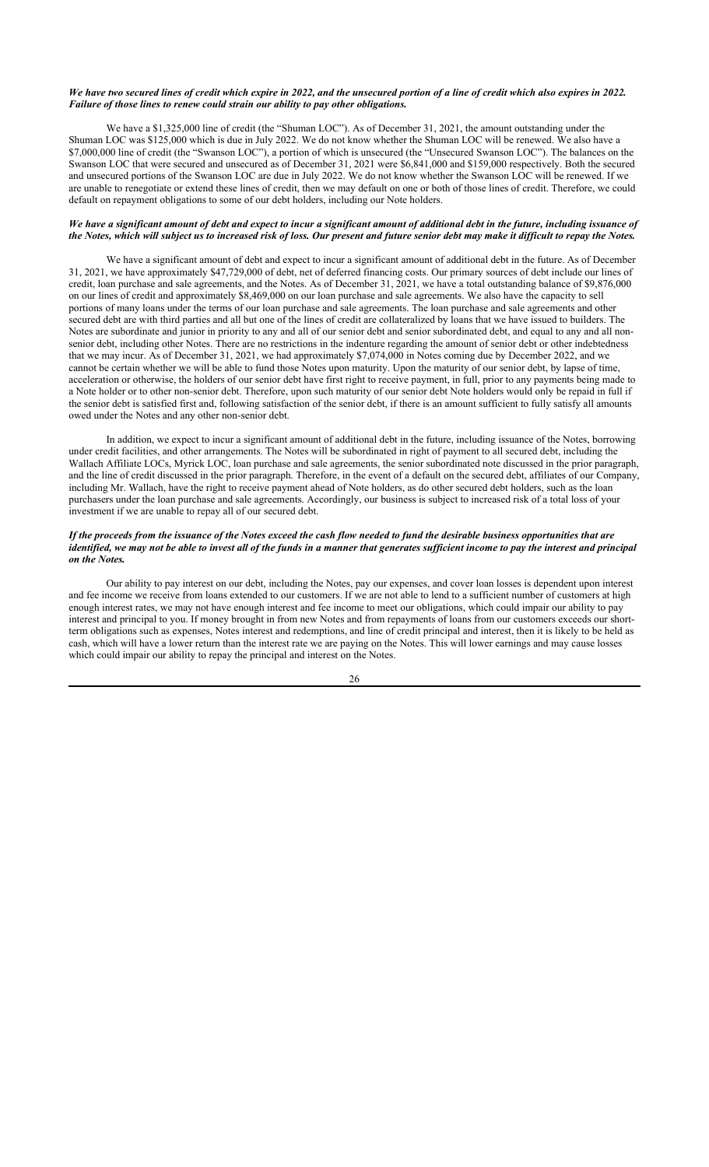## *We have two secured lines of credit which expire in 2022, and the unsecured portion of a line of credit which also expires in 2022. Failure of those lines to renew could strain our ability to pay other obligations.*

We have a \$1,325,000 line of credit (the "Shuman LOC"). As of December 31, 2021, the amount outstanding under the Shuman LOC was \$125,000 which is due in July 2022. We do not know whether the Shuman LOC will be renewed. We also have a \$7,000,000 line of credit (the "Swanson LOC"), a portion of which is unsecured (the "Unsecured Swanson LOC"). The balances on the Swanson LOC that were secured and unsecured as of December 31, 2021 were \$6,841,000 and \$159,000 respectively. Both the secured and unsecured portions of the Swanson LOC are due in July 2022. We do not know whether the Swanson LOC will be renewed. If we are unable to renegotiate or extend these lines of credit, then we may default on one or both of those lines of credit. Therefore, we could default on repayment obligations to some of our debt holders, including our Note holders.

## *We have a significant amount of debt and expect to incur a significant amount of additional debt in the future, including issuance of the Notes, which will subject us to increased risk of loss. Our present and future senior debt may make it difficult to repay the Notes.*

We have a significant amount of debt and expect to incur a significant amount of additional debt in the future. As of December 31, 2021, we have approximately \$47,729,000 of debt, net of deferred financing costs. Our primary sources of debt include our lines of credit, loan purchase and sale agreements, and the Notes. As of December 31, 2021, we have a total outstanding balance of \$9,876,000 on our lines of credit and approximately \$8,469,000 on our loan purchase and sale agreements. We also have the capacity to sell portions of many loans under the terms of our loan purchase and sale agreements. The loan purchase and sale agreements and other secured debt are with third parties and all but one of the lines of credit are collateralized by loans that we have issued to builders. The Notes are subordinate and junior in priority to any and all of our senior debt and senior subordinated debt, and equal to any and all nonsenior debt, including other Notes. There are no restrictions in the indenture regarding the amount of senior debt or other indebtedness that we may incur. As of December 31, 2021, we had approximately \$7,074,000 in Notes coming due by December 2022, and we cannot be certain whether we will be able to fund those Notes upon maturity. Upon the maturity of our senior debt, by lapse of time, acceleration or otherwise, the holders of our senior debt have first right to receive payment, in full, prior to any payments being made to a Note holder or to other non-senior debt. Therefore, upon such maturity of our senior debt Note holders would only be repaid in full if the senior debt is satisfied first and, following satisfaction of the senior debt, if there is an amount sufficient to fully satisfy all amounts owed under the Notes and any other non-senior debt.

In addition, we expect to incur a significant amount of additional debt in the future, including issuance of the Notes, borrowing under credit facilities, and other arrangements. The Notes will be subordinated in right of payment to all secured debt, including the Wallach Affiliate LOCs, Myrick LOC, loan purchase and sale agreements, the senior subordinated note discussed in the prior paragraph, and the line of credit discussed in the prior paragraph. Therefore, in the event of a default on the secured debt, affiliates of our Company, including Mr. Wallach, have the right to receive payment ahead of Note holders, as do other secured debt holders, such as the loan purchasers under the loan purchase and sale agreements. Accordingly, our business is subject to increased risk of a total loss of your investment if we are unable to repay all of our secured debt.

### *If the proceeds from the issuance of the Notes exceed the cash flow needed to fund the desirable business opportunities that are identified, we may not be able to invest all of the funds in a manner that generates sufficient income to pay the interest and principal on the Notes.*

Our ability to pay interest on our debt, including the Notes, pay our expenses, and cover loan losses is dependent upon interest and fee income we receive from loans extended to our customers. If we are not able to lend to a sufficient number of customers at high enough interest rates, we may not have enough interest and fee income to meet our obligations, which could impair our ability to pay interest and principal to you. If money brought in from new Notes and from repayments of loans from our customers exceeds our shortterm obligations such as expenses, Notes interest and redemptions, and line of credit principal and interest, then it is likely to be held as cash, which will have a lower return than the interest rate we are paying on the Notes. This will lower earnings and may cause losses which could impair our ability to repay the principal and interest on the Notes.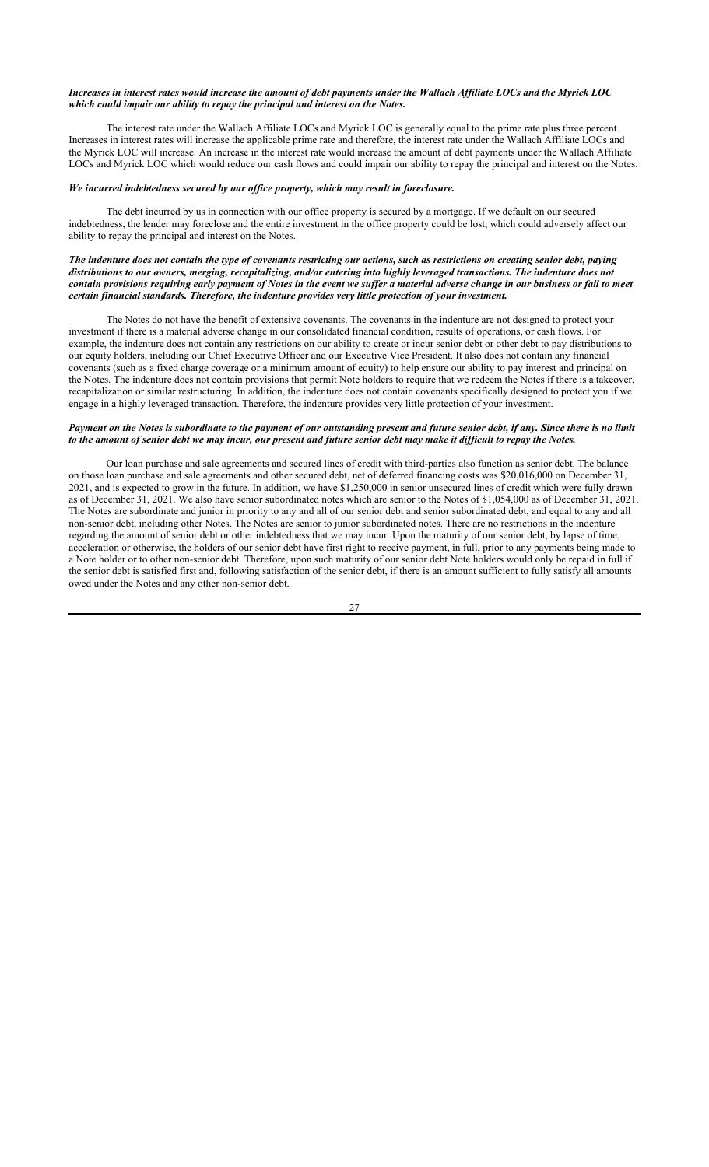## *Increases in interest rates would increase the amount of debt payments under the Wallach Affiliate LOCs and the Myrick LOC which could impair our ability to repay the principal and interest on the Notes.*

The interest rate under the Wallach Affiliate LOCs and Myrick LOC is generally equal to the prime rate plus three percent. Increases in interest rates will increase the applicable prime rate and therefore, the interest rate under the Wallach Affiliate LOCs and the Myrick LOC will increase. An increase in the interest rate would increase the amount of debt payments under the Wallach Affiliate LOCs and Myrick LOC which would reduce our cash flows and could impair our ability to repay the principal and interest on the Notes.

## *We incurred indebtedness secured by our office property, which may result in foreclosure.*

The debt incurred by us in connection with our office property is secured by a mortgage. If we default on our secured indebtedness, the lender may foreclose and the entire investment in the office property could be lost, which could adversely affect our ability to repay the principal and interest on the Notes.

## *The indenture does not contain the type of covenants restricting our actions, such as restrictions on creating senior debt, paying distributions to our owners, merging, recapitalizing, and/or entering into highly leveraged transactions. The indenture does not contain provisions requiring early payment of Notes in the event we suffer a material adverse change in our business or fail to meet certain financial standards. Therefore, the indenture provides very little protection of your investment.*

The Notes do not have the benefit of extensive covenants. The covenants in the indenture are not designed to protect your investment if there is a material adverse change in our consolidated financial condition, results of operations, or cash flows. For example, the indenture does not contain any restrictions on our ability to create or incur senior debt or other debt to pay distributions to our equity holders, including our Chief Executive Officer and our Executive Vice President. It also does not contain any financial covenants (such as a fixed charge coverage or a minimum amount of equity) to help ensure our ability to pay interest and principal on the Notes. The indenture does not contain provisions that permit Note holders to require that we redeem the Notes if there is a takeover, recapitalization or similar restructuring. In addition, the indenture does not contain covenants specifically designed to protect you if we engage in a highly leveraged transaction. Therefore, the indenture provides very little protection of your investment.

## *Payment on the Notes is subordinate to the payment of our outstanding present and future senior debt, if any. Since there is no limit to the amount of senior debt we may incur, our present and future senior debt may make it difficult to repay the Notes.*

Our loan purchase and sale agreements and secured lines of credit with third-parties also function as senior debt. The balance on those loan purchase and sale agreements and other secured debt, net of deferred financing costs was \$20,016,000 on December 31, 2021, and is expected to grow in the future. In addition, we have \$1,250,000 in senior unsecured lines of credit which were fully drawn as of December 31, 2021. We also have senior subordinated notes which are senior to the Notes of \$1,054,000 as of December 31, 2021. The Notes are subordinate and junior in priority to any and all of our senior debt and senior subordinated debt, and equal to any and all non-senior debt, including other Notes. The Notes are senior to junior subordinated notes. There are no restrictions in the indenture regarding the amount of senior debt or other indebtedness that we may incur. Upon the maturity of our senior debt, by lapse of time, acceleration or otherwise, the holders of our senior debt have first right to receive payment, in full, prior to any payments being made to a Note holder or to other non-senior debt. Therefore, upon such maturity of our senior debt Note holders would only be repaid in full if the senior debt is satisfied first and, following satisfaction of the senior debt, if there is an amount sufficient to fully satisfy all amounts owed under the Notes and any other non-senior debt.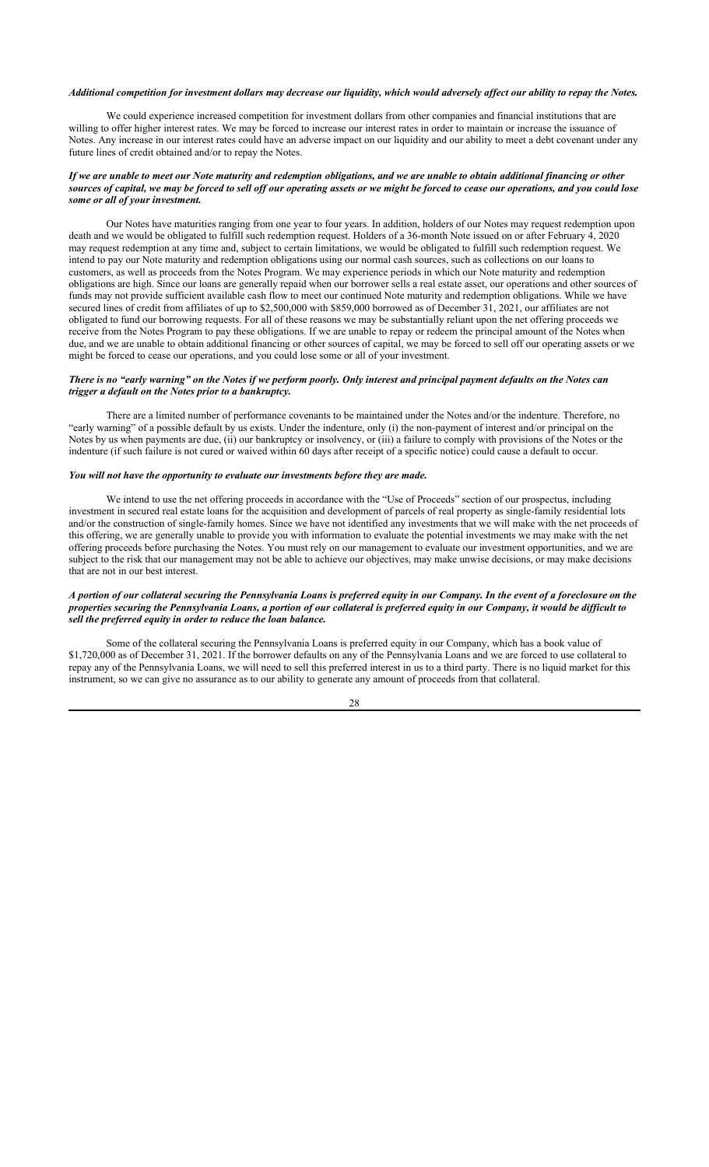#### *Additional competition for investment dollars may decrease our liquidity, which would adversely affect our ability to repay the Notes.*

We could experience increased competition for investment dollars from other companies and financial institutions that are willing to offer higher interest rates. We may be forced to increase our interest rates in order to maintain or increase the issuance of Notes. Any increase in our interest rates could have an adverse impact on our liquidity and our ability to meet a debt covenant under any future lines of credit obtained and/or to repay the Notes.

## *If we are unable to meet our Note maturity and redemption obligations, and we are unable to obtain additional financing or other sources of capital, we may be forced to sell off our operating assets or we might be forced to cease our operations, and you could lose some or all of your investment.*

Our Notes have maturities ranging from one year to four years. In addition, holders of our Notes may request redemption upon death and we would be obligated to fulfill such redemption request. Holders of a 36-month Note issued on or after February 4, 2020 may request redemption at any time and, subject to certain limitations, we would be obligated to fulfill such redemption request. We intend to pay our Note maturity and redemption obligations using our normal cash sources, such as collections on our loans to customers, as well as proceeds from the Notes Program. We may experience periods in which our Note maturity and redemption obligations are high. Since our loans are generally repaid when our borrower sells a real estate asset, our operations and other sources of funds may not provide sufficient available cash flow to meet our continued Note maturity and redemption obligations. While we have secured lines of credit from affiliates of up to \$2,500,000 with \$859,000 borrowed as of December 31, 2021, our affiliates are not obligated to fund our borrowing requests. For all of these reasons we may be substantially reliant upon the net offering proceeds we receive from the Notes Program to pay these obligations. If we are unable to repay or redeem the principal amount of the Notes when due, and we are unable to obtain additional financing or other sources of capital, we may be forced to sell off our operating assets or we might be forced to cease our operations, and you could lose some or all of your investment.

## *There is no "early warning" on the Notes if we perform poorly. Only interest and principal payment defaults on the Notes can trigger a default on the Notes prior to a bankruptcy.*

There are a limited number of performance covenants to be maintained under the Notes and/or the indenture. Therefore, no "early warning" of a possible default by us exists. Under the indenture, only (i) the non-payment of interest and/or principal on the Notes by us when payments are due, (ii) our bankruptcy or insolvency, or (iii) a failure to comply with provisions of the Notes or the indenture (if such failure is not cured or waived within 60 days after receipt of a specific notice) could cause a default to occur.

## *You will not have the opportunity to evaluate our investments before they are made.*

We intend to use the net offering proceeds in accordance with the "Use of Proceeds" section of our prospectus, including investment in secured real estate loans for the acquisition and development of parcels of real property as single-family residential lots and/or the construction of single-family homes. Since we have not identified any investments that we will make with the net proceeds of this offering, we are generally unable to provide you with information to evaluate the potential investments we may make with the net offering proceeds before purchasing the Notes. You must rely on our management to evaluate our investment opportunities, and we are subject to the risk that our management may not be able to achieve our objectives, may make unwise decisions, or may make decisions that are not in our best interest.

## *A portion of our collateral securing the Pennsylvania Loans is preferred equity in our Company. In the event of a foreclosure on the properties securing the Pennsylvania Loans, a portion of our collateral is preferred equity in our Company, it would be difficult to sell the preferred equity in order to reduce the loan balance.*

Some of the collateral securing the Pennsylvania Loans is preferred equity in our Company, which has a book value of \$1,720,000 as of December 31, 2021. If the borrower defaults on any of the Pennsylvania Loans and we are forced to use collateral to repay any of the Pennsylvania Loans, we will need to sell this preferred interest in us to a third party. There is no liquid market for this instrument, so we can give no assurance as to our ability to generate any amount of proceeds from that collateral.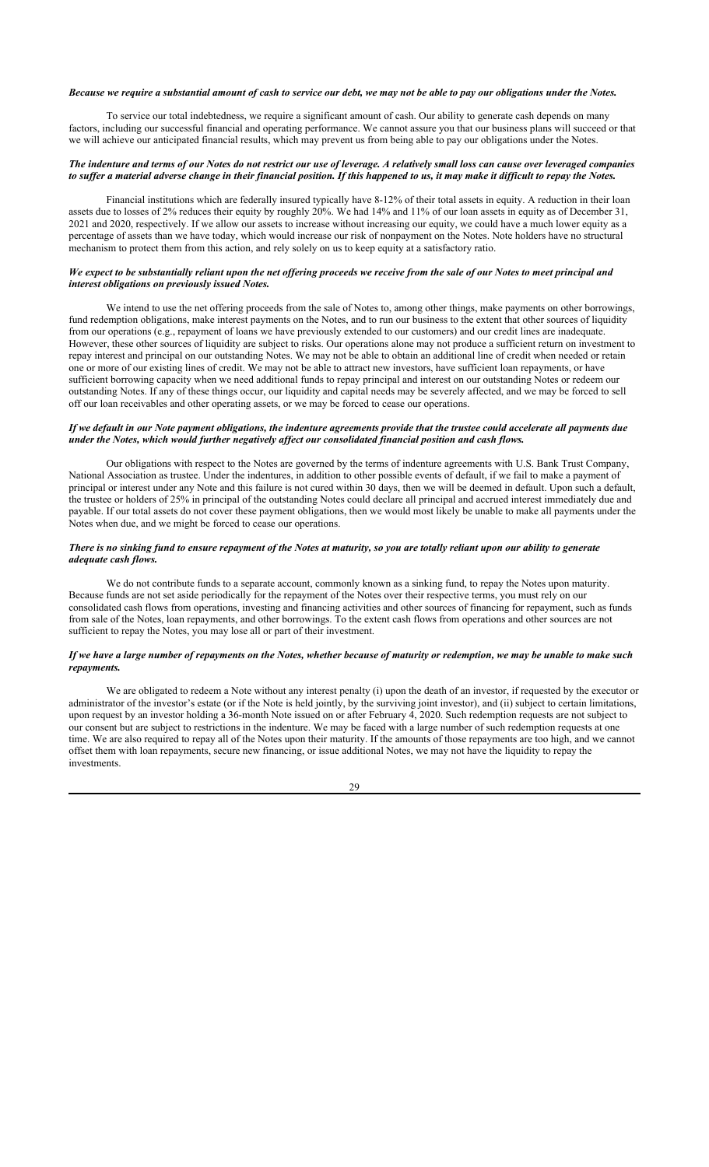#### *Because we require a substantial amount of cash to service our debt, we may not be able to pay our obligations under the Notes.*

To service our total indebtedness, we require a significant amount of cash. Our ability to generate cash depends on many factors, including our successful financial and operating performance. We cannot assure you that our business plans will succeed or that we will achieve our anticipated financial results, which may prevent us from being able to pay our obligations under the Notes.

## *The indenture and terms of our Notes do not restrict our use of leverage. A relatively small loss can cause over leveraged companies to suffer a material adverse change in their financial position. If this happened to us, it may make it difficult to repay the Notes.*

Financial institutions which are federally insured typically have 8-12% of their total assets in equity. A reduction in their loan assets due to losses of 2% reduces their equity by roughly 20%. We had 14% and 11% of our loan assets in equity as of December 31, 2021 and 2020, respectively. If we allow our assets to increase without increasing our equity, we could have a much lower equity as a percentage of assets than we have today, which would increase our risk of nonpayment on the Notes. Note holders have no structural mechanism to protect them from this action, and rely solely on us to keep equity at a satisfactory ratio.

## *We expect to be substantially reliant upon the net offering proceeds we receive from the sale of our Notes to meet principal and interest obligations on previously issued Notes.*

We intend to use the net offering proceeds from the sale of Notes to, among other things, make payments on other borrowings, fund redemption obligations, make interest payments on the Notes, and to run our business to the extent that other sources of liquidity from our operations (e.g., repayment of loans we have previously extended to our customers) and our credit lines are inadequate. However, these other sources of liquidity are subject to risks. Our operations alone may not produce a sufficient return on investment to repay interest and principal on our outstanding Notes. We may not be able to obtain an additional line of credit when needed or retain one or more of our existing lines of credit. We may not be able to attract new investors, have sufficient loan repayments, or have sufficient borrowing capacity when we need additional funds to repay principal and interest on our outstanding Notes or redeem our outstanding Notes. If any of these things occur, our liquidity and capital needs may be severely affected, and we may be forced to sell off our loan receivables and other operating assets, or we may be forced to cease our operations.

## *If we default in our Note payment obligations, the indenture agreements provide that the trustee could accelerate all payments due under the Notes, which would further negatively affect our consolidated financial position and cash flows.*

Our obligations with respect to the Notes are governed by the terms of indenture agreements with U.S. Bank Trust Company, National Association as trustee. Under the indentures, in addition to other possible events of default, if we fail to make a payment of principal or interest under any Note and this failure is not cured within 30 days, then we will be deemed in default. Upon such a default, the trustee or holders of 25% in principal of the outstanding Notes could declare all principal and accrued interest immediately due and payable. If our total assets do not cover these payment obligations, then we would most likely be unable to make all payments under the Notes when due, and we might be forced to cease our operations.

## *There is no sinking fund to ensure repayment of the Notes at maturity, so you are totally reliant upon our ability to generate adequate cash flows.*

We do not contribute funds to a separate account, commonly known as a sinking fund, to repay the Notes upon maturity. Because funds are not set aside periodically for the repayment of the Notes over their respective terms, you must rely on our consolidated cash flows from operations, investing and financing activities and other sources of financing for repayment, such as funds from sale of the Notes, loan repayments, and other borrowings. To the extent cash flows from operations and other sources are not sufficient to repay the Notes, you may lose all or part of their investment.

## *If we have a large number of repayments on the Notes, whether because of maturity or redemption, we may be unable to make such repayments.*

We are obligated to redeem a Note without any interest penalty (i) upon the death of an investor, if requested by the executor or administrator of the investor's estate (or if the Note is held jointly, by the surviving joint investor), and (ii) subject to certain limitations, upon request by an investor holding a 36-month Note issued on or after February 4, 2020. Such redemption requests are not subject to our consent but are subject to restrictions in the indenture. We may be faced with a large number of such redemption requests at one time. We are also required to repay all of the Notes upon their maturity. If the amounts of those repayments are too high, and we cannot offset them with loan repayments, secure new financing, or issue additional Notes, we may not have the liquidity to repay the investments.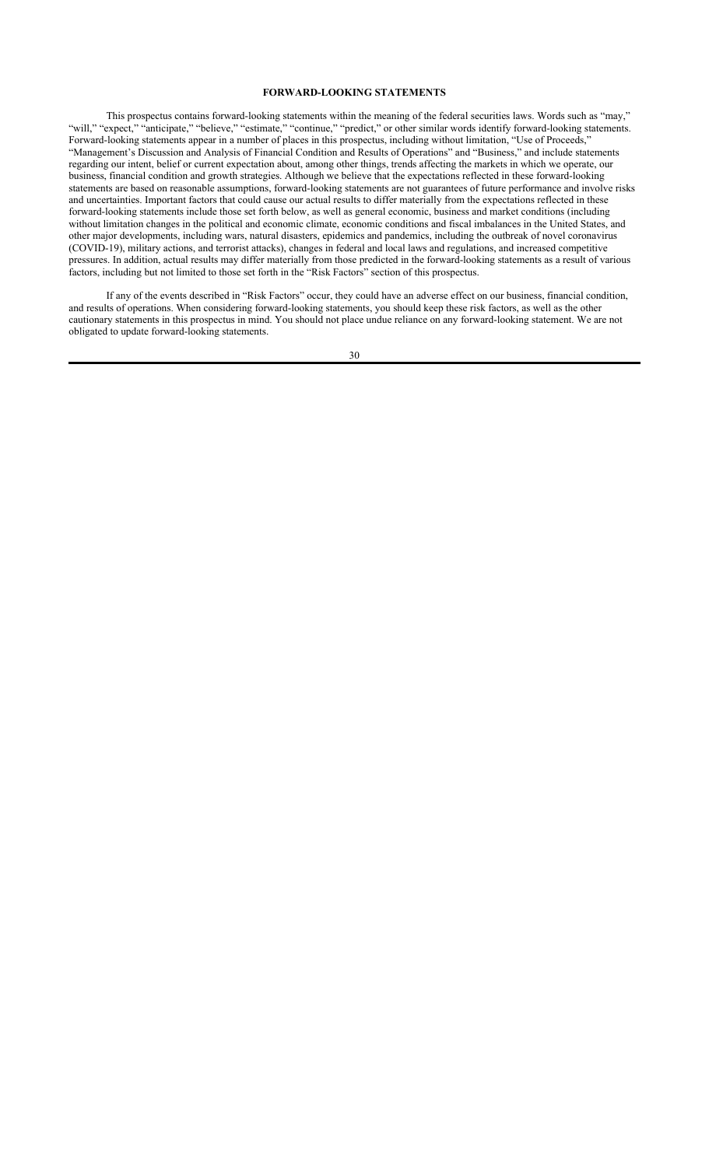## **FORWARD-LOOKING STATEMENTS**

This prospectus contains forward-looking statements within the meaning of the federal securities laws. Words such as "may," "will," "expect," "anticipate," "believe," "estimate," "continue," "predict," or other similar words identify forward-looking statements. Forward-looking statements appear in a number of places in this prospectus, including without limitation, "Use of Proceeds," "Management's Discussion and Analysis of Financial Condition and Results of Operations" and "Business," and include statements regarding our intent, belief or current expectation about, among other things, trends affecting the markets in which we operate, our business, financial condition and growth strategies. Although we believe that the expectations reflected in these forward-looking statements are based on reasonable assumptions, forward-looking statements are not guarantees of future performance and involve risks and uncertainties. Important factors that could cause our actual results to differ materially from the expectations reflected in these forward-looking statements include those set forth below, as well as general economic, business and market conditions (including without limitation changes in the political and economic climate, economic conditions and fiscal imbalances in the United States, and other major developments, including wars, natural disasters, epidemics and pandemics, including the outbreak of novel coronavirus (COVID-19), military actions, and terrorist attacks), changes in federal and local laws and regulations, and increased competitive pressures. In addition, actual results may differ materially from those predicted in the forward-looking statements as a result of various factors, including but not limited to those set forth in the "Risk Factors" section of this prospectus.

If any of the events described in "Risk Factors" occur, they could have an adverse effect on our business, financial condition, and results of operations. When considering forward-looking statements, you should keep these risk factors, as well as the other cautionary statements in this prospectus in mind. You should not place undue reliance on any forward-looking statement. We are not obligated to update forward-looking statements.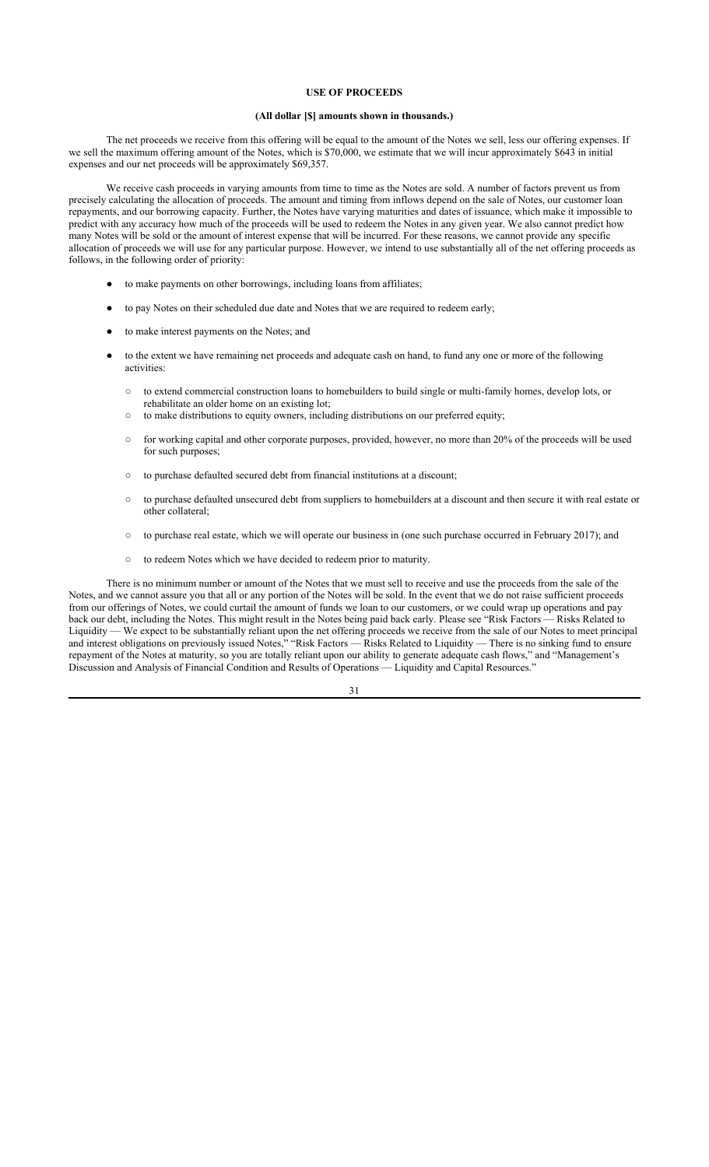### **USE OF PROCEEDS**

### **(All dollar [\$] amounts shown in thousands.)**

The net proceeds we receive from this offering will be equal to the amount of the Notes we sell, less our offering expenses. If we sell the maximum offering amount of the Notes, which is \$70,000, we estimate that we will incur approximately \$643 in initial expenses and our net proceeds will be approximately \$69,357.

We receive cash proceeds in varying amounts from time to time as the Notes are sold. A number of factors prevent us from precisely calculating the allocation of proceeds. The amount and timing from inflows depend on the sale of Notes, our customer loan repayments, and our borrowing capacity. Further, the Notes have varying maturities and dates of issuance, which make it impossible to predict with any accuracy how much of the proceeds will be used to redeem the Notes in any given year. We also cannot predict how many Notes will be sold or the amount of interest expense that will be incurred. For these reasons, we cannot provide any specific allocation of proceeds we will use for any particular purpose. However, we intend to use substantially all of the net offering proceeds as follows, in the following order of priority:

- to make payments on other borrowings, including loans from affiliates;
- to pay Notes on their scheduled due date and Notes that we are required to redeem early;
- to make interest payments on the Notes; and
- to the extent we have remaining net proceeds and adequate cash on hand, to fund any one or more of the following activities:
	- to extend commercial construction loans to homebuilders to build single or multi-family homes, develop lots, or rehabilitate an older home on an existing lot;
	- to make distributions to equity owners, including distributions on our preferred equity;
	- for working capital and other corporate purposes, provided, however, no more than 20% of the proceeds will be used for such purposes;
	- to purchase defaulted secured debt from financial institutions at a discount;
	- to purchase defaulted unsecured debt from suppliers to homebuilders at a discount and then secure it with real estate or other collateral;
	- to purchase real estate, which we will operate our business in (one such purchase occurred in February 2017); and
	- to redeem Notes which we have decided to redeem prior to maturity.

There is no minimum number or amount of the Notes that we must sell to receive and use the proceeds from the sale of the Notes, and we cannot assure you that all or any portion of the Notes will be sold. In the event that we do not raise sufficient proceeds from our offerings of Notes, we could curtail the amount of funds we loan to our customers, or we could wrap up operations and pay back our debt, including the Notes. This might result in the Notes being paid back early. Please see "Risk Factors — Risks Related to Liquidity — We expect to be substantially reliant upon the net offering proceeds we receive from the sale of our Notes to meet principal and interest obligations on previously issued Notes," "Risk Factors — Risks Related to Liquidity — There is no sinking fund to ensure repayment of the Notes at maturity, so you are totally reliant upon our ability to generate adequate cash flows," and "Management's Discussion and Analysis of Financial Condition and Results of Operations — Liquidity and Capital Resources."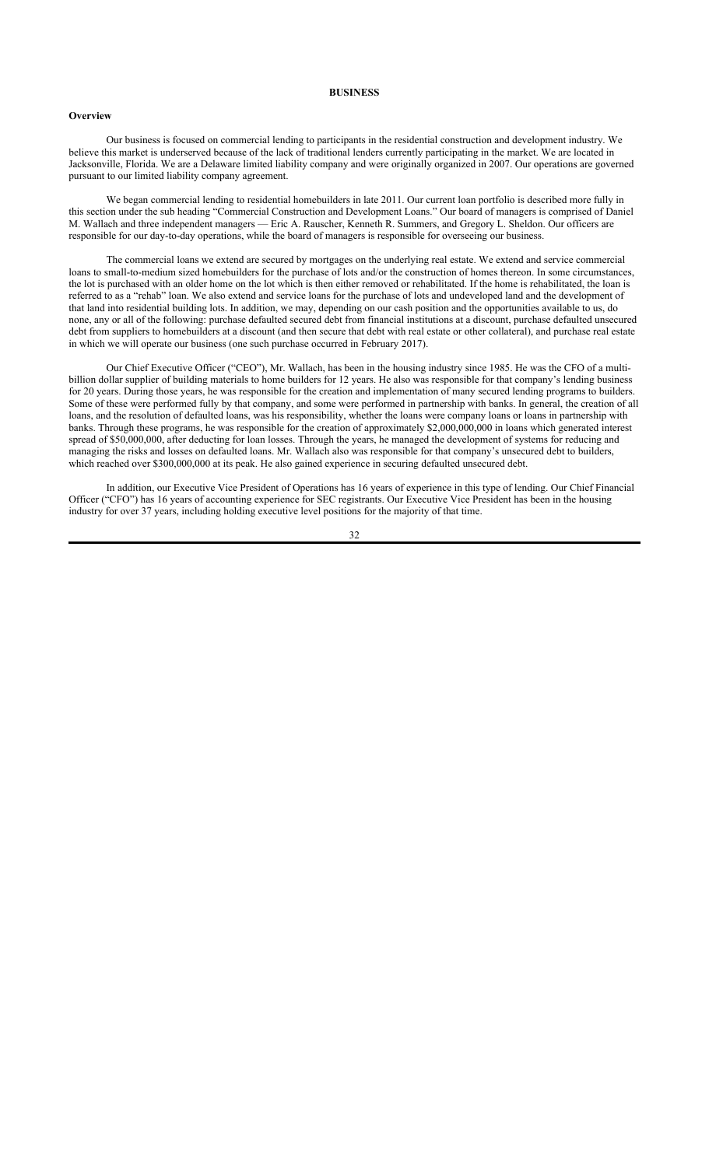#### **BUSINESS**

### **Overview**

Our business is focused on commercial lending to participants in the residential construction and development industry. We believe this market is underserved because of the lack of traditional lenders currently participating in the market. We are located in Jacksonville, Florida. We are a Delaware limited liability company and were originally organized in 2007. Our operations are governed pursuant to our limited liability company agreement.

We began commercial lending to residential homebuilders in late 2011. Our current loan portfolio is described more fully in this section under the sub heading "Commercial Construction and Development Loans." Our board of managers is comprised of Daniel M. Wallach and three independent managers — Eric A. Rauscher, Kenneth R. Summers, and Gregory L. Sheldon. Our officers are responsible for our day-to-day operations, while the board of managers is responsible for overseeing our business.

The commercial loans we extend are secured by mortgages on the underlying real estate. We extend and service commercial loans to small-to-medium sized homebuilders for the purchase of lots and/or the construction of homes thereon. In some circumstances, the lot is purchased with an older home on the lot which is then either removed or rehabilitated. If the home is rehabilitated, the loan is referred to as a "rehab" loan. We also extend and service loans for the purchase of lots and undeveloped land and the development of that land into residential building lots. In addition, we may, depending on our cash position and the opportunities available to us, do none, any or all of the following: purchase defaulted secured debt from financial institutions at a discount, purchase defaulted unsecured debt from suppliers to homebuilders at a discount (and then secure that debt with real estate or other collateral), and purchase real estate in which we will operate our business (one such purchase occurred in February 2017).

Our Chief Executive Officer ("CEO"), Mr. Wallach, has been in the housing industry since 1985. He was the CFO of a multibillion dollar supplier of building materials to home builders for 12 years. He also was responsible for that company's lending business for 20 years. During those years, he was responsible for the creation and implementation of many secured lending programs to builders. Some of these were performed fully by that company, and some were performed in partnership with banks. In general, the creation of all loans, and the resolution of defaulted loans, was his responsibility, whether the loans were company loans or loans in partnership with banks. Through these programs, he was responsible for the creation of approximately \$2,000,000,000 in loans which generated interest spread of \$50,000,000, after deducting for loan losses. Through the years, he managed the development of systems for reducing and managing the risks and losses on defaulted loans. Mr. Wallach also was responsible for that company's unsecured debt to builders, which reached over \$300,000,000 at its peak. He also gained experience in securing defaulted unsecured debt.

In addition, our Executive Vice President of Operations has 16 years of experience in this type of lending. Our Chief Financial Officer ("CFO") has 16 years of accounting experience for SEC registrants. Our Executive Vice President has been in the housing industry for over 37 years, including holding executive level positions for the majority of that time.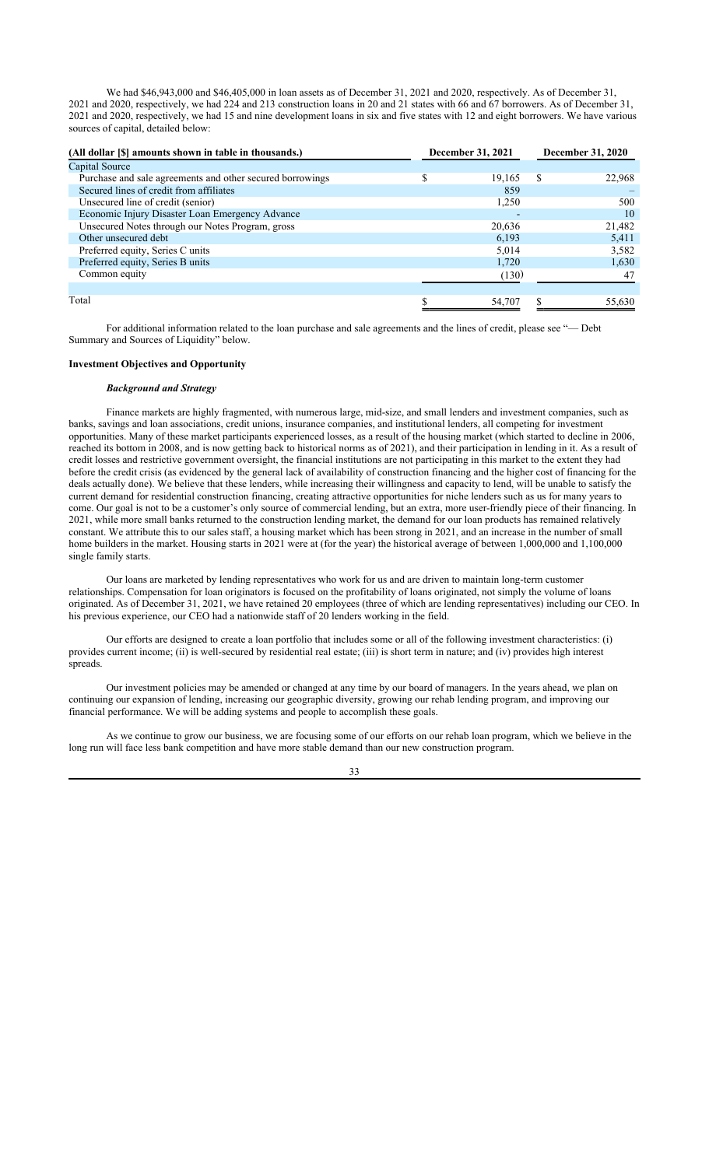We had \$46,943,000 and \$46,405,000 in loan assets as of December 31, 2021 and 2020, respectively. As of December 31, 2021 and 2020, respectively, we had 224 and 213 construction loans in 20 and 21 states with 66 and 67 borrowers. As of December 31, 2021 and 2020, respectively, we had 15 and nine development loans in six and five states with 12 and eight borrowers. We have various sources of capital, detailed below:

| (All dollar [\$] amounts shown in table in thousands.)    | December 31, 2021 | December 31, 2020 |
|-----------------------------------------------------------|-------------------|-------------------|
| Capital Source                                            |                   |                   |
| Purchase and sale agreements and other secured borrowings | 19,165            | \$.<br>22,968     |
| Secured lines of credit from affiliates                   | 859               |                   |
| Unsecured line of credit (senior)                         | 1,250             | 500               |
| Economic Injury Disaster Loan Emergency Advance           |                   | 10                |
| Unsecured Notes through our Notes Program, gross          | 20,636            | 21,482            |
| Other unsecured debt                                      | 6,193             | 5,411             |
| Preferred equity, Series C units                          | 5.014             | 3,582             |
| Preferred equity, Series B units                          | 1,720             | 1,630             |
| Common equity                                             | (130)             | 47                |
|                                                           |                   |                   |
| Total                                                     | 54,707            | 55,630            |

For additional information related to the loan purchase and sale agreements and the lines of credit, please see "— Debt Summary and Sources of Liquidity" below.

## **Investment Objectives and Opportunity**

## *Background and Strategy*

Finance markets are highly fragmented, with numerous large, mid-size, and small lenders and investment companies, such as banks, savings and loan associations, credit unions, insurance companies, and institutional lenders, all competing for investment opportunities. Many of these market participants experienced losses, as a result of the housing market (which started to decline in 2006, reached its bottom in 2008, and is now getting back to historical norms as of 2021), and their participation in lending in it. As a result of credit losses and restrictive government oversight, the financial institutions are not participating in this market to the extent they had before the credit crisis (as evidenced by the general lack of availability of construction financing and the higher cost of financing for the deals actually done). We believe that these lenders, while increasing their willingness and capacity to lend, will be unable to satisfy the current demand for residential construction financing, creating attractive opportunities for niche lenders such as us for many years to come. Our goal is not to be a customer's only source of commercial lending, but an extra, more user-friendly piece of their financing. In 2021, while more small banks returned to the construction lending market, the demand for our loan products has remained relatively constant. We attribute this to our sales staff, a housing market which has been strong in 2021, and an increase in the number of small home builders in the market. Housing starts in 2021 were at (for the year) the historical average of between 1,000,000 and 1,100,000 single family starts.

Our loans are marketed by lending representatives who work for us and are driven to maintain long-term customer relationships. Compensation for loan originators is focused on the profitability of loans originated, not simply the volume of loans originated. As of December 31, 2021, we have retained 20 employees (three of which are lending representatives) including our CEO. In his previous experience, our CEO had a nationwide staff of 20 lenders working in the field.

Our efforts are designed to create a loan portfolio that includes some or all of the following investment characteristics: (i) provides current income; (ii) is well-secured by residential real estate; (iii) is short term in nature; and (iv) provides high interest spreads.

Our investment policies may be amended or changed at any time by our board of managers. In the years ahead, we plan on continuing our expansion of lending, increasing our geographic diversity, growing our rehab lending program, and improving our financial performance. We will be adding systems and people to accomplish these goals.

As we continue to grow our business, we are focusing some of our efforts on our rehab loan program, which we believe in the long run will face less bank competition and have more stable demand than our new construction program.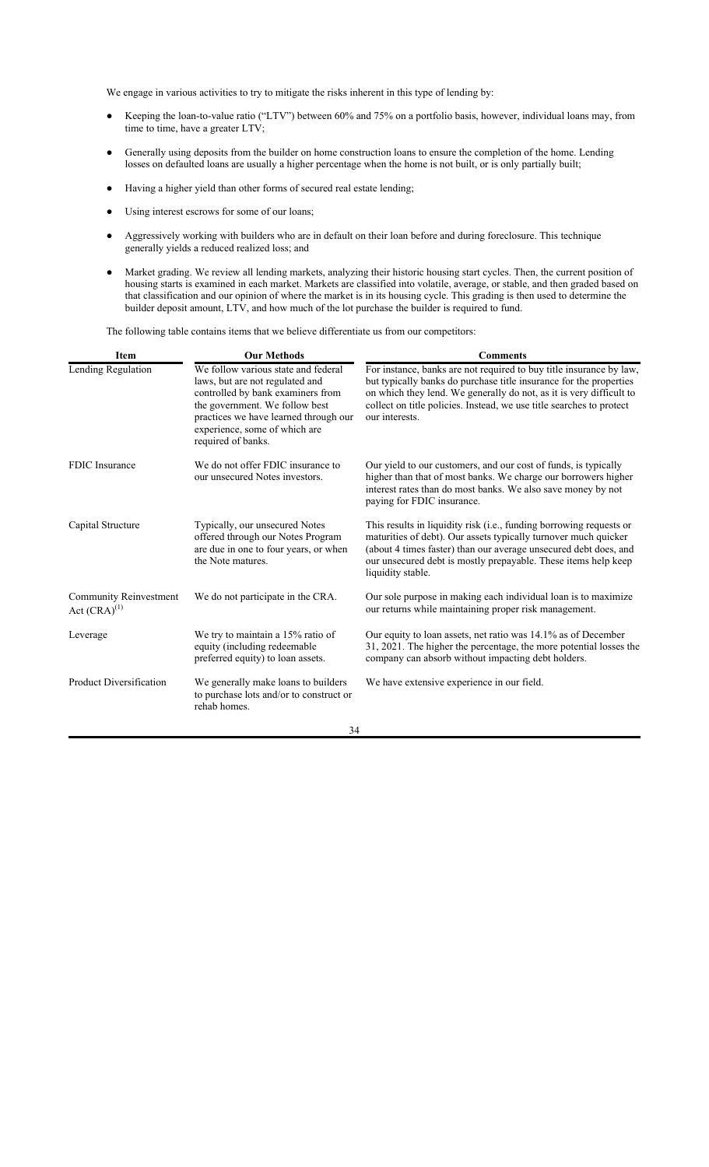We engage in various activities to try to mitigate the risks inherent in this type of lending by:

- Keeping the loan-to-value ratio ("LTV") between 60% and 75% on a portfolio basis, however, individual loans may, from time to time, have a greater LTV;
- Generally using deposits from the builder on home construction loans to ensure the completion of the home. Lending losses on defaulted loans are usually a higher percentage when the home is not built, or is only partially built;
- Having a higher yield than other forms of secured real estate lending;
- Using interest escrows for some of our loans;
- Aggressively working with builders who are in default on their loan before and during foreclosure. This technique generally yields a reduced realized loss; and
- Market grading. We review all lending markets, analyzing their historic housing start cycles. Then, the current position of housing starts is examined in each market. Markets are classified into volatile, average, or stable, and then graded based on that classification and our opinion of where the market is in its housing cycle. This grading is then used to determine the builder deposit amount, LTV, and how much of the lot purchase the builder is required to fund.

The following table contains items that we believe differentiate us from our competitors:

| <b>Item</b>                                        | <b>Our Methods</b>                                                                                                                                                                                                                            | <b>Comments</b>                                                                                                                                                                                                                                                                                            |
|----------------------------------------------------|-----------------------------------------------------------------------------------------------------------------------------------------------------------------------------------------------------------------------------------------------|------------------------------------------------------------------------------------------------------------------------------------------------------------------------------------------------------------------------------------------------------------------------------------------------------------|
| Lending Regulation                                 | We follow various state and federal<br>laws, but are not regulated and<br>controlled by bank examiners from<br>the government. We follow best<br>practices we have learned through our<br>experience, some of which are<br>required of banks. | For instance, banks are not required to buy title insurance by law,<br>but typically banks do purchase title insurance for the properties<br>on which they lend. We generally do not, as it is very difficult to<br>collect on title policies. Instead, we use title searches to protect<br>our interests. |
| FDIC Insurance                                     | We do not offer FDIC insurance to<br>our unsecured Notes investors.                                                                                                                                                                           | Our yield to our customers, and our cost of funds, is typically<br>higher than that of most banks. We charge our borrowers higher<br>interest rates than do most banks. We also save money by not<br>paying for FDIC insurance.                                                                            |
| Capital Structure                                  | Typically, our unsecured Notes<br>offered through our Notes Program<br>are due in one to four years, or when<br>the Note matures.                                                                                                             | This results in liquidity risk (i.e., funding borrowing requests or<br>maturities of debt). Our assets typically turnover much quicker<br>(about 4 times faster) than our average unsecured debt does, and<br>our unsecured debt is mostly prepayable. These items help keep<br>liquidity stable.          |
| <b>Community Reinvestment</b><br>Act $(CRA)^{(1)}$ | We do not participate in the CRA.                                                                                                                                                                                                             | Our sole purpose in making each individual loan is to maximize<br>our returns while maintaining proper risk management.                                                                                                                                                                                    |
| Leverage                                           | We try to maintain a 15% ratio of<br>equity (including redeemable<br>preferred equity) to loan assets.                                                                                                                                        | Our equity to loan assets, net ratio was 14.1% as of December<br>31, 2021. The higher the percentage, the more potential losses the<br>company can absorb without impacting debt holders.                                                                                                                  |
| Product Diversification                            | We generally make loans to builders<br>to purchase lots and/or to construct or<br>rehab homes.                                                                                                                                                | We have extensive experience in our field.                                                                                                                                                                                                                                                                 |
|                                                    | 34                                                                                                                                                                                                                                            |                                                                                                                                                                                                                                                                                                            |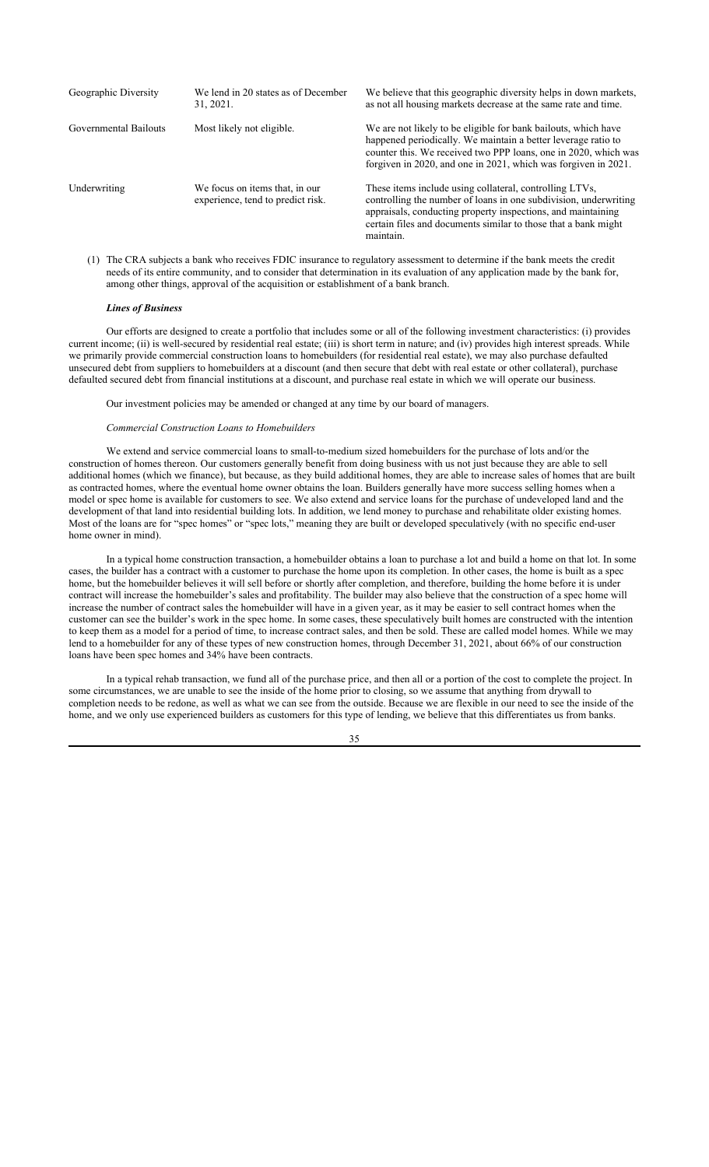| Geographic Diversity  | We lend in 20 states as of December<br>31, 2021.                    | We believe that this geographic diversity helps in down markets,<br>as not all housing markets decrease at the same rate and time.                                                                                                                                         |
|-----------------------|---------------------------------------------------------------------|----------------------------------------------------------------------------------------------------------------------------------------------------------------------------------------------------------------------------------------------------------------------------|
| Governmental Bailouts | Most likely not eligible.                                           | We are not likely to be eligible for bank bailouts, which have<br>happened periodically. We maintain a better leverage ratio to<br>counter this. We received two PPP loans, one in 2020, which was<br>forgiven in 2020, and one in 2021, which was forgiven in 2021.       |
| Underwriting          | We focus on items that, in our<br>experience, tend to predict risk. | These items include using collateral, controlling LTVs,<br>controlling the number of loans in one subdivision, underwriting<br>appraisals, conducting property inspections, and maintaining<br>certain files and documents similar to those that a bank might<br>maintain. |

(1) The CRA subjects a bank who receives FDIC insurance to regulatory assessment to determine if the bank meets the credit needs of its entire community, and to consider that determination in its evaluation of any application made by the bank for, among other things, approval of the acquisition or establishment of a bank branch.

#### *Lines of Business*

Our efforts are designed to create a portfolio that includes some or all of the following investment characteristics: (i) provides current income; (ii) is well-secured by residential real estate; (iii) is short term in nature; and (iv) provides high interest spreads. While we primarily provide commercial construction loans to homebuilders (for residential real estate), we may also purchase defaulted unsecured debt from suppliers to homebuilders at a discount (and then secure that debt with real estate or other collateral), purchase defaulted secured debt from financial institutions at a discount, and purchase real estate in which we will operate our business.

Our investment policies may be amended or changed at any time by our board of managers.

### *Commercial Construction Loans to Homebuilders*

We extend and service commercial loans to small-to-medium sized homebuilders for the purchase of lots and/or the construction of homes thereon. Our customers generally benefit from doing business with us not just because they are able to sell additional homes (which we finance), but because, as they build additional homes, they are able to increase sales of homes that are built as contracted homes, where the eventual home owner obtains the loan. Builders generally have more success selling homes when a model or spec home is available for customers to see. We also extend and service loans for the purchase of undeveloped land and the development of that land into residential building lots. In addition, we lend money to purchase and rehabilitate older existing homes. Most of the loans are for "spec homes" or "spec lots," meaning they are built or developed speculatively (with no specific end-user home owner in mind).

In a typical home construction transaction, a homebuilder obtains a loan to purchase a lot and build a home on that lot. In some cases, the builder has a contract with a customer to purchase the home upon its completion. In other cases, the home is built as a spec home, but the homebuilder believes it will sell before or shortly after completion, and therefore, building the home before it is under contract will increase the homebuilder's sales and profitability. The builder may also believe that the construction of a spec home will increase the number of contract sales the homebuilder will have in a given year, as it may be easier to sell contract homes when the customer can see the builder's work in the spec home. In some cases, these speculatively built homes are constructed with the intention to keep them as a model for a period of time, to increase contract sales, and then be sold. These are called model homes. While we may lend to a homebuilder for any of these types of new construction homes, through December 31, 2021, about 66% of our construction loans have been spec homes and 34% have been contracts.

In a typical rehab transaction, we fund all of the purchase price, and then all or a portion of the cost to complete the project. In some circumstances, we are unable to see the inside of the home prior to closing, so we assume that anything from drywall to completion needs to be redone, as well as what we can see from the outside. Because we are flexible in our need to see the inside of the home, and we only use experienced builders as customers for this type of lending, we believe that this differentiates us from banks.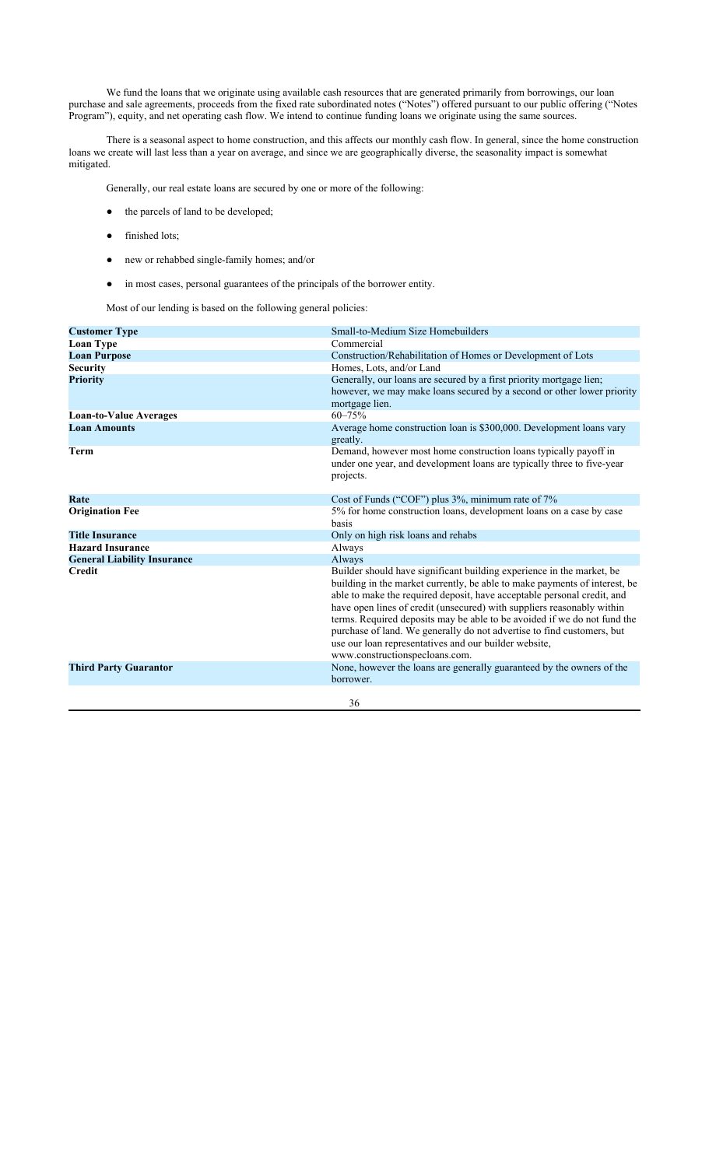We fund the loans that we originate using available cash resources that are generated primarily from borrowings, our loan purchase and sale agreements, proceeds from the fixed rate subordinated notes ("Notes") offered pursuant to our public offering ("Notes Program"), equity, and net operating cash flow. We intend to continue funding loans we originate using the same sources.

There is a seasonal aspect to home construction, and this affects our monthly cash flow. In general, since the home construction loans we create will last less than a year on average, and since we are geographically diverse, the seasonality impact is somewhat mitigated.

Generally, our real estate loans are secured by one or more of the following:

- the parcels of land to be developed;
- finished lots;
- new or rehabbed single-family homes; and/or
- in most cases, personal guarantees of the principals of the borrower entity.

Most of our lending is based on the following general policies:

| <b>Customer Type</b>               | Small-to-Medium Size Homebuilders                                                                                                                                                                                                                                                                                                                                                                                                                                                                                                                         |
|------------------------------------|-----------------------------------------------------------------------------------------------------------------------------------------------------------------------------------------------------------------------------------------------------------------------------------------------------------------------------------------------------------------------------------------------------------------------------------------------------------------------------------------------------------------------------------------------------------|
| <b>Loan Type</b>                   | Commercial                                                                                                                                                                                                                                                                                                                                                                                                                                                                                                                                                |
| <b>Loan Purpose</b>                | Construction/Rehabilitation of Homes or Development of Lots                                                                                                                                                                                                                                                                                                                                                                                                                                                                                               |
| <b>Security</b>                    | Homes, Lots, and/or Land                                                                                                                                                                                                                                                                                                                                                                                                                                                                                                                                  |
| <b>Priority</b>                    | Generally, our loans are secured by a first priority mortgage lien;<br>however, we may make loans secured by a second or other lower priority<br>mortgage lien.                                                                                                                                                                                                                                                                                                                                                                                           |
| <b>Loan-to-Value Averages</b>      | $60 - 75%$                                                                                                                                                                                                                                                                                                                                                                                                                                                                                                                                                |
| <b>Loan Amounts</b>                | Average home construction loan is \$300,000. Development loans vary<br>greatly.                                                                                                                                                                                                                                                                                                                                                                                                                                                                           |
| Term                               | Demand, however most home construction loans typically payoff in<br>under one year, and development loans are typically three to five-year<br>projects.                                                                                                                                                                                                                                                                                                                                                                                                   |
| Rate                               | Cost of Funds ("COF") plus 3%, minimum rate of 7%                                                                                                                                                                                                                                                                                                                                                                                                                                                                                                         |
| <b>Origination Fee</b>             | 5% for home construction loans, development loans on a case by case<br>basis                                                                                                                                                                                                                                                                                                                                                                                                                                                                              |
| <b>Title Insurance</b>             | Only on high risk loans and rehabs                                                                                                                                                                                                                                                                                                                                                                                                                                                                                                                        |
| <b>Hazard Insurance</b>            | Always                                                                                                                                                                                                                                                                                                                                                                                                                                                                                                                                                    |
| <b>General Liability Insurance</b> | Always                                                                                                                                                                                                                                                                                                                                                                                                                                                                                                                                                    |
| <b>Credit</b>                      | Builder should have significant building experience in the market, be<br>building in the market currently, be able to make payments of interest, be<br>able to make the required deposit, have acceptable personal credit, and<br>have open lines of credit (unsecured) with suppliers reasonably within<br>terms. Required deposits may be able to be avoided if we do not fund the<br>purchase of land. We generally do not advertise to find customers, but<br>use our loan representatives and our builder website,<br>www.constructionspecloans.com. |
| <b>Third Party Guarantor</b>       | None, however the loans are generally guaranteed by the owners of the<br>borrower.                                                                                                                                                                                                                                                                                                                                                                                                                                                                        |
|                                    | 36                                                                                                                                                                                                                                                                                                                                                                                                                                                                                                                                                        |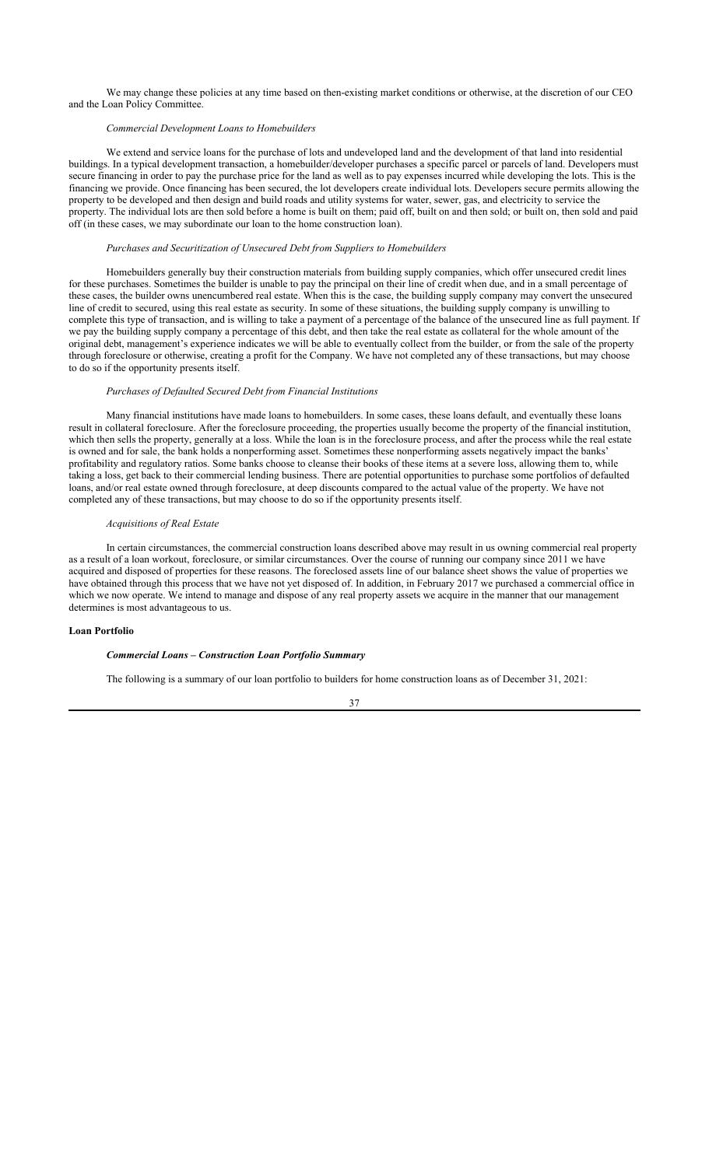We may change these policies at any time based on then-existing market conditions or otherwise, at the discretion of our CEO and the Loan Policy Committee.

## *Commercial Development Loans to Homebuilders*

We extend and service loans for the purchase of lots and undeveloped land and the development of that land into residential buildings. In a typical development transaction, a homebuilder/developer purchases a specific parcel or parcels of land. Developers must secure financing in order to pay the purchase price for the land as well as to pay expenses incurred while developing the lots. This is the financing we provide. Once financing has been secured, the lot developers create individual lots. Developers secure permits allowing the property to be developed and then design and build roads and utility systems for water, sewer, gas, and electricity to service the property. The individual lots are then sold before a home is built on them; paid off, built on and then sold; or built on, then sold and paid off (in these cases, we may subordinate our loan to the home construction loan).

### *Purchases and Securitization of Unsecured Debt from Suppliers to Homebuilders*

Homebuilders generally buy their construction materials from building supply companies, which offer unsecured credit lines for these purchases. Sometimes the builder is unable to pay the principal on their line of credit when due, and in a small percentage of these cases, the builder owns unencumbered real estate. When this is the case, the building supply company may convert the unsecured line of credit to secured, using this real estate as security. In some of these situations, the building supply company is unwilling to complete this type of transaction, and is willing to take a payment of a percentage of the balance of the unsecured line as full payment. If we pay the building supply company a percentage of this debt, and then take the real estate as collateral for the whole amount of the original debt, management's experience indicates we will be able to eventually collect from the builder, or from the sale of the property through foreclosure or otherwise, creating a profit for the Company. We have not completed any of these transactions, but may choose to do so if the opportunity presents itself.

### *Purchases of Defaulted Secured Debt from Financial Institutions*

Many financial institutions have made loans to homebuilders. In some cases, these loans default, and eventually these loans result in collateral foreclosure. After the foreclosure proceeding, the properties usually become the property of the financial institution, which then sells the property, generally at a loss. While the loan is in the foreclosure process, and after the process while the real estate is owned and for sale, the bank holds a nonperforming asset. Sometimes these nonperforming assets negatively impact the banks' profitability and regulatory ratios. Some banks choose to cleanse their books of these items at a severe loss, allowing them to, while taking a loss, get back to their commercial lending business. There are potential opportunities to purchase some portfolios of defaulted loans, and/or real estate owned through foreclosure, at deep discounts compared to the actual value of the property. We have not completed any of these transactions, but may choose to do so if the opportunity presents itself.

## *Acquisitions of Real Estate*

In certain circumstances, the commercial construction loans described above may result in us owning commercial real property as a result of a loan workout, foreclosure, or similar circumstances. Over the course of running our company since 2011 we have acquired and disposed of properties for these reasons. The foreclosed assets line of our balance sheet shows the value of properties we have obtained through this process that we have not yet disposed of. In addition, in February 2017 we purchased a commercial office in which we now operate. We intend to manage and dispose of any real property assets we acquire in the manner that our management determines is most advantageous to us.

## **Loan Portfolio**

### *Commercial Loans – Construction Loan Portfolio Summary*

The following is a summary of our loan portfolio to builders for home construction loans as of December 31, 2021: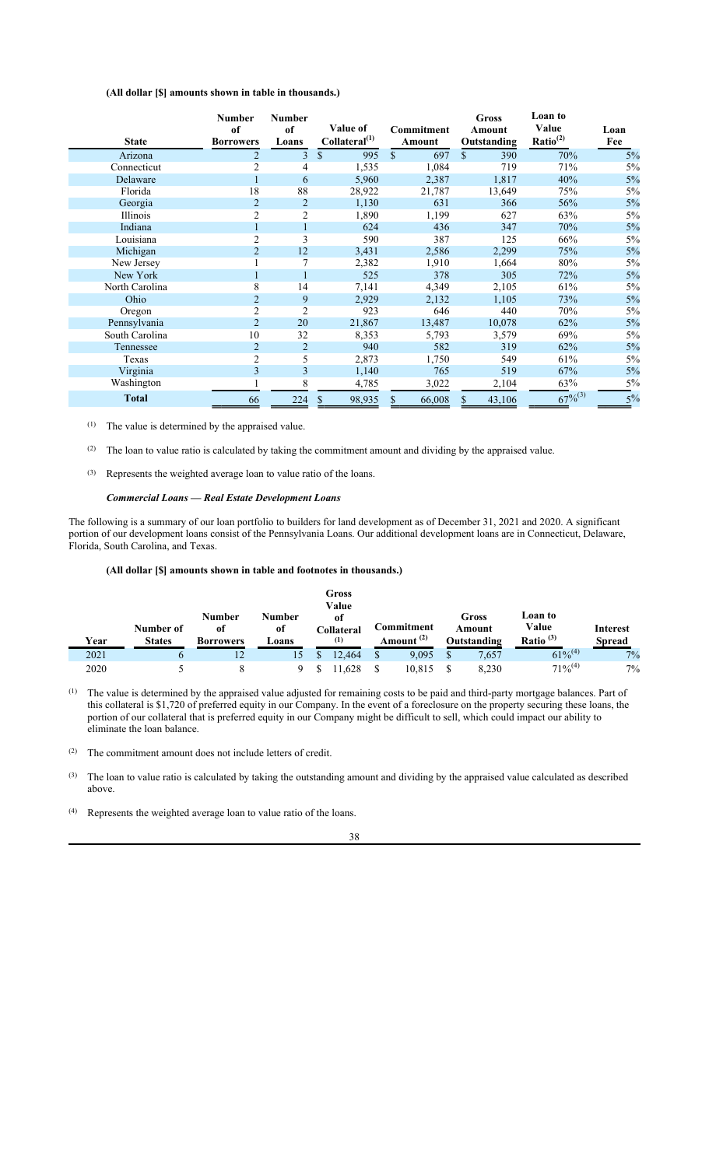## **(All dollar [\$] amounts shown in table in thousands.)**

| <b>State</b>   | <b>Number</b><br>of<br><b>Borrowers</b> | <b>Number</b><br>of<br>Loans | <b>Value of</b><br>Collateral <sup>(1)</sup> | Commitment<br>Amount | <b>Gross</b><br>Amount<br>Outstanding | Loan to<br>Value<br>Ratio <sup>(2)</sup> | Loan<br>Fee |
|----------------|-----------------------------------------|------------------------------|----------------------------------------------|----------------------|---------------------------------------|------------------------------------------|-------------|
| Arizona        | $\overline{2}$                          | 3                            | \$<br>995                                    | \$<br>697            | $\mathcal{S}$<br>390                  | 70%                                      | 5%          |
| Connecticut    | $\overline{2}$                          | 4                            | 1,535                                        | 1,084                | 719                                   | 71%                                      | 5%          |
| Delaware       |                                         | 6                            | 5,960                                        | 2,387                | 1,817                                 | 40%                                      | 5%          |
| Florida        | 18                                      | 88                           | 28,922                                       | 21,787               | 13,649                                | 75%                                      | 5%          |
| Georgia        | $\overline{2}$                          |                              | 1,130                                        | 631                  | 366                                   | 56%                                      | 5%          |
| Illinois       | $\overline{2}$                          | 2                            | 1,890                                        | 1,199                | 627                                   | 63%                                      | 5%          |
| Indiana        |                                         |                              | 624                                          | 436                  | 347                                   | 70%                                      | 5%          |
| Louisiana      | $\overline{c}$                          | 3                            | 590                                          | 387                  | 125                                   | 66%                                      | 5%          |
| Michigan       | $\overline{2}$                          | 12                           | 3,431                                        | 2,586                | 2,299                                 | 75%                                      | 5%          |
| New Jersey     |                                         | 7                            | 2,382                                        | 1,910                | 1,664                                 | 80%                                      | 5%          |
| New York       |                                         |                              | 525                                          | 378                  | 305                                   | 72%                                      | 5%          |
| North Carolina | 8                                       | 14                           | 7,141                                        | 4,349                | 2,105                                 | 61%                                      | 5%          |
| Ohio           | $\overline{2}$                          | 9                            | 2,929                                        | 2,132                | 1,105                                 | 73%                                      | 5%          |
| Oregon         | $\overline{2}$                          | $\overline{2}$               | 923                                          | 646                  | 440                                   | 70%                                      | 5%          |
| Pennsylvania   | $\overline{2}$                          | 20                           | 21,867                                       | 13,487               | 10,078                                | 62%                                      | 5%          |
| South Carolina | 10                                      | 32                           | 8,353                                        | 5,793                | 3,579                                 | 69%                                      | 5%          |
| Tennessee      | $\overline{2}$                          | $\overline{2}$               | 940                                          | 582                  | 319                                   | 62%                                      | 5%          |
| Texas          | $\overline{2}$                          | 5                            | 2,873                                        | 1,750                | 549                                   | 61%                                      | 5%          |
| Virginia       | 3                                       | 3                            | 1,140                                        | 765                  | 519                                   | 67%                                      | 5%          |
| Washington     |                                         | 8                            | 4,785                                        | 3,022                | 2,104                                 | 63%                                      | $5\%$       |
| <b>Total</b>   | 66                                      | 224                          | \$<br>98,935                                 | \$<br>66,008         | $\mathbb{S}$<br>43,106                | $67\%^{(3)}$                             | 5%          |

(1) The value is determined by the appraised value.

(2) The loan to value ratio is calculated by taking the commitment amount and dividing by the appraised value.

(3) Represents the weighted average loan to value ratio of the loans.

## *Commercial Loans — Real Estate Development Loans*

The following is a summary of our loan portfolio to builders for land development as of December 31, 2021 and 2020. A significant portion of our development loans consist of the Pennsylvania Loans. Our additional development loans are in Connecticut, Delaware, Florida, South Carolina, and Texas.

### **(All dollar [\$] amounts shown in table and footnotes in thousands.)**

| Year | Number of<br><b>States</b> | <b>Number</b><br>of<br><b>Borrowers</b> | <b>Number</b><br>of<br>Loans | <b>Gross</b><br>Value<br><sub>of</sub><br>Collateral<br>(1) | Commitment<br>Amount <sup>(2)</sup> | Gross<br>Amount<br>Outstanding | Loan to<br>Value<br>Ratio $^{(3)}$ | <b>Interest</b><br><b>Spread</b> |
|------|----------------------------|-----------------------------------------|------------------------------|-------------------------------------------------------------|-------------------------------------|--------------------------------|------------------------------------|----------------------------------|
| 2021 | b                          | 12                                      | 15 <sub>1</sub>              | 12.464                                                      | \$<br>9,095                         | 7,657                          | $61\%^{(4)}$                       | 7%                               |
| 2020 |                            |                                         |                              | .628                                                        | 10,815                              | 8.230                          | $71\%^{(4)}$                       | 7%                               |

(1) The value is determined by the appraised value adjusted for remaining costs to be paid and third-party mortgage balances. Part of this collateral is \$1,720 of preferred equity in our Company. In the event of a foreclosure on the property securing these loans, the portion of our collateral that is preferred equity in our Company might be difficult to sell, which could impact our ability to eliminate the loan balance.

(2) The commitment amount does not include letters of credit.

- (3) The loan to value ratio is calculated by taking the outstanding amount and dividing by the appraised value calculated as described above.
- (4) Represents the weighted average loan to value ratio of the loans.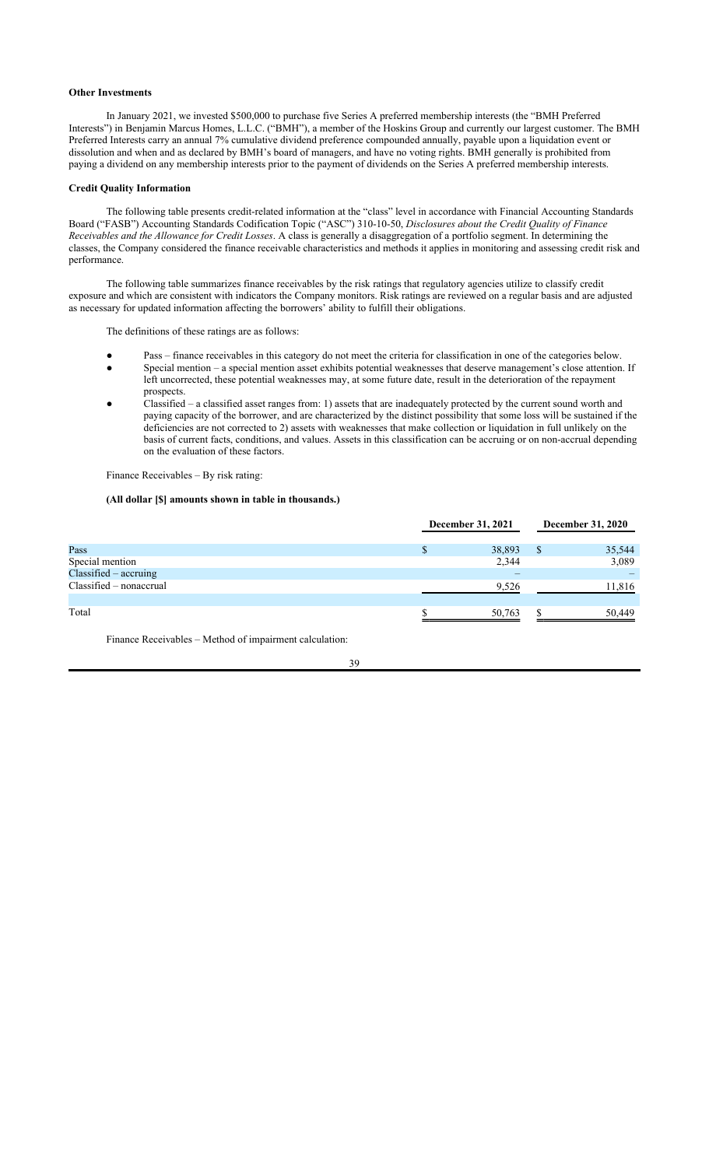### **Other Investments**

In January 2021, we invested \$500,000 to purchase five Series A preferred membership interests (the "BMH Preferred Interests") in Benjamin Marcus Homes, L.L.C. ("BMH"), a member of the Hoskins Group and currently our largest customer. The BMH Preferred Interests carry an annual 7% cumulative dividend preference compounded annually, payable upon a liquidation event or dissolution and when and as declared by BMH's board of managers, and have no voting rights. BMH generally is prohibited from paying a dividend on any membership interests prior to the payment of dividends on the Series A preferred membership interests.

### **Credit Quality Information**

The following table presents credit-related information at the "class" level in accordance with Financial Accounting Standards Board ("FASB") Accounting Standards Codification Topic ("ASC") 310-10-50, *Disclosures about the Credit Quality of Finance Receivables and the Allowance for Credit Losses*. A class is generally a disaggregation of a portfolio segment. In determining the classes, the Company considered the finance receivable characteristics and methods it applies in monitoring and assessing credit risk and performance.

The following table summarizes finance receivables by the risk ratings that regulatory agencies utilize to classify credit exposure and which are consistent with indicators the Company monitors. Risk ratings are reviewed on a regular basis and are adjusted as necessary for updated information affecting the borrowers' ability to fulfill their obligations.

The definitions of these ratings are as follows:

- Pass finance receivables in this category do not meet the criteria for classification in one of the categories below.
- Special mention a special mention asset exhibits potential weaknesses that deserve management's close attention. If left uncorrected, these potential weaknesses may, at some future date, result in the deterioration of the repayment prospects.
- Classified  $-$  a classified asset ranges from: 1) assets that are inadequately protected by the current sound worth and paying capacity of the borrower, and are characterized by the distinct possibility that some loss will be sustained if the deficiencies are not corrected to 2) assets with weaknesses that make collection or liquidation in full unlikely on the basis of current facts, conditions, and values. Assets in this classification can be accruing or on non-accrual depending on the evaluation of these factors.

Finance Receivables – By risk rating:

## **(All dollar [\$] amounts shown in table in thousands.)**

|                           | December 31, 2021 |        | December 31, 2020 |        |
|---------------------------|-------------------|--------|-------------------|--------|
| Pass                      |                   | 38,893 |                   | 35,544 |
| Special mention           |                   | 2,344  |                   | 3,089  |
| Classified - accruing     |                   |        |                   |        |
| $Classified - nonaccrual$ |                   | 9,526  |                   | 11,816 |
| Total                     |                   | 50,763 |                   | 50,449 |

Finance Receivables – Method of impairment calculation: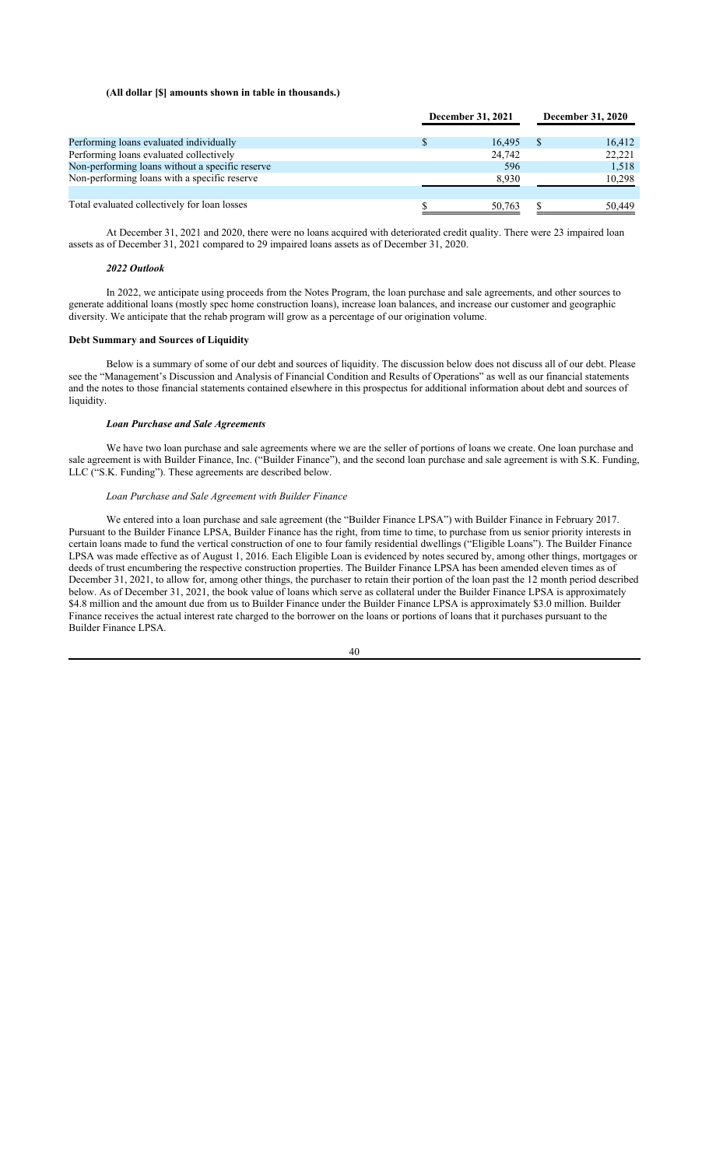#### **(All dollar [\$] amounts shown in table in thousands.)**

|                                                 | December 31, 2021 |          | <b>December 31, 2020</b> |  |
|-------------------------------------------------|-------------------|----------|--------------------------|--|
| Performing loans evaluated individually         | 16.495            | <b>S</b> | 16,412                   |  |
| Performing loans evaluated collectively         | 24,742            |          | 22,221                   |  |
| Non-performing loans without a specific reserve | 596               |          | 1,518                    |  |
| Non-performing loans with a specific reserve    | 8,930             |          | 10,298                   |  |
| Total evaluated collectively for loan losses    | 50,763            |          | 50.449                   |  |

At December 31, 2021 and 2020, there were no loans acquired with deteriorated credit quality. There were 23 impaired loan assets as of December 31, 2021 compared to 29 impaired loans assets as of December 31, 2020.

#### *2022 Outlook*

In 2022, we anticipate using proceeds from the Notes Program, the loan purchase and sale agreements, and other sources to generate additional loans (mostly spec home construction loans), increase loan balances, and increase our customer and geographic diversity. We anticipate that the rehab program will grow as a percentage of our origination volume.

## **Debt Summary and Sources of Liquidity**

Below is a summary of some of our debt and sources of liquidity. The discussion below does not discuss all of our debt. Please see the "Management's Discussion and Analysis of Financial Condition and Results of Operations" as well as our financial statements and the notes to those financial statements contained elsewhere in this prospectus for additional information about debt and sources of liquidity.

#### *Loan Purchase and Sale Agreements*

We have two loan purchase and sale agreements where we are the seller of portions of loans we create. One loan purchase and sale agreement is with Builder Finance, Inc. ("Builder Finance"), and the second loan purchase and sale agreement is with S.K. Funding, LLC ("S.K. Funding"). These agreements are described below.

### *Loan Purchase and Sale Agreement with Builder Finance*

We entered into a loan purchase and sale agreement (the "Builder Finance LPSA") with Builder Finance in February 2017. Pursuant to the Builder Finance LPSA, Builder Finance has the right, from time to time, to purchase from us senior priority interests in certain loans made to fund the vertical construction of one to four family residential dwellings ("Eligible Loans"). The Builder Finance LPSA was made effective as of August 1, 2016. Each Eligible Loan is evidenced by notes secured by, among other things, mortgages or deeds of trust encumbering the respective construction properties. The Builder Finance LPSA has been amended eleven times as of December 31, 2021, to allow for, among other things, the purchaser to retain their portion of the loan past the 12 month period described below. As of December 31, 2021, the book value of loans which serve as collateral under the Builder Finance LPSA is approximately \$4.8 million and the amount due from us to Builder Finance under the Builder Finance LPSA is approximately \$3.0 million. Builder Finance receives the actual interest rate charged to the borrower on the loans or portions of loans that it purchases pursuant to the Builder Finance LPSA.

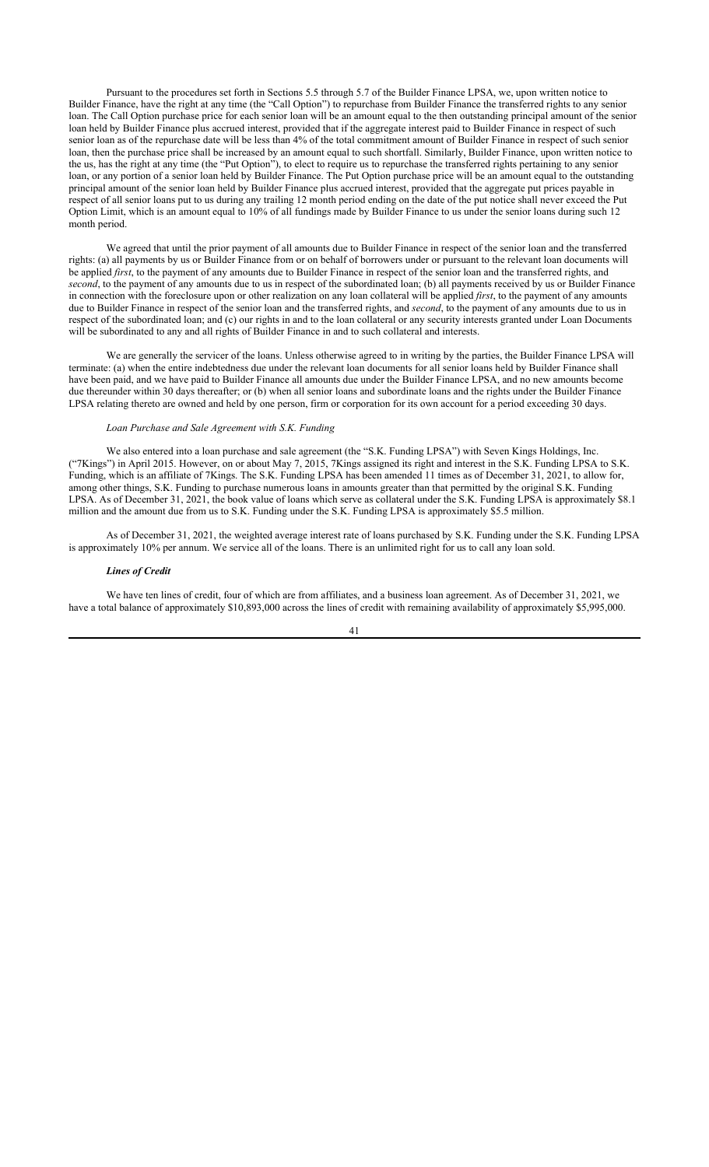Pursuant to the procedures set forth in Sections 5.5 through 5.7 of the Builder Finance LPSA, we, upon written notice to Builder Finance, have the right at any time (the "Call Option") to repurchase from Builder Finance the transferred rights to any senior loan. The Call Option purchase price for each senior loan will be an amount equal to the then outstanding principal amount of the senior loan held by Builder Finance plus accrued interest, provided that if the aggregate interest paid to Builder Finance in respect of such senior loan as of the repurchase date will be less than 4% of the total commitment amount of Builder Finance in respect of such senior loan, then the purchase price shall be increased by an amount equal to such shortfall. Similarly, Builder Finance, upon written notice to the us, has the right at any time (the "Put Option"), to elect to require us to repurchase the transferred rights pertaining to any senior loan, or any portion of a senior loan held by Builder Finance. The Put Option purchase price will be an amount equal to the outstanding principal amount of the senior loan held by Builder Finance plus accrued interest, provided that the aggregate put prices payable in respect of all senior loans put to us during any trailing 12 month period ending on the date of the put notice shall never exceed the Put Option Limit, which is an amount equal to 10% of all fundings made by Builder Finance to us under the senior loans during such 12 month period.

We agreed that until the prior payment of all amounts due to Builder Finance in respect of the senior loan and the transferred rights: (a) all payments by us or Builder Finance from or on behalf of borrowers under or pursuant to the relevant loan documents will be applied *first*, to the payment of any amounts due to Builder Finance in respect of the senior loan and the transferred rights, and *second*, to the payment of any amounts due to us in respect of the subordinated loan; (b) all payments received by us or Builder Finance in connection with the foreclosure upon or other realization on any loan collateral will be applied *first*, to the payment of any amounts due to Builder Finance in respect of the senior loan and the transferred rights, and *second*, to the payment of any amounts due to us in respect of the subordinated loan; and (c) our rights in and to the loan collateral or any security interests granted under Loan Documents will be subordinated to any and all rights of Builder Finance in and to such collateral and interests.

We are generally the servicer of the loans. Unless otherwise agreed to in writing by the parties, the Builder Finance LPSA will terminate: (a) when the entire indebtedness due under the relevant loan documents for all senior loans held by Builder Finance shall have been paid, and we have paid to Builder Finance all amounts due under the Builder Finance LPSA, and no new amounts become due thereunder within 30 days thereafter; or (b) when all senior loans and subordinate loans and the rights under the Builder Finance LPSA relating thereto are owned and held by one person, firm or corporation for its own account for a period exceeding 30 days.

## *Loan Purchase and Sale Agreement with S.K. Funding*

We also entered into a loan purchase and sale agreement (the "S.K. Funding LPSA") with Seven Kings Holdings, Inc. ("7Kings") in April 2015. However, on or about May 7, 2015, 7Kings assigned its right and interest in the S.K. Funding LPSA to S.K. Funding, which is an affiliate of 7Kings. The S.K. Funding LPSA has been amended 11 times as of December 31, 2021, to allow for, among other things, S.K. Funding to purchase numerous loans in amounts greater than that permitted by the original S.K. Funding LPSA. As of December 31, 2021, the book value of loans which serve as collateral under the S.K. Funding LPSA is approximately \$8.1 million and the amount due from us to S.K. Funding under the S.K. Funding LPSA is approximately \$5.5 million.

As of December 31, 2021, the weighted average interest rate of loans purchased by S.K. Funding under the S.K. Funding LPSA is approximately 10% per annum. We service all of the loans. There is an unlimited right for us to call any loan sold.

### *Lines of Credit*

We have ten lines of credit, four of which are from affiliates, and a business loan agreement. As of December 31, 2021, we have a total balance of approximately \$10,893,000 across the lines of credit with remaining availability of approximately \$5,995,000.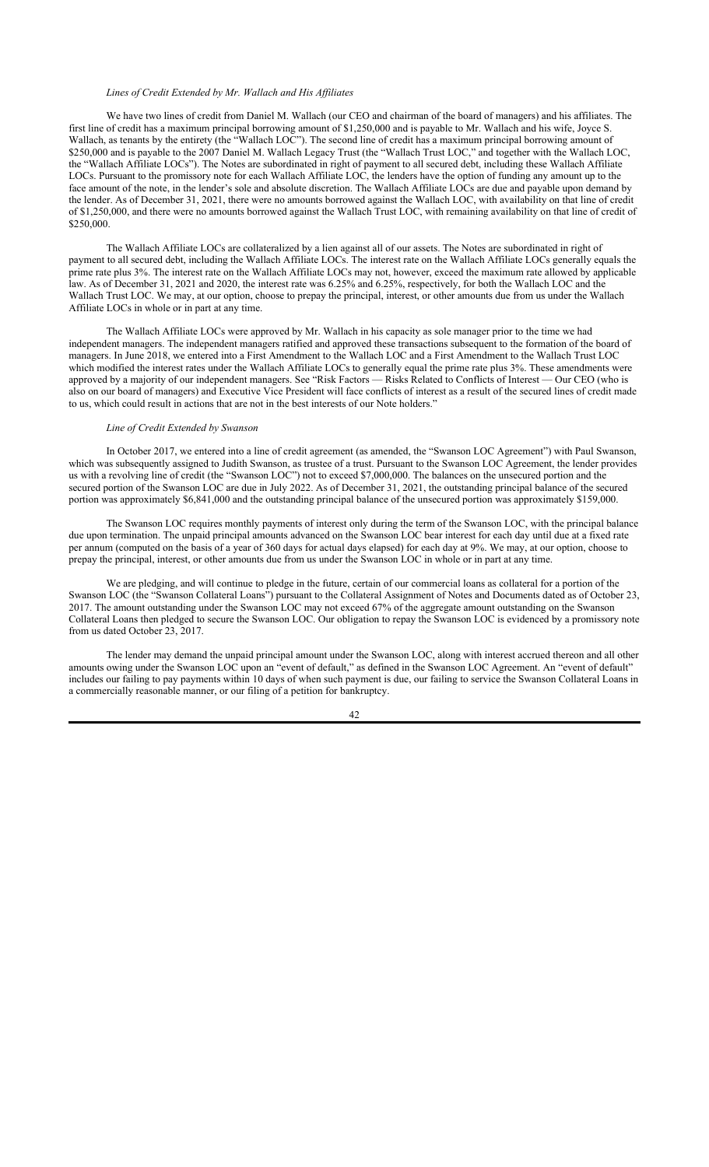## *Lines of Credit Extended by Mr. Wallach and His Affiliates*

We have two lines of credit from Daniel M. Wallach (our CEO and chairman of the board of managers) and his affiliates. The first line of credit has a maximum principal borrowing amount of \$1,250,000 and is payable to Mr. Wallach and his wife, Joyce S. Wallach, as tenants by the entirety (the "Wallach LOC"). The second line of credit has a maximum principal borrowing amount of \$250,000 and is payable to the 2007 Daniel M. Wallach Legacy Trust (the "Wallach Trust LOC," and together with the Wallach LOC, the "Wallach Affiliate LOCs"). The Notes are subordinated in right of payment to all secured debt, including these Wallach Affiliate LOCs. Pursuant to the promissory note for each Wallach Affiliate LOC, the lenders have the option of funding any amount up to the face amount of the note, in the lender's sole and absolute discretion. The Wallach Affiliate LOCs are due and payable upon demand by the lender. As of December 31, 2021, there were no amounts borrowed against the Wallach LOC, with availability on that line of credit of \$1,250,000, and there were no amounts borrowed against the Wallach Trust LOC, with remaining availability on that line of credit of \$250,000.

The Wallach Affiliate LOCs are collateralized by a lien against all of our assets. The Notes are subordinated in right of payment to all secured debt, including the Wallach Affiliate LOCs. The interest rate on the Wallach Affiliate LOCs generally equals the prime rate plus 3%. The interest rate on the Wallach Affiliate LOCs may not, however, exceed the maximum rate allowed by applicable law. As of December 31, 2021 and 2020, the interest rate was 6.25% and 6.25%, respectively, for both the Wallach LOC and the Wallach Trust LOC. We may, at our option, choose to prepay the principal, interest, or other amounts due from us under the Wallach Affiliate LOCs in whole or in part at any time.

The Wallach Affiliate LOCs were approved by Mr. Wallach in his capacity as sole manager prior to the time we had independent managers. The independent managers ratified and approved these transactions subsequent to the formation of the board of managers. In June 2018, we entered into a First Amendment to the Wallach LOC and a First Amendment to the Wallach Trust LOC which modified the interest rates under the Wallach Affiliate LOCs to generally equal the prime rate plus 3%. These amendments were approved by a majority of our independent managers. See "Risk Factors — Risks Related to Conflicts of Interest — Our CEO (who is also on our board of managers) and Executive Vice President will face conflicts of interest as a result of the secured lines of credit made to us, which could result in actions that are not in the best interests of our Note holders."

#### *Line of Credit Extended by Swanson*

In October 2017, we entered into a line of credit agreement (as amended, the "Swanson LOC Agreement") with Paul Swanson, which was subsequently assigned to Judith Swanson, as trustee of a trust. Pursuant to the Swanson LOC Agreement, the lender provides us with a revolving line of credit (the "Swanson LOC") not to exceed \$7,000,000. The balances on the unsecured portion and the secured portion of the Swanson LOC are due in July 2022. As of December 31, 2021, the outstanding principal balance of the secured portion was approximately \$6,841,000 and the outstanding principal balance of the unsecured portion was approximately \$159,000.

The Swanson LOC requires monthly payments of interest only during the term of the Swanson LOC, with the principal balance due upon termination. The unpaid principal amounts advanced on the Swanson LOC bear interest for each day until due at a fixed rate per annum (computed on the basis of a year of 360 days for actual days elapsed) for each day at 9%. We may, at our option, choose to prepay the principal, interest, or other amounts due from us under the Swanson LOC in whole or in part at any time.

We are pledging, and will continue to pledge in the future, certain of our commercial loans as collateral for a portion of the Swanson LOC (the "Swanson Collateral Loans") pursuant to the Collateral Assignment of Notes and Documents dated as of October 23, 2017. The amount outstanding under the Swanson LOC may not exceed 67% of the aggregate amount outstanding on the Swanson Collateral Loans then pledged to secure the Swanson LOC. Our obligation to repay the Swanson LOC is evidenced by a promissory note from us dated October 23, 2017.

The lender may demand the unpaid principal amount under the Swanson LOC, along with interest accrued thereon and all other amounts owing under the Swanson LOC upon an "event of default," as defined in the Swanson LOC Agreement. An "event of default" includes our failing to pay payments within 10 days of when such payment is due, our failing to service the Swanson Collateral Loans in a commercially reasonable manner, or our filing of a petition for bankruptcy.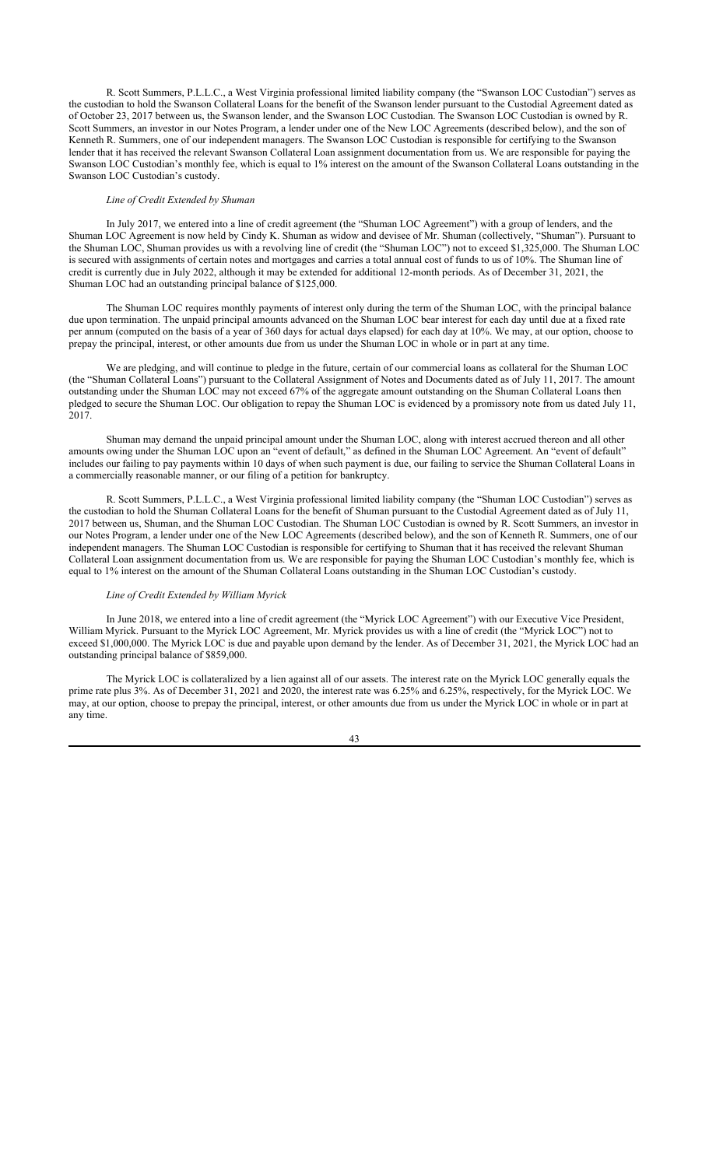R. Scott Summers, P.L.L.C., a West Virginia professional limited liability company (the "Swanson LOC Custodian") serves as the custodian to hold the Swanson Collateral Loans for the benefit of the Swanson lender pursuant to the Custodial Agreement dated as of October 23, 2017 between us, the Swanson lender, and the Swanson LOC Custodian. The Swanson LOC Custodian is owned by R. Scott Summers, an investor in our Notes Program, a lender under one of the New LOC Agreements (described below), and the son of Kenneth R. Summers, one of our independent managers. The Swanson LOC Custodian is responsible for certifying to the Swanson lender that it has received the relevant Swanson Collateral Loan assignment documentation from us. We are responsible for paying the Swanson LOC Custodian's monthly fee, which is equal to 1% interest on the amount of the Swanson Collateral Loans outstanding in the Swanson LOC Custodian's custody.

## *Line of Credit Extended by Shuman*

In July 2017, we entered into a line of credit agreement (the "Shuman LOC Agreement") with a group of lenders, and the Shuman LOC Agreement is now held by Cindy K. Shuman as widow and devisee of Mr. Shuman (collectively, "Shuman"). Pursuant to the Shuman LOC, Shuman provides us with a revolving line of credit (the "Shuman LOC") not to exceed \$1,325,000. The Shuman LOC is secured with assignments of certain notes and mortgages and carries a total annual cost of funds to us of 10%. The Shuman line of credit is currently due in July 2022, although it may be extended for additional 12-month periods. As of December 31, 2021, the Shuman LOC had an outstanding principal balance of \$125,000.

The Shuman LOC requires monthly payments of interest only during the term of the Shuman LOC, with the principal balance due upon termination. The unpaid principal amounts advanced on the Shuman LOC bear interest for each day until due at a fixed rate per annum (computed on the basis of a year of 360 days for actual days elapsed) for each day at 10%. We may, at our option, choose to prepay the principal, interest, or other amounts due from us under the Shuman LOC in whole or in part at any time.

We are pledging, and will continue to pledge in the future, certain of our commercial loans as collateral for the Shuman LOC (the "Shuman Collateral Loans") pursuant to the Collateral Assignment of Notes and Documents dated as of July 11, 2017. The amount outstanding under the Shuman LOC may not exceed 67% of the aggregate amount outstanding on the Shuman Collateral Loans then pledged to secure the Shuman LOC. Our obligation to repay the Shuman LOC is evidenced by a promissory note from us dated July 11, 2017.

Shuman may demand the unpaid principal amount under the Shuman LOC, along with interest accrued thereon and all other amounts owing under the Shuman LOC upon an "event of default," as defined in the Shuman LOC Agreement. An "event of default" includes our failing to pay payments within 10 days of when such payment is due, our failing to service the Shuman Collateral Loans in a commercially reasonable manner, or our filing of a petition for bankruptcy.

R. Scott Summers, P.L.L.C., a West Virginia professional limited liability company (the "Shuman LOC Custodian") serves as the custodian to hold the Shuman Collateral Loans for the benefit of Shuman pursuant to the Custodial Agreement dated as of July 11, 2017 between us, Shuman, and the Shuman LOC Custodian. The Shuman LOC Custodian is owned by R. Scott Summers, an investor in our Notes Program, a lender under one of the New LOC Agreements (described below), and the son of Kenneth R. Summers, one of our independent managers. The Shuman LOC Custodian is responsible for certifying to Shuman that it has received the relevant Shuman Collateral Loan assignment documentation from us. We are responsible for paying the Shuman LOC Custodian's monthly fee, which is equal to 1% interest on the amount of the Shuman Collateral Loans outstanding in the Shuman LOC Custodian's custody.

#### *Line of Credit Extended by William Myrick*

In June 2018, we entered into a line of credit agreement (the "Myrick LOC Agreement") with our Executive Vice President, William Myrick. Pursuant to the Myrick LOC Agreement, Mr. Myrick provides us with a line of credit (the "Myrick LOC") not to exceed \$1,000,000. The Myrick LOC is due and payable upon demand by the lender. As of December 31, 2021, the Myrick LOC had an outstanding principal balance of \$859,000.

The Myrick LOC is collateralized by a lien against all of our assets. The interest rate on the Myrick LOC generally equals the prime rate plus 3%. As of December 31, 2021 and 2020, the interest rate was 6.25% and 6.25%, respectively, for the Myrick LOC. We may, at our option, choose to prepay the principal, interest, or other amounts due from us under the Myrick LOC in whole or in part at any time.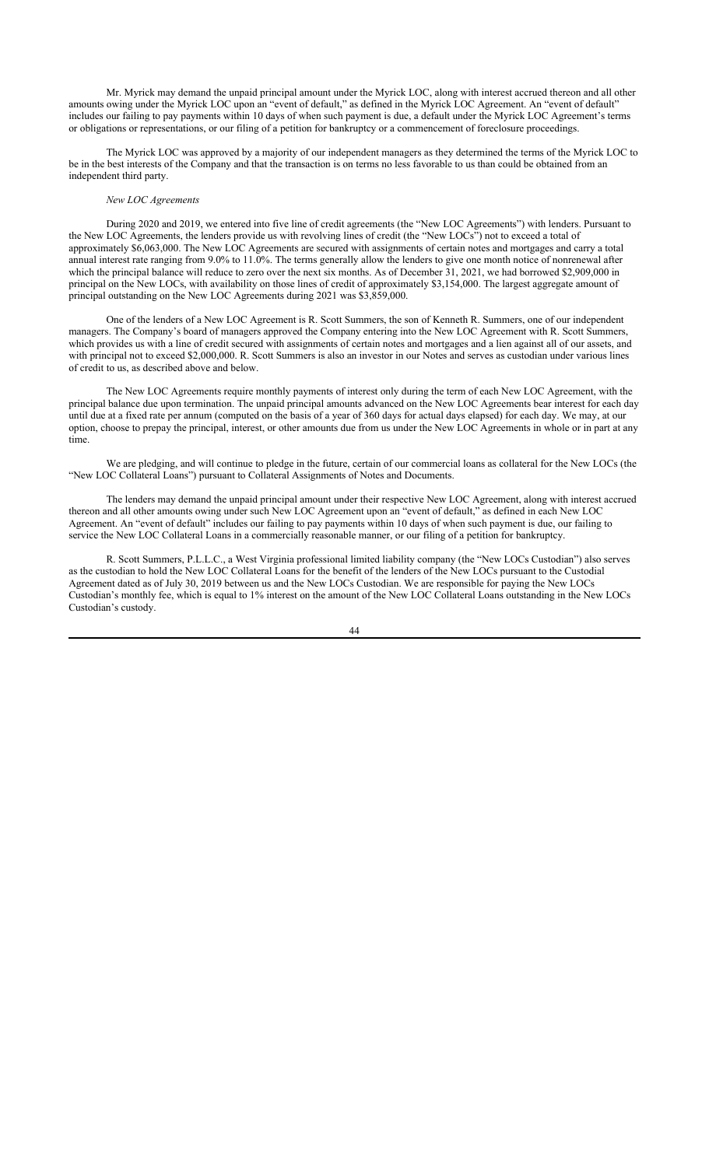Mr. Myrick may demand the unpaid principal amount under the Myrick LOC, along with interest accrued thereon and all other amounts owing under the Myrick LOC upon an "event of default," as defined in the Myrick LOC Agreement. An "event of default" includes our failing to pay payments within 10 days of when such payment is due, a default under the Myrick LOC Agreement's terms or obligations or representations, or our filing of a petition for bankruptcy or a commencement of foreclosure proceedings.

The Myrick LOC was approved by a majority of our independent managers as they determined the terms of the Myrick LOC to be in the best interests of the Company and that the transaction is on terms no less favorable to us than could be obtained from an independent third party.

### *New LOC Agreements*

During 2020 and 2019, we entered into five line of credit agreements (the "New LOC Agreements") with lenders. Pursuant to the New LOC Agreements, the lenders provide us with revolving lines of credit (the "New LOCs") not to exceed a total of approximately \$6,063,000. The New LOC Agreements are secured with assignments of certain notes and mortgages and carry a total annual interest rate ranging from 9.0% to 11.0%. The terms generally allow the lenders to give one month notice of nonrenewal after which the principal balance will reduce to zero over the next six months. As of December 31, 2021, we had borrowed \$2,909,000 in principal on the New LOCs, with availability on those lines of credit of approximately \$3,154,000. The largest aggregate amount of principal outstanding on the New LOC Agreements during 2021 was \$3,859,000.

One of the lenders of a New LOC Agreement is R. Scott Summers, the son of Kenneth R. Summers, one of our independent managers. The Company's board of managers approved the Company entering into the New LOC Agreement with R. Scott Summers, which provides us with a line of credit secured with assignments of certain notes and mortgages and a lien against all of our assets, and with principal not to exceed \$2,000,000. R. Scott Summers is also an investor in our Notes and serves as custodian under various lines of credit to us, as described above and below.

The New LOC Agreements require monthly payments of interest only during the term of each New LOC Agreement, with the principal balance due upon termination. The unpaid principal amounts advanced on the New LOC Agreements bear interest for each day until due at a fixed rate per annum (computed on the basis of a year of 360 days for actual days elapsed) for each day. We may, at our option, choose to prepay the principal, interest, or other amounts due from us under the New LOC Agreements in whole or in part at any time.

We are pledging, and will continue to pledge in the future, certain of our commercial loans as collateral for the New LOCs (the "New LOC Collateral Loans") pursuant to Collateral Assignments of Notes and Documents.

The lenders may demand the unpaid principal amount under their respective New LOC Agreement, along with interest accrued thereon and all other amounts owing under such New LOC Agreement upon an "event of default," as defined in each New LOC Agreement. An "event of default" includes our failing to pay payments within 10 days of when such payment is due, our failing to service the New LOC Collateral Loans in a commercially reasonable manner, or our filing of a petition for bankruptcy.

R. Scott Summers, P.L.L.C., a West Virginia professional limited liability company (the "New LOCs Custodian") also serves as the custodian to hold the New LOC Collateral Loans for the benefit of the lenders of the New LOCs pursuant to the Custodial Agreement dated as of July 30, 2019 between us and the New LOCs Custodian. We are responsible for paying the New LOCs Custodian's monthly fee, which is equal to 1% interest on the amount of the New LOC Collateral Loans outstanding in the New LOCs Custodian's custody.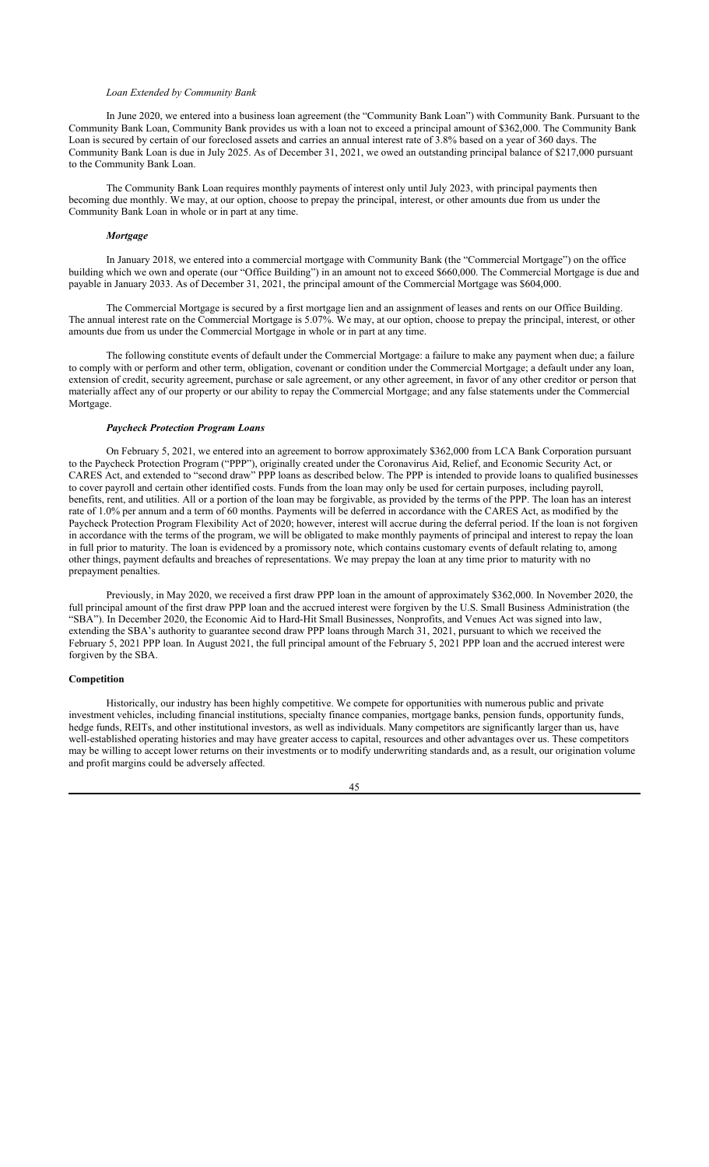### *Loan Extended by Community Bank*

In June 2020, we entered into a business loan agreement (the "Community Bank Loan") with Community Bank. Pursuant to the Community Bank Loan, Community Bank provides us with a loan not to exceed a principal amount of \$362,000. The Community Bank Loan is secured by certain of our foreclosed assets and carries an annual interest rate of 3.8% based on a year of 360 days. The Community Bank Loan is due in July 2025. As of December 31, 2021, we owed an outstanding principal balance of \$217,000 pursuant to the Community Bank Loan.

The Community Bank Loan requires monthly payments of interest only until July 2023, with principal payments then becoming due monthly. We may, at our option, choose to prepay the principal, interest, or other amounts due from us under the Community Bank Loan in whole or in part at any time.

## *Mortgage*

In January 2018, we entered into a commercial mortgage with Community Bank (the "Commercial Mortgage") on the office building which we own and operate (our "Office Building") in an amount not to exceed \$660,000. The Commercial Mortgage is due and payable in January 2033. As of December 31, 2021, the principal amount of the Commercial Mortgage was \$604,000.

The Commercial Mortgage is secured by a first mortgage lien and an assignment of leases and rents on our Office Building. The annual interest rate on the Commercial Mortgage is 5.07%. We may, at our option, choose to prepay the principal, interest, or other amounts due from us under the Commercial Mortgage in whole or in part at any time.

The following constitute events of default under the Commercial Mortgage: a failure to make any payment when due; a failure to comply with or perform and other term, obligation, covenant or condition under the Commercial Mortgage; a default under any loan, extension of credit, security agreement, purchase or sale agreement, or any other agreement, in favor of any other creditor or person that materially affect any of our property or our ability to repay the Commercial Mortgage; and any false statements under the Commercial Mortgage.

#### *Paycheck Protection Program Loans*

On February 5, 2021, we entered into an agreement to borrow approximately \$362,000 from LCA Bank Corporation pursuant to the Paycheck Protection Program ("PPP"), originally created under the Coronavirus Aid, Relief, and Economic Security Act, or CARES Act, and extended to "second draw" PPP loans as described below. The PPP is intended to provide loans to qualified businesses to cover payroll and certain other identified costs. Funds from the loan may only be used for certain purposes, including payroll, benefits, rent, and utilities. All or a portion of the loan may be forgivable, as provided by the terms of the PPP. The loan has an interest rate of 1.0% per annum and a term of 60 months. Payments will be deferred in accordance with the CARES Act, as modified by the Paycheck Protection Program Flexibility Act of 2020; however, interest will accrue during the deferral period. If the loan is not forgiven in accordance with the terms of the program, we will be obligated to make monthly payments of principal and interest to repay the loan in full prior to maturity. The loan is evidenced by a promissory note, which contains customary events of default relating to, among other things, payment defaults and breaches of representations. We may prepay the loan at any time prior to maturity with no prepayment penalties.

Previously, in May 2020, we received a first draw PPP loan in the amount of approximately \$362,000. In November 2020, the full principal amount of the first draw PPP loan and the accrued interest were forgiven by the U.S. Small Business Administration (the "SBA"). In December 2020, the Economic Aid to Hard-Hit Small Businesses, Nonprofits, and Venues Act was signed into law, extending the SBA's authority to guarantee second draw PPP loans through March 31, 2021, pursuant to which we received the February 5, 2021 PPP loan. In August 2021, the full principal amount of the February 5, 2021 PPP loan and the accrued interest were forgiven by the SBA.

### **Competition**

Historically, our industry has been highly competitive. We compete for opportunities with numerous public and private investment vehicles, including financial institutions, specialty finance companies, mortgage banks, pension funds, opportunity funds, hedge funds, REITs, and other institutional investors, as well as individuals. Many competitors are significantly larger than us, have well-established operating histories and may have greater access to capital, resources and other advantages over us. These competitors may be willing to accept lower returns on their investments or to modify underwriting standards and, as a result, our origination volume and profit margins could be adversely affected.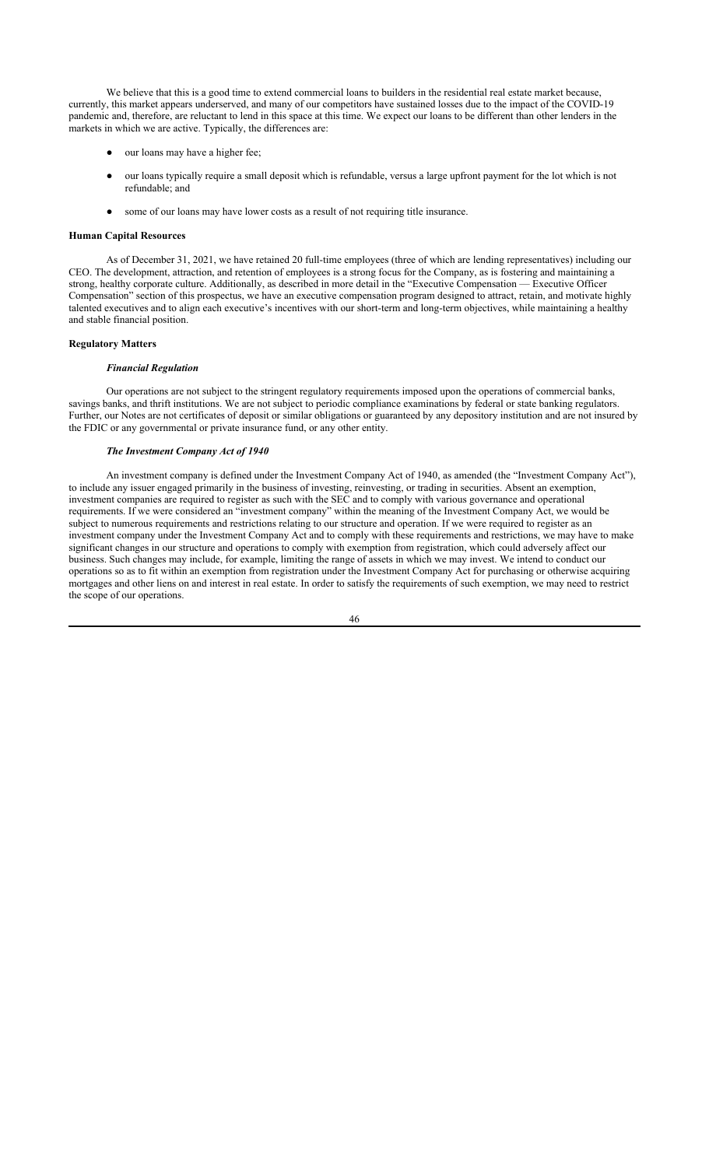We believe that this is a good time to extend commercial loans to builders in the residential real estate market because, currently, this market appears underserved, and many of our competitors have sustained losses due to the impact of the COVID-19 pandemic and, therefore, are reluctant to lend in this space at this time. We expect our loans to be different than other lenders in the markets in which we are active. Typically, the differences are:

- our loans may have a higher fee;
- our loans typically require a small deposit which is refundable, versus a large upfront payment for the lot which is not refundable; and
- some of our loans may have lower costs as a result of not requiring title insurance.

## **Human Capital Resources**

As of December 31, 2021, we have retained 20 full-time employees (three of which are lending representatives) including our CEO. The development, attraction, and retention of employees is a strong focus for the Company, as is fostering and maintaining a strong, healthy corporate culture. Additionally, as described in more detail in the "Executive Compensation — Executive Officer Compensation" section of this prospectus, we have an executive compensation program designed to attract, retain, and motivate highly talented executives and to align each executive's incentives with our short-term and long-term objectives, while maintaining a healthy and stable financial position.

### **Regulatory Matters**

## *Financial Regulation*

Our operations are not subject to the stringent regulatory requirements imposed upon the operations of commercial banks, savings banks, and thrift institutions. We are not subject to periodic compliance examinations by federal or state banking regulators. Further, our Notes are not certificates of deposit or similar obligations or guaranteed by any depository institution and are not insured by the FDIC or any governmental or private insurance fund, or any other entity.

### *The Investment Company Act of 1940*

An investment company is defined under the Investment Company Act of 1940, as amended (the "Investment Company Act"), to include any issuer engaged primarily in the business of investing, reinvesting, or trading in securities. Absent an exemption, investment companies are required to register as such with the SEC and to comply with various governance and operational requirements. If we were considered an "investment company" within the meaning of the Investment Company Act, we would be subject to numerous requirements and restrictions relating to our structure and operation. If we were required to register as an investment company under the Investment Company Act and to comply with these requirements and restrictions, we may have to make significant changes in our structure and operations to comply with exemption from registration, which could adversely affect our business. Such changes may include, for example, limiting the range of assets in which we may invest. We intend to conduct our operations so as to fit within an exemption from registration under the Investment Company Act for purchasing or otherwise acquiring mortgages and other liens on and interest in real estate. In order to satisfy the requirements of such exemption, we may need to restrict the scope of our operations.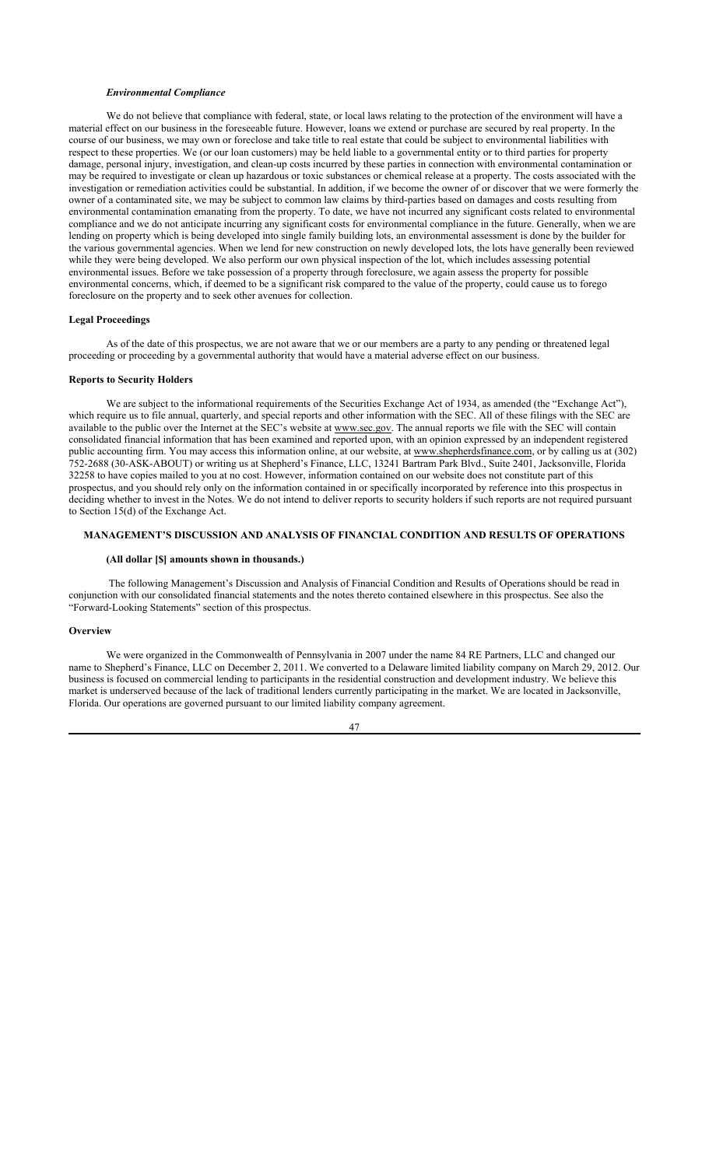#### *Environmental Compliance*

We do not believe that compliance with federal, state, or local laws relating to the protection of the environment will have a material effect on our business in the foreseeable future. However, loans we extend or purchase are secured by real property. In the course of our business, we may own or foreclose and take title to real estate that could be subject to environmental liabilities with respect to these properties. We (or our loan customers) may be held liable to a governmental entity or to third parties for property damage, personal injury, investigation, and clean-up costs incurred by these parties in connection with environmental contamination or may be required to investigate or clean up hazardous or toxic substances or chemical release at a property. The costs associated with the investigation or remediation activities could be substantial. In addition, if we become the owner of or discover that we were formerly the owner of a contaminated site, we may be subject to common law claims by third-parties based on damages and costs resulting from environmental contamination emanating from the property. To date, we have not incurred any significant costs related to environmental compliance and we do not anticipate incurring any significant costs for environmental compliance in the future. Generally, when we are lending on property which is being developed into single family building lots, an environmental assessment is done by the builder for the various governmental agencies. When we lend for new construction on newly developed lots, the lots have generally been reviewed while they were being developed. We also perform our own physical inspection of the lot, which includes assessing potential environmental issues. Before we take possession of a property through foreclosure, we again assess the property for possible environmental concerns, which, if deemed to be a significant risk compared to the value of the property, could cause us to forego foreclosure on the property and to seek other avenues for collection.

#### **Legal Proceedings**

As of the date of this prospectus, we are not aware that we or our members are a party to any pending or threatened legal proceeding or proceeding by a governmental authority that would have a material adverse effect on our business.

## **Reports to Security Holders**

We are subject to the informational requirements of the Securities Exchange Act of 1934, as amended (the "Exchange Act"), which require us to file annual, quarterly, and special reports and other information with the SEC. All of these filings with the SEC are available to the public over the Internet at the SEC's website at www.sec.gov. The annual reports we file with the SEC will contain consolidated financial information that has been examined and reported upon, with an opinion expressed by an independent registered public accounting firm. You may access this information online, at our website, at www.shepherdsfinance.com, or by calling us at (302) 752-2688 (30-ASK-ABOUT) or writing us at Shepherd's Finance, LLC, 13241 Bartram Park Blvd., Suite 2401, Jacksonville, Florida 32258 to have copies mailed to you at no cost. However, information contained on our website does not constitute part of this prospectus, and you should rely only on the information contained in or specifically incorporated by reference into this prospectus in deciding whether to invest in the Notes. We do not intend to deliver reports to security holders if such reports are not required pursuant to Section 15(d) of the Exchange Act.

# **MANAGEMENT'S DISCUSSION AND ANALYSIS OF FINANCIAL CONDITION AND RESULTS OF OPERATIONS**

### **(All dollar [\$] amounts shown in thousands.)**

 The following Management's Discussion and Analysis of Financial Condition and Results of Operations should be read in conjunction with our consolidated financial statements and the notes thereto contained elsewhere in this prospectus. See also the "Forward-Looking Statements" section of this prospectus.

# **Overview**

We were organized in the Commonwealth of Pennsylvania in 2007 under the name 84 RE Partners, LLC and changed our name to Shepherd's Finance, LLC on December 2, 2011. We converted to a Delaware limited liability company on March 29, 2012. Our business is focused on commercial lending to participants in the residential construction and development industry. We believe this market is underserved because of the lack of traditional lenders currently participating in the market. We are located in Jacksonville, Florida. Our operations are governed pursuant to our limited liability company agreement.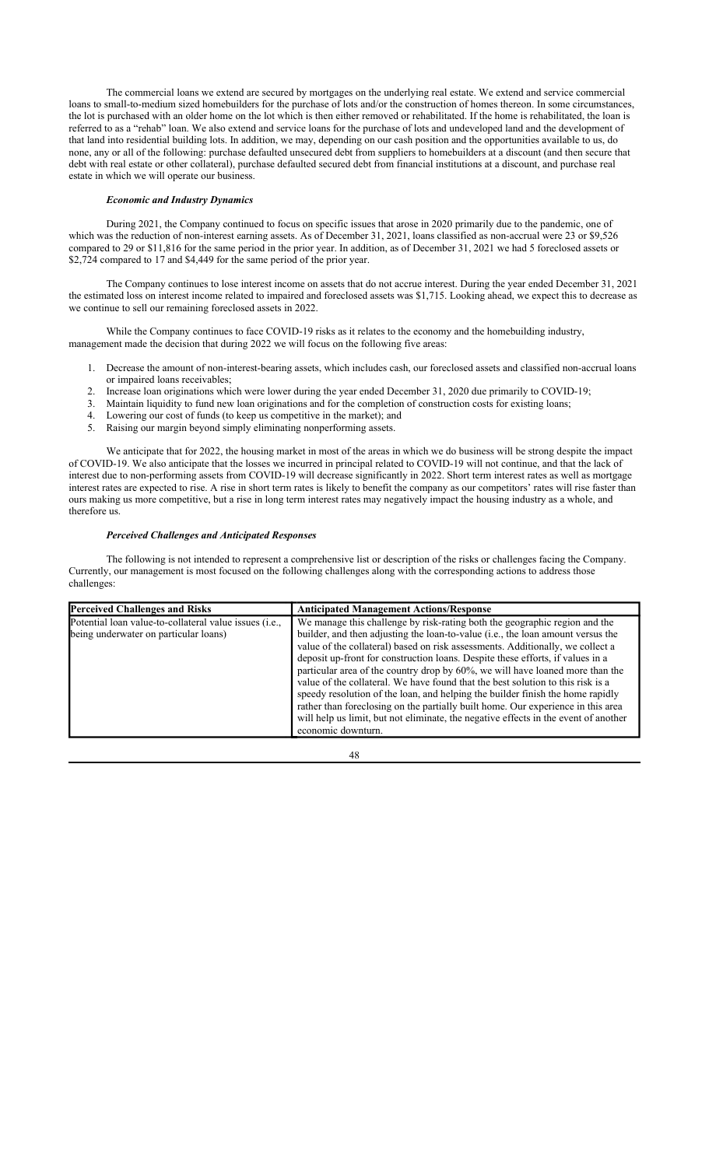The commercial loans we extend are secured by mortgages on the underlying real estate. We extend and service commercial loans to small-to-medium sized homebuilders for the purchase of lots and/or the construction of homes thereon. In some circumstances, the lot is purchased with an older home on the lot which is then either removed or rehabilitated. If the home is rehabilitated, the loan is referred to as a "rehab" loan. We also extend and service loans for the purchase of lots and undeveloped land and the development of that land into residential building lots. In addition, we may, depending on our cash position and the opportunities available to us, do none, any or all of the following: purchase defaulted unsecured debt from suppliers to homebuilders at a discount (and then secure that debt with real estate or other collateral), purchase defaulted secured debt from financial institutions at a discount, and purchase real estate in which we will operate our business.

### *Economic and Industry Dynamics*

During 2021, the Company continued to focus on specific issues that arose in 2020 primarily due to the pandemic, one of which was the reduction of non-interest earning assets. As of December 31, 2021, loans classified as non-accrual were 23 or \$9,526 compared to 29 or \$11,816 for the same period in the prior year. In addition, as of December 31, 2021 we had 5 foreclosed assets or \$2,724 compared to 17 and \$4,449 for the same period of the prior year.

The Company continues to lose interest income on assets that do not accrue interest. During the year ended December 31, 2021 the estimated loss on interest income related to impaired and foreclosed assets was \$1,715. Looking ahead, we expect this to decrease as we continue to sell our remaining foreclosed assets in 2022.

While the Company continues to face COVID-19 risks as it relates to the economy and the homebuilding industry, management made the decision that during 2022 we will focus on the following five areas:

- 1. Decrease the amount of non-interest-bearing assets, which includes cash, our foreclosed assets and classified non-accrual loans or impaired loans receivables;
- 2. Increase loan originations which were lower during the year ended December 31, 2020 due primarily to COVID-19;
- 3. Maintain liquidity to fund new loan originations and for the completion of construction costs for existing loans;
- 4. Lowering our cost of funds (to keep us competitive in the market); and
- 5. Raising our margin beyond simply eliminating nonperforming assets.

We anticipate that for 2022, the housing market in most of the areas in which we do business will be strong despite the impact of COVID-19. We also anticipate that the losses we incurred in principal related to COVID-19 will not continue, and that the lack of interest due to non-performing assets from COVID-19 will decrease significantly in 2022. Short term interest rates as well as mortgage interest rates are expected to rise. A rise in short term rates is likely to benefit the company as our competitors' rates will rise faster than ours making us more competitive, but a rise in long term interest rates may negatively impact the housing industry as a whole, and therefore us.

# *Perceived Challenges and Anticipated Responses*

The following is not intended to represent a comprehensive list or description of the risks or challenges facing the Company. Currently, our management is most focused on the following challenges along with the corresponding actions to address those challenges:

| <b>Perceived Challenges and Risks</b>                                                           | <b>Anticipated Management Actions/Response</b>                                                                                                                                                                                                                                                                                                                                                                                                                                                                                                                                                                                                                                                                                                                                               |
|-------------------------------------------------------------------------------------------------|----------------------------------------------------------------------------------------------------------------------------------------------------------------------------------------------------------------------------------------------------------------------------------------------------------------------------------------------------------------------------------------------------------------------------------------------------------------------------------------------------------------------------------------------------------------------------------------------------------------------------------------------------------------------------------------------------------------------------------------------------------------------------------------------|
| Potential loan value-to-collateral value issues (i.e.,<br>being underwater on particular loans) | We manage this challenge by risk-rating both the geographic region and the<br>builder, and then adjusting the loan-to-value (i.e., the loan amount versus the<br>value of the collateral) based on risk assessments. Additionally, we collect a<br>deposit up-front for construction loans. Despite these efforts, if values in a<br>particular area of the country drop by $60\%$ , we will have loaned more than the<br>value of the collateral. We have found that the best solution to this risk is a<br>speedy resolution of the loan, and helping the builder finish the home rapidly<br>rather than foreclosing on the partially built home. Our experience in this area<br>will help us limit, but not eliminate, the negative effects in the event of another<br>economic downturn. |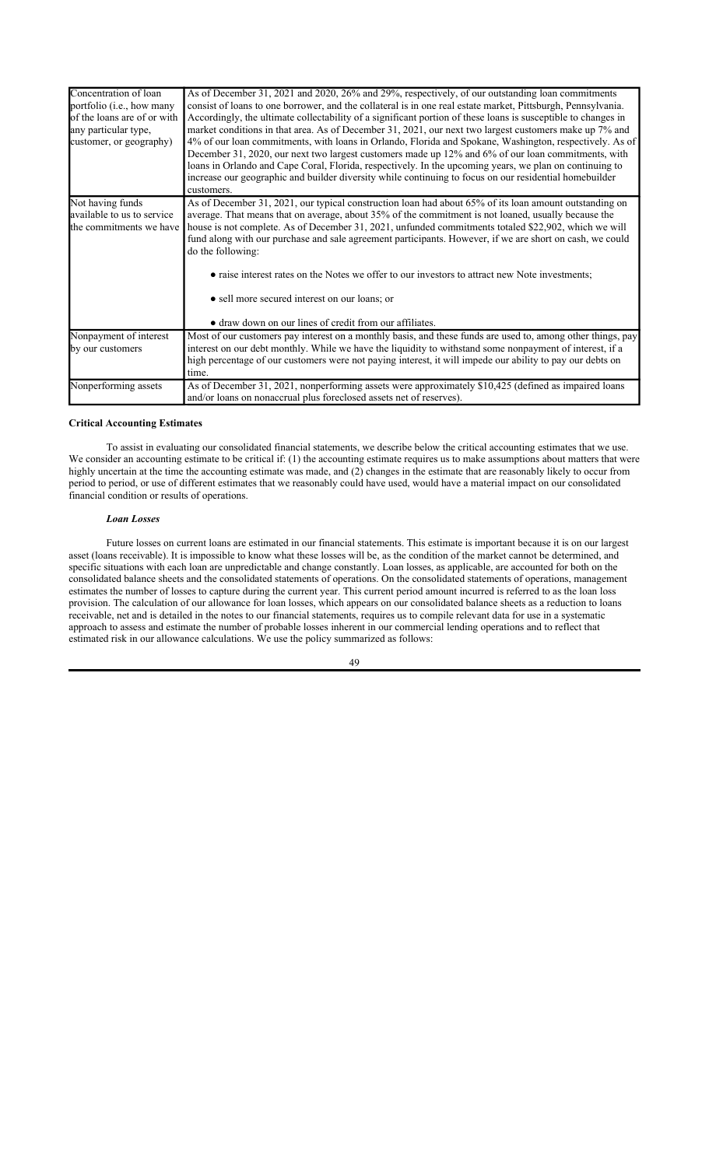| Concentration of loan<br>portfolio ( <i>i.e.</i> , how many | As of December 31, 2021 and 2020, 26% and 29%, respectively, of our outstanding loan commitments<br>consist of loans to one borrower, and the collateral is in one real estate market, Pittsburgh, Pennsylvania.                                                                                                                                                                                                                                                                                                                             |
|-------------------------------------------------------------|----------------------------------------------------------------------------------------------------------------------------------------------------------------------------------------------------------------------------------------------------------------------------------------------------------------------------------------------------------------------------------------------------------------------------------------------------------------------------------------------------------------------------------------------|
| of the loans are of or with                                 | Accordingly, the ultimate collectability of a significant portion of these loans is susceptible to changes in                                                                                                                                                                                                                                                                                                                                                                                                                                |
| any particular type,<br>customer, or geography)             | market conditions in that area. As of December 31, 2021, our next two largest customers make up 7% and<br>4% of our loan commitments, with loans in Orlando, Florida and Spokane, Washington, respectively. As of<br>December 31, 2020, our next two largest customers made up 12% and 6% of our loan commitments, with<br>loans in Orlando and Cape Coral, Florida, respectively. In the upcoming years, we plan on continuing to<br>increase our geographic and builder diversity while continuing to focus on our residential homebuilder |
|                                                             | customers.                                                                                                                                                                                                                                                                                                                                                                                                                                                                                                                                   |
| Not having funds                                            | As of December 31, 2021, our typical construction loan had about 65% of its loan amount outstanding on                                                                                                                                                                                                                                                                                                                                                                                                                                       |
| available to us to service                                  | average. That means that on average, about 35% of the commitment is not loaned, usually because the                                                                                                                                                                                                                                                                                                                                                                                                                                          |
| the commitments we have                                     | house is not complete. As of December 31, 2021, unfunded commitments totaled \$22,902, which we will<br>fund along with our purchase and sale agreement participants. However, if we are short on cash, we could<br>do the following:                                                                                                                                                                                                                                                                                                        |
|                                                             | • raise interest rates on the Notes we offer to our investors to attract new Note investments;                                                                                                                                                                                                                                                                                                                                                                                                                                               |
|                                                             | • sell more secured interest on our loans; or                                                                                                                                                                                                                                                                                                                                                                                                                                                                                                |
|                                                             | • draw down on our lines of credit from our affiliates.                                                                                                                                                                                                                                                                                                                                                                                                                                                                                      |
| Nonpayment of interest                                      | Most of our customers pay interest on a monthly basis, and these funds are used to, among other things, pay                                                                                                                                                                                                                                                                                                                                                                                                                                  |
| by our customers                                            | interest on our debt monthly. While we have the liquidity to withstand some nonpayment of interest, if a                                                                                                                                                                                                                                                                                                                                                                                                                                     |
|                                                             | high percentage of our customers were not paying interest, it will impede our ability to pay our debts on<br>time.                                                                                                                                                                                                                                                                                                                                                                                                                           |
| Nonperforming assets                                        | As of December 31, 2021, nonperforming assets were approximately \$10,425 (defined as impaired loans                                                                                                                                                                                                                                                                                                                                                                                                                                         |
|                                                             | and/or loans on nonaccrual plus foreclosed assets net of reserves).                                                                                                                                                                                                                                                                                                                                                                                                                                                                          |

#### **Critical Accounting Estimates**

To assist in evaluating our consolidated financial statements, we describe below the critical accounting estimates that we use. We consider an accounting estimate to be critical if: (1) the accounting estimate requires us to make assumptions about matters that were highly uncertain at the time the accounting estimate was made, and (2) changes in the estimate that are reasonably likely to occur from period to period, or use of different estimates that we reasonably could have used, would have a material impact on our consolidated financial condition or results of operations.

#### *Loan Losses*

Future losses on current loans are estimated in our financial statements. This estimate is important because it is on our largest asset (loans receivable). It is impossible to know what these losses will be, as the condition of the market cannot be determined, and specific situations with each loan are unpredictable and change constantly. Loan losses, as applicable, are accounted for both on the consolidated balance sheets and the consolidated statements of operations. On the consolidated statements of operations, management estimates the number of losses to capture during the current year. This current period amount incurred is referred to as the loan loss provision. The calculation of our allowance for loan losses, which appears on our consolidated balance sheets as a reduction to loans receivable, net and is detailed in the notes to our financial statements, requires us to compile relevant data for use in a systematic approach to assess and estimate the number of probable losses inherent in our commercial lending operations and to reflect that estimated risk in our allowance calculations. We use the policy summarized as follows: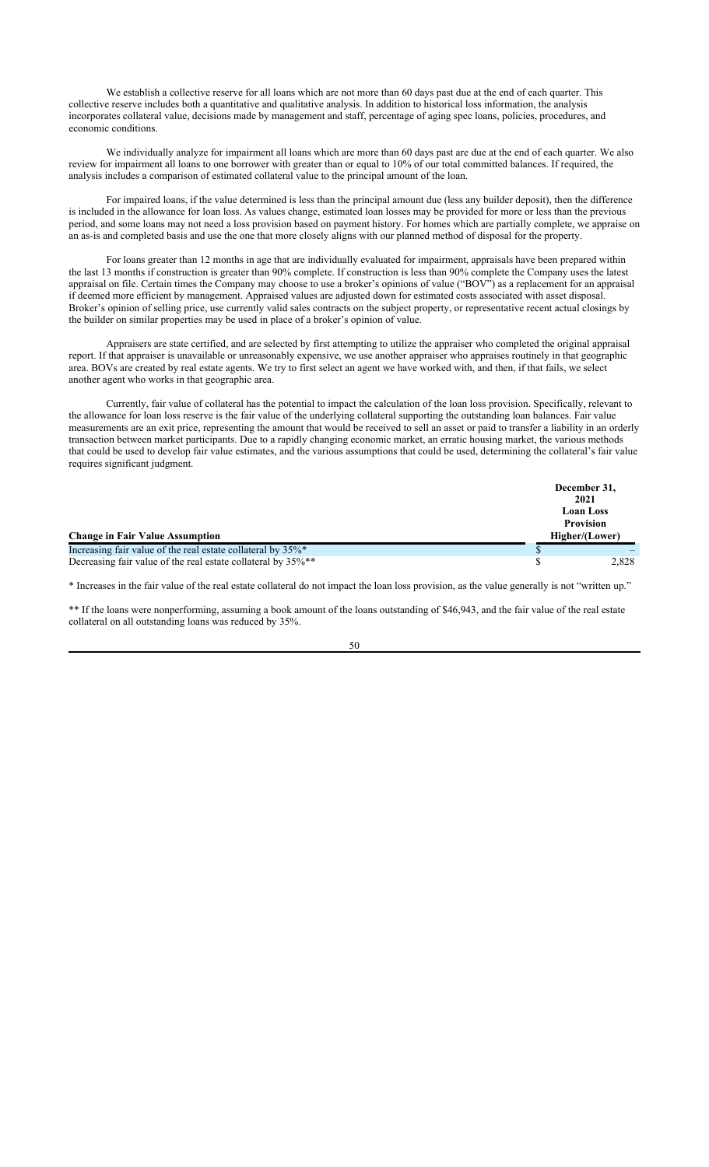We establish a collective reserve for all loans which are not more than 60 days past due at the end of each quarter. This collective reserve includes both a quantitative and qualitative analysis. In addition to historical loss information, the analysis incorporates collateral value, decisions made by management and staff, percentage of aging spec loans, policies, procedures, and economic conditions.

We individually analyze for impairment all loans which are more than 60 days past are due at the end of each quarter. We also review for impairment all loans to one borrower with greater than or equal to 10% of our total committed balances. If required, the analysis includes a comparison of estimated collateral value to the principal amount of the loan.

For impaired loans, if the value determined is less than the principal amount due (less any builder deposit), then the difference is included in the allowance for loan loss. As values change, estimated loan losses may be provided for more or less than the previous period, and some loans may not need a loss provision based on payment history. For homes which are partially complete, we appraise on an as-is and completed basis and use the one that more closely aligns with our planned method of disposal for the property.

For loans greater than 12 months in age that are individually evaluated for impairment, appraisals have been prepared within the last 13 months if construction is greater than 90% complete. If construction is less than 90% complete the Company uses the latest appraisal on file. Certain times the Company may choose to use a broker's opinions of value ("BOV") as a replacement for an appraisal if deemed more efficient by management. Appraised values are adjusted down for estimated costs associated with asset disposal. Broker's opinion of selling price, use currently valid sales contracts on the subject property, or representative recent actual closings by the builder on similar properties may be used in place of a broker's opinion of value.

Appraisers are state certified, and are selected by first attempting to utilize the appraiser who completed the original appraisal report. If that appraiser is unavailable or unreasonably expensive, we use another appraiser who appraises routinely in that geographic area. BOVs are created by real estate agents. We try to first select an agent we have worked with, and then, if that fails, we select another agent who works in that geographic area.

Currently, fair value of collateral has the potential to impact the calculation of the loan loss provision. Specifically, relevant to the allowance for loan loss reserve is the fair value of the underlying collateral supporting the outstanding loan balances. Fair value measurements are an exit price, representing the amount that would be received to sell an asset or paid to transfer a liability in an orderly transaction between market participants. Due to a rapidly changing economic market, an erratic housing market, the various methods that could be used to develop fair value estimates, and the various assumptions that could be used, determining the collateral's fair value requires significant judgment.

|                                                              | December 31,     |
|--------------------------------------------------------------|------------------|
|                                                              | 2021             |
|                                                              | <b>Loan Loss</b> |
|                                                              | <b>Provision</b> |
| <b>Change in Fair Value Assumption</b>                       | Higher/(Lower)   |
| Increasing fair value of the real estate collateral by 35%*  |                  |
| Decreasing fair value of the real estate collateral by 35%** | 2,828            |

\* Increases in the fair value of the real estate collateral do not impact the loan loss provision, as the value generally is not "written up."

\*\* If the loans were nonperforming, assuming a book amount of the loans outstanding of \$46,943, and the fair value of the real estate collateral on all outstanding loans was reduced by 35%.

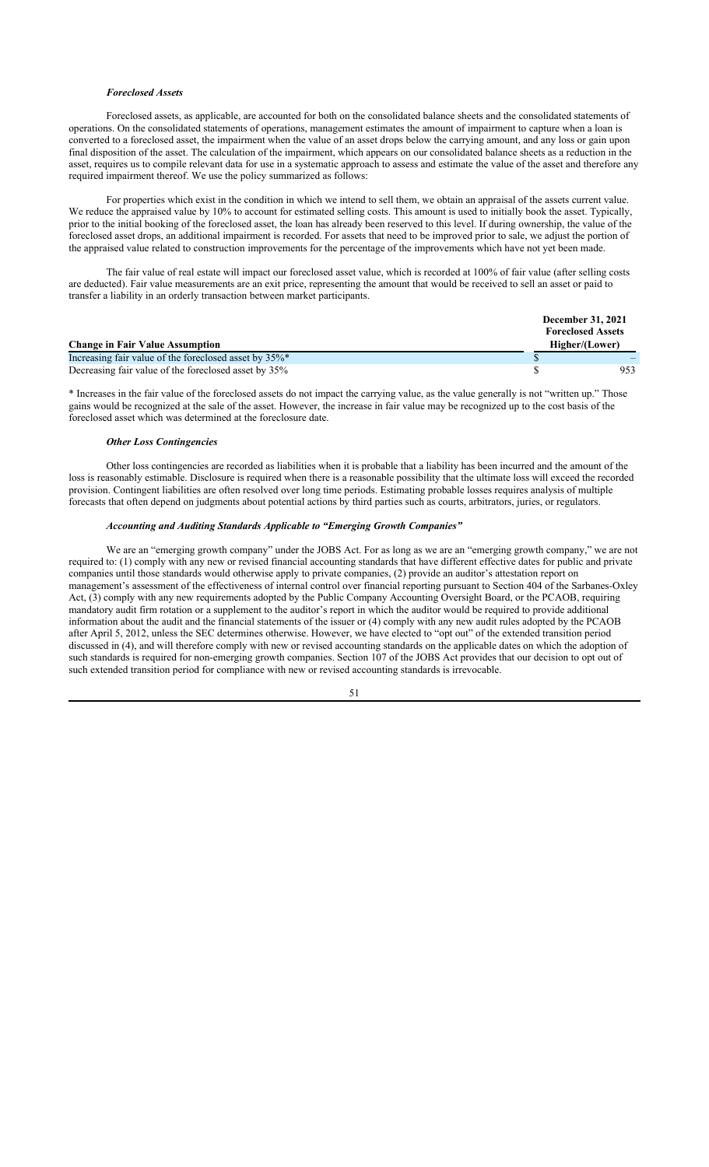### *Foreclosed Assets*

Foreclosed assets, as applicable, are accounted for both on the consolidated balance sheets and the consolidated statements of operations. On the consolidated statements of operations, management estimates the amount of impairment to capture when a loan is converted to a foreclosed asset, the impairment when the value of an asset drops below the carrying amount, and any loss or gain upon final disposition of the asset. The calculation of the impairment, which appears on our consolidated balance sheets as a reduction in the asset, requires us to compile relevant data for use in a systematic approach to assess and estimate the value of the asset and therefore any required impairment thereof. We use the policy summarized as follows:

For properties which exist in the condition in which we intend to sell them, we obtain an appraisal of the assets current value. We reduce the appraised value by 10% to account for estimated selling costs. This amount is used to initially book the asset. Typically, prior to the initial booking of the foreclosed asset, the loan has already been reserved to this level. If during ownership, the value of the foreclosed asset drops, an additional impairment is recorded. For assets that need to be improved prior to sale, we adjust the portion of the appraised value related to construction improvements for the percentage of the improvements which have not yet been made.

The fair value of real estate will impact our foreclosed asset value, which is recorded at 100% of fair value (after selling costs are deducted). Fair value measurements are an exit price, representing the amount that would be received to sell an asset or paid to transfer a liability in an orderly transaction between market participants.

|                                                       | <b>December 31, 2021</b> |  |
|-------------------------------------------------------|--------------------------|--|
|                                                       | <b>Foreclosed Assets</b> |  |
| <b>Change in Fair Value Assumption</b>                | Higher/(Lower)           |  |
| Increasing fair value of the foreclosed asset by 35%* |                          |  |
| Decreasing fair value of the foreclosed asset by 35%  | 953                      |  |

\* Increases in the fair value of the foreclosed assets do not impact the carrying value, as the value generally is not "written up." Those gains would be recognized at the sale of the asset. However, the increase in fair value may be recognized up to the cost basis of the foreclosed asset which was determined at the foreclosure date.

#### *Other Loss Contingencies*

Other loss contingencies are recorded as liabilities when it is probable that a liability has been incurred and the amount of the loss is reasonably estimable. Disclosure is required when there is a reasonable possibility that the ultimate loss will exceed the recorded provision. Contingent liabilities are often resolved over long time periods. Estimating probable losses requires analysis of multiple forecasts that often depend on judgments about potential actions by third parties such as courts, arbitrators, juries, or regulators.

## *Accounting and Auditing Standards Applicable to "Emerging Growth Companies"*

We are an "emerging growth company" under the JOBS Act. For as long as we are an "emerging growth company," we are not required to: (1) comply with any new or revised financial accounting standards that have different effective dates for public and private companies until those standards would otherwise apply to private companies, (2) provide an auditor's attestation report on management's assessment of the effectiveness of internal control over financial reporting pursuant to Section 404 of the Sarbanes-Oxley Act, (3) comply with any new requirements adopted by the Public Company Accounting Oversight Board, or the PCAOB, requiring mandatory audit firm rotation or a supplement to the auditor's report in which the auditor would be required to provide additional information about the audit and the financial statements of the issuer or (4) comply with any new audit rules adopted by the PCAOB after April 5, 2012, unless the SEC determines otherwise. However, we have elected to "opt out" of the extended transition period discussed in (4), and will therefore comply with new or revised accounting standards on the applicable dates on which the adoption of such standards is required for non-emerging growth companies. Section 107 of the JOBS Act provides that our decision to opt out of such extended transition period for compliance with new or revised accounting standards is irrevocable.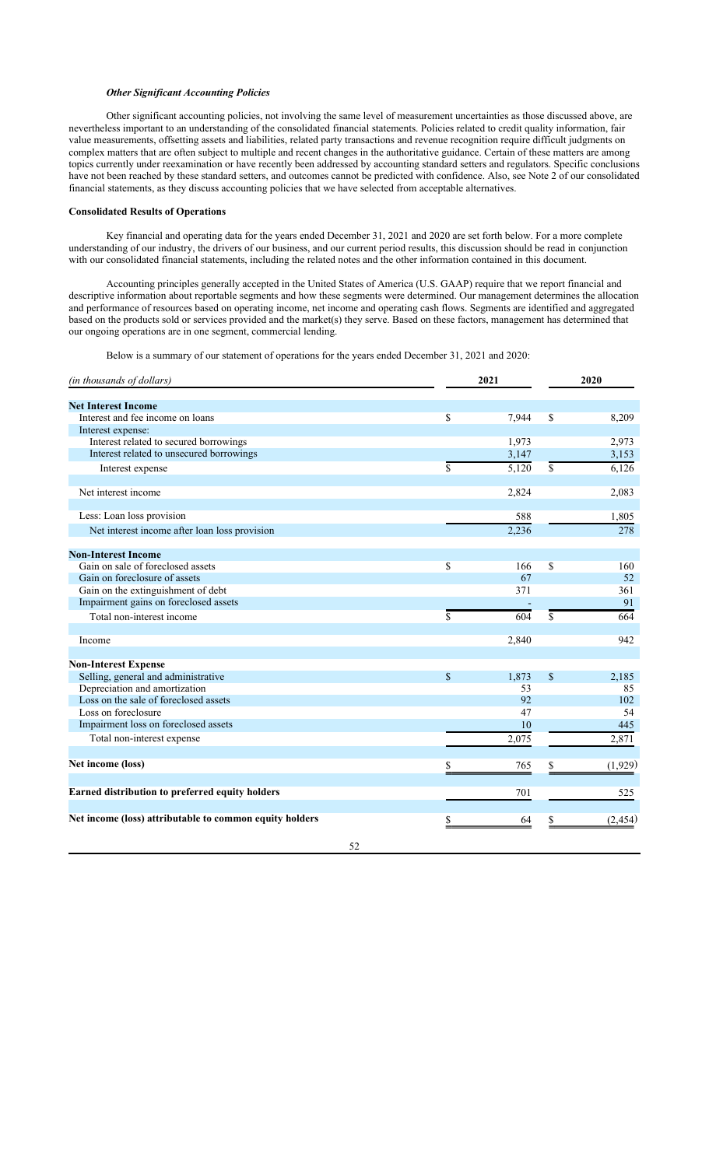### *Other Significant Accounting Policies*

Other significant accounting policies, not involving the same level of measurement uncertainties as those discussed above, are nevertheless important to an understanding of the consolidated financial statements. Policies related to credit quality information, fair value measurements, offsetting assets and liabilities, related party transactions and revenue recognition require difficult judgments on complex matters that are often subject to multiple and recent changes in the authoritative guidance. Certain of these matters are among topics currently under reexamination or have recently been addressed by accounting standard setters and regulators. Specific conclusions have not been reached by these standard setters, and outcomes cannot be predicted with confidence. Also, see Note 2 of our consolidated financial statements, as they discuss accounting policies that we have selected from acceptable alternatives.

## **Consolidated Results of Operations**

Key financial and operating data for the years ended December 31, 2021 and 2020 are set forth below. For a more complete understanding of our industry, the drivers of our business, and our current period results, this discussion should be read in conjunction with our consolidated financial statements, including the related notes and the other information contained in this document.

Accounting principles generally accepted in the United States of America (U.S. GAAP) require that we report financial and descriptive information about reportable segments and how these segments were determined. Our management determines the allocation and performance of resources based on operating income, net income and operating cash flows. Segments are identified and aggregated based on the products sold or services provided and the market(s) they serve. Based on these factors, management has determined that our ongoing operations are in one segment, commercial lending.

Below is a summary of our statement of operations for the years ended December 31, 2021 and 2020:

| (in thousands of dollars)                               | 2021               |       | 2020 |         |
|---------------------------------------------------------|--------------------|-------|------|---------|
|                                                         |                    |       |      |         |
| <b>Net Interest Income</b>                              |                    |       |      |         |
| Interest and fee income on loans                        | \$                 | 7,944 | \$   | 8,209   |
| Interest expense:                                       |                    |       |      |         |
| Interest related to secured borrowings                  |                    | 1,973 |      | 2,973   |
| Interest related to unsecured borrowings                |                    | 3,147 |      | 3,153   |
| Interest expense                                        | $\mathbf{\hat{S}}$ | 5,120 | \$   | 6,126   |
| Net interest income                                     |                    | 2,824 |      | 2,083   |
|                                                         |                    |       |      |         |
| Less: Loan loss provision                               |                    | 588   |      | 1,805   |
| Net interest income after loan loss provision           |                    | 2,236 |      | 278     |
| <b>Non-Interest Income</b>                              |                    |       |      |         |
| Gain on sale of foreclosed assets                       | \$                 | 166   | \$   | 160     |
| Gain on foreclosure of assets                           |                    | 67    |      | 52      |
| Gain on the extinguishment of debt                      |                    | 371   |      | 361     |
| Impairment gains on foreclosed assets                   |                    |       |      | 91      |
| Total non-interest income                               | \$                 | 604   | \$   | 664     |
|                                                         |                    |       |      |         |
| Income                                                  |                    | 2,840 |      | 942     |
|                                                         |                    |       |      |         |
| <b>Non-Interest Expense</b>                             |                    |       |      |         |
| Selling, general and administrative                     | $\mathbf S$        | 1,873 | \$   | 2,185   |
| Depreciation and amortization                           |                    | 53    |      | 85      |
| Loss on the sale of foreclosed assets                   |                    | 92    |      | 102     |
| Loss on foreclosure                                     |                    | 47    |      | 54      |
| Impairment loss on foreclosed assets                    |                    | 10    |      | 445     |
| Total non-interest expense                              |                    | 2,075 |      | 2,871   |
|                                                         |                    |       |      |         |
| Net income (loss)                                       | \$                 | 765   | \$   | (1,929) |
| Earned distribution to preferred equity holders         |                    | 701   |      | 525     |
| Net income (loss) attributable to common equity holders | \$                 | 64    |      | (2,454) |
|                                                         |                    |       |      |         |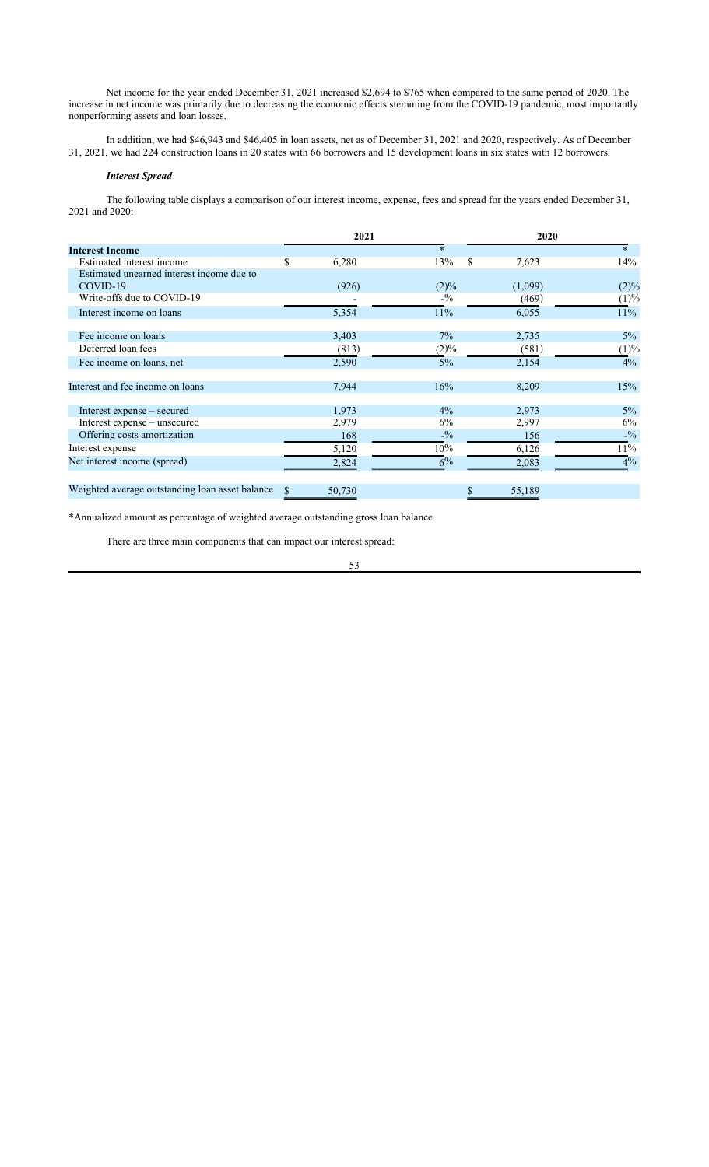Net income for the year ended December 31, 2021 increased \$2,694 to \$765 when compared to the same period of 2020. The increase in net income was primarily due to decreasing the economic effects stemming from the COVID-19 pandemic, most importantly nonperforming assets and loan losses.

In addition, we had \$46,943 and \$46,405 in loan assets, net as of December 31, 2021 and 2020, respectively. As of December 31, 2021, we had 224 construction loans in 20 states with 66 borrowers and 15 development loans in six states with 12 borrowers.

## *Interest Spread*

The following table displays a comparison of our interest income, expense, fees and spread for the years ended December 31, 2021 and 2020:

|                                                 |    | 2021   |                 | 2020 |         |         |
|-------------------------------------------------|----|--------|-----------------|------|---------|---------|
| <b>Interest Income</b>                          |    |        | $*$             |      |         | $*$     |
| Estimated interest income                       | \$ | 6,280  | 13%             | \$.  | 7,623   | 14%     |
| Estimated unearned interest income due to       |    |        |                 |      |         |         |
| COVID-19                                        |    | (926)  | $(2)\%$         |      | (1,099) | $(2)\%$ |
| Write-offs due to COVID-19                      |    |        | $-9/0$          |      | (469)   | (1)%    |
| Interest income on loans                        |    | 5,354  | 11%             |      | 6,055   | $11\%$  |
| Fee income on loans                             |    | 3,403  | $7\%$           |      | 2,735   | $5\%$   |
| Deferred loan fees                              |    |        |                 |      |         |         |
|                                                 |    | (813)  | (2)%            |      | (581)   | (1)%    |
| Fee income on loans, net                        |    | 2,590  | 5%              |      | 2,154   | $4\%$   |
| Interest and fee income on loans                |    | 7,944  | 16%             |      | 8,209   | 15%     |
| Interest expense – secured                      |    | 1,973  | $4\%$           |      | 2,973   | $5\%$   |
| Interest expense – unsecured                    |    | 2,979  | 6%              |      | 2,997   | 6%      |
| Offering costs amortization                     |    | 168    | $- \frac{0}{2}$ |      | 156     | $-1/2$  |
| Interest expense                                |    | 5,120  | $10\%$          |      | 6,126   | $11\%$  |
| Net interest income (spread)                    |    | 2,824  | 6%              |      | 2,083   | 4%      |
| Weighted average outstanding loan asset balance |    | 50,730 |                 |      | 55,189  |         |
|                                                 |    |        |                 |      |         |         |

\*Annualized amount as percentage of weighted average outstanding gross loan balance

There are three main components that can impact our interest spread: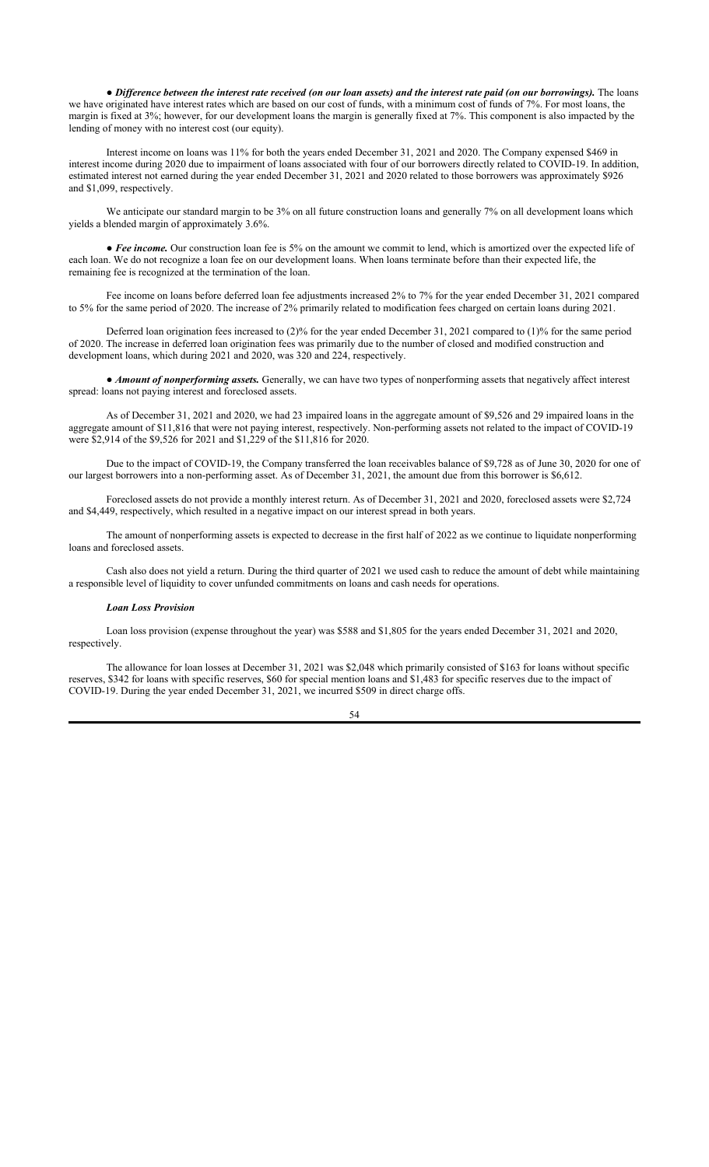● *Difference between the interest rate received (on our loan assets) and the interest rate paid (on our borrowings).* The loans we have originated have interest rates which are based on our cost of funds, with a minimum cost of funds of 7%. For most loans, the margin is fixed at 3%; however, for our development loans the margin is generally fixed at 7%. This component is also impacted by the lending of money with no interest cost (our equity).

Interest income on loans was 11% for both the years ended December 31, 2021 and 2020. The Company expensed \$469 in interest income during 2020 due to impairment of loans associated with four of our borrowers directly related to COVID-19. In addition, estimated interest not earned during the year ended December 31, 2021 and 2020 related to those borrowers was approximately \$926 and \$1,099, respectively.

We anticipate our standard margin to be 3% on all future construction loans and generally 7% on all development loans which yields a blended margin of approximately 3.6%.

• Fee income. Our construction loan fee is 5% on the amount we commit to lend, which is amortized over the expected life of each loan. We do not recognize a loan fee on our development loans. When loans terminate before than their expected life, the remaining fee is recognized at the termination of the loan.

Fee income on loans before deferred loan fee adjustments increased 2% to 7% for the year ended December 31, 2021 compared to 5% for the same period of 2020. The increase of 2% primarily related to modification fees charged on certain loans during 2021.

Deferred loan origination fees increased to (2)% for the year ended December 31, 2021 compared to (1)% for the same period of 2020. The increase in deferred loan origination fees was primarily due to the number of closed and modified construction and development loans, which during 2021 and 2020, was 320 and 224, respectively.

• *Amount of nonperforming assets.* Generally, we can have two types of nonperforming assets that negatively affect interest spread: loans not paying interest and foreclosed assets.

As of December 31, 2021 and 2020, we had 23 impaired loans in the aggregate amount of \$9,526 and 29 impaired loans in the aggregate amount of \$11,816 that were not paying interest, respectively. Non-performing assets not related to the impact of COVID-19 were \$2,914 of the \$9,526 for 2021 and \$1,229 of the \$11,816 for 2020.

Due to the impact of COVID-19, the Company transferred the loan receivables balance of \$9,728 as of June 30, 2020 for one of our largest borrowers into a non-performing asset. As of December 31, 2021, the amount due from this borrower is \$6,612.

Foreclosed assets do not provide a monthly interest return. As of December 31, 2021 and 2020, foreclosed assets were \$2,724 and \$4,449, respectively, which resulted in a negative impact on our interest spread in both years.

The amount of nonperforming assets is expected to decrease in the first half of 2022 as we continue to liquidate nonperforming loans and foreclosed assets.

Cash also does not yield a return. During the third quarter of 2021 we used cash to reduce the amount of debt while maintaining a responsible level of liquidity to cover unfunded commitments on loans and cash needs for operations.

#### *Loan Loss Provision*

Loan loss provision (expense throughout the year) was \$588 and \$1,805 for the years ended December 31, 2021 and 2020, respectively.

The allowance for loan losses at December 31, 2021 was \$2,048 which primarily consisted of \$163 for loans without specific reserves, \$342 for loans with specific reserves, \$60 for special mention loans and \$1,483 for specific reserves due to the impact of COVID-19. During the year ended December 31, 2021, we incurred \$509 in direct charge offs.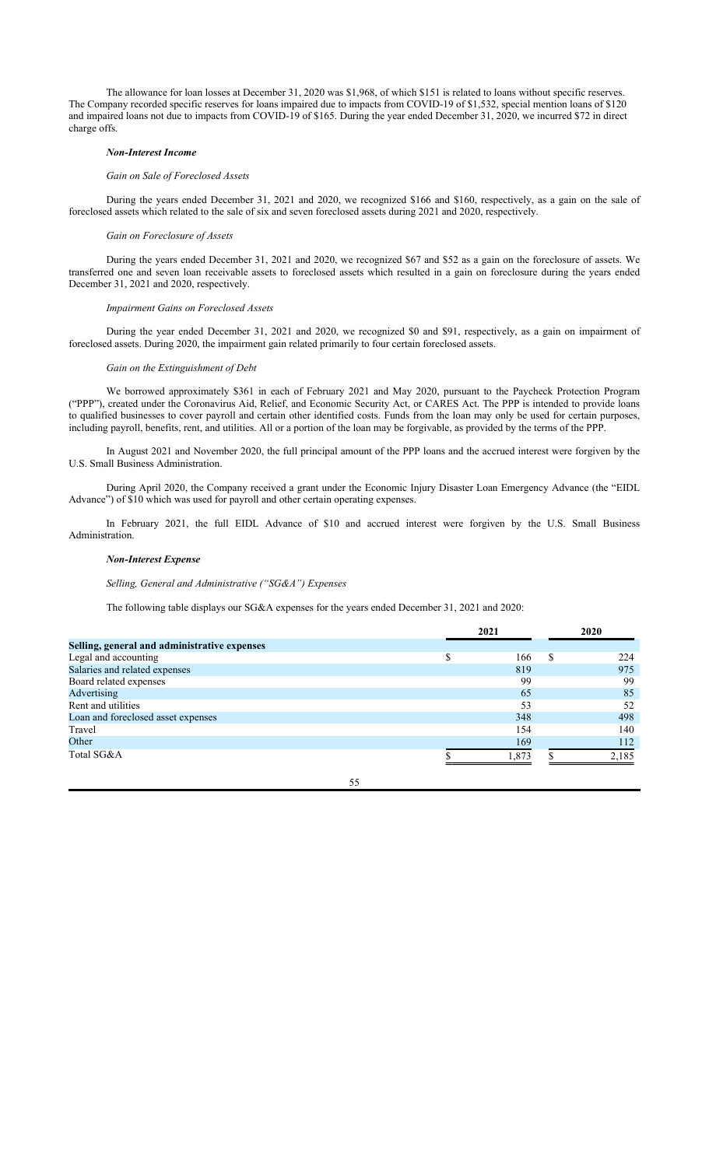The allowance for loan losses at December 31, 2020 was \$1,968, of which \$151 is related to loans without specific reserves. The Company recorded specific reserves for loans impaired due to impacts from COVID-19 of \$1,532, special mention loans of \$120 and impaired loans not due to impacts from COVID-19 of \$165. During the year ended December 31, 2020, we incurred \$72 in direct charge offs.

#### *Non-Interest Income*

### *Gain on Sale of Foreclosed Assets*

During the years ended December 31, 2021 and 2020, we recognized \$166 and \$160, respectively, as a gain on the sale of foreclosed assets which related to the sale of six and seven foreclosed assets during 2021 and 2020, respectively.

### *Gain on Foreclosure of Assets*

During the years ended December 31, 2021 and 2020, we recognized \$67 and \$52 as a gain on the foreclosure of assets. We transferred one and seven loan receivable assets to foreclosed assets which resulted in a gain on foreclosure during the years ended December 31, 2021 and 2020, respectively.

#### *Impairment Gains on Foreclosed Assets*

During the year ended December 31, 2021 and 2020, we recognized \$0 and \$91, respectively, as a gain on impairment of foreclosed assets. During 2020, the impairment gain related primarily to four certain foreclosed assets.

### *Gain on the Extinguishment of Debt*

We borrowed approximately \$361 in each of February 2021 and May 2020, pursuant to the Paycheck Protection Program ("PPP"), created under the Coronavirus Aid, Relief, and Economic Security Act, or CARES Act. The PPP is intended to provide loans to qualified businesses to cover payroll and certain other identified costs. Funds from the loan may only be used for certain purposes, including payroll, benefits, rent, and utilities. All or a portion of the loan may be forgivable, as provided by the terms of the PPP.

In August 2021 and November 2020, the full principal amount of the PPP loans and the accrued interest were forgiven by the U.S. Small Business Administration.

During April 2020, the Company received a grant under the Economic Injury Disaster Loan Emergency Advance (the "EIDL Advance") of \$10 which was used for payroll and other certain operating expenses.

In February 2021, the full EIDL Advance of \$10 and accrued interest were forgiven by the U.S. Small Business Administration.

#### *Non-Interest Expense*

### *Selling, General and Administrative ("SG&A") Expenses*

The following table displays our SG&A expenses for the years ended December 31, 2021 and 2020:

|                                              | 2021  | 2020  |
|----------------------------------------------|-------|-------|
| Selling, general and administrative expenses |       |       |
| Legal and accounting                         | 166   | 224   |
| Salaries and related expenses                | 819   | 975   |
| Board related expenses                       | 99    | 99    |
| Advertising                                  | 65    | 85    |
| Rent and utilities                           | 53    | 52    |
| Loan and foreclosed asset expenses           | 348   | 498   |
| Travel                                       | 154   | 140   |
| Other                                        | 169   | 112   |
| Total SG&A                                   | 1.873 | 2,185 |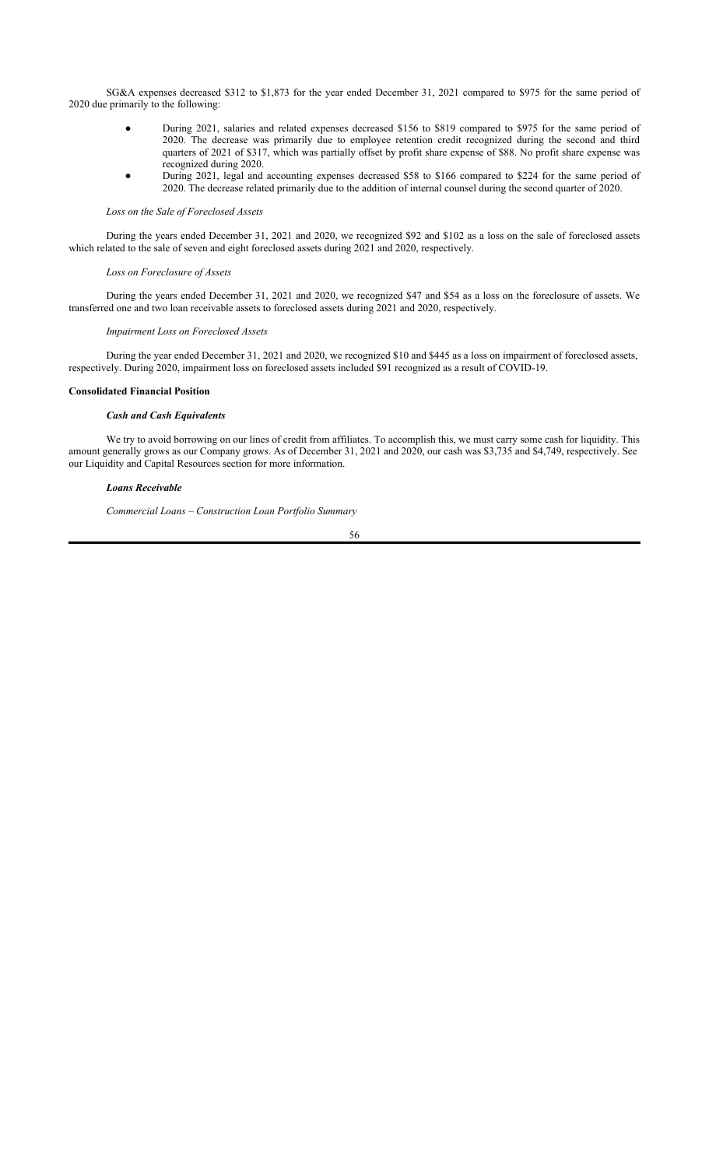SG&A expenses decreased \$312 to \$1,873 for the year ended December 31, 2021 compared to \$975 for the same period of 2020 due primarily to the following:

- During 2021, salaries and related expenses decreased \$156 to \$819 compared to \$975 for the same period of 2020. The decrease was primarily due to employee retention credit recognized during the second and third quarters of 2021 of \$317, which was partially offset by profit share expense of \$88. No profit share expense was recognized during 2020.
- During 2021, legal and accounting expenses decreased \$58 to \$166 compared to \$224 for the same period of 2020. The decrease related primarily due to the addition of internal counsel during the second quarter of 2020.

## *Loss on the Sale of Foreclosed Assets*

During the years ended December 31, 2021 and 2020, we recognized \$92 and \$102 as a loss on the sale of foreclosed assets which related to the sale of seven and eight foreclosed assets during 2021 and 2020, respectively.

### *Loss on Foreclosure of Assets*

During the years ended December 31, 2021 and 2020, we recognized \$47 and \$54 as a loss on the foreclosure of assets. We transferred one and two loan receivable assets to foreclosed assets during 2021 and 2020, respectively.

### *Impairment Loss on Foreclosed Assets*

During the year ended December 31, 2021 and 2020, we recognized \$10 and \$445 as a loss on impairment of foreclosed assets, respectively. During 2020, impairment loss on foreclosed assets included \$91 recognized as a result of COVID-19.

### **Consolidated Financial Position**

### *Cash and Cash Equivalents*

We try to avoid borrowing on our lines of credit from affiliates. To accomplish this, we must carry some cash for liquidity. This amount generally grows as our Company grows. As of December 31, 2021 and 2020, our cash was \$3,735 and \$4,749, respectively. See our Liquidity and Capital Resources section for more information.

#### *Loans Receivable*

*Commercial Loans – Construction Loan Portfolio Summary*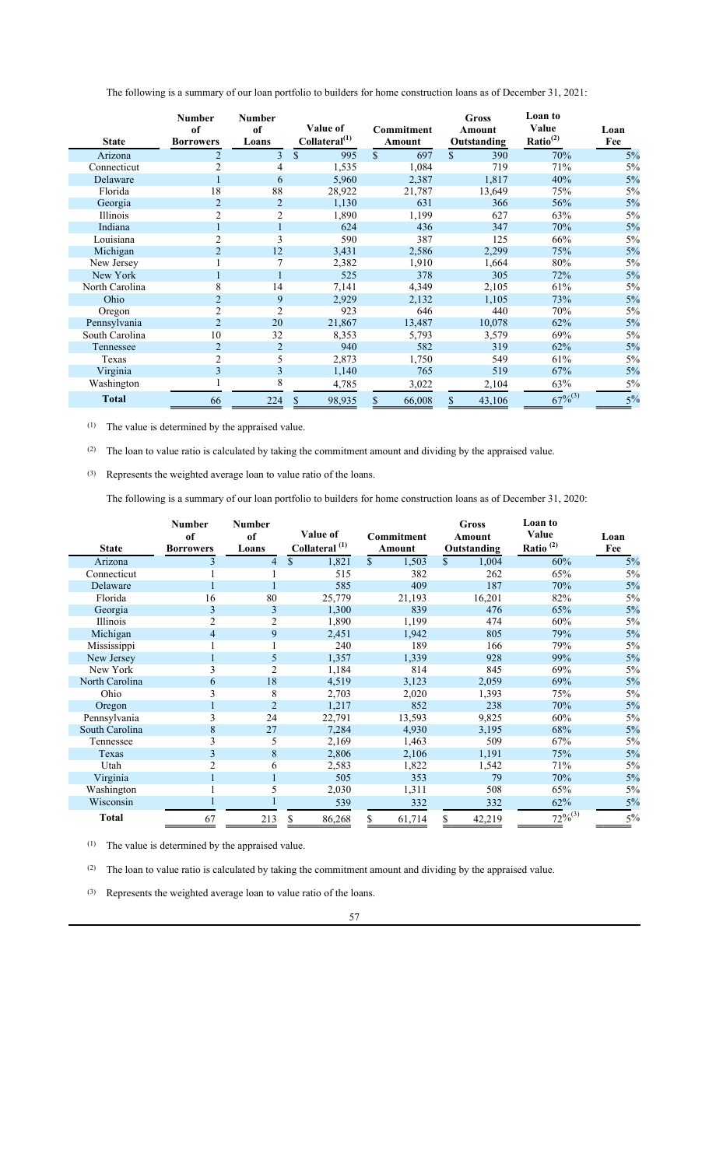The following is a summary of our loan portfolio to builders for home construction loans as of December 31, 2021:

|                | Number<br>of     | <b>Number</b><br>of | Value of                  | <b>Commitment</b> | Gross<br>Amount     | Loan to<br>Value     | Loan |
|----------------|------------------|---------------------|---------------------------|-------------------|---------------------|----------------------|------|
| <b>State</b>   | <b>Borrowers</b> | Loans               | Collateral <sup>(1)</sup> | Amount            | Outstanding         | Ratio <sup>(2)</sup> | Fee  |
| Arizona        |                  | $\overline{3}$      | $\mathbb{S}$<br>995       | \$<br>697         | $\mathbb{S}$<br>390 | 70%                  | 5%   |
| Connecticut    |                  | 4                   | 1,535                     | 1,084             | 719                 | 71%                  | 5%   |
| Delaware       |                  | 6                   | 5,960                     | 2,387             | 1,817               | 40%                  | 5%   |
| Florida        | 18               | 88                  | 28,922                    | 21,787            | 13,649              | 75%                  | 5%   |
| Georgia        | $\overline{2}$   | $\overline{2}$      | 1,130                     | 631               | 366                 | 56%                  | 5%   |
| Illinois       | 2                | 2                   | 1,890                     | 1,199             | 627                 | 63%                  | 5%   |
| Indiana        |                  |                     | 624                       | 436               | 347                 | 70%                  | 5%   |
| Louisiana      |                  | 3                   | 590                       | 387               | 125                 | 66%                  | 5%   |
| Michigan       |                  | 12                  | 3,431                     | 2,586             | 2,299               | 75%                  | 5%   |
| New Jersey     |                  |                     | 2,382                     | 1,910             | 1,664               | 80%                  | 5%   |
| New York       |                  |                     | 525                       | 378               | 305                 | 72%                  | 5%   |
| North Carolina | 8                | 14                  | 7,141                     | 4,349             | 2,105               | 61%                  | 5%   |
| Ohio           |                  | 9                   | 2,929                     | 2,132             | 1,105               | 73%                  | 5%   |
| Oregon         |                  | 2                   | 923                       | 646               | 440                 | 70%                  | 5%   |
| Pennsylvania   | $\overline{2}$   | 20                  | 21,867                    | 13,487            | 10,078              | 62%                  | 5%   |
| South Carolina | 10               | 32                  | 8,353                     | 5,793             | 3,579               | 69%                  | 5%   |
| Tennessee      | 2                | $\overline{2}$      | 940                       | 582               | 319                 | 62%                  | 5%   |
| Texas          | $\overline{2}$   | 5                   | 2,873                     | 1,750             | 549                 | 61%                  | 5%   |
| Virginia       | $\overline{3}$   | 3                   | 1,140                     | 765               | 519                 | 67%                  | 5%   |
| Washington     |                  |                     | 4,785                     | 3,022             | 2,104               | 63%                  | 5%   |
| <b>Total</b>   | 66               | 224                 | \$<br>98,935              | \$<br>66,008      | 43,106<br>\$        | $67\%^{(3)}$         | 5%   |

(1) The value is determined by the appraised value.

(2) The loan to value ratio is calculated by taking the commitment amount and dividing by the appraised value.

(3) Represents the weighted average loan to value ratio of the loans.

The following is a summary of our loan portfolio to builders for home construction loans as of December 31, 2020:

|                | <b>Number</b><br>of | <b>Number</b><br>of | Value of                  | <b>Commitment</b> | <b>Gross</b><br>Amount | Loan to<br>Value | Loan |
|----------------|---------------------|---------------------|---------------------------|-------------------|------------------------|------------------|------|
| <b>State</b>   | <b>Borrowers</b>    | Loans               | Collateral <sup>(1)</sup> | Amount            | Outstanding            | Ratio $^{(2)}$   | Fee  |
| Arizona        |                     | 4                   | $\mathbb{S}$<br>1,821     | \$<br>1,503       | $\mathbb{S}$<br>1,004  | 60%              | 5%   |
| Connecticut    |                     |                     | 515                       | 382               | 262                    | 65%              | 5%   |
| Delaware       |                     |                     | 585                       | 409               | 187                    | 70%              | 5%   |
| Florida        | 16                  | 80                  | 25,779                    | 21,193            | 16,201                 | 82%              | 5%   |
| Georgia        | 3                   | 3                   | 1,300                     | 839               | 476                    | 65%              | 5%   |
| Illinois       | $\overline{2}$      | 2                   | 1,890                     | 1,199             | 474                    | 60%              | 5%   |
| Michigan       | 4                   | 9                   | 2,451                     | 1,942             | 805                    | 79%              | 5%   |
| Mississippi    |                     |                     | 240                       | 189               | 166                    | 79%              | 5%   |
| New Jersey     |                     | 5                   | 1,357                     | 1,339             | 928                    | 99%              | 5%   |
| New York       | 3                   |                     | 1,184                     | 814               | 845                    | 69%              | 5%   |
| North Carolina | 6                   | 18                  | 4,519                     | 3,123             | 2,059                  | 69%              | 5%   |
| Ohio           |                     | 8                   | 2,703                     | 2,020             | 1,393                  | 75%              | 5%   |
| Oregon         |                     | $\overline{2}$      | 1,217                     | 852               | 238                    | 70%              | 5%   |
| Pennsylvania   | 3                   | 24                  | 22,791                    | 13,593            | 9,825                  | 60%              | 5%   |
| South Carolina | 8                   | 27                  | 7,284                     | 4,930             | 3,195                  | 68%              | 5%   |
| Tennessee      | 3                   | 5                   | 2,169                     | 1,463             | 509                    | 67%              | 5%   |
| Texas          | 3                   | 8                   | 2,806                     | 2,106             | 1,191                  | 75%              | 5%   |
| Utah           |                     | 6                   | 2,583                     | 1,822             | 1,542                  | 71%              | 5%   |
| Virginia       |                     |                     | 505                       | 353               | 79                     | 70%              | 5%   |
| Washington     |                     | 5                   | 2,030                     | 1,311             | 508                    | 65%              | 5%   |
| Wisconsin      |                     |                     | 539                       | 332               | 332                    | 62%              | 5%   |
| <b>Total</b>   | 67                  | 213                 | \$<br>86,268              | \$<br>61,714      | \$<br>42,219           | $72\%^{(3)}$     | 5%   |

(1) The value is determined by the appraised value.

(2) The loan to value ratio is calculated by taking the commitment amount and dividing by the appraised value.

(3) Represents the weighted average loan to value ratio of the loans.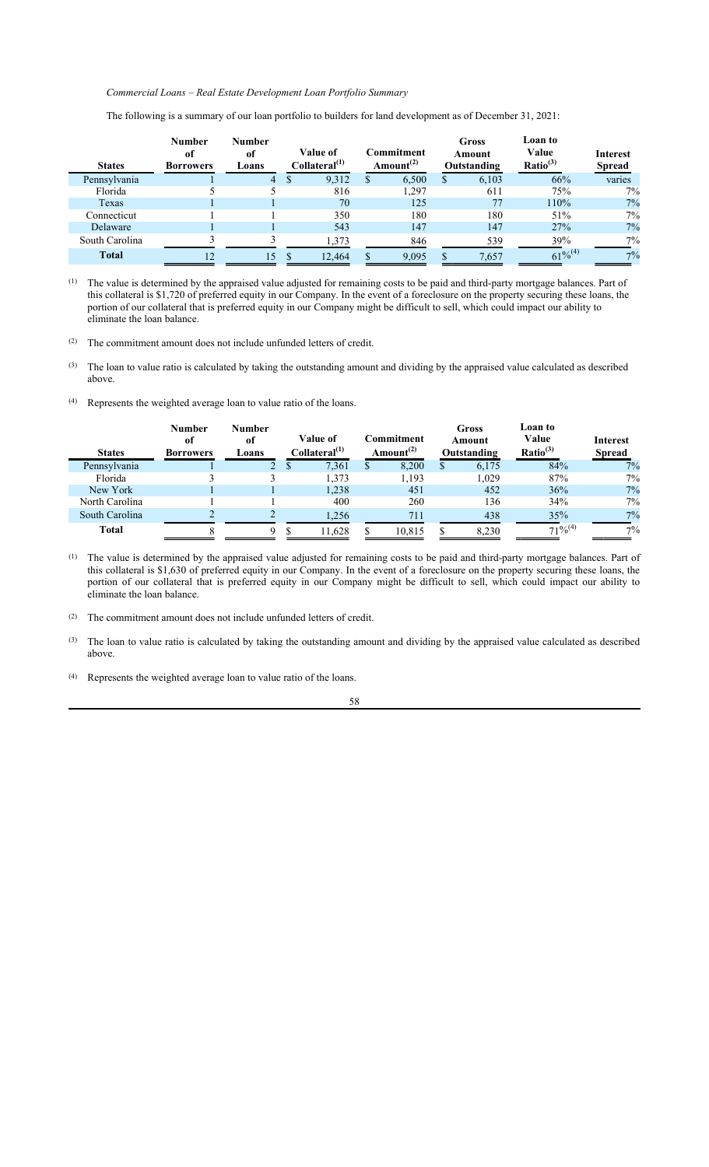## *Commercial Loans – Real Estate Development Loan Portfolio Summary*

| <b>States</b>  | Number<br>оf<br><b>Borrowers</b> | Number<br>of<br>Loans | Value of<br>Collateral <sup>(1)</sup> |        | Commitment<br>Amount <sup>(2)</sup> | Gross<br>Amount<br>Outstanding | Loan to<br>Value<br>Ratio <sup>(3)</sup> | <b>Interest</b><br><b>Spread</b> |
|----------------|----------------------------------|-----------------------|---------------------------------------|--------|-------------------------------------|--------------------------------|------------------------------------------|----------------------------------|
| Pennsylvania   |                                  | 4                     |                                       | 9,312  | 6,500                               | 6,103                          | 66%                                      | varies                           |
| Florida        |                                  |                       |                                       | 816    | 1.297                               | 611                            | 75%                                      | 7%                               |
| Texas          |                                  |                       |                                       | 70     | 125                                 |                                | 110%                                     | 7%                               |
| Connecticut    |                                  |                       |                                       | 350    | 180                                 | 180                            | 51%                                      | 7%                               |
| Delaware       |                                  |                       |                                       | 543    | 147                                 | 147                            | 27%                                      | 7%                               |
| South Carolina |                                  |                       |                                       | 1,373  | 846                                 | 539                            | 39%                                      | 7%                               |
| <b>Total</b>   | 12                               | 15                    |                                       | 12.464 | 9.095                               | 7.657                          | $61\%^{(4)}$                             | $7\%$                            |

The following is a summary of our loan portfolio to builders for land development as of December 31, 2021:

(1) The value is determined by the appraised value adjusted for remaining costs to be paid and third-party mortgage balances. Part of this collateral is \$1,720 of preferred equity in our Company. In the event of a foreclosure on the property securing these loans, the portion of our collateral that is preferred equity in our Company might be difficult to sell, which could impact our ability to eliminate the loan balance.

- (2) The commitment amount does not include unfunded letters of credit.
- $^{(3)}$  The loan to value ratio is calculated by taking the outstanding amount and dividing by the appraised value calculated as described above.
- (4) Represents the weighted average loan to value ratio of the loans.

| <b>States</b>  | <b>Number</b><br>of<br><b>Borrowers</b> | Number<br>of<br>Loans | Value of<br>Collateral <sup>(1)</sup> |   | Commitment<br>Amount <sup>(2)</sup> | Gross<br>Amount<br>Outstanding | Loan to<br>Value<br>Ratio <sup>(3)</sup> | Interest<br><b>Spread</b> |
|----------------|-----------------------------------------|-----------------------|---------------------------------------|---|-------------------------------------|--------------------------------|------------------------------------------|---------------------------|
| Pennsylvania   |                                         |                       | 7,361                                 | Ф | 8,200                               | 6,175                          | 84%                                      | 7%                        |
| Florida        |                                         |                       | 1,373                                 |   | 1,193                               | 1.029                          | 87%                                      | 7%                        |
| New York       |                                         |                       | 1,238                                 |   | 451                                 | 452                            | 36%                                      | 7%                        |
| North Carolina |                                         |                       | 400                                   |   | 260                                 | 136                            | 34%                                      | 7%                        |
| South Carolina |                                         |                       | 1,256                                 |   | 711                                 | 438                            | 35%                                      | 7%                        |
| <b>Total</b>   |                                         |                       | 11,628                                |   | 10,815                              | 8,230                          | $71\%^{(4)}$                             | $7\%$                     |

(1) The value is determined by the appraised value adjusted for remaining costs to be paid and third-party mortgage balances. Part of this collateral is \$1,630 of preferred equity in our Company. In the event of a foreclosure on the property securing these loans, the portion of our collateral that is preferred equity in our Company might be difficult to sell, which could impact our ability to eliminate the loan balance.

- (2) The commitment amount does not include unfunded letters of credit.
- $^{(3)}$  The loan to value ratio is calculated by taking the outstanding amount and dividing by the appraised value calculated as described above.
- (4) Represents the weighted average loan to value ratio of the loans.
	- 58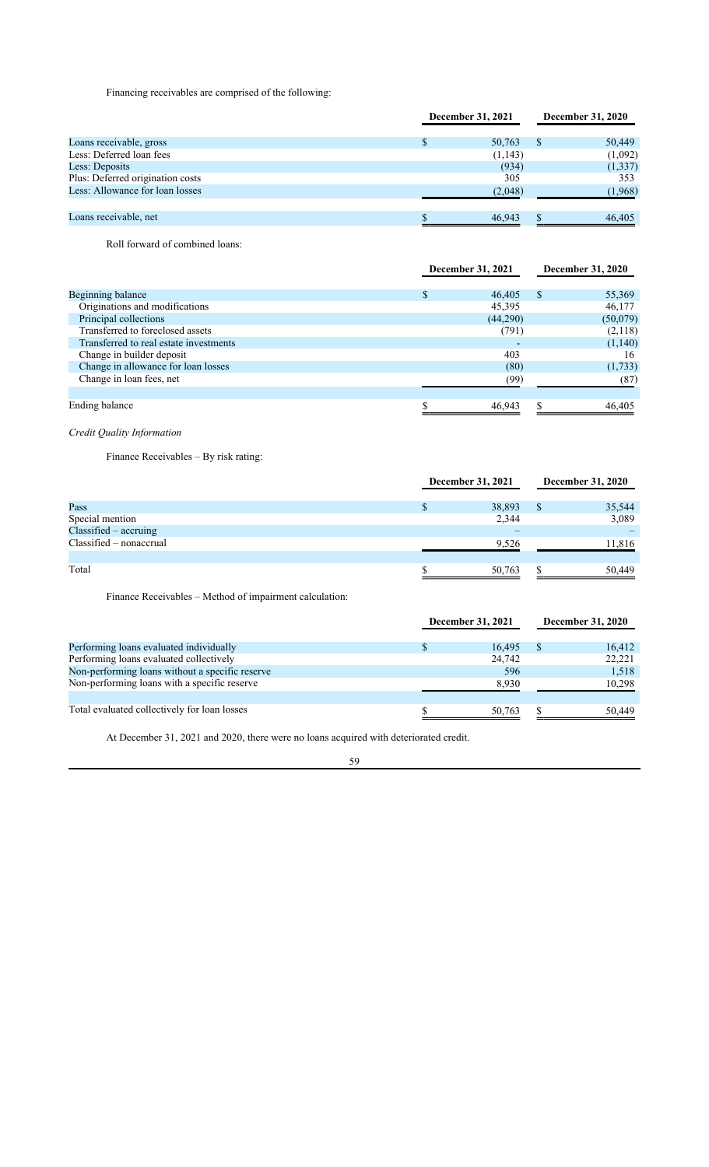Financing receivables are comprised of the following:

|                                  | December 31, 2021 |  | <b>December 31, 2020</b> |
|----------------------------------|-------------------|--|--------------------------|
| Loans receivable, gross          | 50,763            |  | 50,449                   |
| Less: Deferred loan fees         | (1,143)           |  | (1,092)                  |
| Less: Deposits                   | (934)             |  | (1,337)                  |
| Plus: Deferred origination costs | 305               |  | 353                      |
| Less: Allowance for loan losses  | (2,048)           |  | (1,968)                  |
|                                  |                   |  |                          |
| Loans receivable, net            | 46,943            |  | 46,405                   |

Roll forward of combined loans:

|                                        | December 31, 2021 |          |   | <b>December 31, 2020</b> |  |
|----------------------------------------|-------------------|----------|---|--------------------------|--|
| Beginning balance                      |                   | 46,405   | S | 55,369                   |  |
| Originations and modifications         |                   | 45,395   |   | 46,177                   |  |
| Principal collections                  |                   | (44,290) |   | (50,079)                 |  |
| Transferred to foreclosed assets       |                   | (791)    |   | (2,118)                  |  |
| Transferred to real estate investments |                   |          |   | (1,140)                  |  |
| Change in builder deposit              |                   | 403      |   | 16                       |  |
| Change in allowance for loan losses    |                   | (80)     |   | (1,733)                  |  |
| Change in loan fees, net               |                   | (99)     |   | (87)                     |  |
|                                        |                   |          |   |                          |  |
| Ending balance                         |                   | 46,943   |   | 46,405                   |  |

*Credit Quality Information*

Finance Receivables – By risk rating:

|                           | December 31, 2021 |        | <b>December 31, 2020</b> |        |
|---------------------------|-------------------|--------|--------------------------|--------|
|                           |                   |        |                          |        |
| Pass                      |                   | 38,893 |                          | 35,544 |
| Special mention           |                   | 2,344  |                          | 3,089  |
| Classified - accruing     |                   |        |                          |        |
| $Classified - nonaccrual$ |                   | 9,526  |                          | 11,816 |
| Total                     |                   | 50,763 |                          | 50,449 |

Finance Receivables – Method of impairment calculation:

|                                                 | December 31, 2021 |  | December 31, 2020 |  |
|-------------------------------------------------|-------------------|--|-------------------|--|
| Performing loans evaluated individually         | 16.495            |  | 16,412            |  |
| Performing loans evaluated collectively         | 24,742            |  | 22,221            |  |
| Non-performing loans without a specific reserve | 596               |  | 1,518             |  |
| Non-performing loans with a specific reserve    | 8,930             |  | 10,298            |  |
|                                                 |                   |  |                   |  |
| Total evaluated collectively for loan losses    | 50,763            |  | 50,449            |  |

At December 31, 2021 and 2020, there were no loans acquired with deteriorated credit.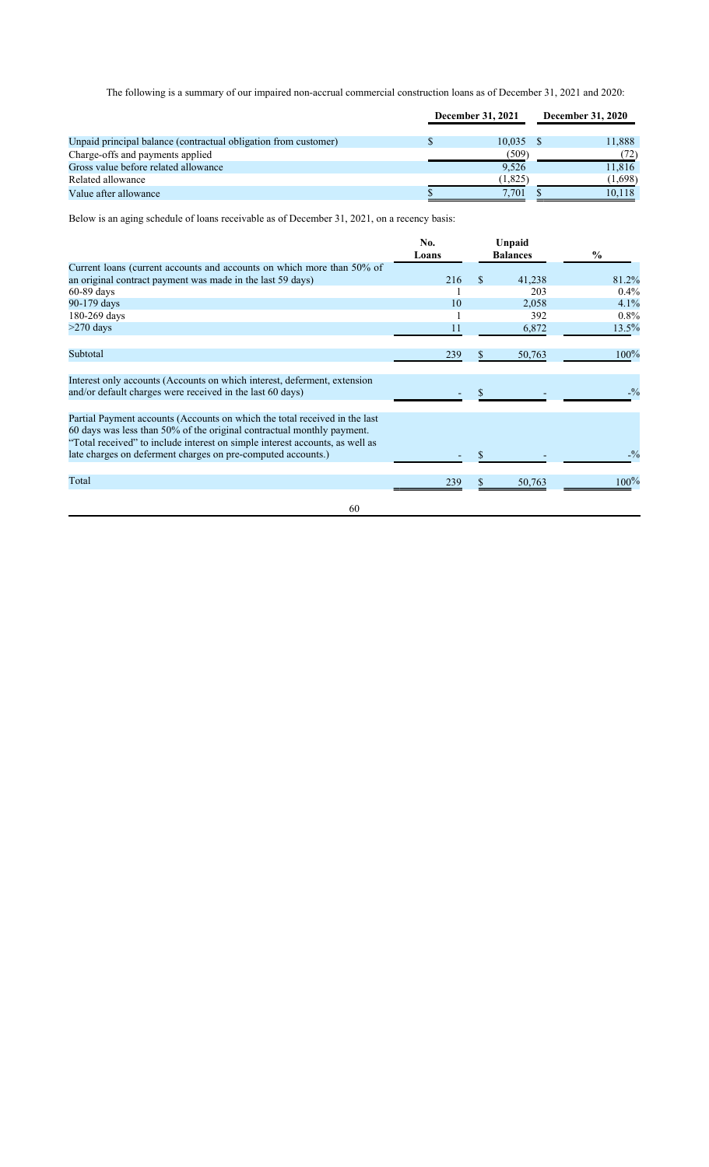The following is a summary of our impaired non-accrual commercial construction loans as of December 31, 2021 and 2020:

|                                                                 | December 31, 2021 |         | <b>December 31, 2020</b> |         |
|-----------------------------------------------------------------|-------------------|---------|--------------------------|---------|
|                                                                 |                   |         |                          |         |
| Unpaid principal balance (contractual obligation from customer) |                   | 10.035  |                          | 11,888  |
| Charge-offs and payments applied                                |                   | (509`   |                          | (72)    |
| Gross value before related allowance                            |                   | 9.526   |                          | 11,816  |
| Related allowance                                               |                   | (1,825) |                          | (1,698) |
| Value after allowance                                           |                   | 7.701   |                          | 10.118  |

Below is an aging schedule of loans receivable as of December 31, 2021, on a recency basis:

|                                                                                                                                                                                                                                                                                                      | No.<br>Loans |    | Unpaid<br><b>Balances</b> | $\frac{0}{0}$ |
|------------------------------------------------------------------------------------------------------------------------------------------------------------------------------------------------------------------------------------------------------------------------------------------------------|--------------|----|---------------------------|---------------|
| Current loans (current accounts and accounts on which more than 50% of                                                                                                                                                                                                                               |              |    |                           |               |
| an original contract payment was made in the last 59 days)                                                                                                                                                                                                                                           | 216          | S. | 41,238                    | 81.2%         |
| $60-89$ days                                                                                                                                                                                                                                                                                         |              |    | 203                       | $0.4\%$       |
| 90-179 days                                                                                                                                                                                                                                                                                          | 10           |    | 2,058                     | 4.1%          |
| 180-269 days                                                                                                                                                                                                                                                                                         |              |    | 392                       | $0.8\%$       |
| $>270$ days                                                                                                                                                                                                                                                                                          | 11           |    | 6,872                     | 13.5%         |
| Subtotal                                                                                                                                                                                                                                                                                             | 239          |    | 50,763                    | 100%          |
| Interest only accounts (Accounts on which interest, deferment, extension<br>and/or default charges were received in the last 60 days)                                                                                                                                                                |              |    |                           | $-9/0$        |
| Partial Payment accounts (Accounts on which the total received in the last<br>60 days was less than 50% of the original contractual monthly payment.<br>"Total received" to include interest on simple interest accounts, as well as<br>late charges on deferment charges on pre-computed accounts.) |              |    |                           | $-9/0$        |
|                                                                                                                                                                                                                                                                                                      |              |    |                           |               |
| Total                                                                                                                                                                                                                                                                                                | 239          | S  | 50,763                    | $100\%$       |
| 60                                                                                                                                                                                                                                                                                                   |              |    |                           |               |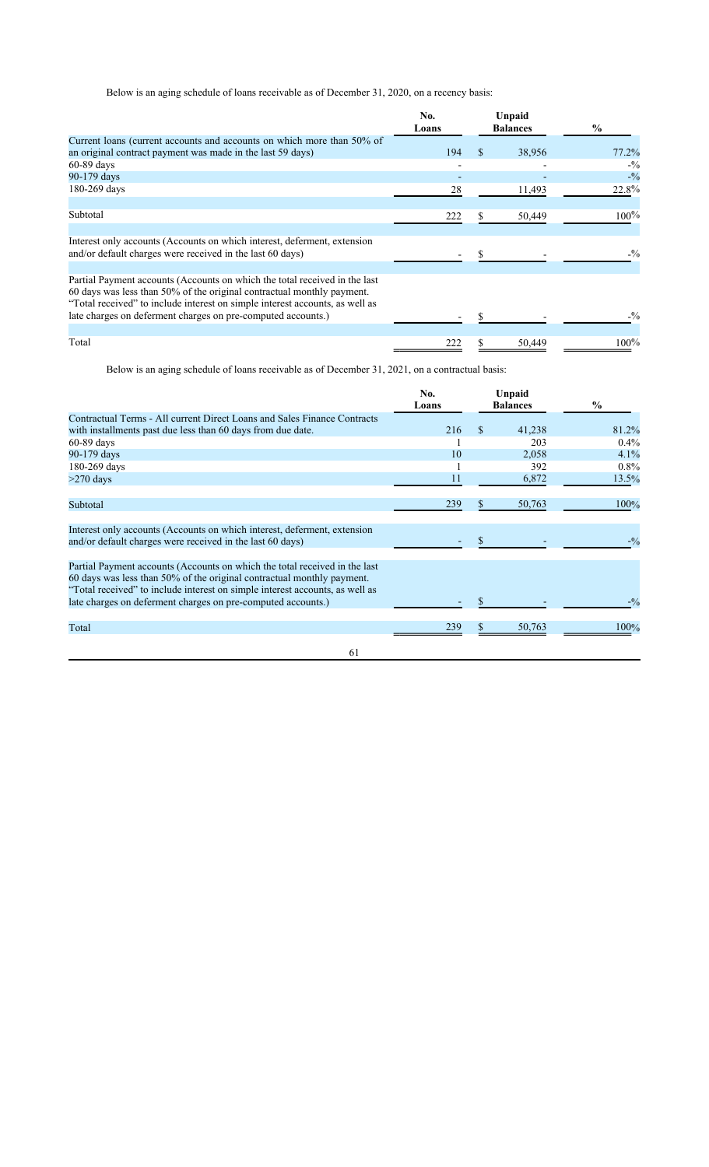Below is an aging schedule of loans receivable as of December 31, 2020, on a recency basis:

|                                                                                                                                                                                                                                                                                                      | No.<br>Loans |    | Unpaid<br><b>Balances</b> | $\frac{6}{9}$ |
|------------------------------------------------------------------------------------------------------------------------------------------------------------------------------------------------------------------------------------------------------------------------------------------------------|--------------|----|---------------------------|---------------|
| Current loans (current accounts and accounts on which more than 50% of<br>an original contract payment was made in the last 59 days)                                                                                                                                                                 | 194          | \$ | 38,956                    | 77.2%         |
| $60-89$ days                                                                                                                                                                                                                                                                                         |              |    |                           | $-9/0$        |
| 90-179 days                                                                                                                                                                                                                                                                                          |              |    |                           | $-9/0$        |
| 180-269 days                                                                                                                                                                                                                                                                                         | 28           |    | 11,493                    | 22.8%         |
| Subtotal                                                                                                                                                                                                                                                                                             | 222          | S. | 50,449                    | 100%          |
| Interest only accounts (Accounts on which interest, deferment, extension<br>and/or default charges were received in the last 60 days)                                                                                                                                                                |              |    |                           | $-9/0$        |
| Partial Payment accounts (Accounts on which the total received in the last<br>60 days was less than 50% of the original contractual monthly payment.<br>"Total received" to include interest on simple interest accounts, as well as<br>late charges on deferment charges on pre-computed accounts.) |              |    |                           | $-9/0$        |
|                                                                                                                                                                                                                                                                                                      |              |    |                           |               |
| Total                                                                                                                                                                                                                                                                                                | 222          |    | 50,449                    | $100\%$       |

Below is an aging schedule of loans receivable as of December 31, 2021, on a contractual basis:

|                                                                                                                                                                                                                                                                                                      | No.<br>Loans |               | Unpaid<br><b>Balances</b> | $\%$    |
|------------------------------------------------------------------------------------------------------------------------------------------------------------------------------------------------------------------------------------------------------------------------------------------------------|--------------|---------------|---------------------------|---------|
| Contractual Terms - All current Direct Loans and Sales Finance Contracts                                                                                                                                                                                                                             |              |               |                           |         |
| with installments past due less than 60 days from due date.                                                                                                                                                                                                                                          | 216          | <sup>\$</sup> | 41,238                    | 81.2%   |
| $60-89$ days                                                                                                                                                                                                                                                                                         |              |               | 203                       | $0.4\%$ |
| 90-179 days                                                                                                                                                                                                                                                                                          | 10           |               | 2,058                     | 4.1%    |
| 180-269 days                                                                                                                                                                                                                                                                                         |              |               | 392                       | $0.8\%$ |
| $>270$ days                                                                                                                                                                                                                                                                                          | 11           |               | 6,872                     | 13.5%   |
| Subtotal                                                                                                                                                                                                                                                                                             | 239          | N.            | 50,763                    | 100%    |
| Interest only accounts (Accounts on which interest, deferment, extension<br>and/or default charges were received in the last 60 days)                                                                                                                                                                |              |               |                           | $-9/0$  |
| Partial Payment accounts (Accounts on which the total received in the last<br>60 days was less than 50% of the original contractual monthly payment.<br>"Total received" to include interest on simple interest accounts, as well as<br>late charges on deferment charges on pre-computed accounts.) |              |               |                           | $-9/0$  |
|                                                                                                                                                                                                                                                                                                      |              |               |                           |         |
| Total                                                                                                                                                                                                                                                                                                | 239          | S.            | 50,763                    | 100%    |
| 61                                                                                                                                                                                                                                                                                                   |              |               |                           |         |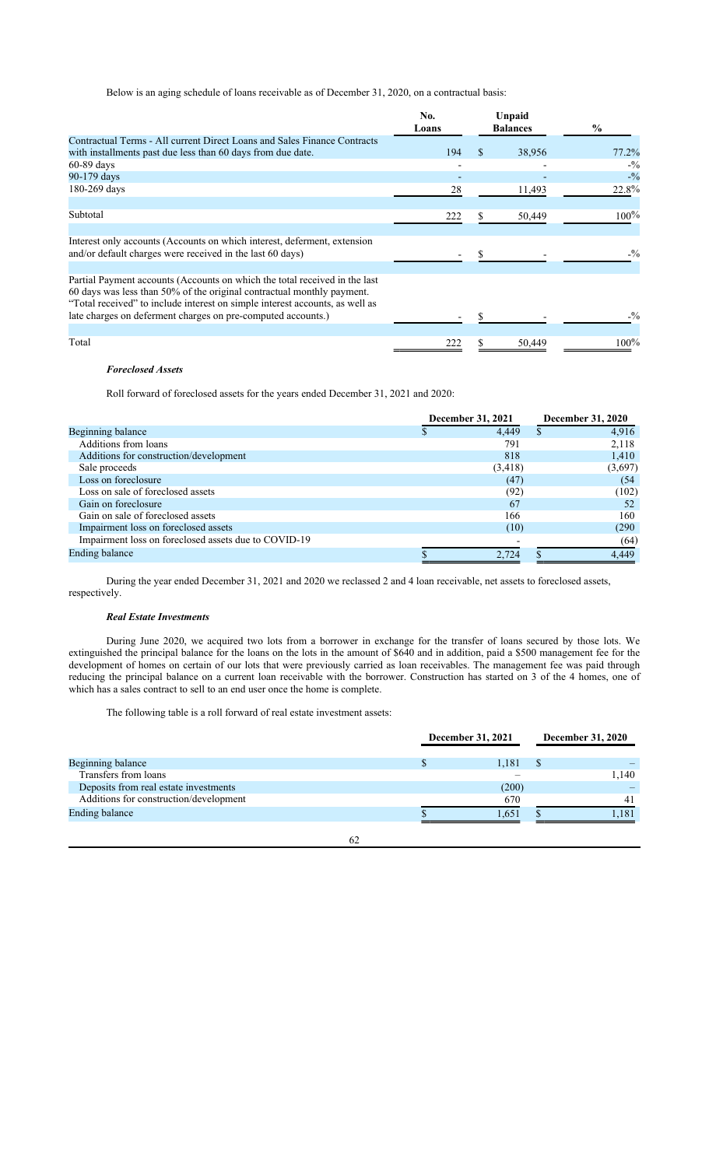Below is an aging schedule of loans receivable as of December 31, 2020, on a contractual basis:

|                                                                                                                                                                                                                                                                                                      | No.<br>Loans |    | Unpaid<br><b>Balances</b> | $\frac{0}{0}$ |
|------------------------------------------------------------------------------------------------------------------------------------------------------------------------------------------------------------------------------------------------------------------------------------------------------|--------------|----|---------------------------|---------------|
| Contractual Terms - All current Direct Loans and Sales Finance Contracts<br>with installments past due less than 60 days from due date.                                                                                                                                                              | 194          | \$ | 38,956                    | 77.2%         |
| $60-89$ days                                                                                                                                                                                                                                                                                         |              |    |                           | $-9/0$        |
| 90-179 days                                                                                                                                                                                                                                                                                          |              |    |                           | $-9/0$        |
| 180-269 days                                                                                                                                                                                                                                                                                         | 28           |    | 11,493                    | 22.8%         |
| Subtotal                                                                                                                                                                                                                                                                                             | 222          | S. | 50,449                    | 100%          |
| Interest only accounts (Accounts on which interest, deferment, extension<br>and/or default charges were received in the last 60 days)                                                                                                                                                                |              |    |                           | $-9/0$        |
| Partial Payment accounts (Accounts on which the total received in the last<br>60 days was less than 50% of the original contractual monthly payment.<br>"Total received" to include interest on simple interest accounts, as well as<br>late charges on deferment charges on pre-computed accounts.) |              |    |                           | $-9/0$        |
|                                                                                                                                                                                                                                                                                                      |              |    |                           |               |
| Total                                                                                                                                                                                                                                                                                                | 222          |    | 50,449                    | $100\%$       |

### *Foreclosed Assets*

Roll forward of foreclosed assets for the years ended December 31, 2021 and 2020:

| December 31, 2021                                    |          | <b>December 31, 2020</b> |  |
|------------------------------------------------------|----------|--------------------------|--|
| Beginning balance                                    | 4.449    | 4.916                    |  |
| Additions from loans                                 | 791      | 2,118                    |  |
| Additions for construction/development               | 818      | 1,410                    |  |
| Sale proceeds                                        | (3, 418) | (3,697)                  |  |
| Loss on foreclosure                                  | (47)     | (54)                     |  |
| Loss on sale of foreclosed assets                    | (92)     | (102)                    |  |
| Gain on foreclosure                                  | 67       | 52                       |  |
| Gain on sale of foreclosed assets                    | 166      | 160                      |  |
| Impairment loss on foreclosed assets                 | (10)     | (290)                    |  |
| Impairment loss on foreclosed assets due to COVID-19 |          | (64)                     |  |
| Ending balance                                       | 2,724    | 4,449                    |  |

During the year ended December 31, 2021 and 2020 we reclassed 2 and 4 loan receivable, net assets to foreclosed assets, respectively.

# *Real Estate Investments*

During June 2020, we acquired two lots from a borrower in exchange for the transfer of loans secured by those lots. We extinguished the principal balance for the loans on the lots in the amount of \$640 and in addition, paid a \$500 management fee for the development of homes on certain of our lots that were previously carried as loan receivables. The management fee was paid through reducing the principal balance on a current loan receivable with the borrower. Construction has started on 3 of the 4 homes, one of which has a sales contract to sell to an end user once the home is complete.

The following table is a roll forward of real estate investment assets:

|                                        | December 31, 2021 |       |  | <b>December 31, 2020</b> |  |  |
|----------------------------------------|-------------------|-------|--|--------------------------|--|--|
| Beginning balance                      |                   | 1,181 |  |                          |  |  |
| Transfers from loans                   |                   |       |  | 1.140                    |  |  |
| Deposits from real estate investments  |                   | (200) |  |                          |  |  |
| Additions for construction/development |                   | 670   |  | 41                       |  |  |
| Ending balance                         |                   | 1,651 |  | 1.181                    |  |  |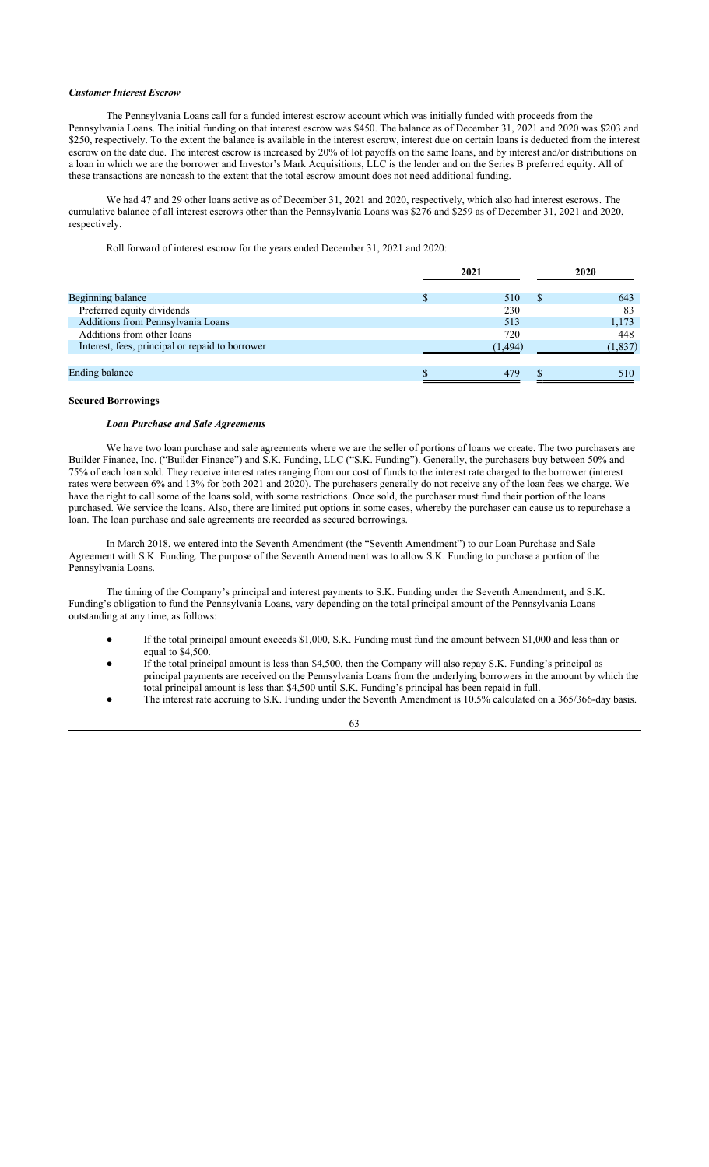### *Customer Interest Escrow*

The Pennsylvania Loans call for a funded interest escrow account which was initially funded with proceeds from the Pennsylvania Loans. The initial funding on that interest escrow was \$450. The balance as of December 31, 2021 and 2020 was \$203 and \$250, respectively. To the extent the balance is available in the interest escrow, interest due on certain loans is deducted from the interest escrow on the date due. The interest escrow is increased by 20% of lot payoffs on the same loans, and by interest and/or distributions on a loan in which we are the borrower and Investor's Mark Acquisitions, LLC is the lender and on the Series B preferred equity. All of these transactions are noncash to the extent that the total escrow amount does not need additional funding.

We had 47 and 29 other loans active as of December 31, 2021 and 2020, respectively, which also had interest escrows. The cumulative balance of all interest escrows other than the Pennsylvania Loans was \$276 and \$259 as of December 31, 2021 and 2020, respectively.

Roll forward of interest escrow for the years ended December 31, 2021 and 2020:

|                                                 | 2021 |         | 2020 |          |  |
|-------------------------------------------------|------|---------|------|----------|--|
| Beginning balance                               |      | 510     | S    | 643      |  |
| Preferred equity dividends                      |      | 230     |      | 83       |  |
| Additions from Pennsylvania Loans               |      | 513     |      | 1,173    |  |
| Additions from other loans                      |      | 720     |      | 448      |  |
| Interest, fees, principal or repaid to borrower |      | (1.494) |      | (1, 837) |  |
|                                                 |      |         |      |          |  |
| <b>Ending balance</b>                           |      | 479     |      | 510      |  |

### **Secured Borrowings**

#### *Loan Purchase and Sale Agreements*

We have two loan purchase and sale agreements where we are the seller of portions of loans we create. The two purchasers are Builder Finance, Inc. ("Builder Finance") and S.K. Funding, LLC ("S.K. Funding"). Generally, the purchasers buy between 50% and 75% of each loan sold. They receive interest rates ranging from our cost of funds to the interest rate charged to the borrower (interest rates were between 6% and 13% for both 2021 and 2020). The purchasers generally do not receive any of the loan fees we charge. We have the right to call some of the loans sold, with some restrictions. Once sold, the purchaser must fund their portion of the loans purchased. We service the loans. Also, there are limited put options in some cases, whereby the purchaser can cause us to repurchase a loan. The loan purchase and sale agreements are recorded as secured borrowings.

In March 2018, we entered into the Seventh Amendment (the "Seventh Amendment") to our Loan Purchase and Sale Agreement with S.K. Funding. The purpose of the Seventh Amendment was to allow S.K. Funding to purchase a portion of the Pennsylvania Loans.

The timing of the Company's principal and interest payments to S.K. Funding under the Seventh Amendment, and S.K. Funding's obligation to fund the Pennsylvania Loans, vary depending on the total principal amount of the Pennsylvania Loans outstanding at any time, as follows:

- If the total principal amount exceeds \$1,000, S.K. Funding must fund the amount between \$1,000 and less than or equal to \$4,500.
- If the total principal amount is less than \$4,500, then the Company will also repay S.K. Funding's principal as principal payments are received on the Pennsylvania Loans from the underlying borrowers in the amount by which the total principal amount is less than \$4,500 until S.K. Funding's principal has been repaid in full.
- The interest rate accruing to S.K. Funding under the Seventh Amendment is 10.5% calculated on a 365/366-day basis.
	- 63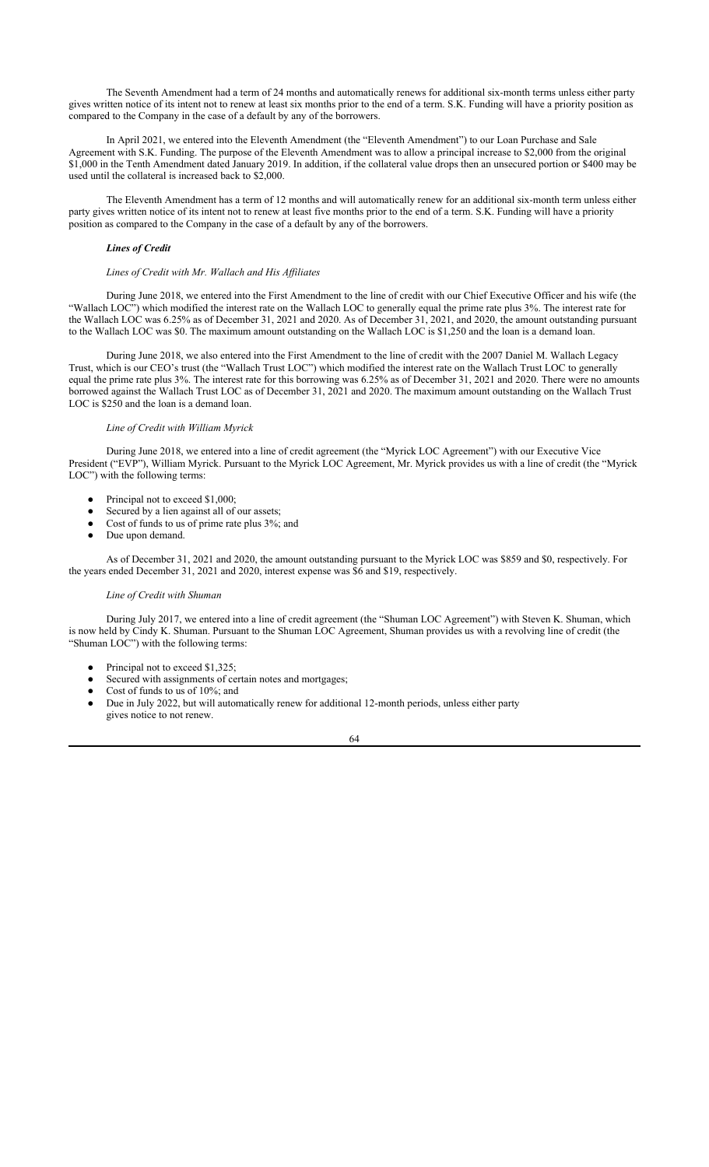The Seventh Amendment had a term of 24 months and automatically renews for additional six-month terms unless either party gives written notice of its intent not to renew at least six months prior to the end of a term. S.K. Funding will have a priority position as compared to the Company in the case of a default by any of the borrowers.

In April 2021, we entered into the Eleventh Amendment (the "Eleventh Amendment") to our Loan Purchase and Sale Agreement with S.K. Funding. The purpose of the Eleventh Amendment was to allow a principal increase to \$2,000 from the original \$1,000 in the Tenth Amendment dated January 2019. In addition, if the collateral value drops then an unsecured portion or \$400 may be used until the collateral is increased back to \$2,000.

The Eleventh Amendment has a term of 12 months and will automatically renew for an additional six-month term unless either party gives written notice of its intent not to renew at least five months prior to the end of a term. S.K. Funding will have a priority position as compared to the Company in the case of a default by any of the borrowers.

### *Lines of Credit*

#### *Lines of Credit with Mr. Wallach and His Affiliates*

During June 2018, we entered into the First Amendment to the line of credit with our Chief Executive Officer and his wife (the "Wallach LOC") which modified the interest rate on the Wallach LOC to generally equal the prime rate plus 3%. The interest rate for the Wallach LOC was 6.25% as of December 31, 2021 and 2020. As of December 31, 2021, and 2020, the amount outstanding pursuant to the Wallach LOC was \$0. The maximum amount outstanding on the Wallach LOC is \$1,250 and the loan is a demand loan.

During June 2018, we also entered into the First Amendment to the line of credit with the 2007 Daniel M. Wallach Legacy Trust, which is our CEO's trust (the "Wallach Trust LOC") which modified the interest rate on the Wallach Trust LOC to generally equal the prime rate plus 3%. The interest rate for this borrowing was 6.25% as of December 31, 2021 and 2020. There were no amounts borrowed against the Wallach Trust LOC as of December 31, 2021 and 2020. The maximum amount outstanding on the Wallach Trust LOC is \$250 and the loan is a demand loan.

#### *Line of Credit with William Myrick*

During June 2018, we entered into a line of credit agreement (the "Myrick LOC Agreement") with our Executive Vice President ("EVP"), William Myrick. Pursuant to the Myrick LOC Agreement, Mr. Myrick provides us with a line of credit (the "Myrick LOC") with the following terms:

- Principal not to exceed \$1,000;
- Secured by a lien against all of our assets;
- Cost of funds to us of prime rate plus 3%; and
- Due upon demand.

As of December 31, 2021 and 2020, the amount outstanding pursuant to the Myrick LOC was \$859 and \$0, respectively. For the years ended December 31, 2021 and 2020, interest expense was \$6 and \$19, respectively.

#### *Line of Credit with Shuman*

During July 2017, we entered into a line of credit agreement (the "Shuman LOC Agreement") with Steven K. Shuman, which is now held by Cindy K. Shuman. Pursuant to the Shuman LOC Agreement, Shuman provides us with a revolving line of credit (the "Shuman LOC") with the following terms:

- Principal not to exceed \$1,325;
- Secured with assignments of certain notes and mortgages;
- Cost of funds to us of 10%; and
- Due in July 2022, but will automatically renew for additional 12-month periods, unless either party gives notice to not renew.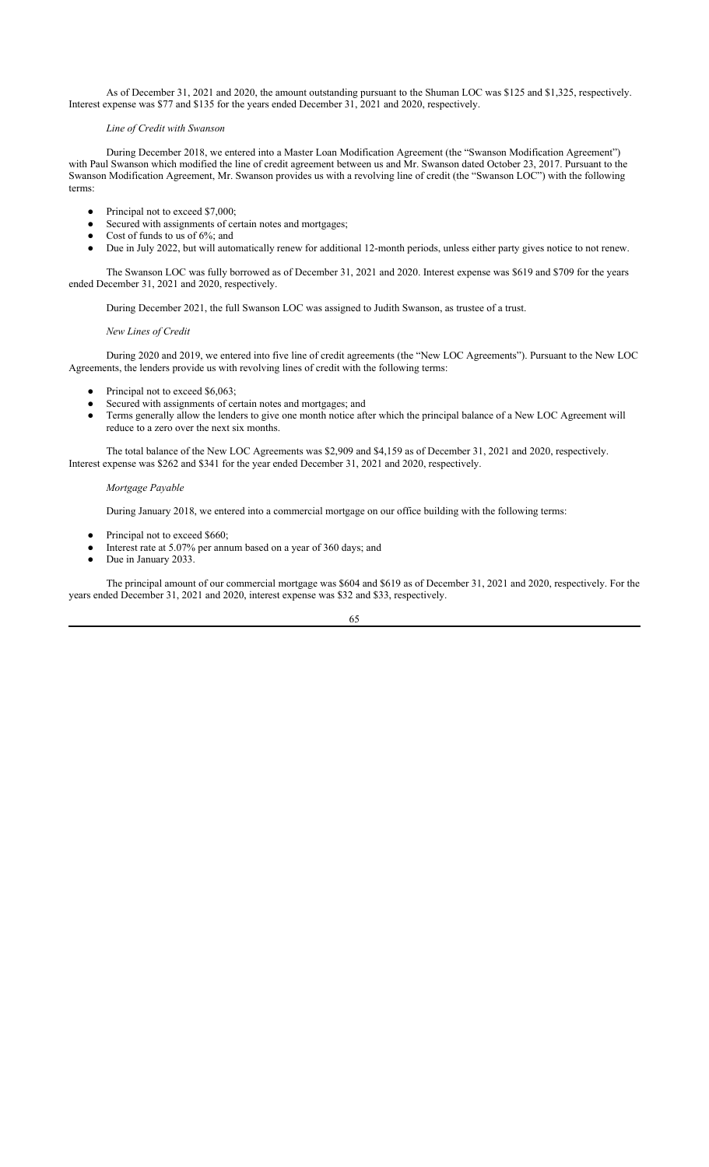As of December 31, 2021 and 2020, the amount outstanding pursuant to the Shuman LOC was \$125 and \$1,325, respectively. Interest expense was \$77 and \$135 for the years ended December 31, 2021 and 2020, respectively.

### *Line of Credit with Swanson*

During December 2018, we entered into a Master Loan Modification Agreement (the "Swanson Modification Agreement") with Paul Swanson which modified the line of credit agreement between us and Mr. Swanson dated October 23, 2017. Pursuant to the Swanson Modification Agreement, Mr. Swanson provides us with a revolving line of credit (the "Swanson LOC") with the following terms:

- Principal not to exceed \$7,000;
- Secured with assignments of certain notes and mortgages;
- Cost of funds to us of 6%; and
- Due in July 2022, but will automatically renew for additional 12-month periods, unless either party gives notice to not renew.

The Swanson LOC was fully borrowed as of December 31, 2021 and 2020. Interest expense was \$619 and \$709 for the years ended December 31, 2021 and 2020, respectively.

During December 2021, the full Swanson LOC was assigned to Judith Swanson, as trustee of a trust.

### *New Lines of Credit*

During 2020 and 2019, we entered into five line of credit agreements (the "New LOC Agreements"). Pursuant to the New LOC Agreements, the lenders provide us with revolving lines of credit with the following terms:

- Principal not to exceed \$6,063;
- Secured with assignments of certain notes and mortgages; and
- Terms generally allow the lenders to give one month notice after which the principal balance of a New LOC Agreement will reduce to a zero over the next six months.

The total balance of the New LOC Agreements was \$2,909 and \$4,159 as of December 31, 2021 and 2020, respectively. Interest expense was \$262 and \$341 for the year ended December 31, 2021 and 2020, respectively.

### *Mortgage Payable*

During January 2018, we entered into a commercial mortgage on our office building with the following terms:

- Principal not to exceed \$660;
- Interest rate at 5.07% per annum based on a year of 360 days; and
- Due in January 2033.

The principal amount of our commercial mortgage was \$604 and \$619 as of December 31, 2021 and 2020, respectively. For the years ended December 31, 2021 and 2020, interest expense was \$32 and \$33, respectively.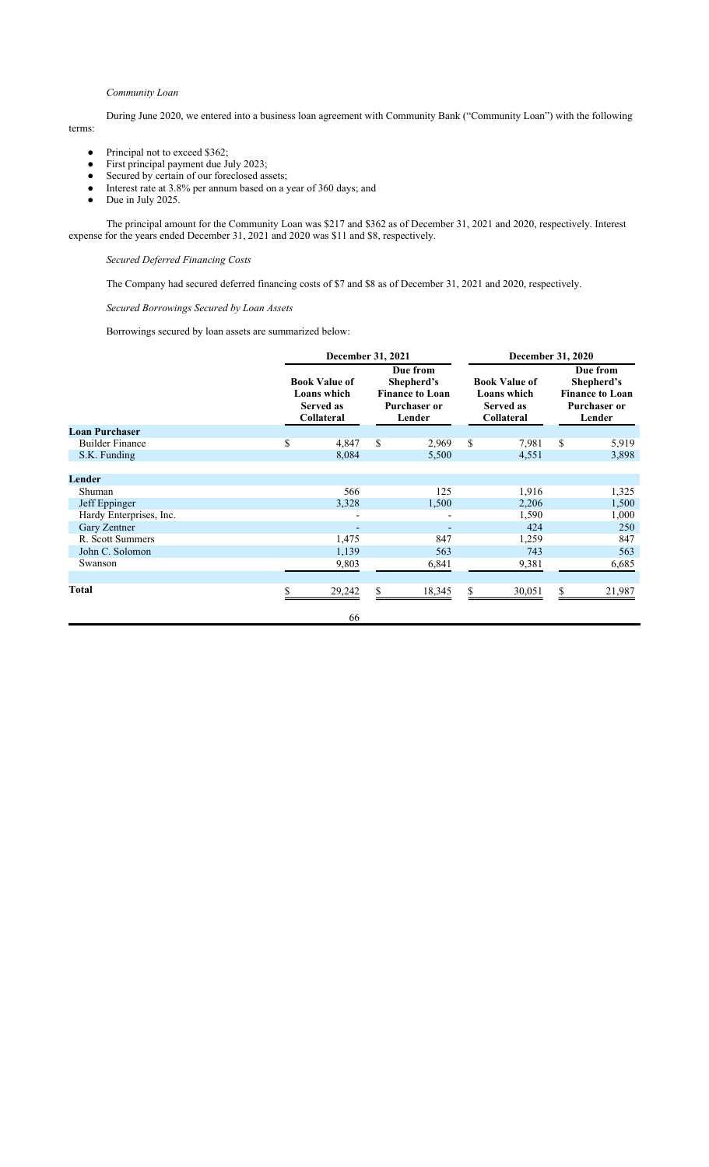### *Community Loan*

During June 2020, we entered into a business loan agreement with Community Bank ("Community Loan") with the following terms:

- Principal not to exceed \$362;
- First principal payment due July 2023;
- Secured by certain of our foreclosed assets;
- Interest rate at 3.8% per annum based on a year of 360 days; and
- Due in July 2025.

The principal amount for the Community Loan was \$217 and \$362 as of December 31, 2021 and 2020, respectively. Interest expense for the years ended December 31, 2021 and 2020 was \$11 and \$8, respectively.

*Secured Deferred Financing Costs*

The Company had secured deferred financing costs of \$7 and \$8 as of December 31, 2021 and 2020, respectively.

*Secured Borrowings Secured by Loan Assets*

Borrowings secured by loan assets are summarized below:

| December 31, 2021                                                     |        |                                                                                   |        |                                                                       | December 31, 2020 |                                                                                   |        |  |
|-----------------------------------------------------------------------|--------|-----------------------------------------------------------------------------------|--------|-----------------------------------------------------------------------|-------------------|-----------------------------------------------------------------------------------|--------|--|
| <b>Book Value of</b><br>Loans which<br><b>Served as</b><br>Collateral |        | Due from<br>Shepherd's<br><b>Finance to Loan</b><br><b>Purchaser or</b><br>Lender |        | <b>Book Value of</b><br>Loans which<br><b>Served as</b><br>Collateral |                   | Due from<br>Shepherd's<br><b>Finance to Loan</b><br><b>Purchaser or</b><br>Lender |        |  |
|                                                                       |        |                                                                                   |        |                                                                       |                   |                                                                                   |        |  |
| \$                                                                    | 4,847  | \$                                                                                | 2,969  | \$                                                                    | 7,981             | \$                                                                                | 5,919  |  |
|                                                                       | 8,084  |                                                                                   | 5,500  |                                                                       | 4,551             |                                                                                   | 3,898  |  |
|                                                                       |        |                                                                                   |        |                                                                       |                   |                                                                                   |        |  |
|                                                                       |        |                                                                                   |        |                                                                       |                   |                                                                                   |        |  |
|                                                                       |        |                                                                                   |        |                                                                       |                   |                                                                                   | 1,325  |  |
|                                                                       | 3,328  |                                                                                   | 1,500  |                                                                       | 2,206             |                                                                                   | 1,500  |  |
|                                                                       |        |                                                                                   |        |                                                                       | 1,590             |                                                                                   | 1,000  |  |
|                                                                       |        |                                                                                   |        |                                                                       | 424               |                                                                                   | 250    |  |
|                                                                       | 1,475  |                                                                                   | 847    |                                                                       | 1,259             |                                                                                   | 847    |  |
|                                                                       | 1,139  |                                                                                   | 563    |                                                                       | 743               |                                                                                   | 563    |  |
|                                                                       | 9,803  |                                                                                   | 6,841  |                                                                       | 9,381             |                                                                                   | 6,685  |  |
|                                                                       |        |                                                                                   |        |                                                                       |                   |                                                                                   |        |  |
| \$                                                                    | 29,242 | \$                                                                                | 18,345 | \$                                                                    | 30,051            | \$.                                                                               | 21,987 |  |
|                                                                       | 66     |                                                                                   |        |                                                                       |                   |                                                                                   |        |  |
|                                                                       |        | 566                                                                               |        | 125                                                                   |                   | 1,916                                                                             |        |  |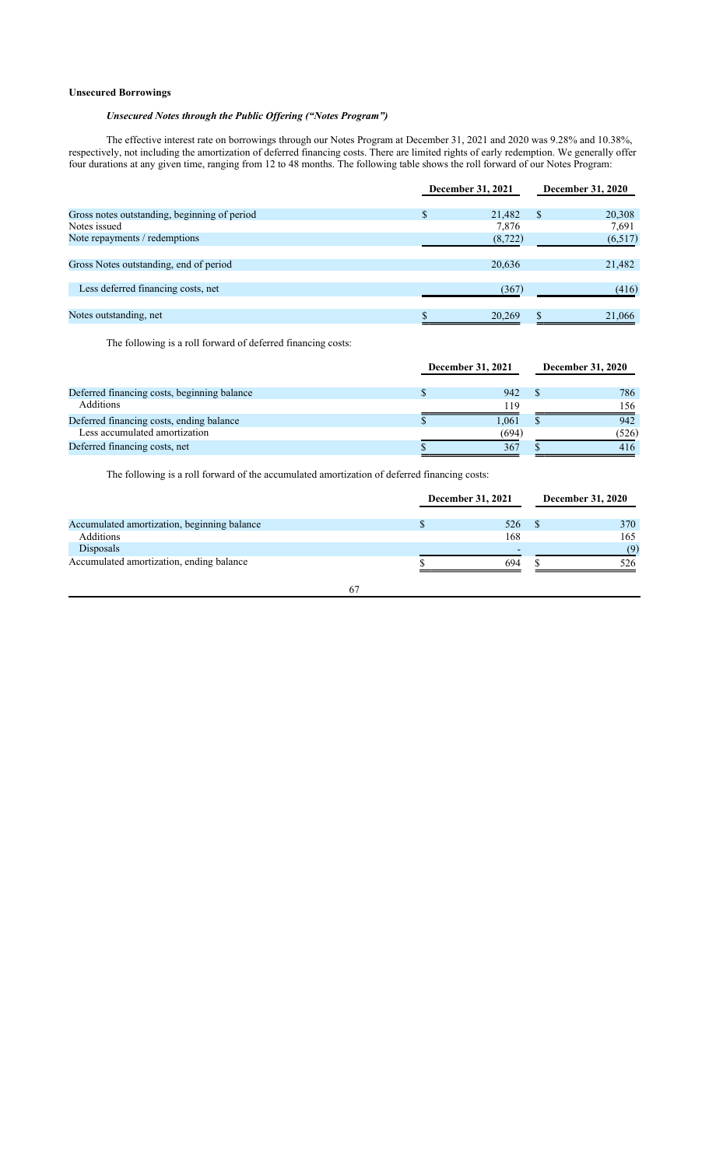### **Unsecured Borrowings**

# *Unsecured Notes through the Public Offering ("Notes Program")*

The effective interest rate on borrowings through our Notes Program at December 31, 2021 and 2020 was 9.28% and 10.38%, respectively, not including the amortization of deferred financing costs. There are limited rights of early redemption. We generally offer four durations at any given time, ranging from 12 to 48 months. The following table shows the roll forward of our Notes Program:

|                                              | December 31, 2021 | <b>December 31, 2020</b> |  |  |
|----------------------------------------------|-------------------|--------------------------|--|--|
| Gross notes outstanding, beginning of period | \$<br>21,482      | 20,308<br><b>S</b>       |  |  |
| Notes issued                                 | 7,876             | 7,691                    |  |  |
| Note repayments / redemptions                | (8, 722)          | (6,517)                  |  |  |
|                                              |                   |                          |  |  |
| Gross Notes outstanding, end of period       | 20,636            | 21,482                   |  |  |
|                                              |                   |                          |  |  |
| Less deferred financing costs, net           | (367)             | (416)                    |  |  |
|                                              |                   |                          |  |  |
| Notes outstanding, net                       | 20,269            | 21,066                   |  |  |

The following is a roll forward of deferred financing costs:

|                                             | December 31, 2021 |  | <b>December 31, 2020</b> |
|---------------------------------------------|-------------------|--|--------------------------|
| Deferred financing costs, beginning balance | 942               |  | 786                      |
| Additions                                   | 119               |  | 156                      |
| Deferred financing costs, ending balance    | 1.061             |  | 942                      |
| Less accumulated amortization               | (694)             |  | (526)                    |
| Deferred financing costs, net               | 367               |  | 416                      |

The following is a roll forward of the accumulated amortization of deferred financing costs:

|                                             | December 31, 2021 | <b>December 31, 2020</b> |
|---------------------------------------------|-------------------|--------------------------|
| Accumulated amortization, beginning balance | 526               | 370                      |
| Additions                                   | 168               | 165                      |
| Disposals                                   |                   | (9)                      |
| Accumulated amortization, ending balance    | 694               | 526                      |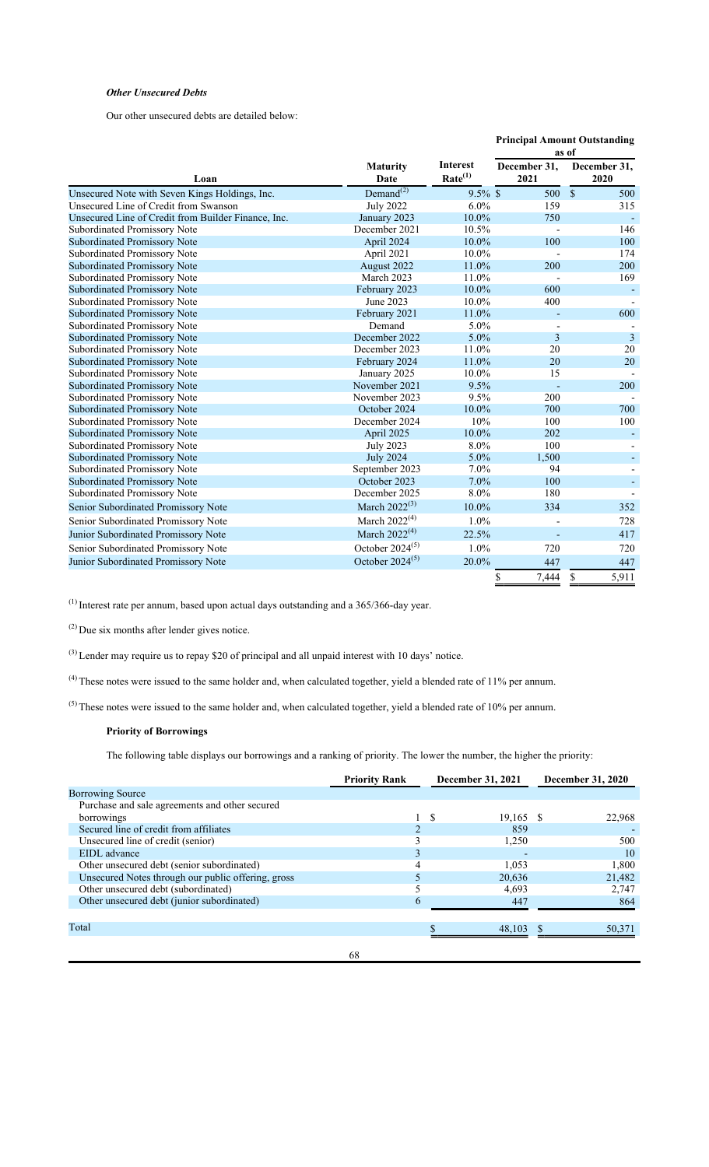# *Other Unsecured Debts*

Our other unsecured debts are detailed below:

|                                                     |                                    |                                        |                      | <b>Principal Amount Outstanding</b> |  |
|-----------------------------------------------------|------------------------------------|----------------------------------------|----------------------|-------------------------------------|--|
|                                                     |                                    |                                        |                      | as of                               |  |
| Loan                                                | <b>Maturity</b><br>Date            | <b>Interest</b><br>Rate <sup>(1)</sup> | December 31.<br>2021 | December 31,<br>2020                |  |
| Unsecured Note with Seven Kings Holdings, Inc.      | Demand <sup><math>(2)</math></sup> | $9.5\%$ \$                             | 500                  | $\mathcal{S}$<br>500                |  |
| Unsecured Line of Credit from Swanson               | <b>July 2022</b>                   | $6.0\%$                                | 159                  | 315                                 |  |
| Unsecured Line of Credit from Builder Finance, Inc. | January 2023                       | $10.0\%$                               | 750                  |                                     |  |
| Subordinated Promissory Note                        | December 2021                      | 10.5%                                  |                      | 146                                 |  |
| <b>Subordinated Promissory Note</b>                 | April 2024                         | 10.0%                                  | 100                  | 100                                 |  |
| Subordinated Promissory Note                        | April 2021                         | 10.0%                                  |                      | 174                                 |  |
| <b>Subordinated Promissory Note</b>                 | August 2022                        | 11.0%                                  | 200                  | 200                                 |  |
| Subordinated Promissory Note                        | March 2023                         | 11.0%                                  |                      | 169                                 |  |
| <b>Subordinated Promissory Note</b>                 | February 2023                      | 10.0%                                  | 600                  |                                     |  |
| Subordinated Promissory Note                        | June 2023                          | 10.0%                                  | 400                  |                                     |  |
| <b>Subordinated Promissory Note</b>                 | February 2021                      | 11.0%                                  |                      | 600                                 |  |
| Subordinated Promissory Note                        | Demand                             | 5.0%                                   |                      |                                     |  |
| <b>Subordinated Promissory Note</b>                 | December 2022                      | 5.0%                                   | 3                    | $\overline{3}$                      |  |
| Subordinated Promissory Note                        | December 2023                      | 11.0%                                  | 20                   | 20                                  |  |
| <b>Subordinated Promissory Note</b>                 | February 2024                      | 11.0%                                  | 20                   | 20                                  |  |
| Subordinated Promissory Note                        | January 2025                       | 10.0%                                  | 15                   |                                     |  |
| <b>Subordinated Promissory Note</b>                 | November 2021                      | 9.5%                                   | ÷,                   | 200                                 |  |
| Subordinated Promissory Note                        | November 2023                      | 9.5%                                   | 200                  |                                     |  |
| <b>Subordinated Promissory Note</b>                 | October 2024                       | 10.0%                                  | 700                  | 700                                 |  |
| Subordinated Promissory Note                        | December 2024                      | 10%                                    | 100                  | 100                                 |  |
| <b>Subordinated Promissory Note</b>                 | April 2025                         | 10.0%                                  | 202                  |                                     |  |
| Subordinated Promissory Note                        | July 2023                          | 8.0%                                   | 100                  |                                     |  |
| <b>Subordinated Promissory Note</b>                 | <b>July 2024</b>                   | 5.0%                                   | 1,500                |                                     |  |
| Subordinated Promissory Note                        | September 2023                     | 7.0%                                   | 94                   |                                     |  |
| <b>Subordinated Promissory Note</b>                 | October 2023                       | 7.0%                                   | 100                  |                                     |  |
| Subordinated Promissory Note                        | December 2025                      | 8.0%                                   | 180                  |                                     |  |
| Senior Subordinated Promissory Note                 | March $2022^{(3)}$                 | 10.0%                                  | 334                  | 352                                 |  |
| Senior Subordinated Promissory Note                 | March $2022^{(4)}$                 | 1.0%                                   |                      | 728                                 |  |
| Junior Subordinated Promissory Note                 | March $2022^{(4)}$                 | 22.5%                                  |                      | 417                                 |  |
| Senior Subordinated Promissory Note                 | October $2024^{(5)}$               | 1.0%                                   | 720                  | 720                                 |  |
| Junior Subordinated Promissory Note                 | October $2024^{(5)}$               | 20.0%                                  | 447                  | 447                                 |  |
|                                                     |                                    |                                        | 7,444<br>\$          | 5,911<br>\$                         |  |

(1) Interest rate per annum, based upon actual days outstanding and a 365/366-day year.

(2) Due six months after lender gives notice.

(3) Lender may require us to repay \$20 of principal and all unpaid interest with 10 days' notice.

 $(4)$  These notes were issued to the same holder and, when calculated together, yield a blended rate of 11% per annum.

 $(5)$  These notes were issued to the same holder and, when calculated together, yield a blended rate of 10% per annum.

# **Priority of Borrowings**

The following table displays our borrowings and a ranking of priority. The lower the number, the higher the priority:

|                                                    | <b>Priority Rank</b> | December 31, 2021 |             | <b>December 31, 2020</b> |
|----------------------------------------------------|----------------------|-------------------|-------------|--------------------------|
| <b>Borrowing Source</b>                            |                      |                   |             |                          |
| Purchase and sale agreements and other secured     |                      |                   |             |                          |
| borrowings                                         |                      | -S                | $19,165$ \$ | 22,968                   |
| Secured line of credit from affiliates             |                      |                   | 859         |                          |
| Unsecured line of credit (senior)                  |                      |                   | 1,250       | 500                      |
| EIDL advance                                       |                      |                   |             | 10                       |
| Other unsecured debt (senior subordinated)         | 4                    |                   | 1.053       | 1,800                    |
| Unsecured Notes through our public offering, gross |                      |                   | 20,636      | 21,482                   |
| Other unsecured debt (subordinated)                |                      |                   | 4.693       | 2,747                    |
| Other unsecured debt (junior subordinated)         | 6                    |                   | 447         | 864                      |
|                                                    |                      |                   |             |                          |
| Total                                              |                      |                   | 48,103      | 50,371                   |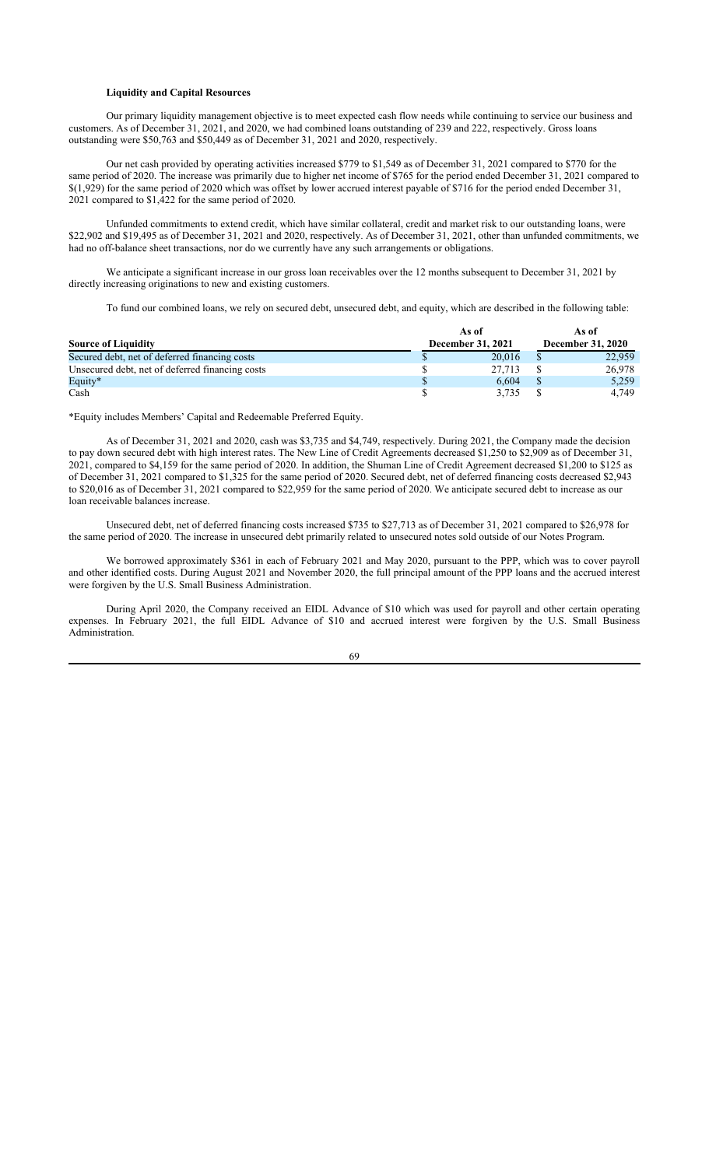### **Liquidity and Capital Resources**

Our primary liquidity management objective is to meet expected cash flow needs while continuing to service our business and customers. As of December 31, 2021, and 2020, we had combined loans outstanding of 239 and 222, respectively. Gross loans outstanding were \$50,763 and \$50,449 as of December 31, 2021 and 2020, respectively.

Our net cash provided by operating activities increased \$779 to \$1,549 as of December 31, 2021 compared to \$770 for the same period of 2020. The increase was primarily due to higher net income of \$765 for the period ended December 31, 2021 compared to \$(1,929) for the same period of 2020 which was offset by lower accrued interest payable of \$716 for the period ended December 31, 2021 compared to \$1,422 for the same period of 2020.

Unfunded commitments to extend credit, which have similar collateral, credit and market risk to our outstanding loans, were \$22,902 and \$19,495 as of December 31, 2021 and 2020, respectively. As of December 31, 2021, other than unfunded commitments, we had no off-balance sheet transactions, nor do we currently have any such arrangements or obligations.

We anticipate a significant increase in our gross loan receivables over the 12 months subsequent to December 31, 2021 by directly increasing originations to new and existing customers.

To fund our combined loans, we rely on secured debt, unsecured debt, and equity, which are described in the following table:

|                                                 | As of             | As of                    |
|-------------------------------------------------|-------------------|--------------------------|
| <b>Source of Liquidity</b>                      | December 31, 2021 | <b>December 31, 2020</b> |
| Secured debt, net of deferred financing costs   | 20.016            | 22,959                   |
| Unsecured debt, net of deferred financing costs | 27,713            | 26,978                   |
| Equity*                                         | 6.604             | 5,259                    |
| Cash                                            | 3.735             | 4,749                    |

\*Equity includes Members' Capital and Redeemable Preferred Equity.

As of December 31, 2021 and 2020, cash was \$3,735 and \$4,749, respectively. During 2021, the Company made the decision to pay down secured debt with high interest rates. The New Line of Credit Agreements decreased \$1,250 to \$2,909 as of December 31, 2021, compared to \$4,159 for the same period of 2020. In addition, the Shuman Line of Credit Agreement decreased \$1,200 to \$125 as of December 31, 2021 compared to \$1,325 for the same period of 2020. Secured debt, net of deferred financing costs decreased \$2,943 to \$20,016 as of December 31, 2021 compared to \$22,959 for the same period of 2020. We anticipate secured debt to increase as our loan receivable balances increase.

Unsecured debt, net of deferred financing costs increased \$735 to \$27,713 as of December 31, 2021 compared to \$26,978 for the same period of 2020. The increase in unsecured debt primarily related to unsecured notes sold outside of our Notes Program.

We borrowed approximately \$361 in each of February 2021 and May 2020, pursuant to the PPP, which was to cover payroll and other identified costs. During August 2021 and November 2020, the full principal amount of the PPP loans and the accrued interest were forgiven by the U.S. Small Business Administration.

During April 2020, the Company received an EIDL Advance of \$10 which was used for payroll and other certain operating expenses. In February 2021, the full EIDL Advance of \$10 and accrued interest were forgiven by the U.S. Small Business Administration.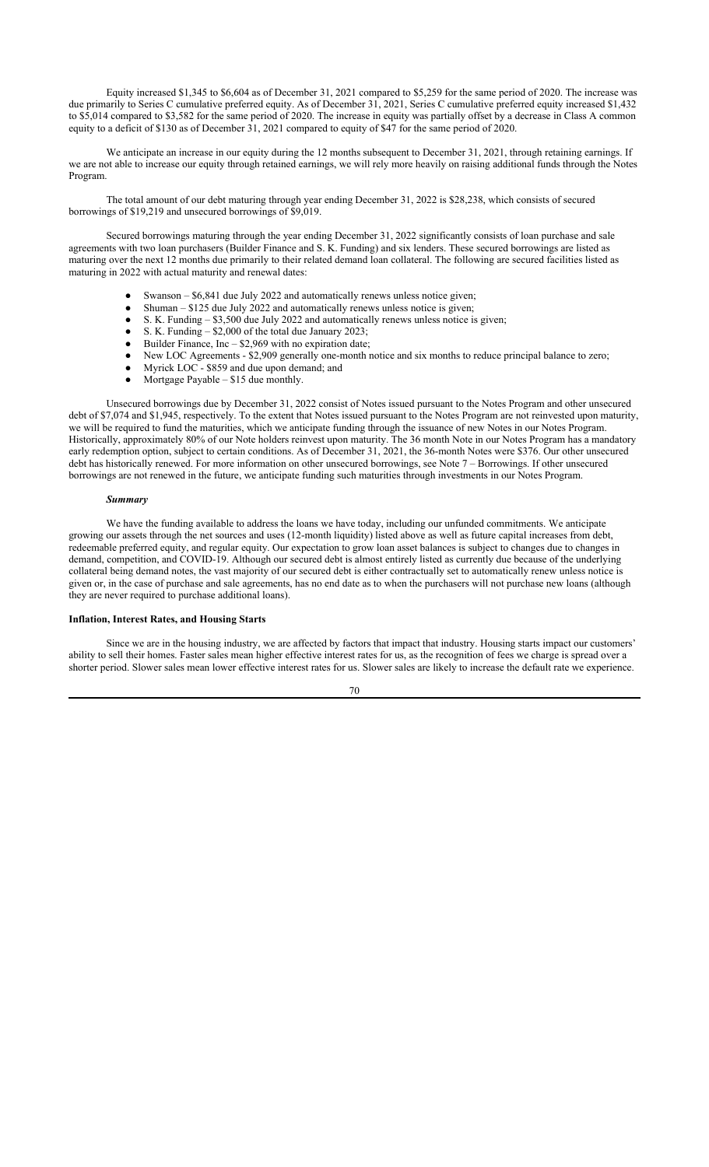Equity increased \$1,345 to \$6,604 as of December 31, 2021 compared to \$5,259 for the same period of 2020. The increase was due primarily to Series C cumulative preferred equity. As of December 31, 2021, Series C cumulative preferred equity increased \$1,432 to \$5,014 compared to \$3,582 for the same period of 2020. The increase in equity was partially offset by a decrease in Class A common equity to a deficit of \$130 as of December 31, 2021 compared to equity of \$47 for the same period of 2020.

We anticipate an increase in our equity during the 12 months subsequent to December 31, 2021, through retaining earnings. If we are not able to increase our equity through retained earnings, we will rely more heavily on raising additional funds through the Notes Program.

The total amount of our debt maturing through year ending December 31, 2022 is \$28,238, which consists of secured borrowings of \$19,219 and unsecured borrowings of \$9,019.

Secured borrowings maturing through the year ending December 31, 2022 significantly consists of loan purchase and sale agreements with two loan purchasers (Builder Finance and S. K. Funding) and six lenders. These secured borrowings are listed as maturing over the next 12 months due primarily to their related demand loan collateral. The following are secured facilities listed as maturing in 2022 with actual maturity and renewal dates:

- Swanson  $-$  \$6,841 due July 2022 and automatically renews unless notice given;
- Shuman  $$125$  due July 2022 and automatically renews unless notice is given;
- $\bullet$  S. K. Funding \$3,500 due July 2022 and automatically renews unless notice is given;
- $\bullet$  S. K. Funding \$2,000 of the total due January 2023;
- $\bullet$  Builder Finance, Inc  $-$  \$2,969 with no expiration date;
- New LOC Agreements \$2,909 generally one-month notice and six months to reduce principal balance to zero;
- Myrick LOC \$859 and due upon demand; and
- Mortgage Payable  $$15$  due monthly.

Unsecured borrowings due by December 31, 2022 consist of Notes issued pursuant to the Notes Program and other unsecured debt of \$7,074 and \$1,945, respectively. To the extent that Notes issued pursuant to the Notes Program are not reinvested upon maturity, we will be required to fund the maturities, which we anticipate funding through the issuance of new Notes in our Notes Program. Historically, approximately 80% of our Note holders reinvest upon maturity. The 36 month Note in our Notes Program has a mandatory early redemption option, subject to certain conditions. As of December 31, 2021, the 36-month Notes were \$376. Our other unsecured debt has historically renewed. For more information on other unsecured borrowings, see Note 7 – Borrowings. If other unsecured borrowings are not renewed in the future, we anticipate funding such maturities through investments in our Notes Program.

#### *Summary*

We have the funding available to address the loans we have today, including our unfunded commitments. We anticipate growing our assets through the net sources and uses (12-month liquidity) listed above as well as future capital increases from debt, redeemable preferred equity, and regular equity. Our expectation to grow loan asset balances is subject to changes due to changes in demand, competition, and COVID-19. Although our secured debt is almost entirely listed as currently due because of the underlying collateral being demand notes, the vast majority of our secured debt is either contractually set to automatically renew unless notice is given or, in the case of purchase and sale agreements, has no end date as to when the purchasers will not purchase new loans (although they are never required to purchase additional loans).

#### **Inflation, Interest Rates, and Housing Starts**

Since we are in the housing industry, we are affected by factors that impact that industry. Housing starts impact our customers' ability to sell their homes. Faster sales mean higher effective interest rates for us, as the recognition of fees we charge is spread over a shorter period. Slower sales mean lower effective interest rates for us. Slower sales are likely to increase the default rate we experience.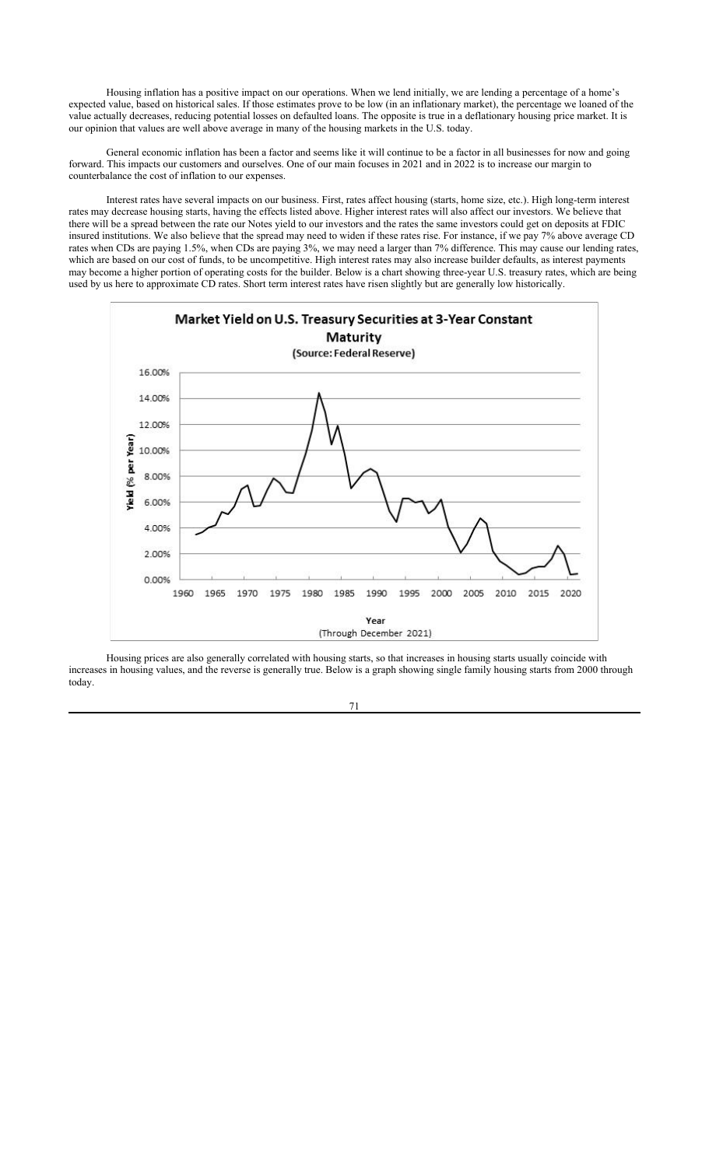Housing inflation has a positive impact on our operations. When we lend initially, we are lending a percentage of a home's expected value, based on historical sales. If those estimates prove to be low (in an inflationary market), the percentage we loaned of the value actually decreases, reducing potential losses on defaulted loans. The opposite is true in a deflationary housing price market. It is our opinion that values are well above average in many of the housing markets in the U.S. today.

General economic inflation has been a factor and seems like it will continue to be a factor in all businesses for now and going forward. This impacts our customers and ourselves. One of our main focuses in 2021 and in 2022 is to increase our margin to counterbalance the cost of inflation to our expenses.

Interest rates have several impacts on our business. First, rates affect housing (starts, home size, etc.). High long-term interest rates may decrease housing starts, having the effects listed above. Higher interest rates will also affect our investors. We believe that there will be a spread between the rate our Notes yield to our investors and the rates the same investors could get on deposits at FDIC insured institutions. We also believe that the spread may need to widen if these rates rise. For instance, if we pay 7% above average CD rates when CDs are paying 1.5%, when CDs are paying 3%, we may need a larger than 7% difference. This may cause our lending rates, which are based on our cost of funds, to be uncompetitive. High interest rates may also increase builder defaults, as interest payments may become a higher portion of operating costs for the builder. Below is a chart showing three-year U.S. treasury rates, which are being used by us here to approximate CD rates. Short term interest rates have risen slightly but are generally low historically.



Housing prices are also generally correlated with housing starts, so that increases in housing starts usually coincide with increases in housing values, and the reverse is generally true. Below is a graph showing single family housing starts from 2000 through today.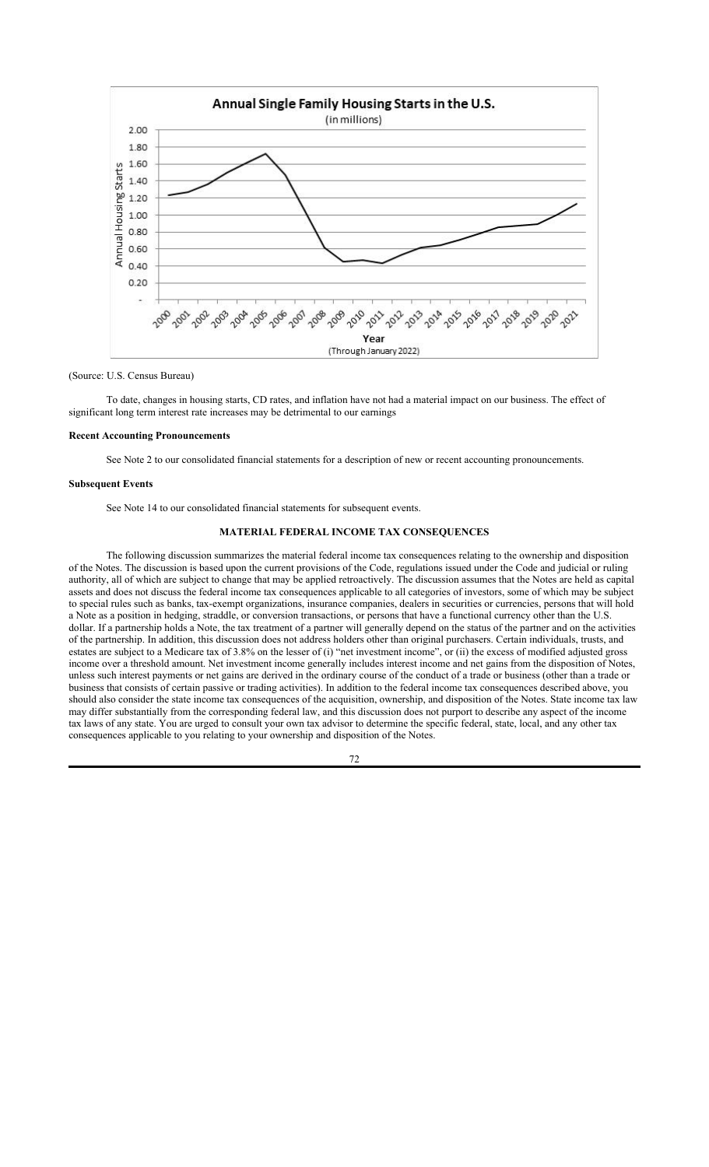

(Source: U.S. Census Bureau)

To date, changes in housing starts, CD rates, and inflation have not had a material impact on our business. The effect of significant long term interest rate increases may be detrimental to our earnings

#### **Recent Accounting Pronouncements**

See Note 2 to our consolidated financial statements for a description of new or recent accounting pronouncements.

### **Subsequent Events**

See Note 14 to our consolidated financial statements for subsequent events.

## **MATERIAL FEDERAL INCOME TAX CONSEQUENCES**

The following discussion summarizes the material federal income tax consequences relating to the ownership and disposition of the Notes. The discussion is based upon the current provisions of the Code, regulations issued under the Code and judicial or ruling authority, all of which are subject to change that may be applied retroactively. The discussion assumes that the Notes are held as capital assets and does not discuss the federal income tax consequences applicable to all categories of investors, some of which may be subject to special rules such as banks, tax-exempt organizations, insurance companies, dealers in securities or currencies, persons that will hold a Note as a position in hedging, straddle, or conversion transactions, or persons that have a functional currency other than the U.S. dollar. If a partnership holds a Note, the tax treatment of a partner will generally depend on the status of the partner and on the activities of the partnership. In addition, this discussion does not address holders other than original purchasers. Certain individuals, trusts, and estates are subject to a Medicare tax of 3.8% on the lesser of (i) "net investment income", or (ii) the excess of modified adjusted gross income over a threshold amount. Net investment income generally includes interest income and net gains from the disposition of Notes, unless such interest payments or net gains are derived in the ordinary course of the conduct of a trade or business (other than a trade or business that consists of certain passive or trading activities). In addition to the federal income tax consequences described above, you should also consider the state income tax consequences of the acquisition, ownership, and disposition of the Notes. State income tax law may differ substantially from the corresponding federal law, and this discussion does not purport to describe any aspect of the income tax laws of any state. You are urged to consult your own tax advisor to determine the specific federal, state, local, and any other tax consequences applicable to you relating to your ownership and disposition of the Notes.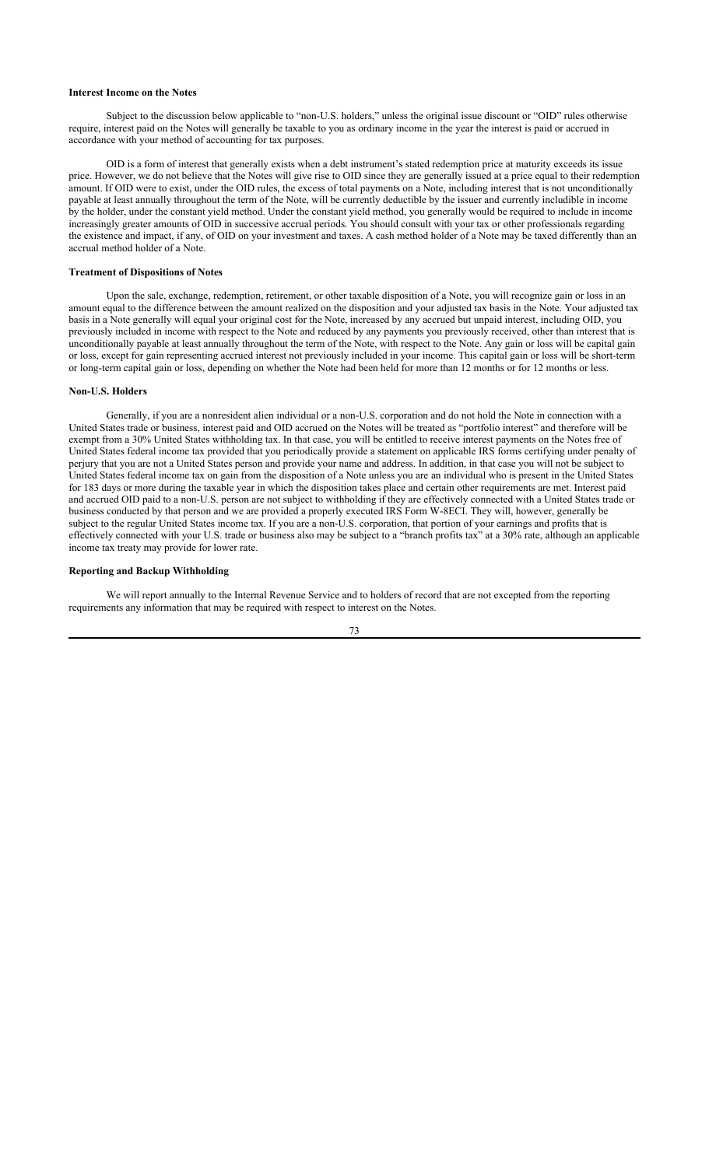#### **Interest Income on the Notes**

Subject to the discussion below applicable to "non-U.S. holders," unless the original issue discount or "OID" rules otherwise require, interest paid on the Notes will generally be taxable to you as ordinary income in the year the interest is paid or accrued in accordance with your method of accounting for tax purposes.

OID is a form of interest that generally exists when a debt instrument's stated redemption price at maturity exceeds its issue price. However, we do not believe that the Notes will give rise to OID since they are generally issued at a price equal to their redemption amount. If OID were to exist, under the OID rules, the excess of total payments on a Note, including interest that is not unconditionally payable at least annually throughout the term of the Note, will be currently deductible by the issuer and currently includible in income by the holder, under the constant yield method. Under the constant yield method, you generally would be required to include in income increasingly greater amounts of OID in successive accrual periods. You should consult with your tax or other professionals regarding the existence and impact, if any, of OID on your investment and taxes. A cash method holder of a Note may be taxed differently than an accrual method holder of a Note.

#### **Treatment of Dispositions of Notes**

Upon the sale, exchange, redemption, retirement, or other taxable disposition of a Note, you will recognize gain or loss in an amount equal to the difference between the amount realized on the disposition and your adjusted tax basis in the Note. Your adjusted tax basis in a Note generally will equal your original cost for the Note, increased by any accrued but unpaid interest, including OID, you previously included in income with respect to the Note and reduced by any payments you previously received, other than interest that is unconditionally payable at least annually throughout the term of the Note, with respect to the Note. Any gain or loss will be capital gain or loss, except for gain representing accrued interest not previously included in your income. This capital gain or loss will be short-term or long-term capital gain or loss, depending on whether the Note had been held for more than 12 months or for 12 months or less.

### **Non-U.S. Holders**

Generally, if you are a nonresident alien individual or a non-U.S. corporation and do not hold the Note in connection with a United States trade or business, interest paid and OID accrued on the Notes will be treated as "portfolio interest" and therefore will be exempt from a 30% United States withholding tax. In that case, you will be entitled to receive interest payments on the Notes free of United States federal income tax provided that you periodically provide a statement on applicable IRS forms certifying under penalty of perjury that you are not a United States person and provide your name and address. In addition, in that case you will not be subject to United States federal income tax on gain from the disposition of a Note unless you are an individual who is present in the United States for 183 days or more during the taxable year in which the disposition takes place and certain other requirements are met. Interest paid and accrued OID paid to a non-U.S. person are not subject to withholding if they are effectively connected with a United States trade or business conducted by that person and we are provided a properly executed IRS Form W-8ECI. They will, however, generally be subject to the regular United States income tax. If you are a non-U.S. corporation, that portion of your earnings and profits that is effectively connected with your U.S. trade or business also may be subject to a "branch profits tax" at a 30% rate, although an applicable income tax treaty may provide for lower rate.

## **Reporting and Backup Withholding**

We will report annually to the Internal Revenue Service and to holders of record that are not excepted from the reporting requirements any information that may be required with respect to interest on the Notes.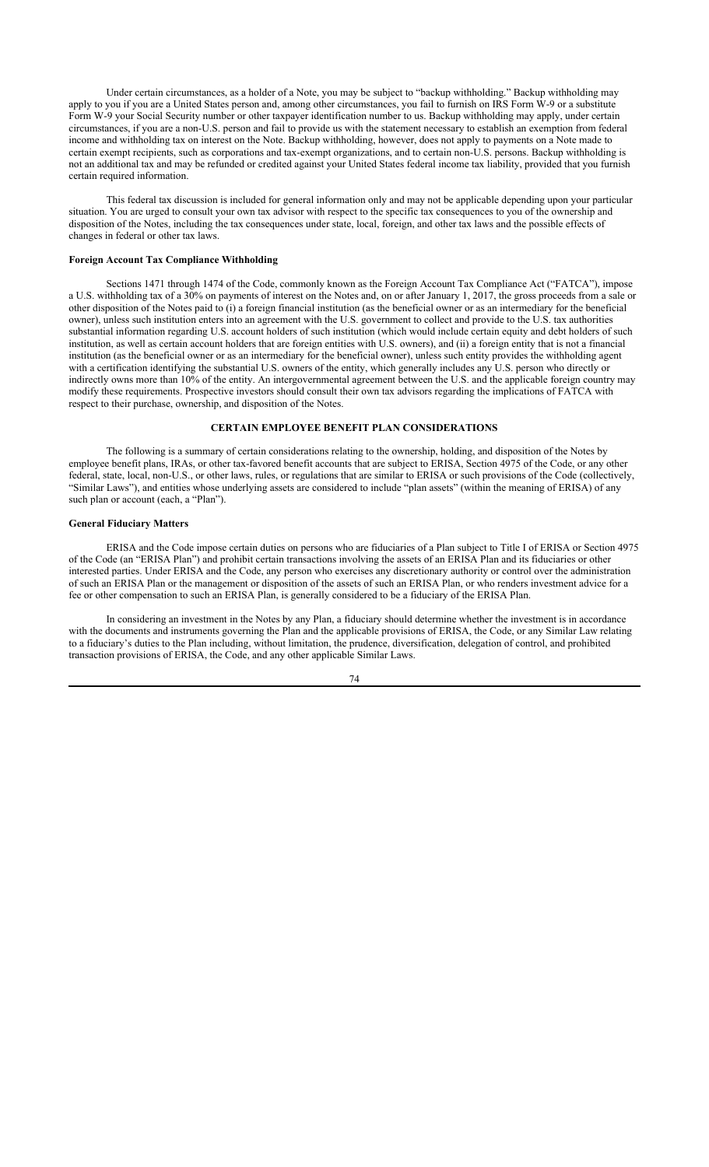Under certain circumstances, as a holder of a Note, you may be subject to "backup withholding." Backup withholding may apply to you if you are a United States person and, among other circumstances, you fail to furnish on IRS Form W-9 or a substitute Form W-9 your Social Security number or other taxpayer identification number to us. Backup withholding may apply, under certain circumstances, if you are a non-U.S. person and fail to provide us with the statement necessary to establish an exemption from federal income and withholding tax on interest on the Note. Backup withholding, however, does not apply to payments on a Note made to certain exempt recipients, such as corporations and tax-exempt organizations, and to certain non-U.S. persons. Backup withholding is not an additional tax and may be refunded or credited against your United States federal income tax liability, provided that you furnish certain required information.

This federal tax discussion is included for general information only and may not be applicable depending upon your particular situation. You are urged to consult your own tax advisor with respect to the specific tax consequences to you of the ownership and disposition of the Notes, including the tax consequences under state, local, foreign, and other tax laws and the possible effects of changes in federal or other tax laws.

### **Foreign Account Tax Compliance Withholding**

Sections 1471 through 1474 of the Code, commonly known as the Foreign Account Tax Compliance Act ("FATCA"), impose a U.S. withholding tax of a 30% on payments of interest on the Notes and, on or after January 1, 2017, the gross proceeds from a sale or other disposition of the Notes paid to (i) a foreign financial institution (as the beneficial owner or as an intermediary for the beneficial owner), unless such institution enters into an agreement with the U.S. government to collect and provide to the U.S. tax authorities substantial information regarding U.S. account holders of such institution (which would include certain equity and debt holders of such institution, as well as certain account holders that are foreign entities with U.S. owners), and (ii) a foreign entity that is not a financial institution (as the beneficial owner or as an intermediary for the beneficial owner), unless such entity provides the withholding agent with a certification identifying the substantial U.S. owners of the entity, which generally includes any U.S. person who directly or indirectly owns more than 10% of the entity. An intergovernmental agreement between the U.S. and the applicable foreign country may modify these requirements. Prospective investors should consult their own tax advisors regarding the implications of FATCA with respect to their purchase, ownership, and disposition of the Notes.

## **CERTAIN EMPLOYEE BENEFIT PLAN CONSIDERATIONS**

The following is a summary of certain considerations relating to the ownership, holding, and disposition of the Notes by employee benefit plans, IRAs, or other tax-favored benefit accounts that are subject to ERISA, Section 4975 of the Code, or any other federal, state, local, non-U.S., or other laws, rules, or regulations that are similar to ERISA or such provisions of the Code (collectively, "Similar Laws"), and entities whose underlying assets are considered to include "plan assets" (within the meaning of ERISA) of any such plan or account (each, a "Plan").

### **General Fiduciary Matters**

ERISA and the Code impose certain duties on persons who are fiduciaries of a Plan subject to Title I of ERISA or Section 4975 of the Code (an "ERISA Plan") and prohibit certain transactions involving the assets of an ERISA Plan and its fiduciaries or other interested parties. Under ERISA and the Code, any person who exercises any discretionary authority or control over the administration of such an ERISA Plan or the management or disposition of the assets of such an ERISA Plan, or who renders investment advice for a fee or other compensation to such an ERISA Plan, is generally considered to be a fiduciary of the ERISA Plan.

In considering an investment in the Notes by any Plan, a fiduciary should determine whether the investment is in accordance with the documents and instruments governing the Plan and the applicable provisions of ERISA, the Code, or any Similar Law relating to a fiduciary's duties to the Plan including, without limitation, the prudence, diversification, delegation of control, and prohibited transaction provisions of ERISA, the Code, and any other applicable Similar Laws.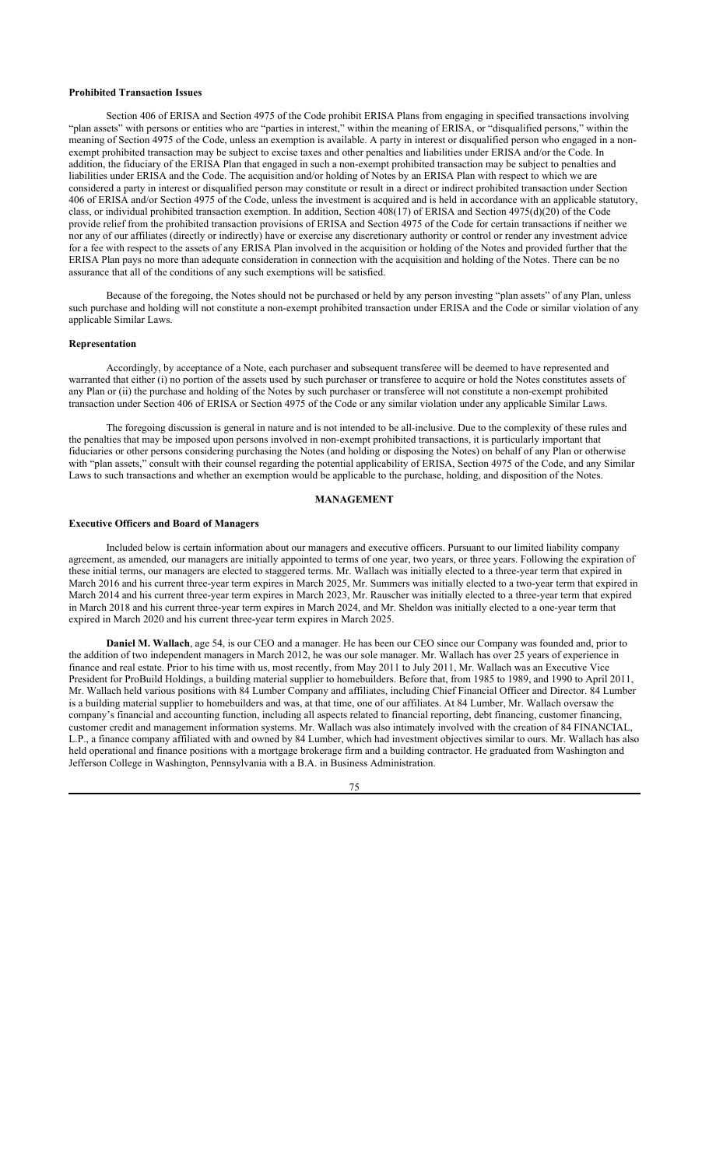#### **Prohibited Transaction Issues**

Section 406 of ERISA and Section 4975 of the Code prohibit ERISA Plans from engaging in specified transactions involving "plan assets" with persons or entities who are "parties in interest," within the meaning of ERISA, or "disqualified persons," within the meaning of Section 4975 of the Code, unless an exemption is available. A party in interest or disqualified person who engaged in a nonexempt prohibited transaction may be subject to excise taxes and other penalties and liabilities under ERISA and/or the Code. In addition, the fiduciary of the ERISA Plan that engaged in such a non-exempt prohibited transaction may be subject to penalties and liabilities under ERISA and the Code. The acquisition and/or holding of Notes by an ERISA Plan with respect to which we are considered a party in interest or disqualified person may constitute or result in a direct or indirect prohibited transaction under Section 406 of ERISA and/or Section 4975 of the Code, unless the investment is acquired and is held in accordance with an applicable statutory, class, or individual prohibited transaction exemption. In addition, Section 408(17) of ERISA and Section 4975(d)(20) of the Code provide relief from the prohibited transaction provisions of ERISA and Section 4975 of the Code for certain transactions if neither we nor any of our affiliates (directly or indirectly) have or exercise any discretionary authority or control or render any investment advice for a fee with respect to the assets of any ERISA Plan involved in the acquisition or holding of the Notes and provided further that the ERISA Plan pays no more than adequate consideration in connection with the acquisition and holding of the Notes. There can be no assurance that all of the conditions of any such exemptions will be satisfied.

Because of the foregoing, the Notes should not be purchased or held by any person investing "plan assets" of any Plan, unless such purchase and holding will not constitute a non-exempt prohibited transaction under ERISA and the Code or similar violation of any applicable Similar Laws.

#### **Representation**

Accordingly, by acceptance of a Note, each purchaser and subsequent transferee will be deemed to have represented and warranted that either (i) no portion of the assets used by such purchaser or transferee to acquire or hold the Notes constitutes assets of any Plan or (ii) the purchase and holding of the Notes by such purchaser or transferee will not constitute a non-exempt prohibited transaction under Section 406 of ERISA or Section 4975 of the Code or any similar violation under any applicable Similar Laws.

The foregoing discussion is general in nature and is not intended to be all-inclusive. Due to the complexity of these rules and the penalties that may be imposed upon persons involved in non-exempt prohibited transactions, it is particularly important that fiduciaries or other persons considering purchasing the Notes (and holding or disposing the Notes) on behalf of any Plan or otherwise with "plan assets," consult with their counsel regarding the potential applicability of ERISA, Section 4975 of the Code, and any Similar Laws to such transactions and whether an exemption would be applicable to the purchase, holding, and disposition of the Notes.

#### **MANAGEMENT**

#### **Executive Officers and Board of Managers**

Included below is certain information about our managers and executive officers. Pursuant to our limited liability company agreement, as amended, our managers are initially appointed to terms of one year, two years, or three years. Following the expiration of these initial terms, our managers are elected to staggered terms. Mr. Wallach was initially elected to a three-year term that expired in March 2016 and his current three-year term expires in March 2025, Mr. Summers was initially elected to a two-year term that expired in March 2014 and his current three-year term expires in March 2023, Mr. Rauscher was initially elected to a three-year term that expired in March 2018 and his current three-year term expires in March 2024, and Mr. Sheldon was initially elected to a one-year term that expired in March 2020 and his current three-year term expires in March 2025.

**Daniel M. Wallach**, age 54, is our CEO and a manager. He has been our CEO since our Company was founded and, prior to the addition of two independent managers in March 2012, he was our sole manager. Mr. Wallach has over 25 years of experience in finance and real estate. Prior to his time with us, most recently, from May 2011 to July 2011, Mr. Wallach was an Executive Vice President for ProBuild Holdings, a building material supplier to homebuilders. Before that, from 1985 to 1989, and 1990 to April 2011, Mr. Wallach held various positions with 84 Lumber Company and affiliates, including Chief Financial Officer and Director. 84 Lumber is a building material supplier to homebuilders and was, at that time, one of our affiliates. At 84 Lumber, Mr. Wallach oversaw the company's financial and accounting function, including all aspects related to financial reporting, debt financing, customer financing, customer credit and management information systems. Mr. Wallach was also intimately involved with the creation of 84 FINANCIAL, L.P., a finance company affiliated with and owned by 84 Lumber, which had investment objectives similar to ours. Mr. Wallach has also held operational and finance positions with a mortgage brokerage firm and a building contractor. He graduated from Washington and Jefferson College in Washington, Pennsylvania with a B.A. in Business Administration.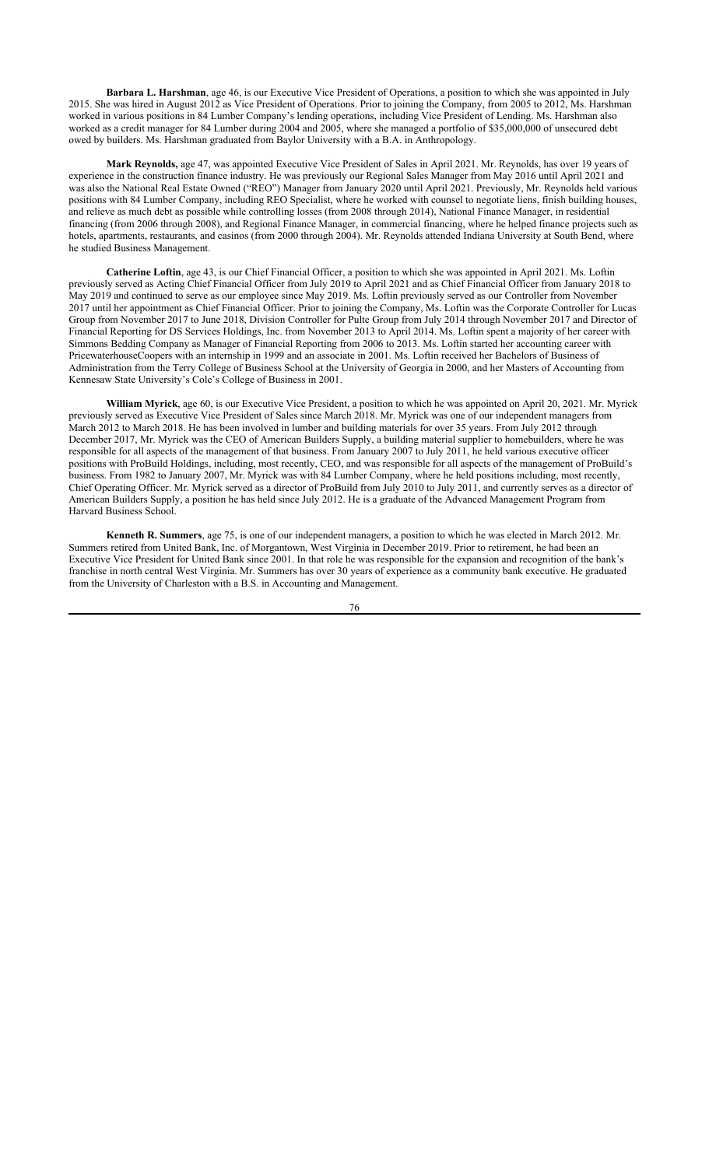**Barbara L. Harshman**, age 46, is our Executive Vice President of Operations, a position to which she was appointed in July 2015. She was hired in August 2012 as Vice President of Operations. Prior to joining the Company, from 2005 to 2012, Ms. Harshman worked in various positions in 84 Lumber Company's lending operations, including Vice President of Lending. Ms. Harshman also worked as a credit manager for 84 Lumber during 2004 and 2005, where she managed a portfolio of \$35,000,000 of unsecured debt owed by builders. Ms. Harshman graduated from Baylor University with a B.A. in Anthropology.

**Mark Reynolds,** age 47, was appointed Executive Vice President of Sales in April 2021. Mr. Reynolds, has over 19 years of experience in the construction finance industry. He was previously our Regional Sales Manager from May 2016 until April 2021 and was also the National Real Estate Owned ("REO") Manager from January 2020 until April 2021. Previously, Mr. Reynolds held various positions with 84 Lumber Company, including REO Specialist, where he worked with counsel to negotiate liens, finish building houses, and relieve as much debt as possible while controlling losses (from 2008 through 2014), National Finance Manager, in residential financing (from 2006 through 2008), and Regional Finance Manager, in commercial financing, where he helped finance projects such as hotels, apartments, restaurants, and casinos (from 2000 through 2004). Mr. Reynolds attended Indiana University at South Bend, where he studied Business Management.

**Catherine Loftin**, age 43, is our Chief Financial Officer, a position to which she was appointed in April 2021. Ms. Loftin previously served as Acting Chief Financial Officer from July 2019 to April 2021 and as Chief Financial Officer from January 2018 to May 2019 and continued to serve as our employee since May 2019. Ms. Loftin previously served as our Controller from November 2017 until her appointment as Chief Financial Officer. Prior to joining the Company, Ms. Loftin was the Corporate Controller for Lucas Group from November 2017 to June 2018, Division Controller for Pulte Group from July 2014 through November 2017 and Director of Financial Reporting for DS Services Holdings, Inc. from November 2013 to April 2014. Ms. Loftin spent a majority of her career with Simmons Bedding Company as Manager of Financial Reporting from 2006 to 2013. Ms. Loftin started her accounting career with PricewaterhouseCoopers with an internship in 1999 and an associate in 2001. Ms. Loftin received her Bachelors of Business of Administration from the Terry College of Business School at the University of Georgia in 2000, and her Masters of Accounting from Kennesaw State University's Cole's College of Business in 2001.

**William Myrick**, age 60, is our Executive Vice President, a position to which he was appointed on April 20, 2021. Mr. Myrick previously served as Executive Vice President of Sales since March 2018. Mr. Myrick was one of our independent managers from March 2012 to March 2018. He has been involved in lumber and building materials for over 35 years. From July 2012 through December 2017, Mr. Myrick was the CEO of American Builders Supply, a building material supplier to homebuilders, where he was responsible for all aspects of the management of that business. From January 2007 to July 2011, he held various executive officer positions with ProBuild Holdings, including, most recently, CEO, and was responsible for all aspects of the management of ProBuild's business. From 1982 to January 2007, Mr. Myrick was with 84 Lumber Company, where he held positions including, most recently, Chief Operating Officer. Mr. Myrick served as a director of ProBuild from July 2010 to July 2011, and currently serves as a director of American Builders Supply, a position he has held since July 2012. He is a graduate of the Advanced Management Program from Harvard Business School.

**Kenneth R. Summers**, age 75, is one of our independent managers, a position to which he was elected in March 2012. Mr. Summers retired from United Bank, Inc. of Morgantown, West Virginia in December 2019. Prior to retirement, he had been an Executive Vice President for United Bank since 2001. In that role he was responsible for the expansion and recognition of the bank's franchise in north central West Virginia. Mr. Summers has over 30 years of experience as a community bank executive. He graduated from the University of Charleston with a B.S. in Accounting and Management.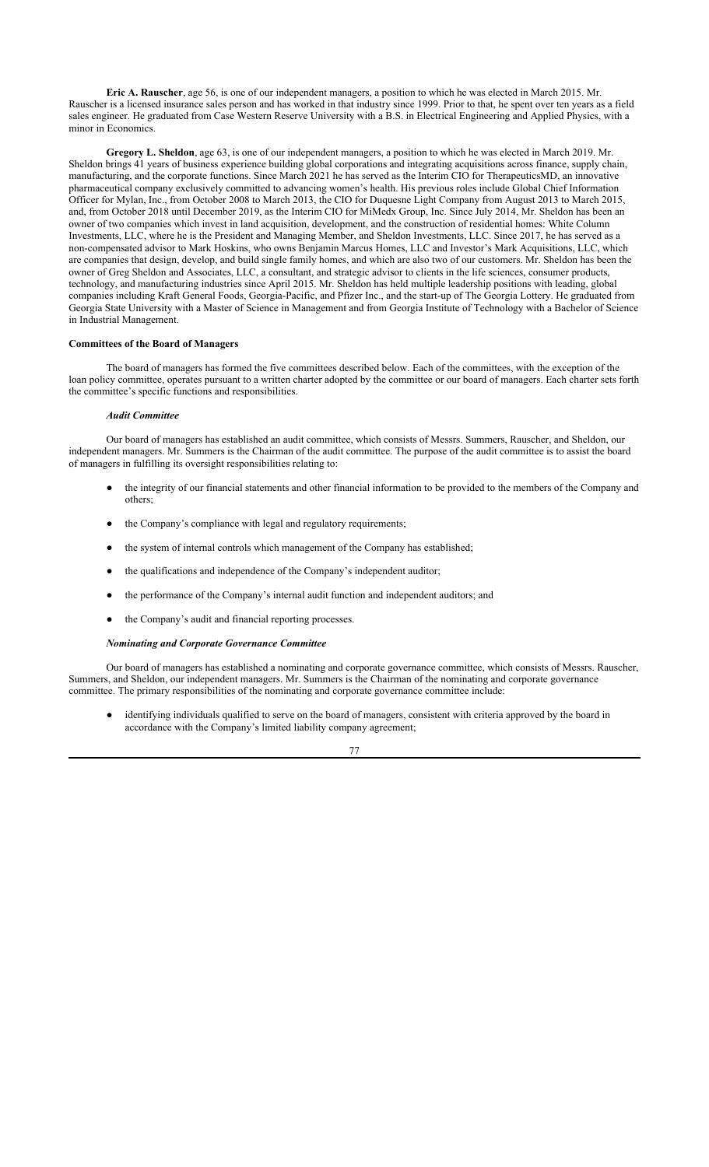**Eric A. Rauscher**, age 56, is one of our independent managers, a position to which he was elected in March 2015. Mr. Rauscher is a licensed insurance sales person and has worked in that industry since 1999. Prior to that, he spent over ten years as a field sales engineer. He graduated from Case Western Reserve University with a B.S. in Electrical Engineering and Applied Physics, with a minor in Economics.

**Gregory L. Sheldon**, age 63, is one of our independent managers, a position to which he was elected in March 2019. Mr. Sheldon brings 41 years of business experience building global corporations and integrating acquisitions across finance, supply chain, manufacturing, and the corporate functions. Since March 2021 he has served as the Interim CIO for TherapeuticsMD, an innovative pharmaceutical company exclusively committed to advancing women's health. His previous roles include Global Chief Information Officer for Mylan, Inc., from October 2008 to March 2013, the CIO for Duquesne Light Company from August 2013 to March 2015, and, from October 2018 until December 2019, as the Interim CIO for MiMedx Group, Inc. Since July 2014, Mr. Sheldon has been an owner of two companies which invest in land acquisition, development, and the construction of residential homes: White Column Investments, LLC, where he is the President and Managing Member, and Sheldon Investments, LLC. Since 2017, he has served as a non-compensated advisor to Mark Hoskins, who owns Benjamin Marcus Homes, LLC and Investor's Mark Acquisitions, LLC, which are companies that design, develop, and build single family homes, and which are also two of our customers. Mr. Sheldon has been the owner of Greg Sheldon and Associates, LLC, a consultant, and strategic advisor to clients in the life sciences, consumer products, technology, and manufacturing industries since April 2015. Mr. Sheldon has held multiple leadership positions with leading, global companies including Kraft General Foods, Georgia-Pacific, and Pfizer Inc., and the start-up of The Georgia Lottery. He graduated from Georgia State University with a Master of Science in Management and from Georgia Institute of Technology with a Bachelor of Science in Industrial Management.

## **Committees of the Board of Managers**

The board of managers has formed the five committees described below. Each of the committees, with the exception of the loan policy committee, operates pursuant to a written charter adopted by the committee or our board of managers. Each charter sets forth the committee's specific functions and responsibilities.

### *Audit Committee*

Our board of managers has established an audit committee, which consists of Messrs. Summers, Rauscher, and Sheldon, our independent managers. Mr. Summers is the Chairman of the audit committee. The purpose of the audit committee is to assist the board of managers in fulfilling its oversight responsibilities relating to:

- the integrity of our financial statements and other financial information to be provided to the members of the Company and others;
- the Company's compliance with legal and regulatory requirements;
- the system of internal controls which management of the Company has established;
- the qualifications and independence of the Company's independent auditor;
- the performance of the Company's internal audit function and independent auditors; and
- the Company's audit and financial reporting processes.

## *Nominating and Corporate Governance Committee*

Our board of managers has established a nominating and corporate governance committee, which consists of Messrs. Rauscher, Summers, and Sheldon, our independent managers. Mr. Summers is the Chairman of the nominating and corporate governance committee. The primary responsibilities of the nominating and corporate governance committee include:

● identifying individuals qualified to serve on the board of managers, consistent with criteria approved by the board in accordance with the Company's limited liability company agreement;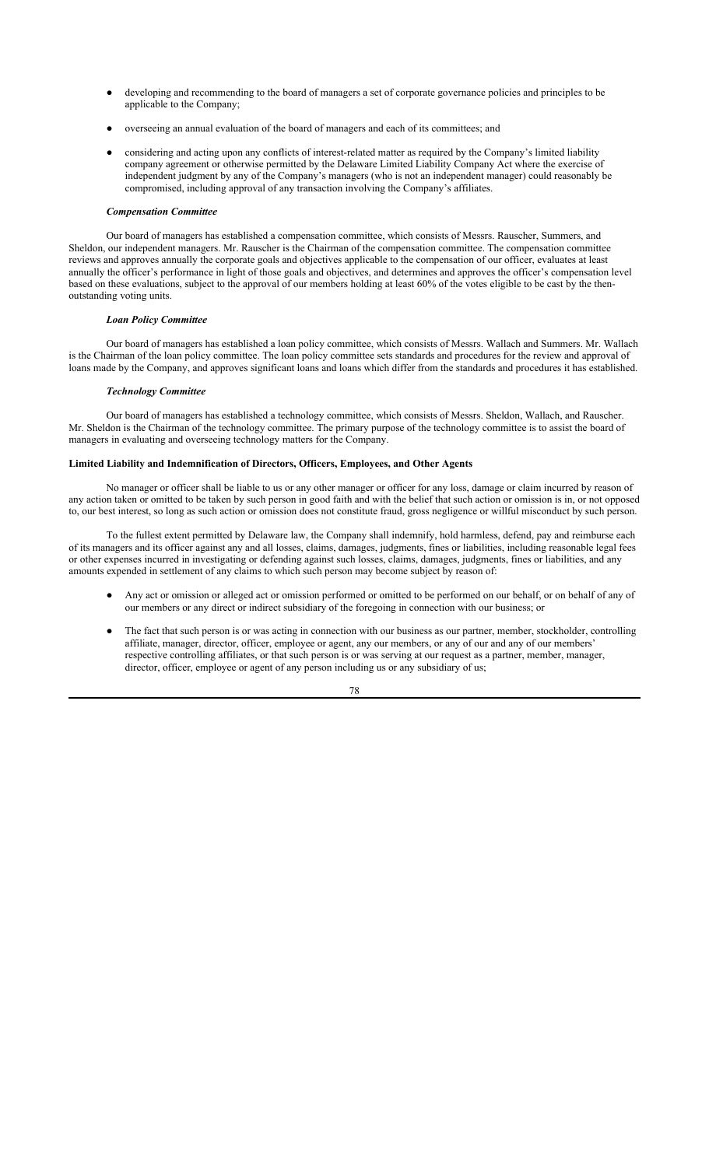- developing and recommending to the board of managers a set of corporate governance policies and principles to be applicable to the Company;
- overseeing an annual evaluation of the board of managers and each of its committees; and
- considering and acting upon any conflicts of interest-related matter as required by the Company's limited liability company agreement or otherwise permitted by the Delaware Limited Liability Company Act where the exercise of independent judgment by any of the Company's managers (who is not an independent manager) could reasonably be compromised, including approval of any transaction involving the Company's affiliates.

### *Compensation Committee*

Our board of managers has established a compensation committee, which consists of Messrs. Rauscher, Summers, and Sheldon, our independent managers. Mr. Rauscher is the Chairman of the compensation committee. The compensation committee reviews and approves annually the corporate goals and objectives applicable to the compensation of our officer, evaluates at least annually the officer's performance in light of those goals and objectives, and determines and approves the officer's compensation level based on these evaluations, subject to the approval of our members holding at least 60% of the votes eligible to be cast by the thenoutstanding voting units.

### *Loan Policy Committee*

Our board of managers has established a loan policy committee, which consists of Messrs. Wallach and Summers. Mr. Wallach is the Chairman of the loan policy committee. The loan policy committee sets standards and procedures for the review and approval of loans made by the Company, and approves significant loans and loans which differ from the standards and procedures it has established.

### *Technology Committee*

Our board of managers has established a technology committee, which consists of Messrs. Sheldon, Wallach, and Rauscher. Mr. Sheldon is the Chairman of the technology committee. The primary purpose of the technology committee is to assist the board of managers in evaluating and overseeing technology matters for the Company.

### **Limited Liability and Indemnification of Directors, Officers, Employees, and Other Agents**

No manager or officer shall be liable to us or any other manager or officer for any loss, damage or claim incurred by reason of any action taken or omitted to be taken by such person in good faith and with the belief that such action or omission is in, or not opposed to, our best interest, so long as such action or omission does not constitute fraud, gross negligence or willful misconduct by such person.

To the fullest extent permitted by Delaware law, the Company shall indemnify, hold harmless, defend, pay and reimburse each of its managers and its officer against any and all losses, claims, damages, judgments, fines or liabilities, including reasonable legal fees or other expenses incurred in investigating or defending against such losses, claims, damages, judgments, fines or liabilities, and any amounts expended in settlement of any claims to which such person may become subject by reason of:

- Any act or omission or alleged act or omission performed or omitted to be performed on our behalf, or on behalf of any of our members or any direct or indirect subsidiary of the foregoing in connection with our business; or
- The fact that such person is or was acting in connection with our business as our partner, member, stockholder, controlling affiliate, manager, director, officer, employee or agent, any our members, or any of our and any of our members' respective controlling affiliates, or that such person is or was serving at our request as a partner, member, manager, director, officer, employee or agent of any person including us or any subsidiary of us;

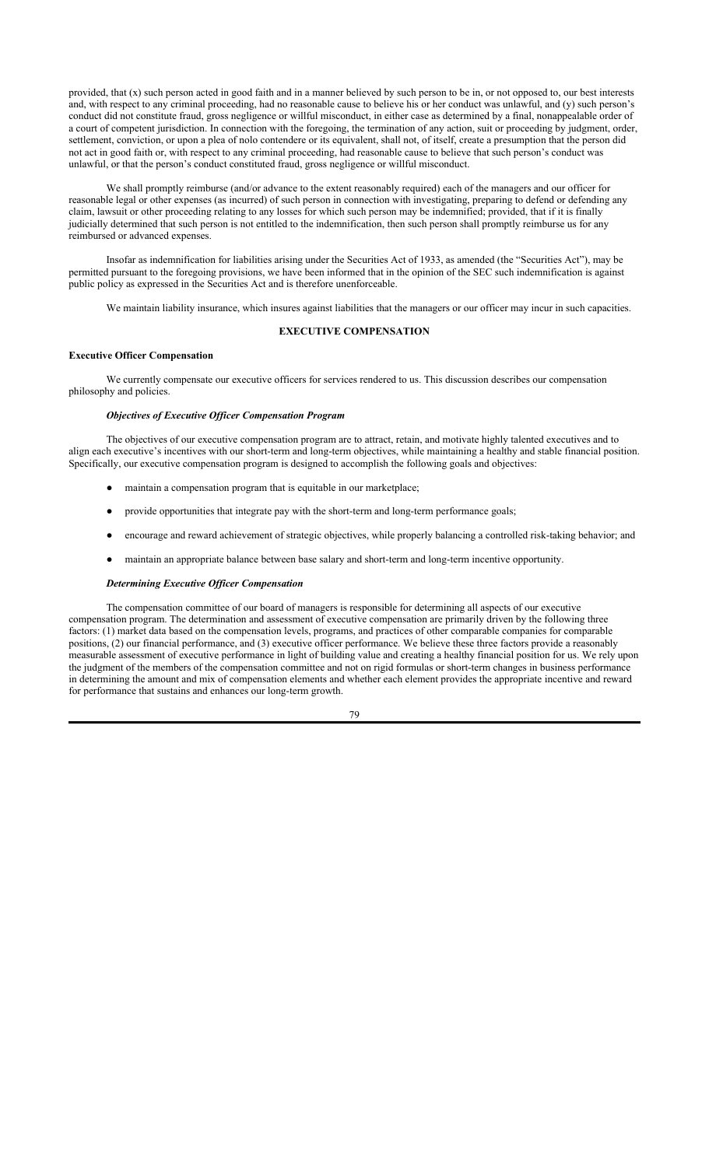provided, that  $(x)$  such person acted in good faith and in a manner believed by such person to be in, or not opposed to, our best interests and, with respect to any criminal proceeding, had no reasonable cause to believe his or her conduct was unlawful, and (y) such person's conduct did not constitute fraud, gross negligence or willful misconduct, in either case as determined by a final, nonappealable order of a court of competent jurisdiction. In connection with the foregoing, the termination of any action, suit or proceeding by judgment, order, settlement, conviction, or upon a plea of nolo contendere or its equivalent, shall not, of itself, create a presumption that the person did not act in good faith or, with respect to any criminal proceeding, had reasonable cause to believe that such person's conduct was unlawful, or that the person's conduct constituted fraud, gross negligence or willful misconduct.

We shall promptly reimburse (and/or advance to the extent reasonably required) each of the managers and our officer for reasonable legal or other expenses (as incurred) of such person in connection with investigating, preparing to defend or defending any claim, lawsuit or other proceeding relating to any losses for which such person may be indemnified; provided, that if it is finally judicially determined that such person is not entitled to the indemnification, then such person shall promptly reimburse us for any reimbursed or advanced expenses.

Insofar as indemnification for liabilities arising under the Securities Act of 1933, as amended (the "Securities Act"), may be permitted pursuant to the foregoing provisions, we have been informed that in the opinion of the SEC such indemnification is against public policy as expressed in the Securities Act and is therefore unenforceable.

We maintain liability insurance, which insures against liabilities that the managers or our officer may incur in such capacities.

# **EXECUTIVE COMPENSATION**

# **Executive Officer Compensation**

We currently compensate our executive officers for services rendered to us. This discussion describes our compensation philosophy and policies.

## *Objectives of Executive Officer Compensation Program*

The objectives of our executive compensation program are to attract, retain, and motivate highly talented executives and to align each executive's incentives with our short-term and long-term objectives, while maintaining a healthy and stable financial position. Specifically, our executive compensation program is designed to accomplish the following goals and objectives:

- maintain a compensation program that is equitable in our marketplace;
- provide opportunities that integrate pay with the short-term and long-term performance goals;
- encourage and reward achievement of strategic objectives, while properly balancing a controlled risk-taking behavior; and
- maintain an appropriate balance between base salary and short-term and long-term incentive opportunity.

#### *Determining Executive Officer Compensation*

The compensation committee of our board of managers is responsible for determining all aspects of our executive compensation program. The determination and assessment of executive compensation are primarily driven by the following three factors: (1) market data based on the compensation levels, programs, and practices of other comparable companies for comparable positions, (2) our financial performance, and (3) executive officer performance. We believe these three factors provide a reasonably measurable assessment of executive performance in light of building value and creating a healthy financial position for us. We rely upon the judgment of the members of the compensation committee and not on rigid formulas or short-term changes in business performance in determining the amount and mix of compensation elements and whether each element provides the appropriate incentive and reward for performance that sustains and enhances our long-term growth.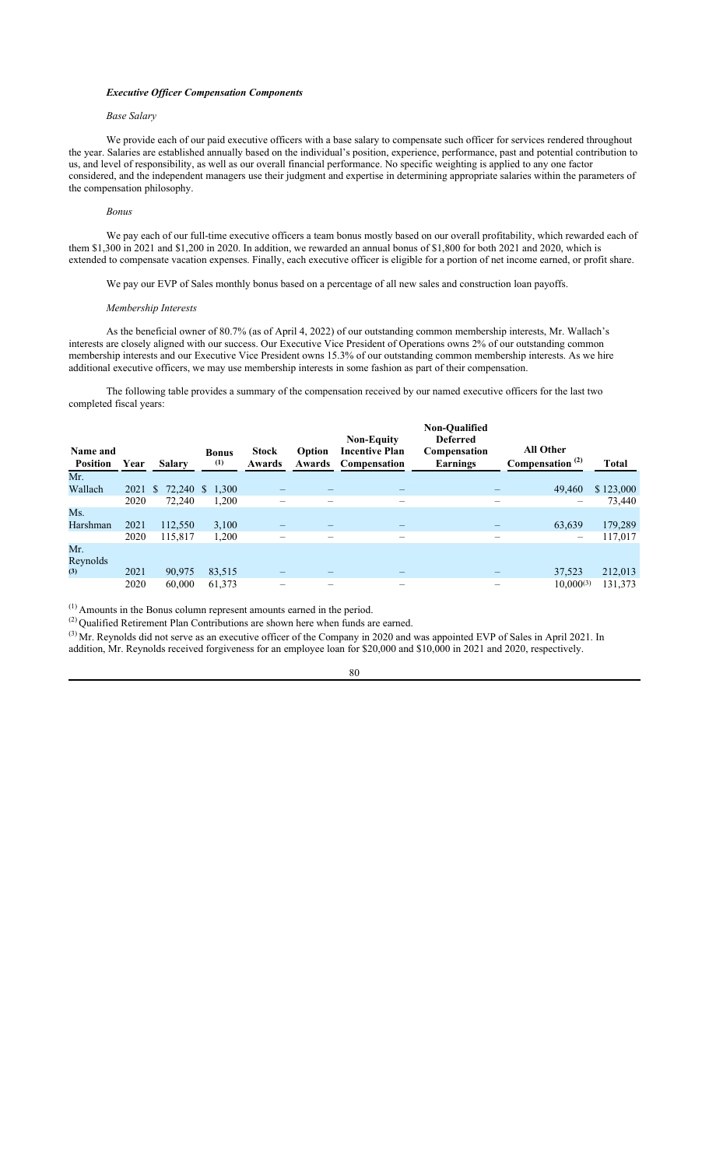### *Executive Officer Compensation Components*

## *Base Salary*

We provide each of our paid executive officers with a base salary to compensate such officer for services rendered throughout the year. Salaries are established annually based on the individual's position, experience, performance, past and potential contribution to us, and level of responsibility, as well as our overall financial performance. No specific weighting is applied to any one factor considered, and the independent managers use their judgment and expertise in determining appropriate salaries within the parameters of the compensation philosophy.

## *Bonus*

We pay each of our full-time executive officers a team bonus mostly based on our overall profitability, which rewarded each of them \$1,300 in 2021 and \$1,200 in 2020. In addition, we rewarded an annual bonus of \$1,800 for both 2021 and 2020, which is extended to compensate vacation expenses. Finally, each executive officer is eligible for a portion of net income earned, or profit share.

We pay our EVP of Sales monthly bonus based on a percentage of all new sales and construction loan payoffs.

#### *Membership Interests*

As the beneficial owner of 80.7% (as of April 4, 2022) of our outstanding common membership interests, Mr. Wallach's interests are closely aligned with our success. Our Executive Vice President of Operations owns 2% of our outstanding common membership interests and our Executive Vice President owns 15.3% of our outstanding common membership interests. As we hire additional executive officers, we may use membership interests in some fashion as part of their compensation.

The following table provides a summary of the compensation received by our named executive officers for the last two completed fiscal years:

| Name and<br><b>Position</b> | Year | <b>Salary</b> | <b>Bonus</b><br>(1) | <b>Stock</b><br>Awards | Option<br>Awards | <b>Non-Equity</b><br><b>Incentive Plan</b><br>Compensation | Non-Qualified<br><b>Deferred</b><br>Compensation<br>Earnings | <b>All Other</b><br>Compensation <sup>(2)</sup> | <b>Total</b> |
|-----------------------------|------|---------------|---------------------|------------------------|------------------|------------------------------------------------------------|--------------------------------------------------------------|-------------------------------------------------|--------------|
| Mr.                         |      |               |                     |                        |                  |                                                            |                                                              |                                                 |              |
| Wallach                     | 2021 | S             | 72,240 \$ 1,300     |                        |                  |                                                            |                                                              | 49,460                                          | \$123,000    |
|                             | 2020 | 72,240        | 1,200               |                        |                  |                                                            |                                                              |                                                 | 73,440       |
| Ms.                         |      |               |                     |                        |                  |                                                            |                                                              |                                                 |              |
| Harshman                    | 2021 | 112,550       | 3,100               |                        |                  |                                                            |                                                              | 63,639                                          | 179,289      |
|                             | 2020 | 115,817       | 1,200               |                        |                  |                                                            |                                                              |                                                 | 117,017      |
| Mr.<br>Reynolds             |      |               |                     |                        |                  |                                                            |                                                              |                                                 |              |
| (3)                         | 2021 | 90,975        | 83,515              |                        |                  |                                                            |                                                              | 37,523                                          | 212,013      |
|                             | 2020 | 60,000        | 61,373              |                        | -                | $\overline{\phantom{0}}$                                   | —                                                            | 10,000(3)                                       | 131,373      |

(1) Amounts in the Bonus column represent amounts earned in the period.

 $^{(2)}$  Qualified Retirement Plan Contributions are shown here when funds are earned.

 $^{(3)}$  Mr. Reynolds did not serve as an executive officer of the Company in 2020 and was appointed EVP of Sales in April 2021. In addition, Mr. Reynolds received forgiveness for an employee loan for \$20,000 and \$10,000 in 2021 and 2020, respectively.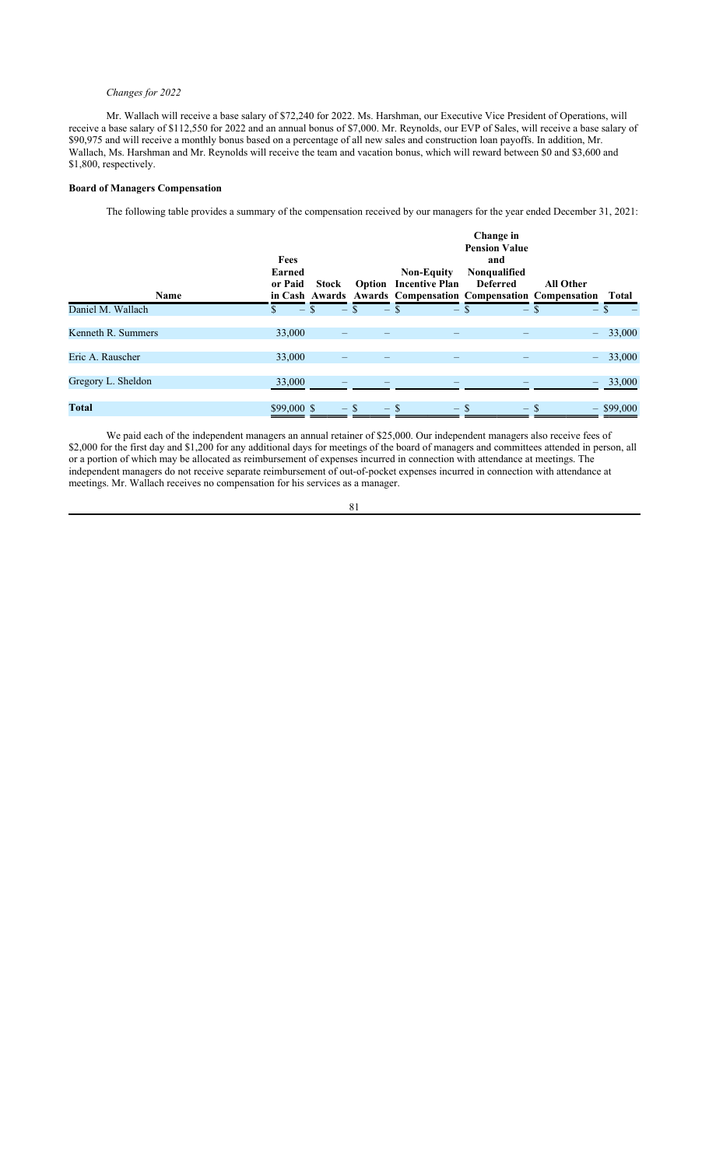## *Changes for 2022*

Mr. Wallach will receive a base salary of \$72,240 for 2022. Ms. Harshman, our Executive Vice President of Operations, will receive a base salary of \$112,550 for 2022 and an annual bonus of \$7,000. Mr. Reynolds, our EVP of Sales, will receive a base salary of \$90,975 and will receive a monthly bonus based on a percentage of all new sales and construction loan payoffs. In addition, Mr. Wallach, Ms. Harshman and Mr. Reynolds will receive the team and vacation bonus, which will reward between \$0 and \$3,600 and \$1,800, respectively.

# **Board of Managers Compensation**

The following table provides a summary of the compensation received by our managers for the year ended December 31, 2021:

|                    | Fees<br><b>Earned</b> |              | <b>Non-Equity</b>                                                                            | Change in<br><b>Pension Value</b><br>and<br>Nonqualified |                          |              |
|--------------------|-----------------------|--------------|----------------------------------------------------------------------------------------------|----------------------------------------------------------|--------------------------|--------------|
| Name               | or Paid               | <b>Stock</b> | <b>Option</b> Incentive Plan<br>in Cash Awards Awards Compensation Compensation Compensation | Deferred                                                 | <b>All Other</b>         | Total        |
| Daniel M. Wallach  | $-$ \$                | $-$ \$       | $-$ \$<br>$-$ \$                                                                             | $-$ \$                                                   | $-$ \$                   |              |
| Kenneth R. Summers | 33,000                |              |                                                                                              |                                                          | $\overline{\phantom{m}}$ | 33,000       |
| Eric A. Rauscher   | 33,000                |              |                                                                                              |                                                          | $\frac{1}{2}$            | 33,000       |
| Gregory L. Sheldon | 33,000                |              |                                                                                              |                                                          |                          | 33,000       |
| <b>Total</b>       | $$99,000$ \$          | $-$ \$       | $-$ \$<br>$-$ \$                                                                             | $-$ S                                                    |                          | $-$ \$99,000 |

We paid each of the independent managers an annual retainer of \$25,000. Our independent managers also receive fees of \$2,000 for the first day and \$1,200 for any additional days for meetings of the board of managers and committees attended in person, all or a portion of which may be allocated as reimbursement of expenses incurred in connection with attendance at meetings. The independent managers do not receive separate reimbursement of out-of-pocket expenses incurred in connection with attendance at meetings. Mr. Wallach receives no compensation for his services as a manager.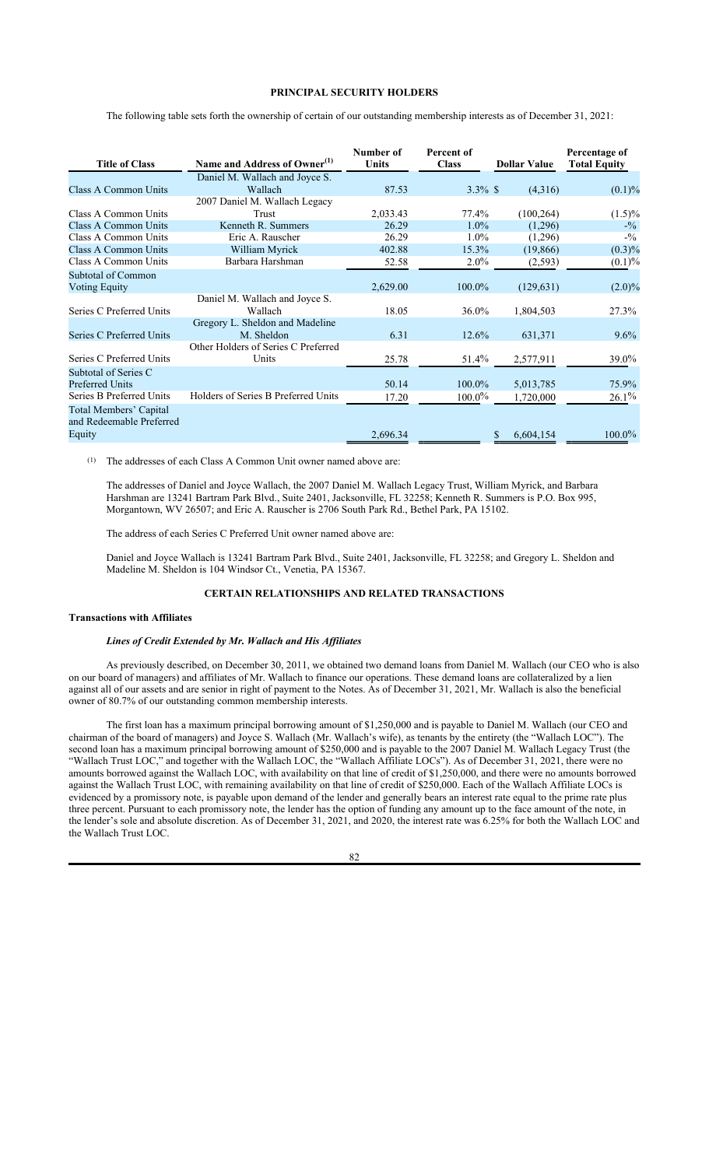# **PRINCIPAL SECURITY HOLDERS**

The following table sets forth the ownership of certain of our outstanding membership interests as of December 31, 2021:

|                             |                                          | Number of | Percent of   |                     | Percentage of       |
|-----------------------------|------------------------------------------|-----------|--------------|---------------------|---------------------|
| <b>Title of Class</b>       | Name and Address of Owner <sup>(1)</sup> | Units     | <b>Class</b> | <b>Dollar Value</b> | <b>Total Equity</b> |
|                             | Daniel M. Wallach and Joyce S.           |           |              |                     |                     |
| Class A Common Units        | Wallach                                  | 87.53     | $3.3\%$ \$   | (4,316)             | $(0.1)\%$           |
|                             | 2007 Daniel M. Wallach Legacy            |           |              |                     |                     |
| Class A Common Units        | Trust                                    | 2,033.43  | 77.4%        | (100, 264)          | $(1.5)\%$           |
| <b>Class A Common Units</b> | Kenneth R. Summers                       | 26.29     | $1.0\%$      | (1,296)             | $-9/0$              |
| Class A Common Units        | Eric A. Rauscher                         | 26.29     | 1.0%         | (1,296)             | $-1/2$              |
| <b>Class A Common Units</b> | William Myrick                           | 402.88    | 15.3%        | (19,866)            | (0.3)%              |
| Class A Common Units        | Barbara Harshman                         | 52.58     | $2.0\%$      | (2,593)             | (0.1)%              |
| Subtotal of Common          |                                          |           |              |                     |                     |
| <b>Voting Equity</b>        |                                          | 2,629.00  | 100.0%       | (129, 631)          | $(2.0)\%$           |
|                             | Daniel M. Wallach and Joyce S.           |           |              |                     |                     |
| Series C Preferred Units    | Wallach                                  | 18.05     | 36.0%        | 1,804,503           | 27.3%               |
|                             | Gregory L. Sheldon and Madeline          |           |              |                     |                     |
| Series C Preferred Units    | M. Sheldon                               | 6.31      | 12.6%        | 631,371             | $9.6\%$             |
|                             | Other Holders of Series C Preferred      |           |              |                     |                     |
| Series C Preferred Units    | Units                                    | 25.78     | 51.4%        | 2,577,911           | 39.0%               |
| Subtotal of Series C        |                                          |           |              |                     |                     |
| <b>Preferred Units</b>      |                                          | 50.14     | 100.0%       | 5,013,785           | 75.9%               |
| Series B Preferred Units    | Holders of Series B Preferred Units      | 17.20     | $100.0\%$    | 1,720,000           | 26.1%               |
| Total Members' Capital      |                                          |           |              |                     |                     |
| and Redeemable Preferred    |                                          |           |              |                     |                     |
| Equity                      |                                          | 2,696.34  |              | 6,604,154           | $100.0\%$           |
|                             |                                          |           |              |                     |                     |

(1) The addresses of each Class A Common Unit owner named above are:

The addresses of Daniel and Joyce Wallach, the 2007 Daniel M. Wallach Legacy Trust, William Myrick, and Barbara Harshman are 13241 Bartram Park Blvd., Suite 2401, Jacksonville, FL 32258; Kenneth R. Summers is P.O. Box 995, Morgantown, WV 26507; and Eric A. Rauscher is 2706 South Park Rd., Bethel Park, PA 15102.

The address of each Series C Preferred Unit owner named above are:

Daniel and Joyce Wallach is 13241 Bartram Park Blvd., Suite 2401, Jacksonville, FL 32258; and Gregory L. Sheldon and Madeline M. Sheldon is 104 Windsor Ct., Venetia, PA 15367.

# **CERTAIN RELATIONSHIPS AND RELATED TRANSACTIONS**

## **Transactions with Affiliates**

### *Lines of Credit Extended by Mr. Wallach and His Affiliates*

As previously described, on December 30, 2011, we obtained two demand loans from Daniel M. Wallach (our CEO who is also on our board of managers) and affiliates of Mr. Wallach to finance our operations. These demand loans are collateralized by a lien against all of our assets and are senior in right of payment to the Notes. As of December 31, 2021, Mr. Wallach is also the beneficial owner of 80.7% of our outstanding common membership interests.

The first loan has a maximum principal borrowing amount of \$1,250,000 and is payable to Daniel M. Wallach (our CEO and chairman of the board of managers) and Joyce S. Wallach (Mr. Wallach's wife), as tenants by the entirety (the "Wallach LOC"). The second loan has a maximum principal borrowing amount of \$250,000 and is payable to the 2007 Daniel M. Wallach Legacy Trust (the "Wallach Trust LOC," and together with the Wallach LOC, the "Wallach Affiliate LOCs"). As of December 31, 2021, there were no amounts borrowed against the Wallach LOC, with availability on that line of credit of \$1,250,000, and there were no amounts borrowed against the Wallach Trust LOC, with remaining availability on that line of credit of \$250,000. Each of the Wallach Affiliate LOCs is evidenced by a promissory note, is payable upon demand of the lender and generally bears an interest rate equal to the prime rate plus three percent. Pursuant to each promissory note, the lender has the option of funding any amount up to the face amount of the note, in the lender's sole and absolute discretion. As of December 31, 2021, and 2020, the interest rate was 6.25% for both the Wallach LOC and the Wallach Trust LOC.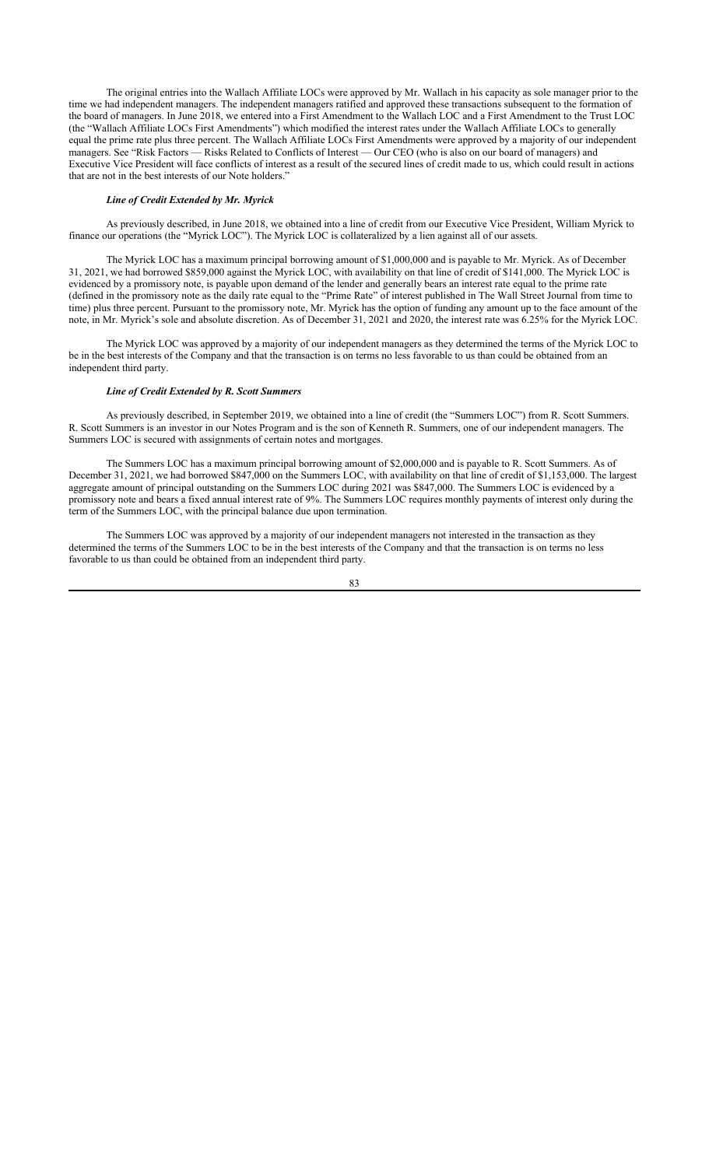The original entries into the Wallach Affiliate LOCs were approved by Mr. Wallach in his capacity as sole manager prior to the time we had independent managers. The independent managers ratified and approved these transactions subsequent to the formation of the board of managers. In June 2018, we entered into a First Amendment to the Wallach LOC and a First Amendment to the Trust LOC (the "Wallach Affiliate LOCs First Amendments") which modified the interest rates under the Wallach Affiliate LOCs to generally equal the prime rate plus three percent. The Wallach Affiliate LOCs First Amendments were approved by a majority of our independent managers. See "Risk Factors — Risks Related to Conflicts of Interest — Our CEO (who is also on our board of managers) and Executive Vice President will face conflicts of interest as a result of the secured lines of credit made to us, which could result in actions that are not in the best interests of our Note holders."

### *Line of Credit Extended by Mr. Myrick*

As previously described, in June 2018, we obtained into a line of credit from our Executive Vice President, William Myrick to finance our operations (the "Myrick LOC"). The Myrick LOC is collateralized by a lien against all of our assets.

The Myrick LOC has a maximum principal borrowing amount of \$1,000,000 and is payable to Mr. Myrick. As of December 31, 2021, we had borrowed \$859,000 against the Myrick LOC, with availability on that line of credit of \$141,000. The Myrick LOC is evidenced by a promissory note, is payable upon demand of the lender and generally bears an interest rate equal to the prime rate (defined in the promissory note as the daily rate equal to the "Prime Rate" of interest published in The Wall Street Journal from time to time) plus three percent. Pursuant to the promissory note, Mr. Myrick has the option of funding any amount up to the face amount of the note, in Mr. Myrick's sole and absolute discretion. As of December 31, 2021 and 2020, the interest rate was 6.25% for the Myrick LOC.

The Myrick LOC was approved by a majority of our independent managers as they determined the terms of the Myrick LOC to be in the best interests of the Company and that the transaction is on terms no less favorable to us than could be obtained from an independent third party.

#### *Line of Credit Extended by R. Scott Summers*

As previously described, in September 2019, we obtained into a line of credit (the "Summers LOC") from R. Scott Summers. R. Scott Summers is an investor in our Notes Program and is the son of Kenneth R. Summers, one of our independent managers. The Summers LOC is secured with assignments of certain notes and mortgages.

The Summers LOC has a maximum principal borrowing amount of \$2,000,000 and is payable to R. Scott Summers. As of December 31, 2021, we had borrowed \$847,000 on the Summers LOC, with availability on that line of credit of \$1,153,000. The largest aggregate amount of principal outstanding on the Summers LOC during 2021 was \$847,000. The Summers LOC is evidenced by a promissory note and bears a fixed annual interest rate of 9%. The Summers LOC requires monthly payments of interest only during the term of the Summers LOC, with the principal balance due upon termination.

The Summers LOC was approved by a majority of our independent managers not interested in the transaction as they determined the terms of the Summers LOC to be in the best interests of the Company and that the transaction is on terms no less favorable to us than could be obtained from an independent third party.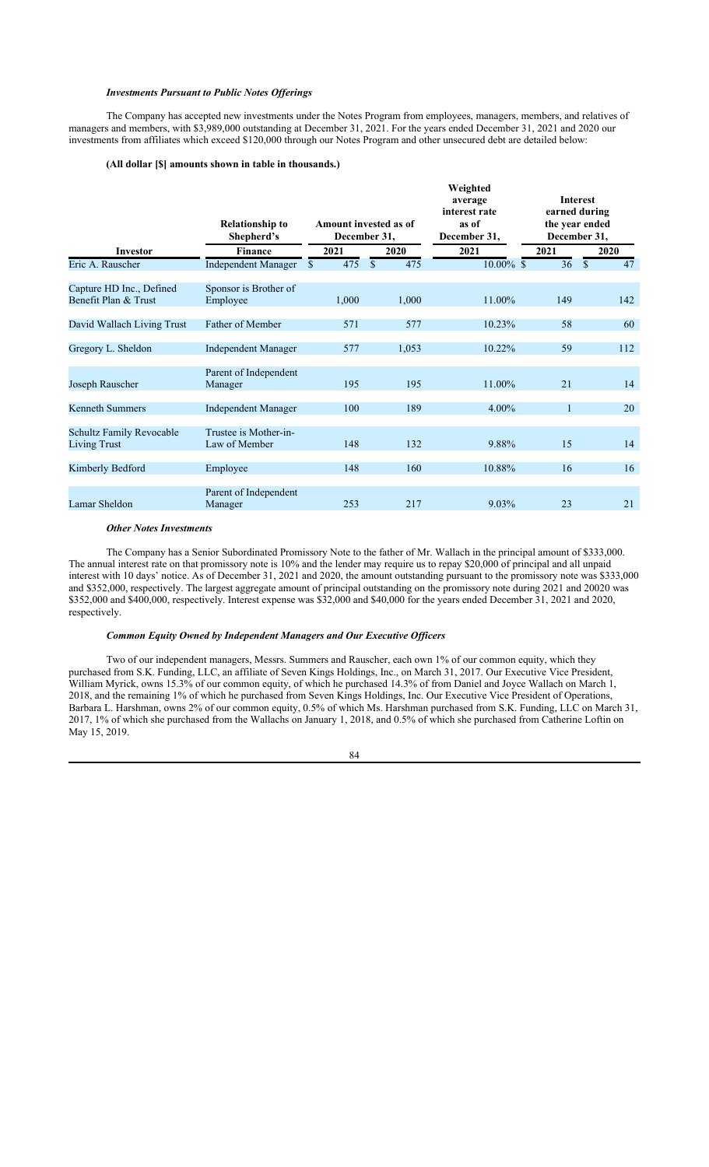### *Investments Pursuant to Public Notes Offerings*

The Company has accepted new investments under the Notes Program from employees, managers, members, and relatives of managers and members, with \$3,989,000 outstanding at December 31, 2021. For the years ended December 31, 2021 and 2020 our investments from affiliates which exceed \$120,000 through our Notes Program and other unsecured debt are detailed below:

### **(All dollar [\$] amounts shown in table in thousands.)**

|                                                  | <b>Relationship to</b><br>Shepherd's   | Amount invested as of<br>December 31, |              |       | Weighted<br>average<br>interest rate<br>as of<br>December 31, | <b>Interest</b><br>earned during<br>the year ended<br>December 31, |              |     |
|--------------------------------------------------|----------------------------------------|---------------------------------------|--------------|-------|---------------------------------------------------------------|--------------------------------------------------------------------|--------------|-----|
| <b>Investor</b>                                  | <b>Finance</b>                         | 2021                                  | 2020         |       | 2021                                                          | 2021                                                               | 2020         |     |
| Eric A. Rauscher                                 | <b>Independent Manager</b>             | \$<br>475                             | $\mathbb{S}$ | 475   | $10.00\%$ \$                                                  | 36                                                                 | $\mathbb{S}$ | 47  |
| Capture HD Inc., Defined<br>Benefit Plan & Trust | Sponsor is Brother of<br>Employee      | 1,000                                 |              | 1,000 | 11.00%                                                        | 149                                                                |              | 142 |
| David Wallach Living Trust                       | Father of Member                       | 571                                   |              | 577   | 10.23%                                                        | 58                                                                 |              | 60  |
| Gregory L. Sheldon                               | Independent Manager                    | 577                                   |              | 1,053 | 10.22%                                                        | 59                                                                 |              | 112 |
| Joseph Rauscher                                  | Parent of Independent<br>Manager       | 195                                   |              | 195   | 11.00%                                                        | 21                                                                 |              | 14  |
| Kenneth Summers                                  | Independent Manager                    | 100                                   |              | 189   | $4.00\%$                                                      | 1                                                                  |              | 20  |
| <b>Schultz Family Revocable</b><br>Living Trust  | Trustee is Mother-in-<br>Law of Member | 148                                   |              | 132   | 9.88%                                                         | 15                                                                 |              | 14  |
| Kimberly Bedford                                 | Employee                               | 148                                   |              | 160   | 10.88%                                                        | 16                                                                 |              | 16  |
| Lamar Sheldon                                    | Parent of Independent<br>Manager       | 253                                   |              | 217   | 9.03%                                                         | 23                                                                 |              | 21  |

#### *Other Notes Investments*

The Company has a Senior Subordinated Promissory Note to the father of Mr. Wallach in the principal amount of \$333,000. The annual interest rate on that promissory note is 10% and the lender may require us to repay \$20,000 of principal and all unpaid interest with 10 days' notice. As of December 31, 2021 and 2020, the amount outstanding pursuant to the promissory note was \$333,000 and \$352,000, respectively. The largest aggregate amount of principal outstanding on the promissory note during 2021 and 20020 was \$352,000 and \$400,000, respectively. Interest expense was \$32,000 and \$40,000 for the years ended December 31, 2021 and 2020, respectively.

### *Common Equity Owned by Independent Managers and Our Executive Officers*

Two of our independent managers, Messrs. Summers and Rauscher, each own 1% of our common equity, which they purchased from S.K. Funding, LLC, an affiliate of Seven Kings Holdings, Inc., on March 31, 2017. Our Executive Vice President, William Myrick, owns 15.3% of our common equity, of which he purchased 14.3% of from Daniel and Joyce Wallach on March 1, 2018, and the remaining 1% of which he purchased from Seven Kings Holdings, Inc. Our Executive Vice President of Operations, Barbara L. Harshman, owns 2% of our common equity, 0.5% of which Ms. Harshman purchased from S.K. Funding, LLC on March 31, 2017, 1% of which she purchased from the Wallachs on January 1, 2018, and 0.5% of which she purchased from Catherine Loftin on May 15, 2019.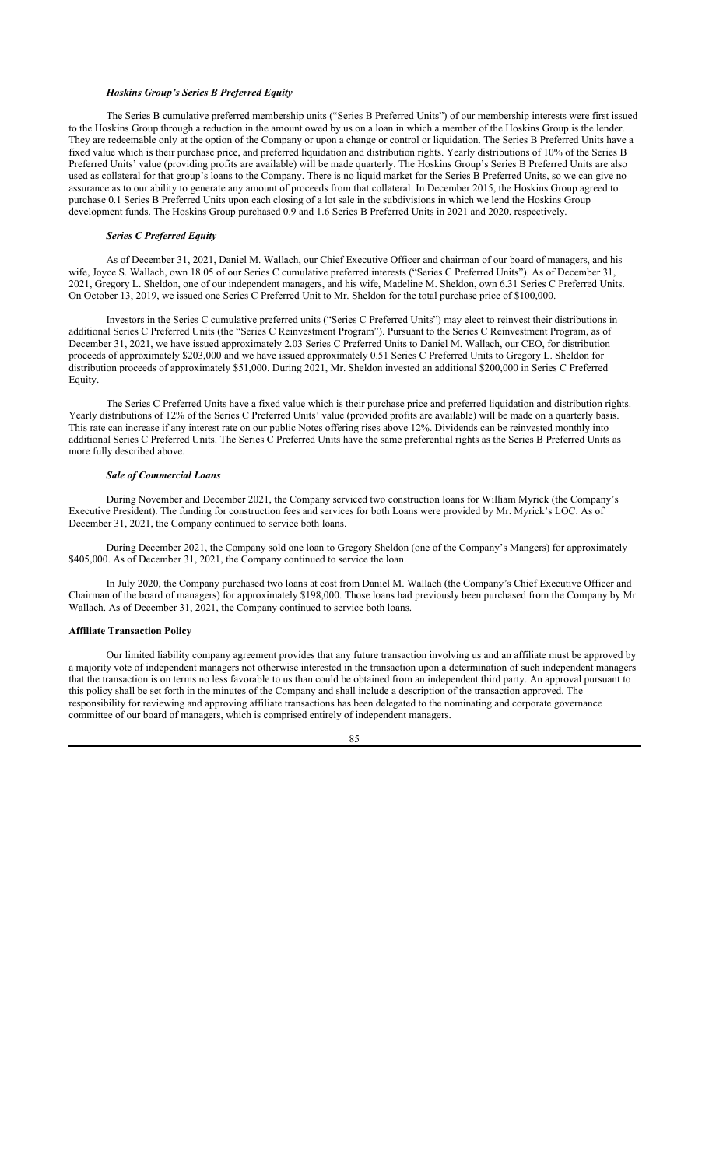### *Hoskins Group's Series B Preferred Equity*

The Series B cumulative preferred membership units ("Series B Preferred Units") of our membership interests were first issued to the Hoskins Group through a reduction in the amount owed by us on a loan in which a member of the Hoskins Group is the lender. They are redeemable only at the option of the Company or upon a change or control or liquidation. The Series B Preferred Units have a fixed value which is their purchase price, and preferred liquidation and distribution rights. Yearly distributions of 10% of the Series B Preferred Units' value (providing profits are available) will be made quarterly. The Hoskins Group's Series B Preferred Units are also used as collateral for that group's loans to the Company. There is no liquid market for the Series B Preferred Units, so we can give no assurance as to our ability to generate any amount of proceeds from that collateral. In December 2015, the Hoskins Group agreed to purchase 0.1 Series B Preferred Units upon each closing of a lot sale in the subdivisions in which we lend the Hoskins Group development funds. The Hoskins Group purchased 0.9 and 1.6 Series B Preferred Units in 2021 and 2020, respectively.

### *Series C Preferred Equity*

As of December 31, 2021, Daniel M. Wallach, our Chief Executive Officer and chairman of our board of managers, and his wife, Joyce S. Wallach, own 18.05 of our Series C cumulative preferred interests ("Series C Preferred Units"). As of December 31, 2021, Gregory L. Sheldon, one of our independent managers, and his wife, Madeline M. Sheldon, own 6.31 Series C Preferred Units. On October 13, 2019, we issued one Series C Preferred Unit to Mr. Sheldon for the total purchase price of \$100,000.

Investors in the Series C cumulative preferred units ("Series C Preferred Units") may elect to reinvest their distributions in additional Series C Preferred Units (the "Series C Reinvestment Program"). Pursuant to the Series C Reinvestment Program, as of December 31, 2021, we have issued approximately 2.03 Series C Preferred Units to Daniel M. Wallach, our CEO, for distribution proceeds of approximately \$203,000 and we have issued approximately 0.51 Series C Preferred Units to Gregory L. Sheldon for distribution proceeds of approximately \$51,000. During 2021, Mr. Sheldon invested an additional \$200,000 in Series C Preferred Equity.

The Series C Preferred Units have a fixed value which is their purchase price and preferred liquidation and distribution rights. Yearly distributions of 12% of the Series C Preferred Units' value (provided profits are available) will be made on a quarterly basis. This rate can increase if any interest rate on our public Notes offering rises above 12%. Dividends can be reinvested monthly into additional Series C Preferred Units. The Series C Preferred Units have the same preferential rights as the Series B Preferred Units as more fully described above.

### *Sale of Commercial Loans*

During November and December 2021, the Company serviced two construction loans for William Myrick (the Company's Executive President). The funding for construction fees and services for both Loans were provided by Mr. Myrick's LOC. As of December 31, 2021, the Company continued to service both loans.

During December 2021, the Company sold one loan to Gregory Sheldon (one of the Company's Mangers) for approximately \$405,000. As of December 31, 2021, the Company continued to service the loan.

In July 2020, the Company purchased two loans at cost from Daniel M. Wallach (the Company's Chief Executive Officer and Chairman of the board of managers) for approximately \$198,000. Those loans had previously been purchased from the Company by Mr. Wallach. As of December 31, 2021, the Company continued to service both loans.

## **Affiliate Transaction Policy**

Our limited liability company agreement provides that any future transaction involving us and an affiliate must be approved by a majority vote of independent managers not otherwise interested in the transaction upon a determination of such independent managers that the transaction is on terms no less favorable to us than could be obtained from an independent third party. An approval pursuant to this policy shall be set forth in the minutes of the Company and shall include a description of the transaction approved. The responsibility for reviewing and approving affiliate transactions has been delegated to the nominating and corporate governance committee of our board of managers, which is comprised entirely of independent managers.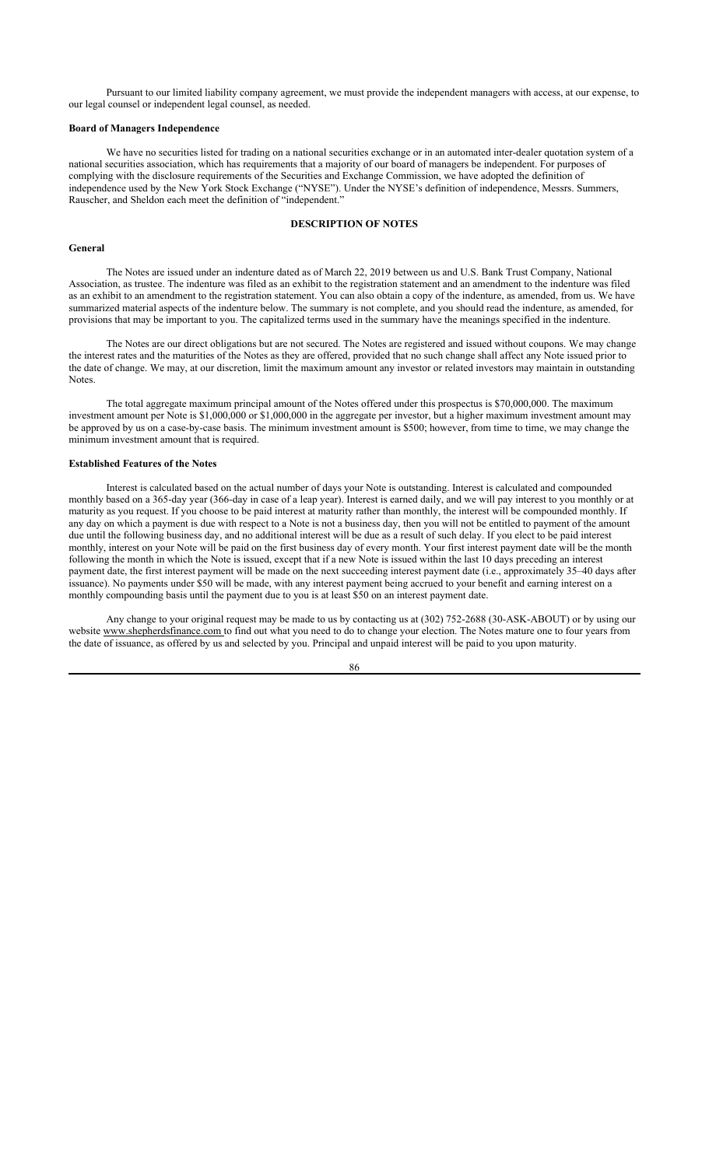Pursuant to our limited liability company agreement, we must provide the independent managers with access, at our expense, to our legal counsel or independent legal counsel, as needed.

### **Board of Managers Independence**

We have no securities listed for trading on a national securities exchange or in an automated inter-dealer quotation system of a national securities association, which has requirements that a majority of our board of managers be independent. For purposes of complying with the disclosure requirements of the Securities and Exchange Commission, we have adopted the definition of independence used by the New York Stock Exchange ("NYSE"). Under the NYSE's definition of independence, Messrs. Summers, Rauscher, and Sheldon each meet the definition of "independent."

# **DESCRIPTION OF NOTES**

#### **General**

The Notes are issued under an indenture dated as of March 22, 2019 between us and U.S. Bank Trust Company, National Association, as trustee. The indenture was filed as an exhibit to the registration statement and an amendment to the indenture was filed as an exhibit to an amendment to the registration statement. You can also obtain a copy of the indenture, as amended, from us. We have summarized material aspects of the indenture below. The summary is not complete, and you should read the indenture, as amended, for provisions that may be important to you. The capitalized terms used in the summary have the meanings specified in the indenture.

The Notes are our direct obligations but are not secured. The Notes are registered and issued without coupons. We may change the interest rates and the maturities of the Notes as they are offered, provided that no such change shall affect any Note issued prior to the date of change. We may, at our discretion, limit the maximum amount any investor or related investors may maintain in outstanding Notes.

The total aggregate maximum principal amount of the Notes offered under this prospectus is \$70,000,000. The maximum investment amount per Note is \$1,000,000 or \$1,000,000 in the aggregate per investor, but a higher maximum investment amount may be approved by us on a case-by-case basis. The minimum investment amount is \$500; however, from time to time, we may change the minimum investment amount that is required.

### **Established Features of the Notes**

Interest is calculated based on the actual number of days your Note is outstanding. Interest is calculated and compounded monthly based on a 365-day year (366-day in case of a leap year). Interest is earned daily, and we will pay interest to you monthly or at maturity as you request. If you choose to be paid interest at maturity rather than monthly, the interest will be compounded monthly. If any day on which a payment is due with respect to a Note is not a business day, then you will not be entitled to payment of the amount due until the following business day, and no additional interest will be due as a result of such delay. If you elect to be paid interest monthly, interest on your Note will be paid on the first business day of every month. Your first interest payment date will be the month following the month in which the Note is issued, except that if a new Note is issued within the last 10 days preceding an interest payment date, the first interest payment will be made on the next succeeding interest payment date (i.e., approximately 35–40 days after issuance). No payments under \$50 will be made, with any interest payment being accrued to your benefit and earning interest on a monthly compounding basis until the payment due to you is at least \$50 on an interest payment date.

Any change to your original request may be made to us by contacting us at (302) 752-2688 (30-ASK-ABOUT) or by using our website www.shepherdsfinance.com to find out what you need to do to change your election. The Notes mature one to four years from the date of issuance, as offered by us and selected by you. Principal and unpaid interest will be paid to you upon maturity.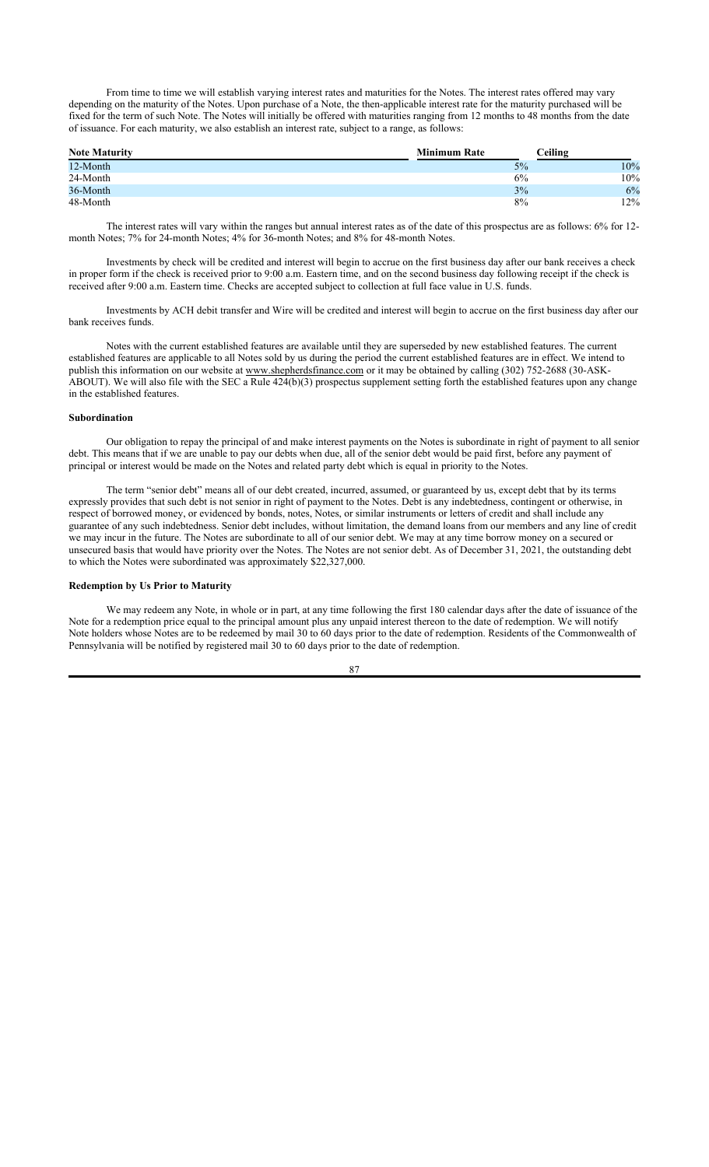From time to time we will establish varying interest rates and maturities for the Notes. The interest rates offered may vary depending on the maturity of the Notes. Upon purchase of a Note, the then-applicable interest rate for the maturity purchased will be fixed for the term of such Note. The Notes will initially be offered with maturities ranging from 12 months to 48 months from the date of issuance. For each maturity, we also establish an interest rate, subject to a range, as follows:

| <b>Note Maturity</b> | <b>Minimum Rate</b> | Ceiling |        |
|----------------------|---------------------|---------|--------|
| 12-Month             |                     | 5%      | $10\%$ |
| 24-Month             |                     | 6%      | 10%    |
| 36-Month             |                     | 3%      | 6%     |
| 48-Month             |                     | 8%      | 12%    |

The interest rates will vary within the ranges but annual interest rates as of the date of this prospectus are as follows: 6% for 12 month Notes; 7% for 24-month Notes; 4% for 36-month Notes; and 8% for 48-month Notes.

Investments by check will be credited and interest will begin to accrue on the first business day after our bank receives a check in proper form if the check is received prior to 9:00 a.m. Eastern time, and on the second business day following receipt if the check is received after 9:00 a.m. Eastern time. Checks are accepted subject to collection at full face value in U.S. funds.

Investments by ACH debit transfer and Wire will be credited and interest will begin to accrue on the first business day after our bank receives funds.

Notes with the current established features are available until they are superseded by new established features. The current established features are applicable to all Notes sold by us during the period the current established features are in effect. We intend to publish this information on our website at www.shepherdsfinance.com or it may be obtained by calling (302) 752-2688 (30-ASK-ABOUT). We will also file with the SEC a Rule 424(b)(3) prospectus supplement setting forth the established features upon any change in the established features.

#### **Subordination**

Our obligation to repay the principal of and make interest payments on the Notes is subordinate in right of payment to all senior debt. This means that if we are unable to pay our debts when due, all of the senior debt would be paid first, before any payment of principal or interest would be made on the Notes and related party debt which is equal in priority to the Notes.

The term "senior debt" means all of our debt created, incurred, assumed, or guaranteed by us, except debt that by its terms expressly provides that such debt is not senior in right of payment to the Notes. Debt is any indebtedness, contingent or otherwise, in respect of borrowed money, or evidenced by bonds, notes, Notes, or similar instruments or letters of credit and shall include any guarantee of any such indebtedness. Senior debt includes, without limitation, the demand loans from our members and any line of credit we may incur in the future. The Notes are subordinate to all of our senior debt. We may at any time borrow money on a secured or unsecured basis that would have priority over the Notes. The Notes are not senior debt. As of December 31, 2021, the outstanding debt to which the Notes were subordinated was approximately \$22,327,000.

#### **Redemption by Us Prior to Maturity**

We may redeem any Note, in whole or in part, at any time following the first 180 calendar days after the date of issuance of the Note for a redemption price equal to the principal amount plus any unpaid interest thereon to the date of redemption. We will notify Note holders whose Notes are to be redeemed by mail 30 to 60 days prior to the date of redemption. Residents of the Commonwealth of Pennsylvania will be notified by registered mail 30 to 60 days prior to the date of redemption.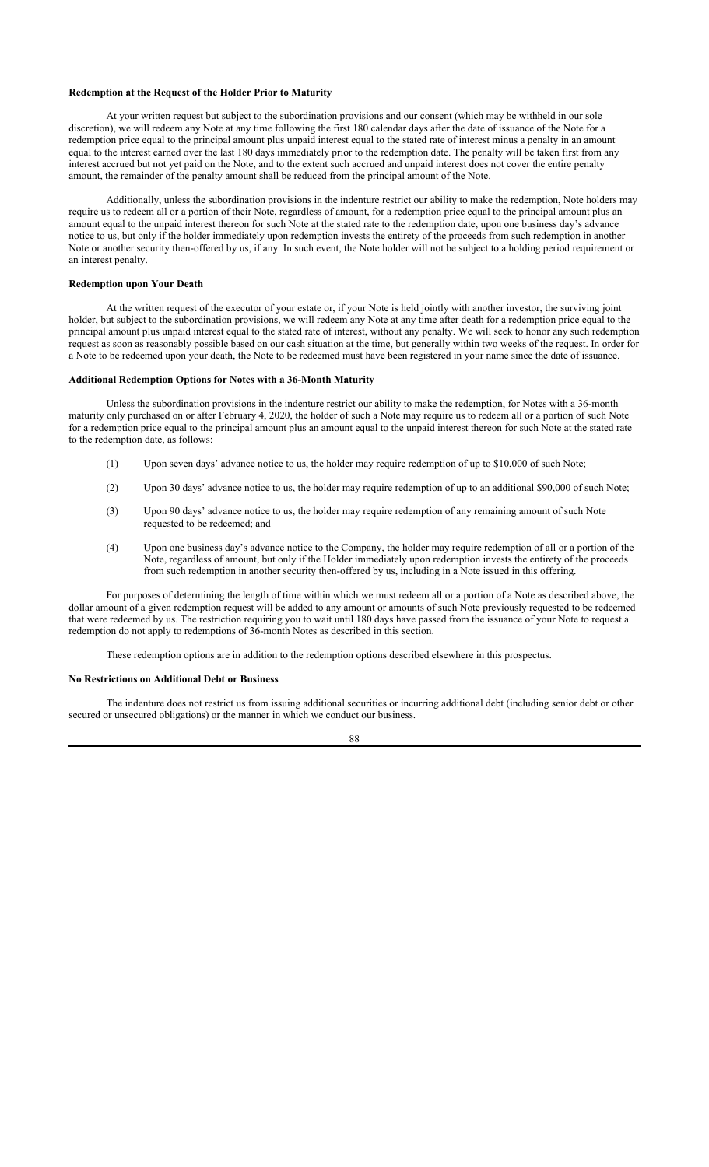### **Redemption at the Request of the Holder Prior to Maturity**

At your written request but subject to the subordination provisions and our consent (which may be withheld in our sole discretion), we will redeem any Note at any time following the first 180 calendar days after the date of issuance of the Note for a redemption price equal to the principal amount plus unpaid interest equal to the stated rate of interest minus a penalty in an amount equal to the interest earned over the last 180 days immediately prior to the redemption date. The penalty will be taken first from any interest accrued but not yet paid on the Note, and to the extent such accrued and unpaid interest does not cover the entire penalty amount, the remainder of the penalty amount shall be reduced from the principal amount of the Note.

Additionally, unless the subordination provisions in the indenture restrict our ability to make the redemption, Note holders may require us to redeem all or a portion of their Note, regardless of amount, for a redemption price equal to the principal amount plus an amount equal to the unpaid interest thereon for such Note at the stated rate to the redemption date, upon one business day's advance notice to us, but only if the holder immediately upon redemption invests the entirety of the proceeds from such redemption in another Note or another security then-offered by us, if any. In such event, the Note holder will not be subject to a holding period requirement or an interest penalty.

#### **Redemption upon Your Death**

At the written request of the executor of your estate or, if your Note is held jointly with another investor, the surviving joint holder, but subject to the subordination provisions, we will redeem any Note at any time after death for a redemption price equal to the principal amount plus unpaid interest equal to the stated rate of interest, without any penalty. We will seek to honor any such redemption request as soon as reasonably possible based on our cash situation at the time, but generally within two weeks of the request. In order for a Note to be redeemed upon your death, the Note to be redeemed must have been registered in your name since the date of issuance.

## **Additional Redemption Options for Notes with a 36-Month Maturity**

Unless the subordination provisions in the indenture restrict our ability to make the redemption, for Notes with a 36-month maturity only purchased on or after February 4, 2020, the holder of such a Note may require us to redeem all or a portion of such Note for a redemption price equal to the principal amount plus an amount equal to the unpaid interest thereon for such Note at the stated rate to the redemption date, as follows:

- (1) Upon seven days' advance notice to us, the holder may require redemption of up to \$10,000 of such Note;
- (2) Upon 30 days' advance notice to us, the holder may require redemption of up to an additional \$90,000 of such Note;
- (3) Upon 90 days' advance notice to us, the holder may require redemption of any remaining amount of such Note requested to be redeemed; and
- (4) Upon one business day's advance notice to the Company, the holder may require redemption of all or a portion of the Note, regardless of amount, but only if the Holder immediately upon redemption invests the entirety of the proceeds from such redemption in another security then-offered by us, including in a Note issued in this offering.

For purposes of determining the length of time within which we must redeem all or a portion of a Note as described above, the dollar amount of a given redemption request will be added to any amount or amounts of such Note previously requested to be redeemed that were redeemed by us. The restriction requiring you to wait until 180 days have passed from the issuance of your Note to request a redemption do not apply to redemptions of 36-month Notes as described in this section.

These redemption options are in addition to the redemption options described elsewhere in this prospectus.

#### **No Restrictions on Additional Debt or Business**

The indenture does not restrict us from issuing additional securities or incurring additional debt (including senior debt or other secured or unsecured obligations) or the manner in which we conduct our business.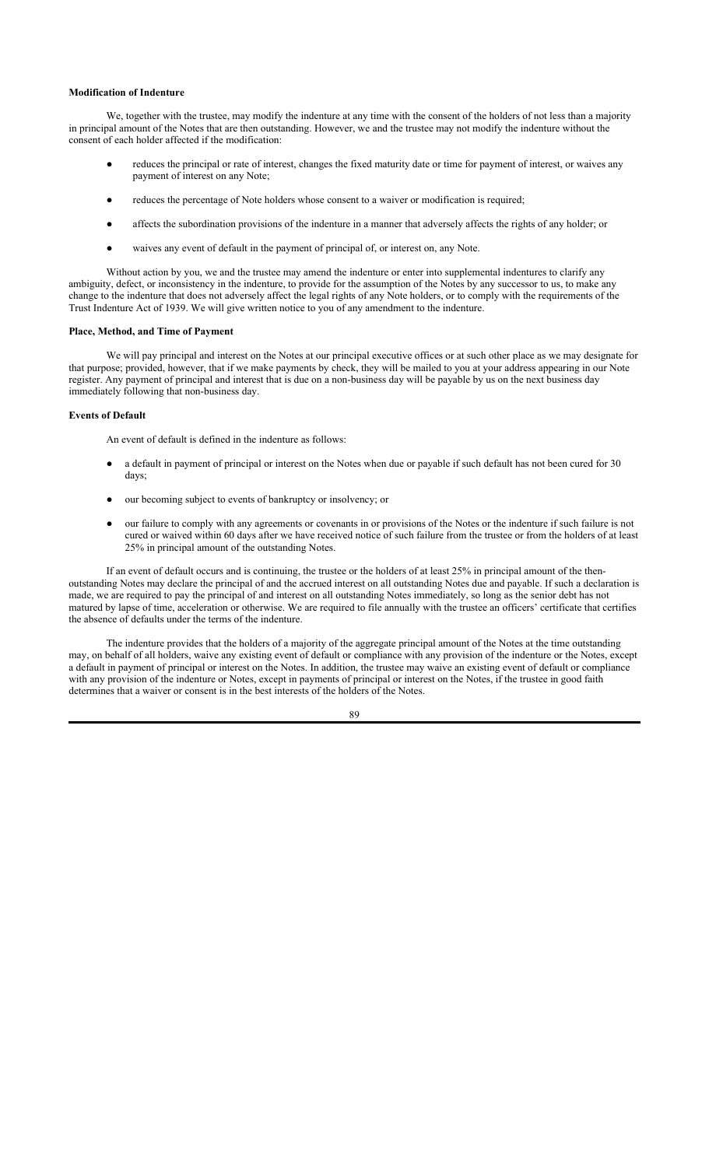#### **Modification of Indenture**

We, together with the trustee, may modify the indenture at any time with the consent of the holders of not less than a majority in principal amount of the Notes that are then outstanding. However, we and the trustee may not modify the indenture without the consent of each holder affected if the modification:

- reduces the principal or rate of interest, changes the fixed maturity date or time for payment of interest, or waives any payment of interest on any Note;
- reduces the percentage of Note holders whose consent to a waiver or modification is required;
- affects the subordination provisions of the indenture in a manner that adversely affects the rights of any holder; or
- waives any event of default in the payment of principal of, or interest on, any Note.

Without action by you, we and the trustee may amend the indenture or enter into supplemental indentures to clarify any ambiguity, defect, or inconsistency in the indenture, to provide for the assumption of the Notes by any successor to us, to make any change to the indenture that does not adversely affect the legal rights of any Note holders, or to comply with the requirements of the Trust Indenture Act of 1939. We will give written notice to you of any amendment to the indenture.

### **Place, Method, and Time of Payment**

We will pay principal and interest on the Notes at our principal executive offices or at such other place as we may designate for that purpose; provided, however, that if we make payments by check, they will be mailed to you at your address appearing in our Note register. Any payment of principal and interest that is due on a non-business day will be payable by us on the next business day immediately following that non-business day.

#### **Events of Default**

An event of default is defined in the indenture as follows:

- a default in payment of principal or interest on the Notes when due or payable if such default has not been cured for 30 days;
- our becoming subject to events of bankruptcy or insolvency; or
- our failure to comply with any agreements or covenants in or provisions of the Notes or the indenture if such failure is not cured or waived within 60 days after we have received notice of such failure from the trustee or from the holders of at least 25% in principal amount of the outstanding Notes.

If an event of default occurs and is continuing, the trustee or the holders of at least 25% in principal amount of the thenoutstanding Notes may declare the principal of and the accrued interest on all outstanding Notes due and payable. If such a declaration is made, we are required to pay the principal of and interest on all outstanding Notes immediately, so long as the senior debt has not matured by lapse of time, acceleration or otherwise. We are required to file annually with the trustee an officers' certificate that certifies the absence of defaults under the terms of the indenture.

The indenture provides that the holders of a majority of the aggregate principal amount of the Notes at the time outstanding may, on behalf of all holders, waive any existing event of default or compliance with any provision of the indenture or the Notes, except a default in payment of principal or interest on the Notes. In addition, the trustee may waive an existing event of default or compliance with any provision of the indenture or Notes, except in payments of principal or interest on the Notes, if the trustee in good faith determines that a waiver or consent is in the best interests of the holders of the Notes.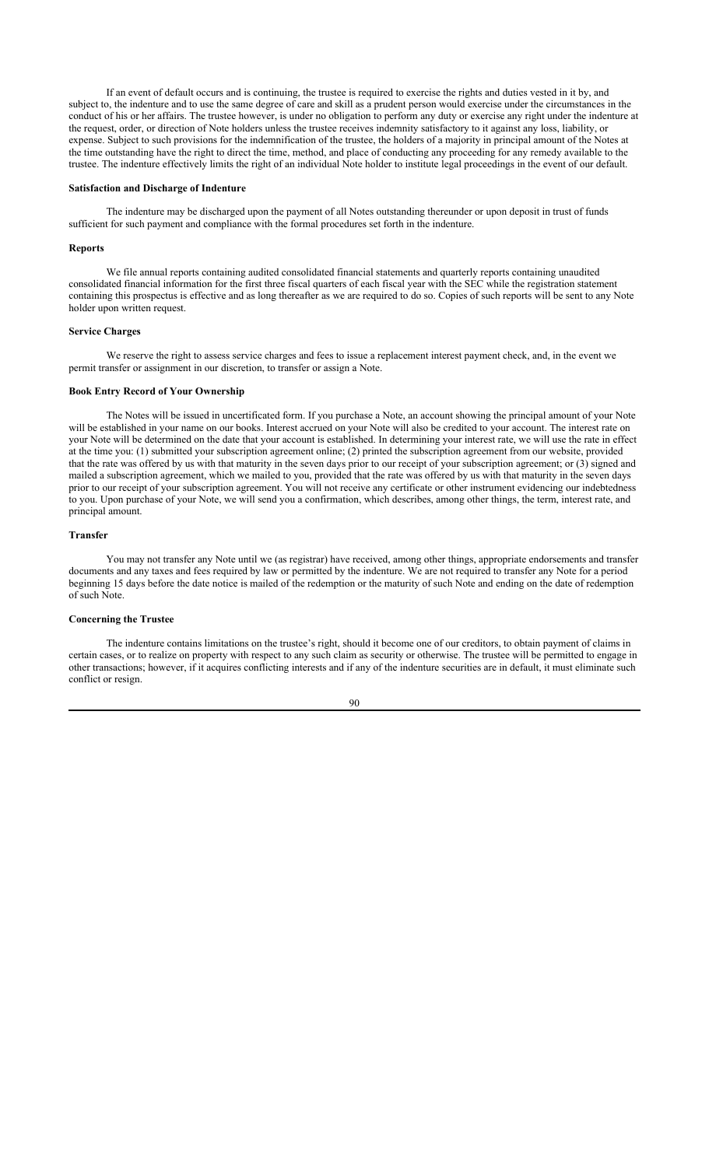If an event of default occurs and is continuing, the trustee is required to exercise the rights and duties vested in it by, and subject to, the indenture and to use the same degree of care and skill as a prudent person would exercise under the circumstances in the conduct of his or her affairs. The trustee however, is under no obligation to perform any duty or exercise any right under the indenture at the request, order, or direction of Note holders unless the trustee receives indemnity satisfactory to it against any loss, liability, or expense. Subject to such provisions for the indemnification of the trustee, the holders of a majority in principal amount of the Notes at the time outstanding have the right to direct the time, method, and place of conducting any proceeding for any remedy available to the trustee. The indenture effectively limits the right of an individual Note holder to institute legal proceedings in the event of our default.

#### **Satisfaction and Discharge of Indenture**

The indenture may be discharged upon the payment of all Notes outstanding thereunder or upon deposit in trust of funds sufficient for such payment and compliance with the formal procedures set forth in the indenture.

#### **Reports**

We file annual reports containing audited consolidated financial statements and quarterly reports containing unaudited consolidated financial information for the first three fiscal quarters of each fiscal year with the SEC while the registration statement containing this prospectus is effective and as long thereafter as we are required to do so. Copies of such reports will be sent to any Note holder upon written request.

### **Service Charges**

We reserve the right to assess service charges and fees to issue a replacement interest payment check, and, in the event we permit transfer or assignment in our discretion, to transfer or assign a Note.

### **Book Entry Record of Your Ownership**

The Notes will be issued in uncertificated form. If you purchase a Note, an account showing the principal amount of your Note will be established in your name on our books. Interest accrued on your Note will also be credited to your account. The interest rate on your Note will be determined on the date that your account is established. In determining your interest rate, we will use the rate in effect at the time you: (1) submitted your subscription agreement online; (2) printed the subscription agreement from our website, provided that the rate was offered by us with that maturity in the seven days prior to our receipt of your subscription agreement; or (3) signed and mailed a subscription agreement, which we mailed to you, provided that the rate was offered by us with that maturity in the seven days prior to our receipt of your subscription agreement. You will not receive any certificate or other instrument evidencing our indebtedness to you. Upon purchase of your Note, we will send you a confirmation, which describes, among other things, the term, interest rate, and principal amount.

### **Transfer**

You may not transfer any Note until we (as registrar) have received, among other things, appropriate endorsements and transfer documents and any taxes and fees required by law or permitted by the indenture. We are not required to transfer any Note for a period beginning 15 days before the date notice is mailed of the redemption or the maturity of such Note and ending on the date of redemption of such Note.

## **Concerning the Trustee**

The indenture contains limitations on the trustee's right, should it become one of our creditors, to obtain payment of claims in certain cases, or to realize on property with respect to any such claim as security or otherwise. The trustee will be permitted to engage in other transactions; however, if it acquires conflicting interests and if any of the indenture securities are in default, it must eliminate such conflict or resign.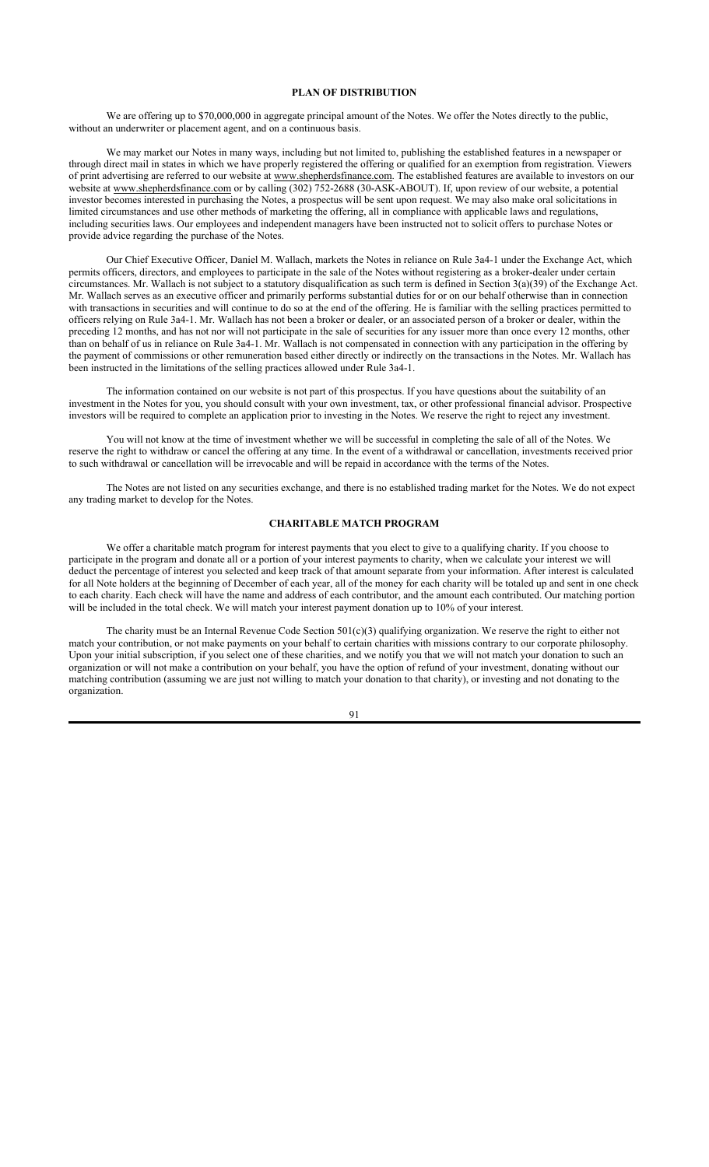### **PLAN OF DISTRIBUTION**

We are offering up to \$70,000,000 in aggregate principal amount of the Notes. We offer the Notes directly to the public, without an underwriter or placement agent, and on a continuous basis.

We may market our Notes in many ways, including but not limited to, publishing the established features in a newspaper or through direct mail in states in which we have properly registered the offering or qualified for an exemption from registration. Viewers of print advertising are referred to our website at www.shepherdsfinance.com. The established features are available to investors on our website at www.shepherdsfinance.com or by calling (302) 752-2688 (30-ASK-ABOUT). If, upon review of our website, a potential investor becomes interested in purchasing the Notes, a prospectus will be sent upon request. We may also make oral solicitations in limited circumstances and use other methods of marketing the offering, all in compliance with applicable laws and regulations, including securities laws. Our employees and independent managers have been instructed not to solicit offers to purchase Notes or provide advice regarding the purchase of the Notes.

Our Chief Executive Officer, Daniel M. Wallach, markets the Notes in reliance on Rule 3a4-1 under the Exchange Act, which permits officers, directors, and employees to participate in the sale of the Notes without registering as a broker-dealer under certain circumstances. Mr. Wallach is not subject to a statutory disqualification as such term is defined in Section 3(a)(39) of the Exchange Act. Mr. Wallach serves as an executive officer and primarily performs substantial duties for or on our behalf otherwise than in connection with transactions in securities and will continue to do so at the end of the offering. He is familiar with the selling practices permitted to officers relying on Rule 3a4-1. Mr. Wallach has not been a broker or dealer, or an associated person of a broker or dealer, within the preceding 12 months, and has not nor will not participate in the sale of securities for any issuer more than once every 12 months, other than on behalf of us in reliance on Rule 3a4-1. Mr. Wallach is not compensated in connection with any participation in the offering by the payment of commissions or other remuneration based either directly or indirectly on the transactions in the Notes. Mr. Wallach has been instructed in the limitations of the selling practices allowed under Rule 3a4-1.

The information contained on our website is not part of this prospectus. If you have questions about the suitability of an investment in the Notes for you, you should consult with your own investment, tax, or other professional financial advisor. Prospective investors will be required to complete an application prior to investing in the Notes. We reserve the right to reject any investment.

You will not know at the time of investment whether we will be successful in completing the sale of all of the Notes. We reserve the right to withdraw or cancel the offering at any time. In the event of a withdrawal or cancellation, investments received prior to such withdrawal or cancellation will be irrevocable and will be repaid in accordance with the terms of the Notes.

The Notes are not listed on any securities exchange, and there is no established trading market for the Notes. We do not expect any trading market to develop for the Notes.

# **CHARITABLE MATCH PROGRAM**

We offer a charitable match program for interest payments that you elect to give to a qualifying charity. If you choose to participate in the program and donate all or a portion of your interest payments to charity, when we calculate your interest we will deduct the percentage of interest you selected and keep track of that amount separate from your information. After interest is calculated for all Note holders at the beginning of December of each year, all of the money for each charity will be totaled up and sent in one check to each charity. Each check will have the name and address of each contributor, and the amount each contributed. Our matching portion will be included in the total check. We will match your interest payment donation up to 10% of your interest.

The charity must be an Internal Revenue Code Section  $501(c)(3)$  qualifying organization. We reserve the right to either not match your contribution, or not make payments on your behalf to certain charities with missions contrary to our corporate philosophy. Upon your initial subscription, if you select one of these charities, and we notify you that we will not match your donation to such an organization or will not make a contribution on your behalf, you have the option of refund of your investment, donating without our matching contribution (assuming we are just not willing to match your donation to that charity), or investing and not donating to the organization.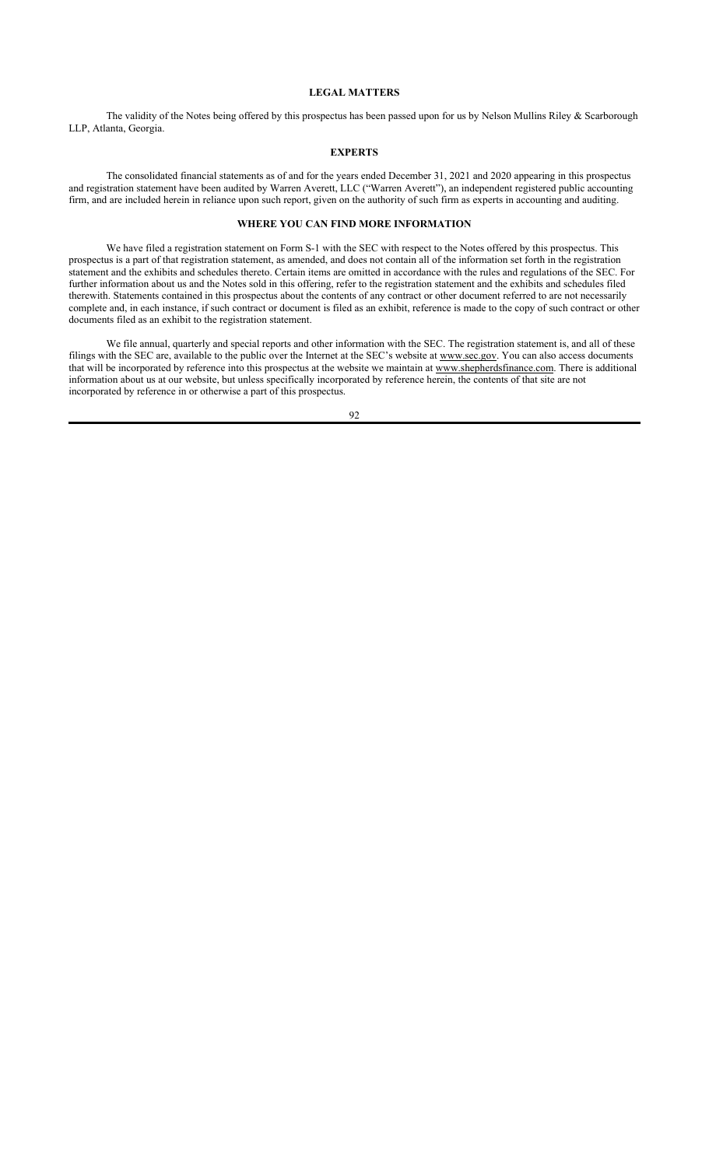### **LEGAL MATTERS**

The validity of the Notes being offered by this prospectus has been passed upon for us by Nelson Mullins Riley & Scarborough LLP, Atlanta, Georgia.

# **EXPERTS**

The consolidated financial statements as of and for the years ended December 31, 2021 and 2020 appearing in this prospectus and registration statement have been audited by Warren Averett, LLC ("Warren Averett"), an independent registered public accounting firm, and are included herein in reliance upon such report, given on the authority of such firm as experts in accounting and auditing.

# **WHERE YOU CAN FIND MORE INFORMATION**

We have filed a registration statement on Form S-1 with the SEC with respect to the Notes offered by this prospectus. This prospectus is a part of that registration statement, as amended, and does not contain all of the information set forth in the registration statement and the exhibits and schedules thereto. Certain items are omitted in accordance with the rules and regulations of the SEC. For further information about us and the Notes sold in this offering, refer to the registration statement and the exhibits and schedules filed therewith. Statements contained in this prospectus about the contents of any contract or other document referred to are not necessarily complete and, in each instance, if such contract or document is filed as an exhibit, reference is made to the copy of such contract or other documents filed as an exhibit to the registration statement.

We file annual, quarterly and special reports and other information with the SEC. The registration statement is, and all of these filings with the SEC are, available to the public over the Internet at the SEC's website at www.sec.gov. You can also access documents that will be incorporated by reference into this prospectus at the website we maintain at www.shepherdsfinance.com. There is additional information about us at our website, but unless specifically incorporated by reference herein, the contents of that site are not incorporated by reference in or otherwise a part of this prospectus.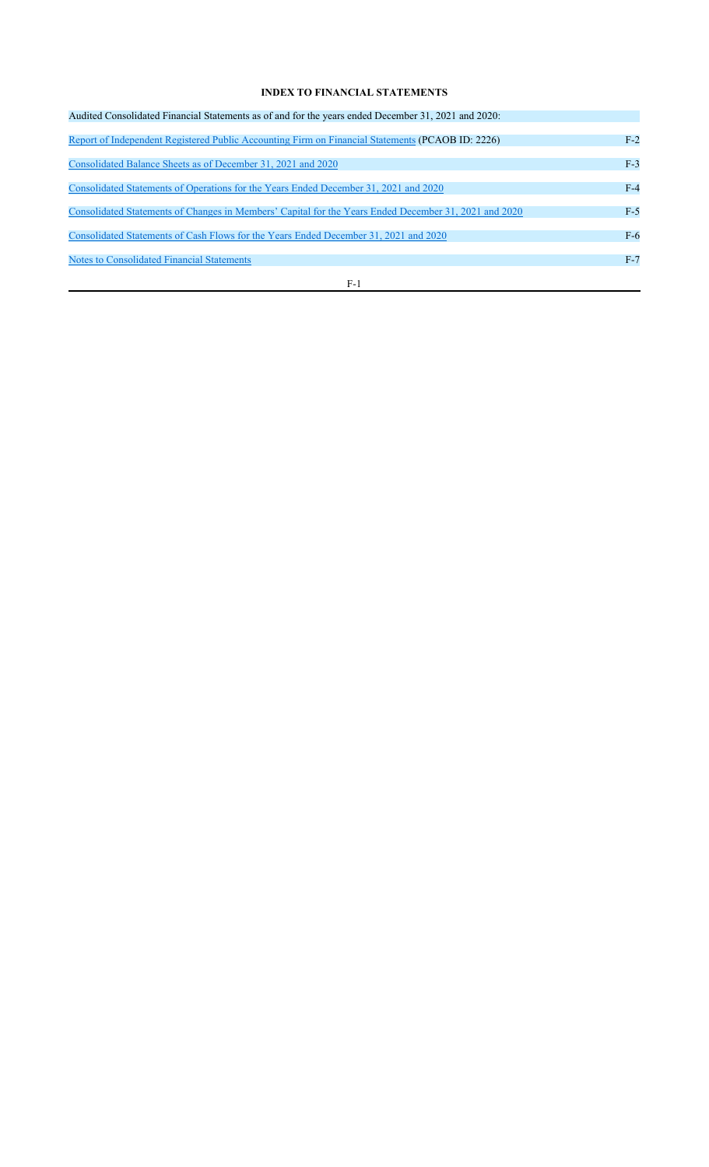# **INDEX TO FINANCIAL STATEMENTS**

| Audited Consolidated Financial Statements as of and for the years ended December 31, 2021 and 2020:   |       |
|-------------------------------------------------------------------------------------------------------|-------|
|                                                                                                       |       |
| Report of Independent Registered Public Accounting Firm on Financial Statements (PCAOB ID: 2226)      | $F-2$ |
|                                                                                                       |       |
| Consolidated Balance Sheets as of December 31, 2021 and 2020                                          | $F-3$ |
|                                                                                                       | $F-4$ |
| Consolidated Statements of Operations for the Years Ended December 31, 2021 and 2020                  |       |
| Consolidated Statements of Changes in Members' Capital for the Years Ended December 31, 2021 and 2020 | $F-5$ |
|                                                                                                       |       |
| Consolidated Statements of Cash Flows for the Years Ended December 31, 2021 and 2020                  | $F-6$ |
|                                                                                                       |       |
| Notes to Consolidated Financial Statements                                                            | $F-7$ |
|                                                                                                       |       |
| $F-1$                                                                                                 |       |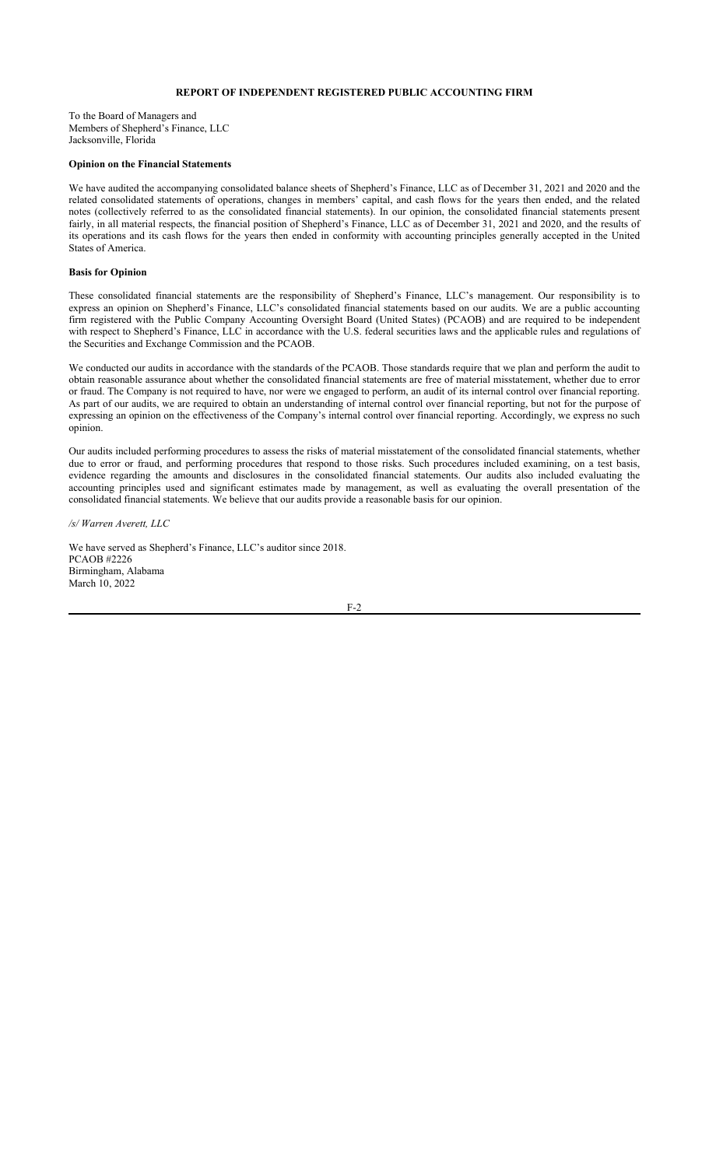### **REPORT OF INDEPENDENT REGISTERED PUBLIC ACCOUNTING FIRM**

To the Board of Managers and Members of Shepherd's Finance, LLC Jacksonville, Florida

### **Opinion on the Financial Statements**

We have audited the accompanying consolidated balance sheets of Shepherd's Finance, LLC as of December 31, 2021 and 2020 and the related consolidated statements of operations, changes in members' capital, and cash flows for the years then ended, and the related notes (collectively referred to as the consolidated financial statements). In our opinion, the consolidated financial statements present fairly, in all material respects, the financial position of Shepherd's Finance, LLC as of December 31, 2021 and 2020, and the results of its operations and its cash flows for the years then ended in conformity with accounting principles generally accepted in the United States of America.

#### **Basis for Opinion**

These consolidated financial statements are the responsibility of Shepherd's Finance, LLC's management. Our responsibility is to express an opinion on Shepherd's Finance, LLC's consolidated financial statements based on our audits. We are a public accounting firm registered with the Public Company Accounting Oversight Board (United States) (PCAOB) and are required to be independent with respect to Shepherd's Finance, LLC in accordance with the U.S. federal securities laws and the applicable rules and regulations of the Securities and Exchange Commission and the PCAOB.

We conducted our audits in accordance with the standards of the PCAOB. Those standards require that we plan and perform the audit to obtain reasonable assurance about whether the consolidated financial statements are free of material misstatement, whether due to error or fraud. The Company is not required to have, nor were we engaged to perform, an audit of its internal control over financial reporting. As part of our audits, we are required to obtain an understanding of internal control over financial reporting, but not for the purpose of expressing an opinion on the effectiveness of the Company's internal control over financial reporting. Accordingly, we express no such opinion.

Our audits included performing procedures to assess the risks of material misstatement of the consolidated financial statements, whether due to error or fraud, and performing procedures that respond to those risks. Such procedures included examining, on a test basis, evidence regarding the amounts and disclosures in the consolidated financial statements. Our audits also included evaluating the accounting principles used and significant estimates made by management, as well as evaluating the overall presentation of the consolidated financial statements. We believe that our audits provide a reasonable basis for our opinion.

*/s/ Warren Averett, LLC*

We have served as Shepherd's Finance, LLC's auditor since 2018. PCAOB #2226 Birmingham, Alabama March 10, 2022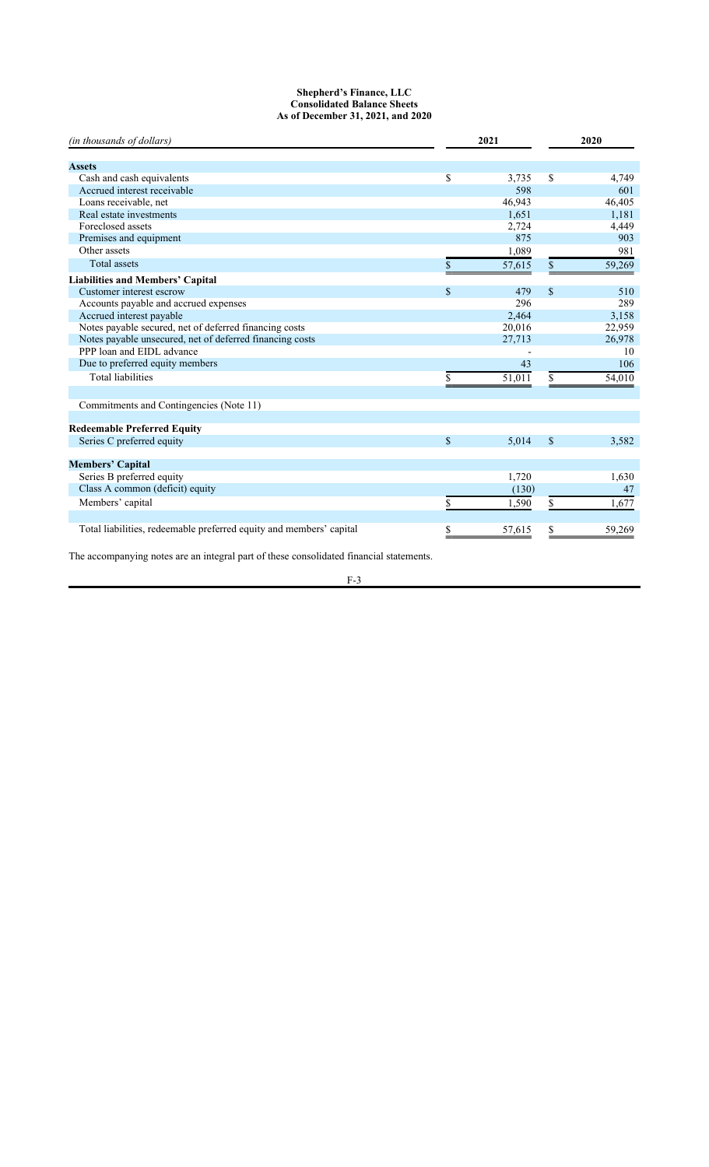### **Shepherd's Finance, LLC Consolidated Balance Sheets As of December 31, 2021, and 2020**

| (in thousands of dollars)                                           | 2021          |        | 2020          |        |
|---------------------------------------------------------------------|---------------|--------|---------------|--------|
|                                                                     |               |        |               |        |
| <b>Assets</b>                                                       |               |        |               |        |
| Cash and cash equivalents                                           | \$            | 3,735  | \$            | 4,749  |
| Accrued interest receivable                                         |               | 598    |               | 601    |
| Loans receivable, net                                               |               | 46,943 |               | 46,405 |
| Real estate investments                                             |               | 1.651  |               | 1,181  |
| Foreclosed assets                                                   |               | 2,724  |               | 4,449  |
| Premises and equipment                                              |               | 875    |               | 903    |
| Other assets                                                        |               | 1,089  |               | 981    |
| <b>Total assets</b>                                                 | \$            | 57,615 | \$            | 59,269 |
| <b>Liabilities and Members' Capital</b>                             |               |        |               |        |
| Customer interest escrow                                            | $\mathbf{s}$  | 479    | $\mathcal{S}$ | 510    |
| Accounts payable and accrued expenses                               |               | 296    |               | 289    |
| Accrued interest payable                                            |               | 2,464  |               | 3,158  |
| Notes payable secured, net of deferred financing costs              |               | 20,016 |               | 22,959 |
| Notes payable unsecured, net of deferred financing costs            |               | 27,713 |               | 26,978 |
| PPP loan and EIDL advance                                           |               |        |               | 10     |
| Due to preferred equity members                                     |               | 43     |               | 106    |
| <b>Total liabilities</b>                                            | \$            | 51,011 | S.            | 54,010 |
|                                                                     |               |        |               |        |
| Commitments and Contingencies (Note 11)                             |               |        |               |        |
| <b>Redeemable Preferred Equity</b>                                  |               |        |               |        |
| Series C preferred equity                                           | $\mathbf{\$}$ | 5,014  | $\mathcal{S}$ | 3,582  |
|                                                                     |               |        |               |        |
| <b>Members' Capital</b>                                             |               |        |               |        |
| Series B preferred equity                                           |               | 1,720  |               | 1,630  |
| Class A common (deficit) equity                                     |               | (130)  |               | 47     |
| Members' capital                                                    |               | 1,590  | \$            | 1,677  |
|                                                                     |               |        |               |        |
| Total liabilities, redeemable preferred equity and members' capital | S             | 57,615 |               | 59,269 |
|                                                                     |               |        |               |        |

The accompanying notes are an integral part of these consolidated financial statements.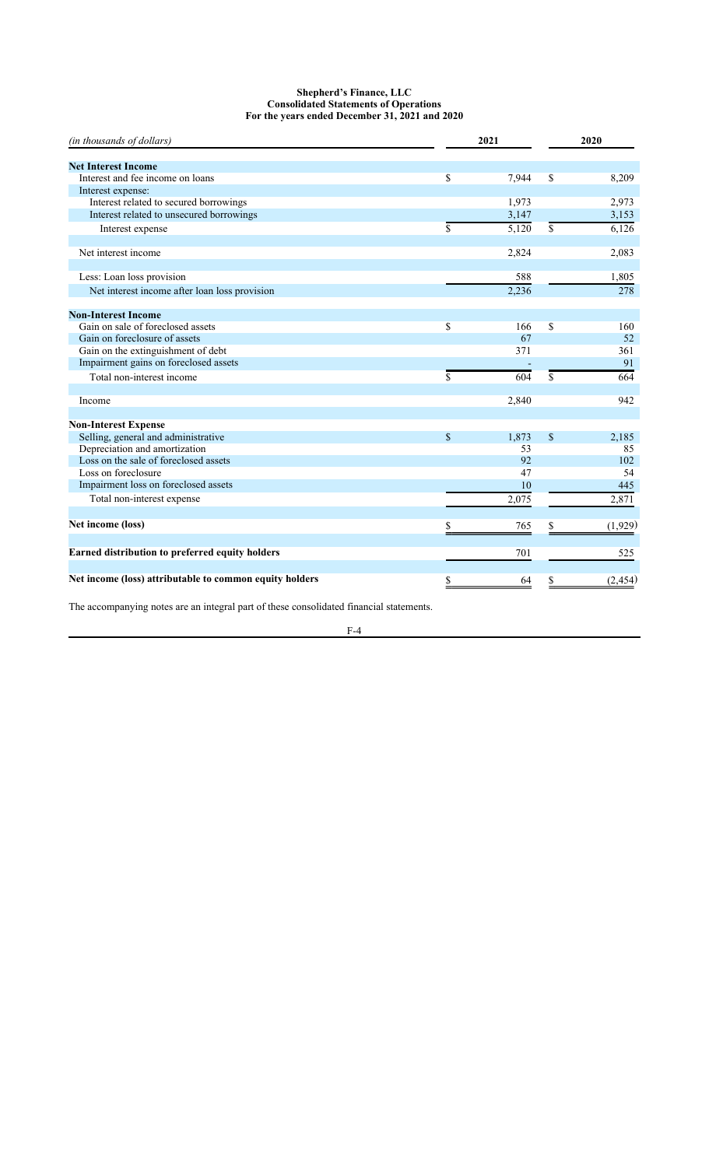## **Shepherd's Finance, LLC Consolidated Statements of Operations For the years ended December 31, 2021 and 2020**

| (in thousands of dollars)                               |             | 2021  |    | 2020     |
|---------------------------------------------------------|-------------|-------|----|----------|
|                                                         |             |       |    |          |
| <b>Net Interest Income</b>                              |             |       |    |          |
| Interest and fee income on loans                        | \$          | 7,944 | \$ | 8,209    |
| Interest expense:                                       |             |       |    |          |
| Interest related to secured borrowings                  |             | 1,973 |    | 2,973    |
| Interest related to unsecured borrowings                |             | 3,147 |    | 3,153    |
| Interest expense                                        | \$          | 5,120 | \$ | 6,126    |
| Net interest income                                     |             | 2,824 |    | 2,083    |
|                                                         |             |       |    |          |
| Less: Loan loss provision                               |             | 588   |    | 1,805    |
| Net interest income after loan loss provision           |             | 2,236 |    | 278      |
| <b>Non-Interest Income</b>                              |             |       |    |          |
| Gain on sale of foreclosed assets                       | \$          | 166   | \$ | 160      |
| Gain on foreclosure of assets                           |             | 67    |    | 52       |
| Gain on the extinguishment of debt                      |             | 371   |    | 361      |
| Impairment gains on foreclosed assets                   |             |       |    | 91       |
| Total non-interest income                               | \$          | 604   | \$ | 664      |
|                                                         |             |       |    |          |
| Income                                                  |             | 2,840 |    | 942      |
|                                                         |             |       |    |          |
| <b>Non-Interest Expense</b>                             |             |       |    |          |
| Selling, general and administrative                     | $\mathbf S$ | 1,873 | \$ | 2,185    |
| Depreciation and amortization                           |             | 53    |    | 85       |
| Loss on the sale of foreclosed assets                   |             | 92    |    | 102      |
| Loss on foreclosure                                     |             | 47    |    | 54       |
| Impairment loss on foreclosed assets                    |             | 10    |    | 445      |
| Total non-interest expense                              |             | 2,075 |    | 2,871    |
| Net income (loss)                                       | S           | 765   | S  | (1,929)  |
|                                                         |             |       |    |          |
| Earned distribution to preferred equity holders         |             | 701   |    | 525      |
| Net income (loss) attributable to common equity holders | \$          | 64    | \$ | (2, 454) |

The accompanying notes are an integral part of these consolidated financial statements.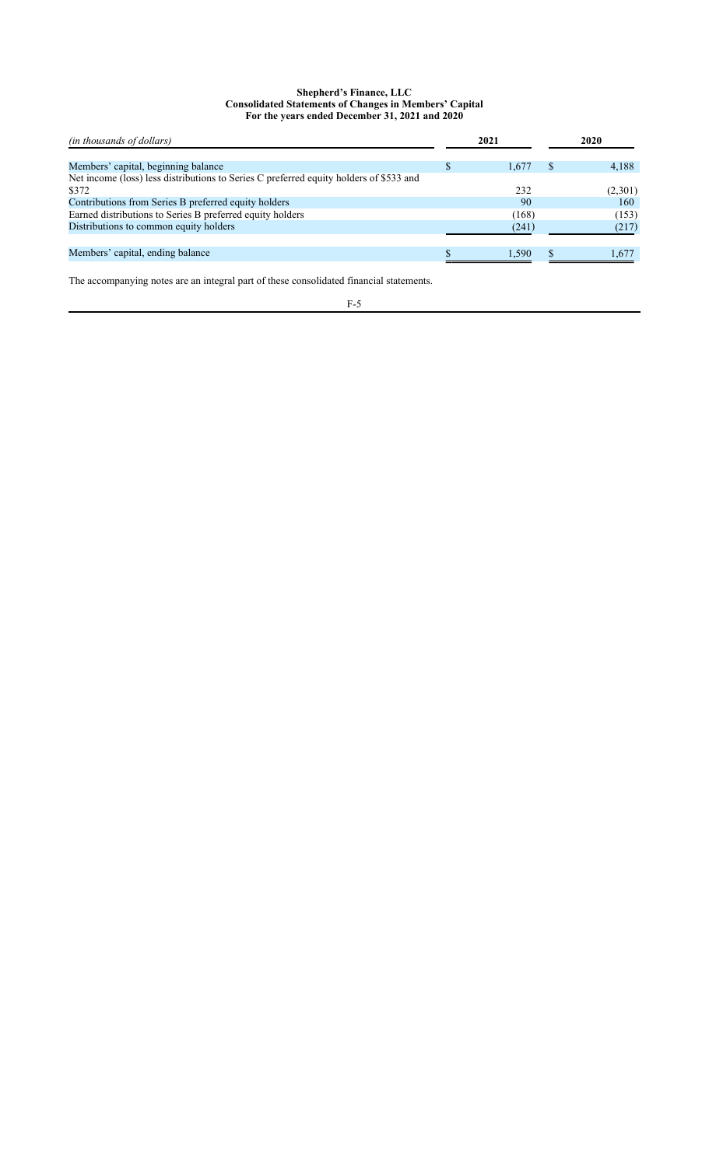## **Shepherd's Finance, LLC Consolidated Statements of Changes in Members' Capital For the years ended December 31, 2021 and 2020**

| <i>(in thousands of dollars)</i>                                                       | 2021  | 2020    |
|----------------------------------------------------------------------------------------|-------|---------|
| Members' capital, beginning balance                                                    | 1.67  | 4,188   |
| Net income (loss) less distributions to Series C preferred equity holders of \$533 and |       |         |
| \$372                                                                                  | 232   | (2,301) |
| Contributions from Series B preferred equity holders                                   | 90    | 160     |
| Earned distributions to Series B preferred equity holders                              | (168) | (153)   |
| Distributions to common equity holders                                                 | (241) | (217)   |
|                                                                                        |       |         |
| Members' capital, ending balance                                                       | 1.590 | 1.677   |

The accompanying notes are an integral part of these consolidated financial statements.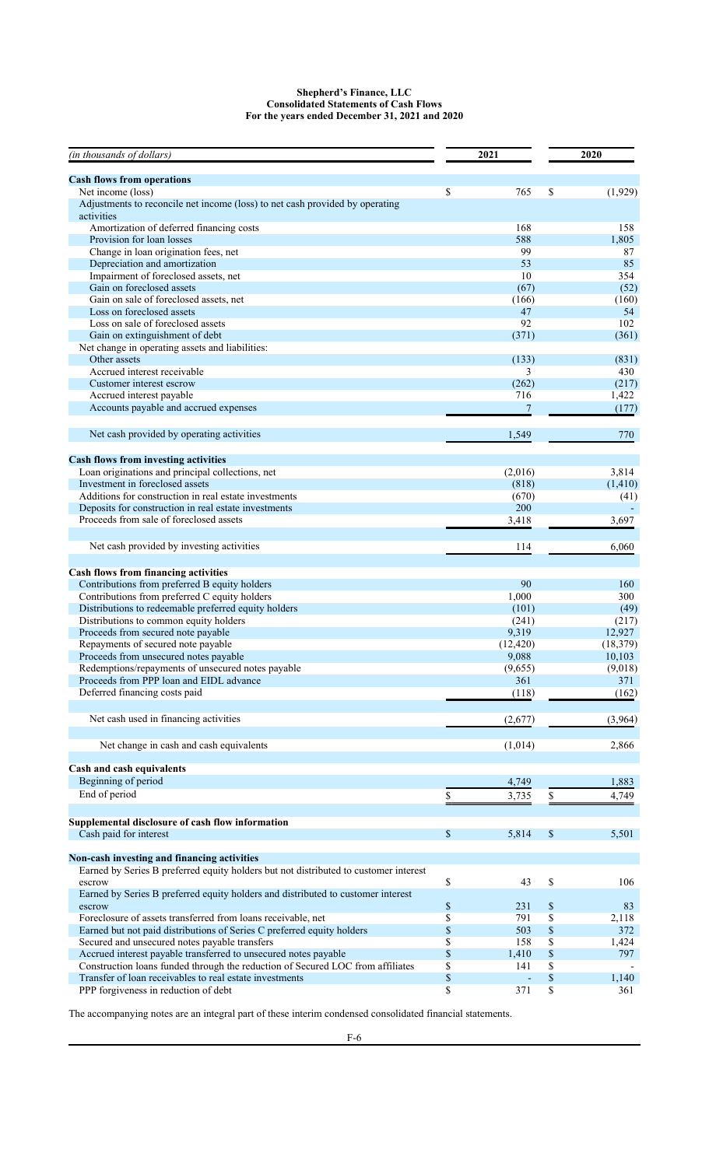## **Shepherd's Finance, LLC Consolidated Statements of Cash Flows For the years ended December 31, 2021 and 2020**

| (in thousands of dollars)                                                                  |              | 2021           | 2020          |
|--------------------------------------------------------------------------------------------|--------------|----------------|---------------|
| <b>Cash flows from operations</b>                                                          |              |                |               |
| Net income (loss)                                                                          | \$           | 765            | \$<br>(1,929) |
| Adjustments to reconcile net income (loss) to net cash provided by operating<br>activities |              |                |               |
| Amortization of deferred financing costs                                                   |              | 168            | 158           |
| Provision for loan losses                                                                  |              | 588            | 1,805         |
| Change in loan origination fees, net                                                       |              | 99             | 87            |
| Depreciation and amortization                                                              |              | 53             | 85            |
| Impairment of foreclosed assets, net                                                       |              | 10             | 354           |
| Gain on foreclosed assets                                                                  |              | (67)           | (52)          |
| Gain on sale of foreclosed assets, net                                                     |              | (166)          | (160)         |
| Loss on foreclosed assets                                                                  |              | 47             | 54            |
| Loss on sale of foreclosed assets                                                          |              | 92             | 102           |
| Gain on extinguishment of debt                                                             |              | (371)          | (361)         |
| Net change in operating assets and liabilities:                                            |              |                |               |
| Other assets                                                                               |              | (133)          | (831)         |
| Accrued interest receivable                                                                |              | 3              | 430           |
| Customer interest escrow                                                                   |              | (262)          | (217)         |
| Accrued interest payable                                                                   |              | 716            | 1,422         |
| Accounts payable and accrued expenses                                                      |              | $\overline{7}$ | (177)         |
| Net cash provided by operating activities                                                  |              | 1,549          | 770           |
| <b>Cash flows from investing activities</b>                                                |              |                |               |
| Loan originations and principal collections, net                                           |              | (2,016)        | 3,814         |
| Investment in foreclosed assets                                                            |              | (818)          | (1, 410)      |
| Additions for construction in real estate investments                                      |              | (670)          | (41)          |
| Deposits for construction in real estate investments                                       |              | 200            |               |
| Proceeds from sale of foreclosed assets                                                    |              | 3,418          | 3,697         |
| Net cash provided by investing activities                                                  |              | 114            | 6,060         |
| Cash flows from financing activities                                                       |              |                |               |
| Contributions from preferred B equity holders                                              |              | 90             | 160           |
| Contributions from preferred C equity holders                                              |              | 1,000          | 300           |
| Distributions to redeemable preferred equity holders                                       |              | (101)          | (49)          |
| Distributions to common equity holders                                                     |              | (241)          | (217)         |
| Proceeds from secured note payable                                                         |              | 9,319          | 12,927        |
| Repayments of secured note payable                                                         |              | (12, 420)      | (18, 379)     |
| Proceeds from unsecured notes payable                                                      |              | 9,088          | 10,103        |
| Redemptions/repayments of unsecured notes payable                                          |              | (9,655)        | (9,018)       |
| Proceeds from PPP loan and EIDL advance                                                    |              | 361            | 371           |
| Deferred financing costs paid                                                              |              | (118)          | (162)         |
| Net cash used in financing activities                                                      |              | (2,677)        | (3,964)       |
|                                                                                            |              |                |               |
| Net change in cash and cash equivalents                                                    |              | (1,014)        | 2,866         |
| Cash and cash equivalents                                                                  |              |                |               |
| Beginning of period                                                                        |              | 4,749          | 1,883         |
| End of period                                                                              | \$           | 3,735          | \$<br>4,749   |
| Supplemental disclosure of cash flow information                                           |              |                |               |
| Cash paid for interest                                                                     | $\mathbb{S}$ | 5,814          | \$<br>5,501   |
| Non-cash investing and financing activities                                                |              |                |               |
| Earned by Series B preferred equity holders but not distributed to customer interest       |              |                |               |
| escrow                                                                                     | \$           | 43             | \$<br>106     |
| Earned by Series B preferred equity holders and distributed to customer interest<br>escrow | \$           | 231            | \$<br>83      |
| Foreclosure of assets transferred from loans receivable, net                               | \$           | 791            | \$<br>2,118   |
| Earned but not paid distributions of Series C preferred equity holders                     | $\$$         | 503            | \$<br>372     |
| Secured and unsecured notes payable transfers                                              | \$           | 158            | \$<br>1,424   |
| Accrued interest payable transferred to unsecured notes payable                            | \$           | 1,410          | \$<br>797     |
| Construction loans funded through the reduction of Secured LOC from affiliates             | \$           | 141            | \$            |
| Transfer of loan receivables to real estate investments                                    | \$           |                | \$<br>1,140   |
| PPP forgiveness in reduction of debt                                                       | \$           | 371            | \$<br>361     |

The accompanying notes are an integral part of these interim condensed consolidated financial statements.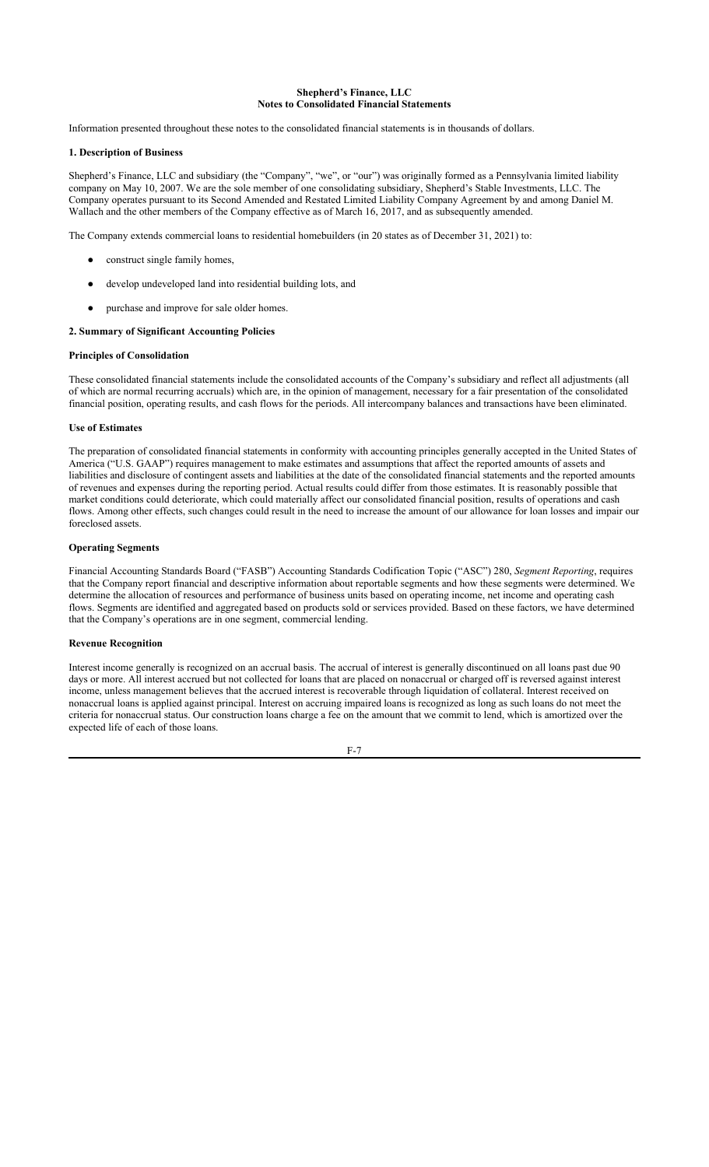# **Shepherd's Finance, LLC Notes to Consolidated Financial Statements**

Information presented throughout these notes to the consolidated financial statements is in thousands of dollars.

### **1. Description of Business**

Shepherd's Finance, LLC and subsidiary (the "Company", "we", or "our") was originally formed as a Pennsylvania limited liability company on May 10, 2007. We are the sole member of one consolidating subsidiary, Shepherd's Stable Investments, LLC. The Company operates pursuant to its Second Amended and Restated Limited Liability Company Agreement by and among Daniel M. Wallach and the other members of the Company effective as of March 16, 2017, and as subsequently amended.

The Company extends commercial loans to residential homebuilders (in 20 states as of December 31, 2021) to:

- construct single family homes,
- develop undeveloped land into residential building lots, and
- purchase and improve for sale older homes.

#### **2. Summary of Significant Accounting Policies**

#### **Principles of Consolidation**

These consolidated financial statements include the consolidated accounts of the Company's subsidiary and reflect all adjustments (all of which are normal recurring accruals) which are, in the opinion of management, necessary for a fair presentation of the consolidated financial position, operating results, and cash flows for the periods. All intercompany balances and transactions have been eliminated.

### **Use of Estimates**

The preparation of consolidated financial statements in conformity with accounting principles generally accepted in the United States of America ("U.S. GAAP") requires management to make estimates and assumptions that affect the reported amounts of assets and liabilities and disclosure of contingent assets and liabilities at the date of the consolidated financial statements and the reported amounts of revenues and expenses during the reporting period. Actual results could differ from those estimates. It is reasonably possible that market conditions could deteriorate, which could materially affect our consolidated financial position, results of operations and cash flows. Among other effects, such changes could result in the need to increase the amount of our allowance for loan losses and impair our foreclosed assets.

## **Operating Segments**

Financial Accounting Standards Board ("FASB") Accounting Standards Codification Topic ("ASC") 280, *Segment Reporting*, requires that the Company report financial and descriptive information about reportable segments and how these segments were determined. We determine the allocation of resources and performance of business units based on operating income, net income and operating cash flows. Segments are identified and aggregated based on products sold or services provided. Based on these factors, we have determined that the Company's operations are in one segment, commercial lending.

## **Revenue Recognition**

Interest income generally is recognized on an accrual basis. The accrual of interest is generally discontinued on all loans past due 90 days or more. All interest accrued but not collected for loans that are placed on nonaccrual or charged off is reversed against interest income, unless management believes that the accrued interest is recoverable through liquidation of collateral. Interest received on nonaccrual loans is applied against principal. Interest on accruing impaired loans is recognized as long as such loans do not meet the criteria for nonaccrual status. Our construction loans charge a fee on the amount that we commit to lend, which is amortized over the expected life of each of those loans.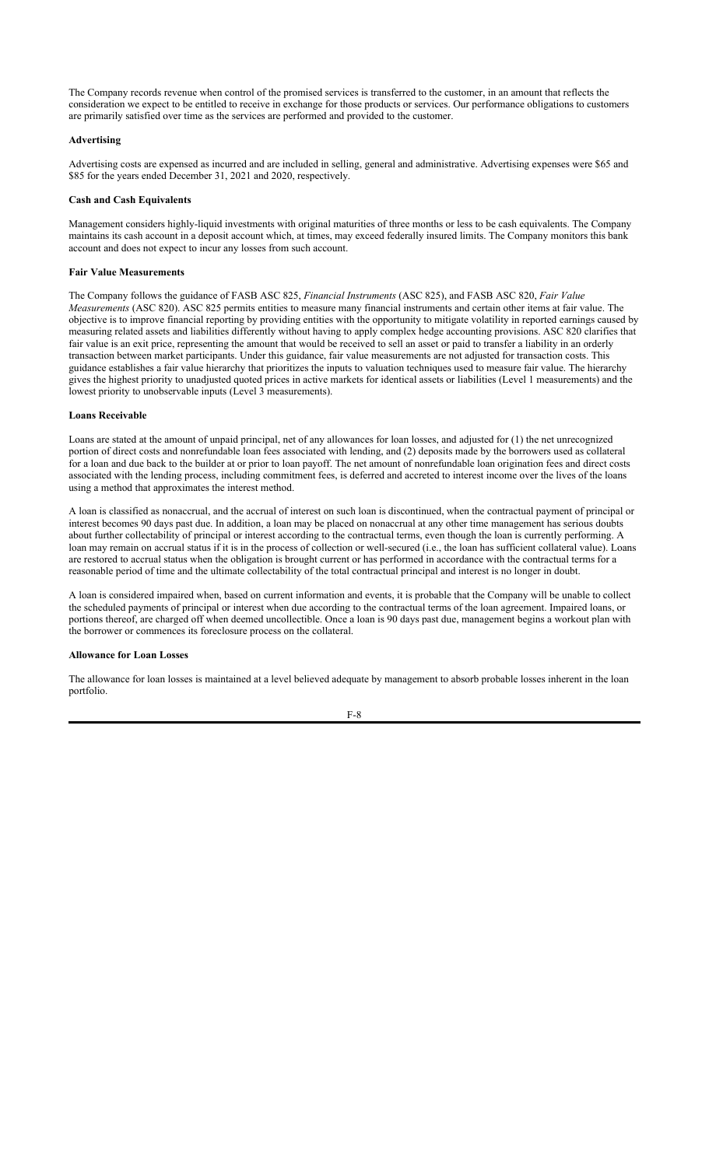The Company records revenue when control of the promised services is transferred to the customer, in an amount that reflects the consideration we expect to be entitled to receive in exchange for those products or services. Our performance obligations to customers are primarily satisfied over time as the services are performed and provided to the customer.

### **Advertising**

Advertising costs are expensed as incurred and are included in selling, general and administrative. Advertising expenses were \$65 and \$85 for the years ended December 31, 2021 and 2020, respectively.

### **Cash and Cash Equivalents**

Management considers highly-liquid investments with original maturities of three months or less to be cash equivalents. The Company maintains its cash account in a deposit account which, at times, may exceed federally insured limits. The Company monitors this bank account and does not expect to incur any losses from such account.

#### **Fair Value Measurements**

The Company follows the guidance of FASB ASC 825, *Financial Instruments* (ASC 825), and FASB ASC 820, *Fair Value Measurements* (ASC 820). ASC 825 permits entities to measure many financial instruments and certain other items at fair value. The objective is to improve financial reporting by providing entities with the opportunity to mitigate volatility in reported earnings caused by measuring related assets and liabilities differently without having to apply complex hedge accounting provisions. ASC 820 clarifies that fair value is an exit price, representing the amount that would be received to sell an asset or paid to transfer a liability in an orderly transaction between market participants. Under this guidance, fair value measurements are not adjusted for transaction costs. This guidance establishes a fair value hierarchy that prioritizes the inputs to valuation techniques used to measure fair value. The hierarchy gives the highest priority to unadjusted quoted prices in active markets for identical assets or liabilities (Level 1 measurements) and the lowest priority to unobservable inputs (Level 3 measurements).

#### **Loans Receivable**

Loans are stated at the amount of unpaid principal, net of any allowances for loan losses, and adjusted for (1) the net unrecognized portion of direct costs and nonrefundable loan fees associated with lending, and (2) deposits made by the borrowers used as collateral for a loan and due back to the builder at or prior to loan payoff. The net amount of nonrefundable loan origination fees and direct costs associated with the lending process, including commitment fees, is deferred and accreted to interest income over the lives of the loans using a method that approximates the interest method.

A loan is classified as nonaccrual, and the accrual of interest on such loan is discontinued, when the contractual payment of principal or interest becomes 90 days past due. In addition, a loan may be placed on nonaccrual at any other time management has serious doubts about further collectability of principal or interest according to the contractual terms, even though the loan is currently performing. A loan may remain on accrual status if it is in the process of collection or well-secured (i.e., the loan has sufficient collateral value). Loans are restored to accrual status when the obligation is brought current or has performed in accordance with the contractual terms for a reasonable period of time and the ultimate collectability of the total contractual principal and interest is no longer in doubt.

A loan is considered impaired when, based on current information and events, it is probable that the Company will be unable to collect the scheduled payments of principal or interest when due according to the contractual terms of the loan agreement. Impaired loans, or portions thereof, are charged off when deemed uncollectible. Once a loan is 90 days past due, management begins a workout plan with the borrower or commences its foreclosure process on the collateral.

#### **Allowance for Loan Losses**

The allowance for loan losses is maintained at a level believed adequate by management to absorb probable losses inherent in the loan portfolio.

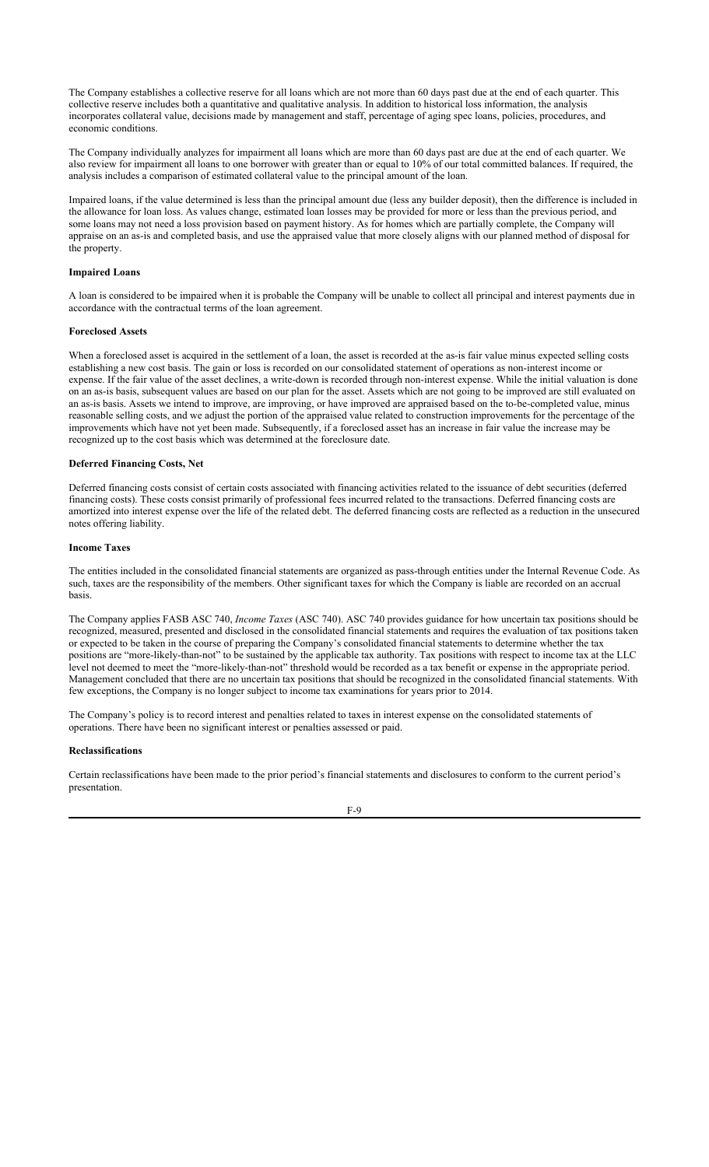The Company establishes a collective reserve for all loans which are not more than 60 days past due at the end of each quarter. This collective reserve includes both a quantitative and qualitative analysis. In addition to historical loss information, the analysis incorporates collateral value, decisions made by management and staff, percentage of aging spec loans, policies, procedures, and economic conditions.

The Company individually analyzes for impairment all loans which are more than 60 days past are due at the end of each quarter. We also review for impairment all loans to one borrower with greater than or equal to 10% of our total committed balances. If required, the analysis includes a comparison of estimated collateral value to the principal amount of the loan.

Impaired loans, if the value determined is less than the principal amount due (less any builder deposit), then the difference is included in the allowance for loan loss. As values change, estimated loan losses may be provided for more or less than the previous period, and some loans may not need a loss provision based on payment history. As for homes which are partially complete, the Company will appraise on an as-is and completed basis, and use the appraised value that more closely aligns with our planned method of disposal for the property.

## **Impaired Loans**

A loan is considered to be impaired when it is probable the Company will be unable to collect all principal and interest payments due in accordance with the contractual terms of the loan agreement.

### **Foreclosed Assets**

When a foreclosed asset is acquired in the settlement of a loan, the asset is recorded at the as-is fair value minus expected selling costs establishing a new cost basis. The gain or loss is recorded on our consolidated statement of operations as non-interest income or expense. If the fair value of the asset declines, a write-down is recorded through non-interest expense. While the initial valuation is done on an as-is basis, subsequent values are based on our plan for the asset. Assets which are not going to be improved are still evaluated on an as-is basis. Assets we intend to improve, are improving, or have improved are appraised based on the to-be-completed value, minus reasonable selling costs, and we adjust the portion of the appraised value related to construction improvements for the percentage of the improvements which have not yet been made. Subsequently, if a foreclosed asset has an increase in fair value the increase may be recognized up to the cost basis which was determined at the foreclosure date.

#### **Deferred Financing Costs, Net**

Deferred financing costs consist of certain costs associated with financing activities related to the issuance of debt securities (deferred financing costs). These costs consist primarily of professional fees incurred related to the transactions. Deferred financing costs are amortized into interest expense over the life of the related debt. The deferred financing costs are reflected as a reduction in the unsecured notes offering liability.

### **Income Taxes**

The entities included in the consolidated financial statements are organized as pass-through entities under the Internal Revenue Code. As such, taxes are the responsibility of the members. Other significant taxes for which the Company is liable are recorded on an accrual basis.

The Company applies FASB ASC 740, *Income Taxes* (ASC 740). ASC 740 provides guidance for how uncertain tax positions should be recognized, measured, presented and disclosed in the consolidated financial statements and requires the evaluation of tax positions taken or expected to be taken in the course of preparing the Company's consolidated financial statements to determine whether the tax positions are "more-likely-than-not" to be sustained by the applicable tax authority. Tax positions with respect to income tax at the LLC level not deemed to meet the "more-likely-than-not" threshold would be recorded as a tax benefit or expense in the appropriate period. Management concluded that there are no uncertain tax positions that should be recognized in the consolidated financial statements. With few exceptions, the Company is no longer subject to income tax examinations for years prior to 2014.

The Company's policy is to record interest and penalties related to taxes in interest expense on the consolidated statements of operations. There have been no significant interest or penalties assessed or paid.

#### **Reclassifications**

Certain reclassifications have been made to the prior period's financial statements and disclosures to conform to the current period's presentation.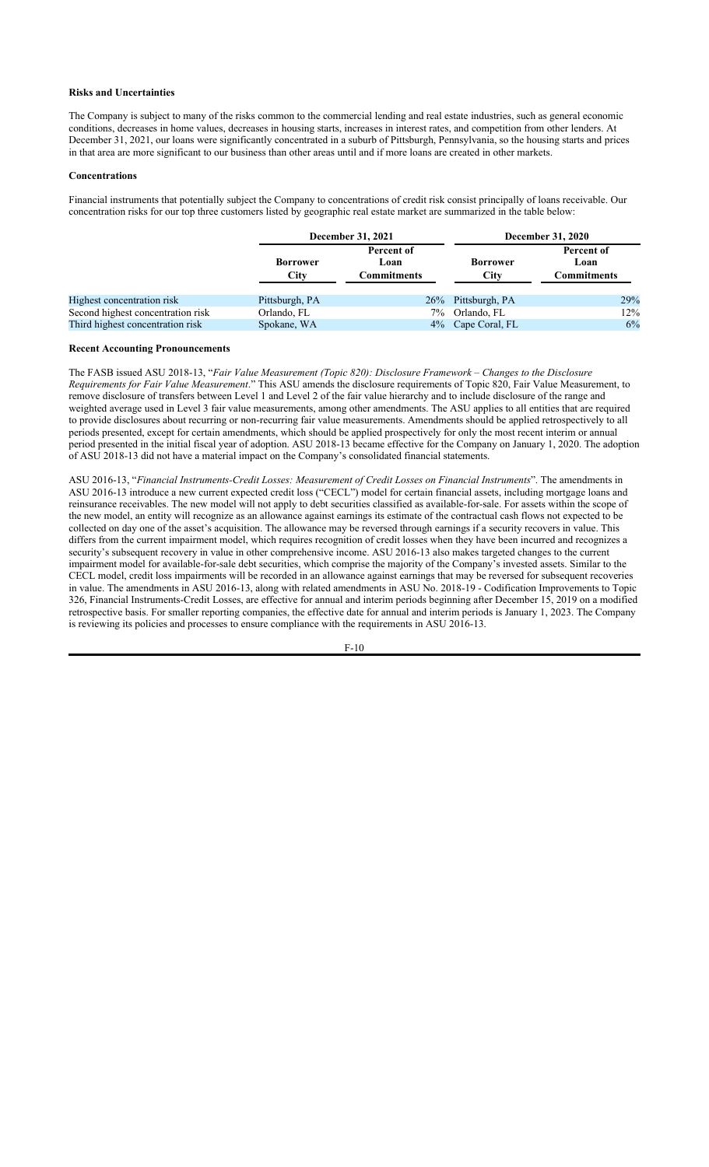### **Risks and Uncertainties**

The Company is subject to many of the risks common to the commercial lending and real estate industries, such as general economic conditions, decreases in home values, decreases in housing starts, increases in interest rates, and competition from other lenders. At December 31, 2021, our loans were significantly concentrated in a suburb of Pittsburgh, Pennsylvania, so the housing starts and prices in that area are more significant to our business than other areas until and if more loans are created in other markets.

## **Concentrations**

Financial instruments that potentially subject the Company to concentrations of credit risk consist principally of loans receivable. Our concentration risks for our top three customers listed by geographic real estate market are summarized in the table below:

|                                   |                         | December 31, 2021                 | <b>December 31, 2020</b>       |                                          |  |  |
|-----------------------------------|-------------------------|-----------------------------------|--------------------------------|------------------------------------------|--|--|
|                                   | <b>Borrower</b><br>City | Percent of<br>Loan<br>Commitments | <b>Borrower</b><br><b>City</b> | Percent of<br>Loan<br><b>Commitments</b> |  |  |
| Highest concentration risk        | Pittsburgh, PA          |                                   | 26% Pittsburgh, PA             | 29%                                      |  |  |
| Second highest concentration risk | Orlando, FL             | $7\%$                             | Orlando, FL                    | 12%                                      |  |  |
| Third highest concentration risk  | Spokane, WA             |                                   | 4% Cape Coral, FL              | 6%                                       |  |  |

#### **Recent Accounting Pronouncements**

The FASB issued ASU 2018-13, "*Fair Value Measurement (Topic 820): Disclosure Framework – Changes to the Disclosure Requirements for Fair Value Measurement*." This ASU amends the disclosure requirements of Topic 820, Fair Value Measurement, to remove disclosure of transfers between Level 1 and Level 2 of the fair value hierarchy and to include disclosure of the range and weighted average used in Level 3 fair value measurements, among other amendments. The ASU applies to all entities that are required to provide disclosures about recurring or non-recurring fair value measurements. Amendments should be applied retrospectively to all periods presented, except for certain amendments, which should be applied prospectively for only the most recent interim or annual period presented in the initial fiscal year of adoption. ASU 2018-13 became effective for the Company on January 1, 2020. The adoption of ASU 2018-13 did not have a material impact on the Company's consolidated financial statements.

ASU 2016-13, "*Financial Instruments-Credit Losses: Measurement of Credit Losses on Financial Instruments*". The amendments in ASU 2016-13 introduce a new current expected credit loss ("CECL") model for certain financial assets, including mortgage loans and reinsurance receivables. The new model will not apply to debt securities classified as available-for-sale. For assets within the scope of the new model, an entity will recognize as an allowance against earnings its estimate of the contractual cash flows not expected to be collected on day one of the asset's acquisition. The allowance may be reversed through earnings if a security recovers in value. This differs from the current impairment model, which requires recognition of credit losses when they have been incurred and recognizes a security's subsequent recovery in value in other comprehensive income. ASU 2016-13 also makes targeted changes to the current impairment model for available-for-sale debt securities, which comprise the majority of the Company's invested assets. Similar to the CECL model, credit loss impairments will be recorded in an allowance against earnings that may be reversed for subsequent recoveries in value. The amendments in ASU 2016-13, along with related amendments in ASU No. 2018-19 - Codification Improvements to Topic 326, Financial Instruments-Credit Losses, are effective for annual and interim periods beginning after December 15, 2019 on a modified retrospective basis. For smaller reporting companies, the effective date for annual and interim periods is January 1, 2023. The Company is reviewing its policies and processes to ensure compliance with the requirements in ASU 2016-13.

F-10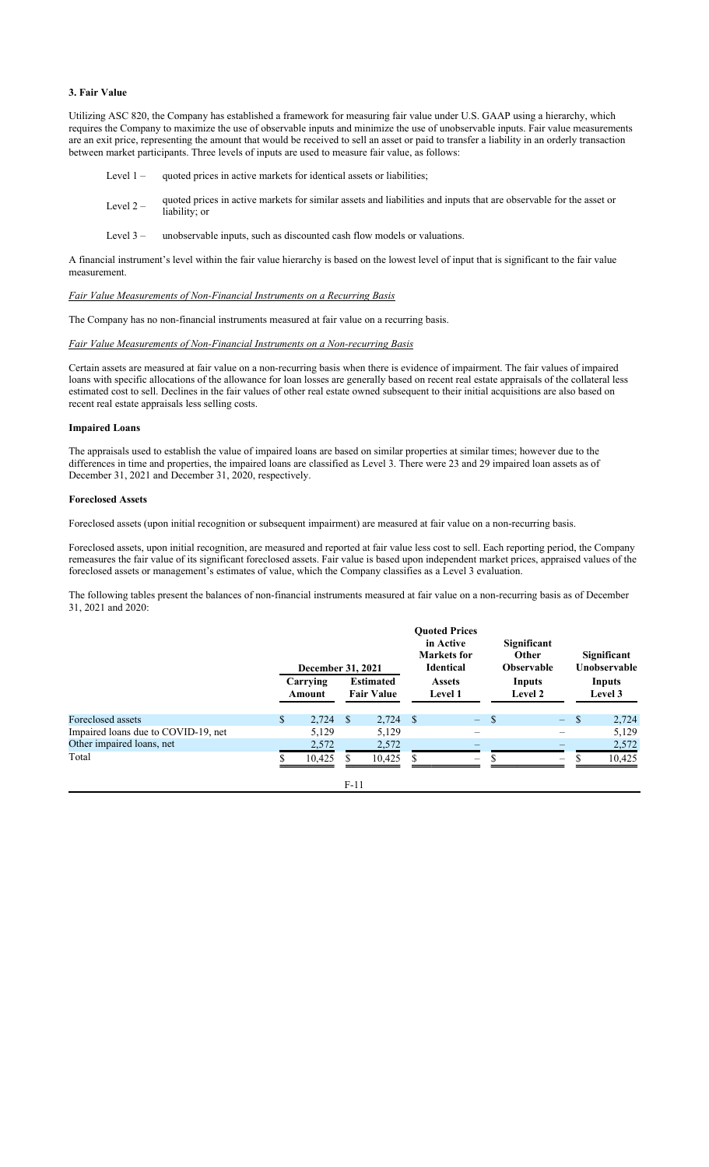### **3. Fair Value**

Utilizing ASC 820, the Company has established a framework for measuring fair value under U.S. GAAP using a hierarchy, which requires the Company to maximize the use of observable inputs and minimize the use of unobservable inputs. Fair value measurements are an exit price, representing the amount that would be received to sell an asset or paid to transfer a liability in an orderly transaction between market participants. Three levels of inputs are used to measure fair value, as follows:

- Level 1 quoted prices in active markets for identical assets or liabilities;
- Level  $2 -$  quoted prices in active markets for similar assets and liabilities and inputs that are observable for the asset or liability; or
- Level 3 unobservable inputs, such as discounted cash flow models or valuations.

A financial instrument's level within the fair value hierarchy is based on the lowest level of input that is significant to the fair value measurement.

#### *Fair Value Measurements of Non-Financial Instruments on a Recurring Basis*

The Company has no non-financial instruments measured at fair value on a recurring basis.

# *Fair Value Measurements of Non-Financial Instruments on a Non-recurring Basis*

Certain assets are measured at fair value on a non-recurring basis when there is evidence of impairment. The fair values of impaired loans with specific allocations of the allowance for loan losses are generally based on recent real estate appraisals of the collateral less estimated cost to sell. Declines in the fair values of other real estate owned subsequent to their initial acquisitions are also based on recent real estate appraisals less selling costs.

#### **Impaired Loans**

The appraisals used to establish the value of impaired loans are based on similar properties at similar times; however due to the differences in time and properties, the impaired loans are classified as Level 3. There were 23 and 29 impaired loan assets as of December 31, 2021 and December 31, 2020, respectively.

#### **Foreclosed Assets**

Foreclosed assets (upon initial recognition or subsequent impairment) are measured at fair value on a non-recurring basis.

Foreclosed assets, upon initial recognition, are measured and reported at fair value less cost to sell. Each reporting period, the Company remeasures the fair value of its significant foreclosed assets. Fair value is based upon independent market prices, appraised values of the foreclosed assets or management's estimates of value, which the Company classifies as a Level 3 evaluation.

The following tables present the balances of non-financial instruments measured at fair value on a non-recurring basis as of December 31, 2021 and 2020:

|                                     | December 31, 2021  |        |                                       |                                 | <b>Ouoted Prices</b><br>in Active<br><b>Markets</b> for<br><b>Identical</b> | Significant<br>Other<br><b>Observable</b> |                 | <b>Significant</b><br>Unobservable |        |
|-------------------------------------|--------------------|--------|---------------------------------------|---------------------------------|-----------------------------------------------------------------------------|-------------------------------------------|-----------------|------------------------------------|--------|
|                                     | Carrying<br>Amount |        | <b>Estimated</b><br><b>Fair Value</b> | <b>Assets</b><br><b>Level 1</b> |                                                                             | Inputs<br><b>Level 2</b>                  |                 | Inputs<br>Level 3                  |        |
| Foreclosed assets                   | \$<br>2,724        | -S     | 2,724                                 | <sup>\$</sup>                   | $\equiv$                                                                    | - \$                                      | $\equiv$ .      | <sup>\$</sup>                      | 2,724  |
| Impaired loans due to COVID-19, net | 5,129              |        | 5,129                                 |                                 |                                                                             |                                           |                 |                                    | 5,129  |
| Other impaired loans, net           | 2,572              |        | 2,572                                 |                                 |                                                                             |                                           |                 |                                    | 2,572  |
| Total                               | 10,425             |        | 10,425                                | S                               | $\overline{\phantom{m}}$                                                    |                                           | $\qquad \qquad$ |                                    | 10,425 |
|                                     |                    | $F-11$ |                                       |                                 |                                                                             |                                           |                 |                                    |        |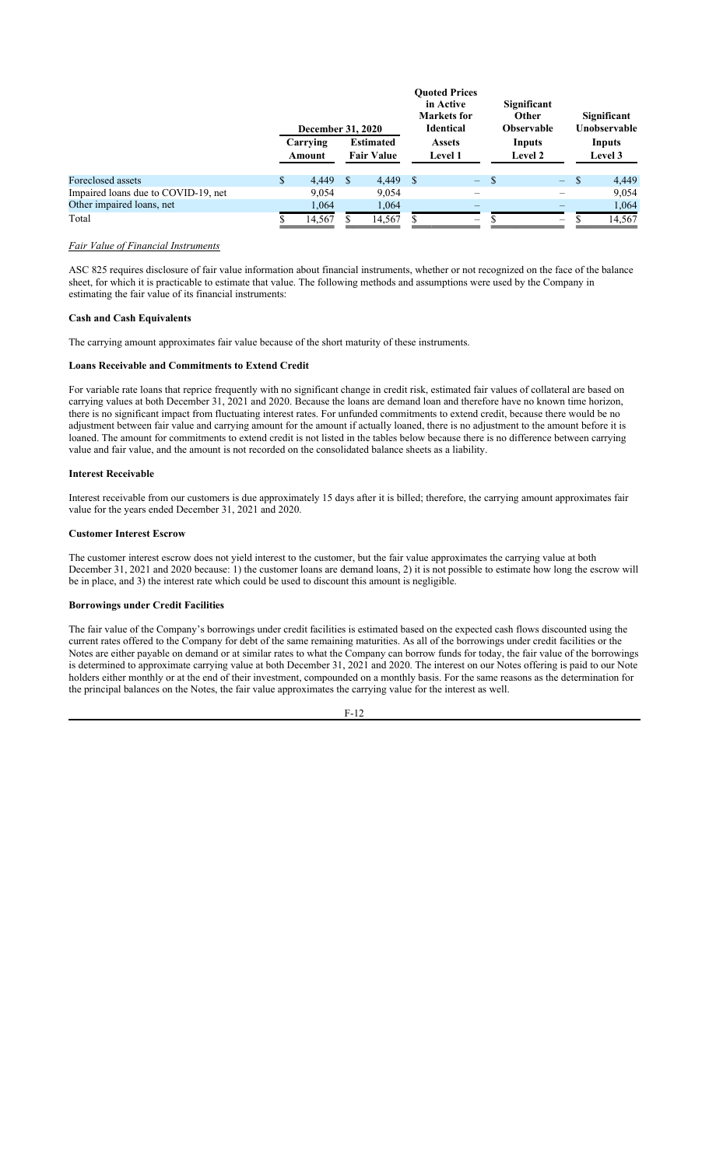|                                     | <b>December 31, 2020</b> |   |                                       |                                 | <b>Ouoted Prices</b><br>in Active<br><b>Markets</b> for<br><b>Identical</b> |                   | Significant<br><b>Other</b><br><b>Observable</b> |                   | Significant<br>Unobservable |
|-------------------------------------|--------------------------|---|---------------------------------------|---------------------------------|-----------------------------------------------------------------------------|-------------------|--------------------------------------------------|-------------------|-----------------------------|
|                                     | Carrying<br>Amount       |   | <b>Estimated</b><br><b>Fair Value</b> | <b>Assets</b><br><b>Level 1</b> |                                                                             | Inputs<br>Level 2 |                                                  | Inputs<br>Level 3 |                             |
| Foreclosed assets                   | \$<br>4.449              | S | 4.449                                 | - \$                            | -                                                                           | <sup>\$</sup>     | $\equiv$                                         | S                 | 4,449                       |
| Impaired loans due to COVID-19, net | 9,054                    |   | 9,054                                 |                                 | $\overline{\phantom{0}}$                                                    |                   |                                                  |                   | 9,054                       |
| Other impaired loans, net           | 1,064                    |   | 1,064                                 |                                 |                                                                             |                   |                                                  |                   | 1,064                       |
| Total                               | 14,567                   |   | 14,567                                |                                 | $\overline{\phantom{0}}$                                                    |                   | $\overline{\phantom{m}}$                         |                   | 14.567                      |

#### *Fair Value of Financial Instruments*

ASC 825 requires disclosure of fair value information about financial instruments, whether or not recognized on the face of the balance sheet, for which it is practicable to estimate that value. The following methods and assumptions were used by the Company in estimating the fair value of its financial instruments:

# **Cash and Cash Equivalents**

The carrying amount approximates fair value because of the short maturity of these instruments.

#### **Loans Receivable and Commitments to Extend Credit**

For variable rate loans that reprice frequently with no significant change in credit risk, estimated fair values of collateral are based on carrying values at both December 31, 2021 and 2020. Because the loans are demand loan and therefore have no known time horizon, there is no significant impact from fluctuating interest rates. For unfunded commitments to extend credit, because there would be no adjustment between fair value and carrying amount for the amount if actually loaned, there is no adjustment to the amount before it is loaned. The amount for commitments to extend credit is not listed in the tables below because there is no difference between carrying value and fair value, and the amount is not recorded on the consolidated balance sheets as a liability.

## **Interest Receivable**

Interest receivable from our customers is due approximately 15 days after it is billed; therefore, the carrying amount approximates fair value for the years ended December 31, 2021 and 2020.

#### **Customer Interest Escrow**

The customer interest escrow does not yield interest to the customer, but the fair value approximates the carrying value at both December 31, 2021 and 2020 because: 1) the customer loans are demand loans, 2) it is not possible to estimate how long the escrow will be in place, and 3) the interest rate which could be used to discount this amount is negligible.

# **Borrowings under Credit Facilities**

The fair value of the Company's borrowings under credit facilities is estimated based on the expected cash flows discounted using the current rates offered to the Company for debt of the same remaining maturities. As all of the borrowings under credit facilities or the Notes are either payable on demand or at similar rates to what the Company can borrow funds for today, the fair value of the borrowings is determined to approximate carrying value at both December 31, 2021 and 2020. The interest on our Notes offering is paid to our Note holders either monthly or at the end of their investment, compounded on a monthly basis. For the same reasons as the determination for the principal balances on the Notes, the fair value approximates the carrying value for the interest as well.

$$
F-12
$$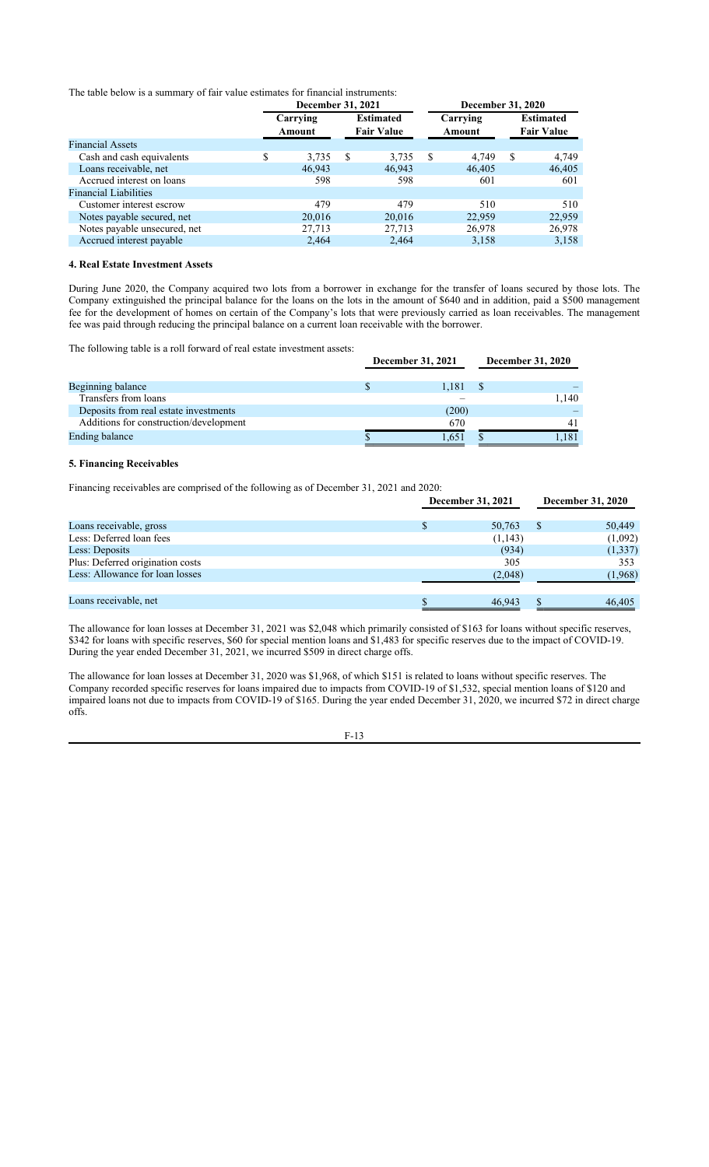The table below is a summary of fair value estimates for financial instruments:

|                              | December 31, 2021  |    |                                       |    | <b>December 31, 2020</b> |   |                                       |  |
|------------------------------|--------------------|----|---------------------------------------|----|--------------------------|---|---------------------------------------|--|
|                              | Carrying<br>Amount |    | <b>Estimated</b><br><b>Fair Value</b> |    | Carrying<br>Amount       |   | <b>Estimated</b><br><b>Fair Value</b> |  |
| <b>Financial Assets</b>      |                    |    |                                       |    |                          |   |                                       |  |
| Cash and cash equivalents    | \$<br>3,735        | -S | 3,735                                 | -S | 4.749                    | S | 4,749                                 |  |
| Loans receivable, net        | 46,943             |    | 46,943                                |    | 46,405                   |   | 46,405                                |  |
| Accrued interest on loans    | 598                |    | 598                                   |    | 601                      |   | 601                                   |  |
| <b>Financial Liabilities</b> |                    |    |                                       |    |                          |   |                                       |  |
| Customer interest escrow     | 479                |    | 479                                   |    | 510                      |   | 510                                   |  |
| Notes payable secured, net   | 20,016             |    | 20,016                                |    | 22,959                   |   | 22,959                                |  |
| Notes payable unsecured, net | 27,713             |    | 27,713                                |    | 26,978                   |   | 26,978                                |  |
| Accrued interest payable     | 2.464              |    | 2,464                                 |    | 3,158                    |   | 3,158                                 |  |

## **4. Real Estate Investment Assets**

During June 2020, the Company acquired two lots from a borrower in exchange for the transfer of loans secured by those lots. The Company extinguished the principal balance for the loans on the lots in the amount of \$640 and in addition, paid a \$500 management fee for the development of homes on certain of the Company's lots that were previously carried as loan receivables. The management fee was paid through reducing the principal balance on a current loan receivable with the borrower.

The following table is a roll forward of real estate investment assets:

|                                        | December 31, 2021 |  |       |  |  |
|----------------------------------------|-------------------|--|-------|--|--|
| Beginning balance                      | 1,181             |  |       |  |  |
| Transfers from loans                   |                   |  | 1,140 |  |  |
| Deposits from real estate investments  | (200)             |  |       |  |  |
| Additions for construction/development | 670               |  | 41    |  |  |
| Ending balance                         | 1,651             |  | .181  |  |  |

# **5. Financing Receivables**

Financing receivables are comprised of the following as of December 31, 2021 and 2020:

|                                  | December 31, 2021 |  | December 31, 2020 |
|----------------------------------|-------------------|--|-------------------|
| Loans receivable, gross          | 50,763            |  | 50,449            |
| Less: Deferred loan fees         | (1,143)           |  | (1,092)           |
| Less: Deposits                   | (934)             |  | (1, 337)          |
| Plus: Deferred origination costs | 305               |  | 353               |
| Less: Allowance for loan losses  | (2,048)           |  | (1,968)           |
|                                  |                   |  |                   |
| Loans receivable, net            | 46,943            |  | 46,405            |

The allowance for loan losses at December 31, 2021 was \$2,048 which primarily consisted of \$163 for loans without specific reserves, \$342 for loans with specific reserves, \$60 for special mention loans and \$1,483 for specific reserves due to the impact of COVID-19. During the year ended December 31, 2021, we incurred \$509 in direct charge offs.

The allowance for loan losses at December 31, 2020 was \$1,968, of which \$151 is related to loans without specific reserves. The Company recorded specific reserves for loans impaired due to impacts from COVID-19 of \$1,532, special mention loans of \$120 and impaired loans not due to impacts from COVID-19 of \$165. During the year ended December 31, 2020, we incurred \$72 in direct charge offs.

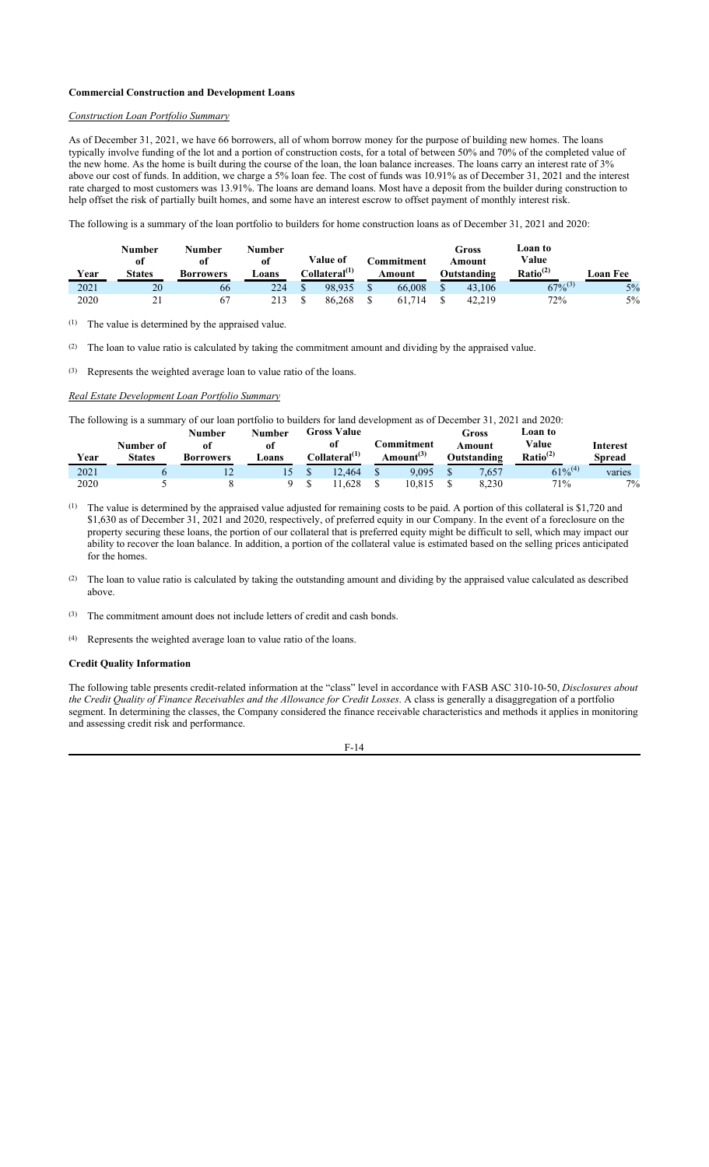# **Commercial Construction and Development Loans**

# *Construction Loan Portfolio Summary*

As of December 31, 2021, we have 66 borrowers, all of whom borrow money for the purpose of building new homes. The loans typically involve funding of the lot and a portion of construction costs, for a total of between 50% and 70% of the completed value of the new home. As the home is built during the course of the loan, the loan balance increases. The loans carry an interest rate of 3% above our cost of funds. In addition, we charge a 5% loan fee. The cost of funds was 10.91% as of December 31, 2021 and the interest rate charged to most customers was 13.91%. The loans are demand loans. Most have a deposit from the builder during construction to help offset the risk of partially built homes, and some have an interest escrow to offset payment of monthly interest risk.

The following is a summary of the loan portfolio to builders for home construction loans as of December 31, 2021 and 2020:

| Year | Number<br>-of<br><b>States</b> | Number<br>0t<br>Borrowers | <b>Number</b><br>of<br>∟oans | Value of<br>Collateral <sup>(1)</sup> | C <b>ommitment</b><br>Amount | Gross<br>Amount<br>Outstanding | Loan to<br>Value<br>Ratio <sup>(2)</sup> | Loan Fee |
|------|--------------------------------|---------------------------|------------------------------|---------------------------------------|------------------------------|--------------------------------|------------------------------------------|----------|
| 2021 | 20                             | 66                        | 224                          | 98.935                                | 66,008                       | 43,106                         | $\overline{67\%}^{(3)}$                  | 5%       |
| 2020 | 21<br>ـ ـ                      | 67                        | 213                          | 86.268                                | 61.714                       | 42.219                         | 72%                                      | $5\%$    |

(1) The value is determined by the appraised value.

(2) The loan to value ratio is calculated by taking the commitment amount and dividing by the appraised value.

(3) Represents the weighted average loan to value ratio of the loans.

#### *Real Estate Development Loan Portfolio Summary*

The following is a summary of our loan portfolio to builders for land development as of December 31, 2021 and 2020:

| Year | Number of<br><b>States</b> | Number<br>01<br>Borrowers | <b>Number</b><br>of<br>Loans | Gross Value<br>ot<br>C <b>ollateral<sup>(1)</sup></b> |  | Gross<br><b>Commitment</b><br>Amount<br>Amount <sup>(3)</sup><br>Outstanding |             | Loan to<br>Value<br>Ratio <sup>(2)</sup> | Interest<br>Spread |        |
|------|----------------------------|---------------------------|------------------------------|-------------------------------------------------------|--|------------------------------------------------------------------------------|-------------|------------------------------------------|--------------------|--------|
| 2021 |                            | $\overline{1}$            |                              | 12.464                                                |  | 9.095                                                                        | $\triangle$ | 7.657                                    | $61\%^{(4)}$       | varies |
| 2020 |                            |                           |                              | 1.628                                                 |  | 10.815                                                                       |             | 8.230                                    | 71%                | $7\%$  |

 $^{(1)}$  The value is determined by the appraised value adjusted for remaining costs to be paid. A portion of this collateral is \$1,720 and \$1,630 as of December 31, 2021 and 2020, respectively, of preferred equity in our Company. In the event of a foreclosure on the property securing these loans, the portion of our collateral that is preferred equity might be difficult to sell, which may impact our ability to recover the loan balance. In addition, a portion of the collateral value is estimated based on the selling prices anticipated for the homes.

(2) The loan to value ratio is calculated by taking the outstanding amount and dividing by the appraised value calculated as described above.

(3) The commitment amount does not include letters of credit and cash bonds.

(4) Represents the weighted average loan to value ratio of the loans.

#### **Credit Quality Information**

The following table presents credit-related information at the "class" level in accordance with FASB ASC 310-10-50, *Disclosures about the Credit Quality of Finance Receivables and the Allowance for Credit Losses*. A class is generally a disaggregation of a portfolio segment. In determining the classes, the Company considered the finance receivable characteristics and methods it applies in monitoring and assessing credit risk and performance.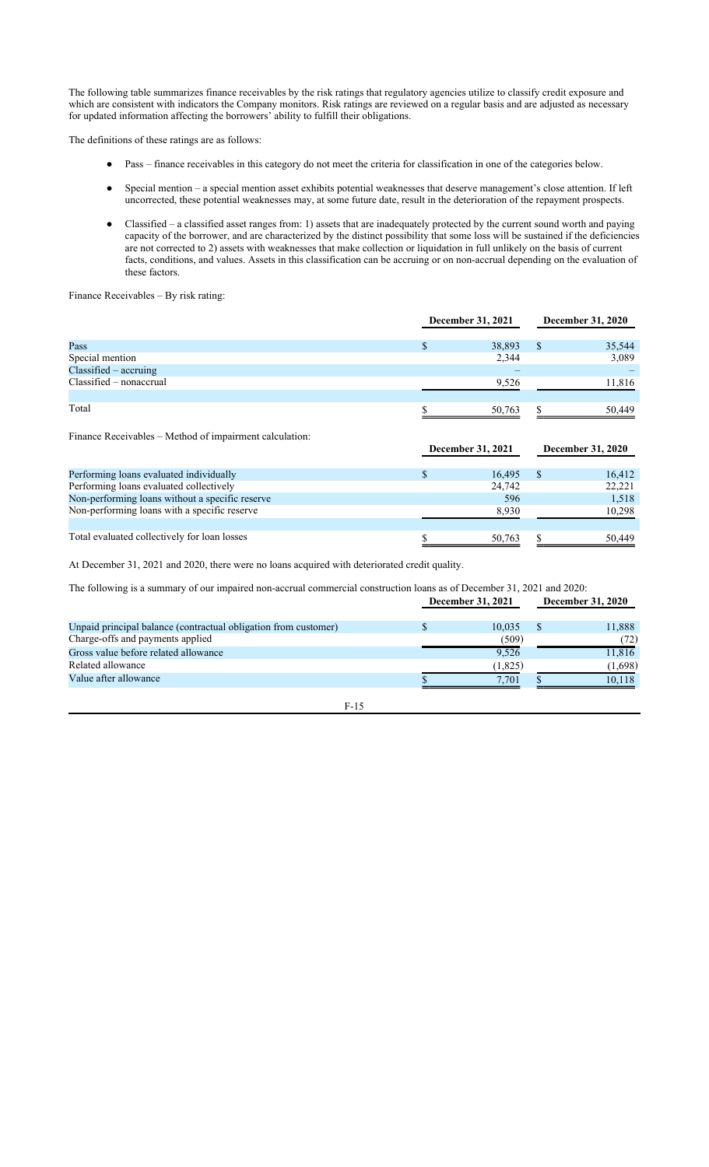The following table summarizes finance receivables by the risk ratings that regulatory agencies utilize to classify credit exposure and which are consistent with indicators the Company monitors. Risk ratings are reviewed on a regular basis and are adjusted as necessary for updated information affecting the borrowers' ability to fulfill their obligations.

The definitions of these ratings are as follows:

- Pass finance receivables in this category do not meet the criteria for classification in one of the categories below.
- Special mention a special mention asset exhibits potential weaknesses that deserve management's close attention. If left uncorrected, these potential weaknesses may, at some future date, result in the deterioration of the repayment prospects.
- Classified a classified asset ranges from: 1) assets that are inadequately protected by the current sound worth and paying capacity of the borrower, and are characterized by the distinct possibility that some loss will be sustained if the deficiencies are not corrected to 2) assets with weaknesses that make collection or liquidation in full unlikely on the basis of current facts, conditions, and values. Assets in this classification can be accruing or on non-accrual depending on the evaluation of these factors.

Finance Receivables – By risk rating:

|                           | December 31, 2021 |        |   | <b>December 31, 2020</b> |  |  |
|---------------------------|-------------------|--------|---|--------------------------|--|--|
| Pass                      | ۰D                | 38,893 | S | 35,544                   |  |  |
| Special mention           |                   | 2,344  |   | 3,089                    |  |  |
| $Classified - accruing$   |                   |        |   |                          |  |  |
| $Classified - nonacerval$ |                   | 9,526  |   | 11,816                   |  |  |
| Total                     |                   | 50,763 |   | 50.449                   |  |  |

Finance Receivables – Method of impairment calculation:

|                                                 | December 31, 2021 |                | December 31, 2020 |        |
|-------------------------------------------------|-------------------|----------------|-------------------|--------|
|                                                 |                   |                |                   |        |
| Performing loans evaluated individually         |                   | 16.495         |                   | 16,412 |
| Performing loans evaluated collectively         |                   | 24,742         |                   | 22,221 |
| Non-performing loans without a specific reserve |                   | <sup>596</sup> |                   | 1,518  |
| Non-performing loans with a specific reserve    |                   | 8,930          |                   | 10,298 |
|                                                 |                   |                |                   |        |
| Total evaluated collectively for loan losses    |                   | 50,763         |                   | 50,449 |

At December 31, 2021 and 2020, there were no loans acquired with deteriorated credit quality.

The following is a summary of our impaired non-accrual commercial construction loans as of December 31, 2021 and 2020:

|                                                                 | December 31, 2021 |  | December 31, 2020 |
|-----------------------------------------------------------------|-------------------|--|-------------------|
| Unpaid principal balance (contractual obligation from customer) | 10.035            |  | 11,888            |
| Charge-offs and payments applied                                | (509)             |  | (72)              |
| Gross value before related allowance                            | 9.526             |  | 11,816            |
| Related allowance                                               | (1,825)           |  | (1,698)           |
| Value after allowance                                           | 7.701             |  | 10.118            |
|                                                                 |                   |  |                   |

F-15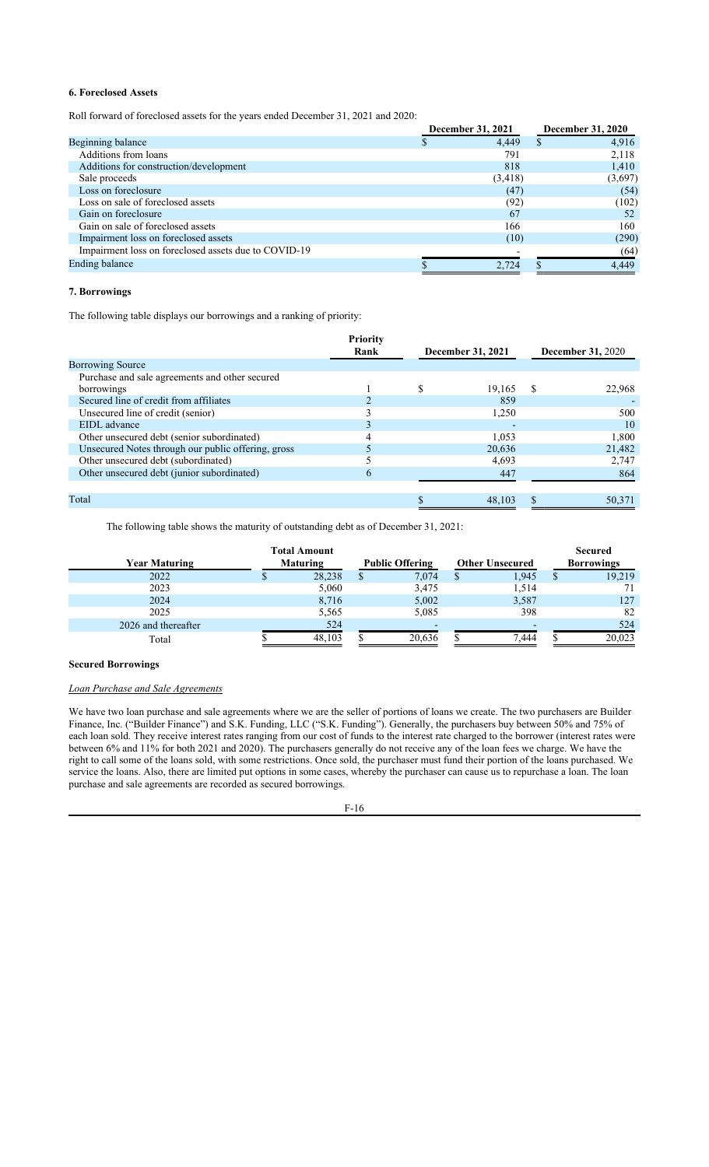# **6. Foreclosed Assets**

Roll forward of foreclosed assets for the years ended December 31, 2021 and 2020:

|                                                      | December 31, 2021 |          | <b>December 31, 2020</b> |
|------------------------------------------------------|-------------------|----------|--------------------------|
| Beginning balance                                    |                   | 4,449    | 4,916                    |
| Additions from loans                                 |                   | 791      | 2,118                    |
| Additions for construction/development               |                   | 818      | 1,410                    |
| Sale proceeds                                        |                   | (3, 418) | (3,697)                  |
| Loss on foreclosure                                  |                   | (47)     | (54)                     |
| Loss on sale of foreclosed assets                    |                   | (92)     | (102)                    |
| Gain on foreclosure                                  |                   | 67       | 52                       |
| Gain on sale of foreclosed assets                    |                   | 166      | 160                      |
| Impairment loss on foreclosed assets                 |                   | (10)     | (290)                    |
| Impairment loss on foreclosed assets due to COVID-19 |                   |          | (64)                     |
| Ending balance                                       |                   | 2,724    | 4,449                    |

# **7. Borrowings**

The following table displays our borrowings and a ranking of priority:

|                                                    | Priority<br>Rank |   |                   |                          |        |  |
|----------------------------------------------------|------------------|---|-------------------|--------------------------|--------|--|
|                                                    |                  |   | December 31, 2021 | <b>December 31, 2020</b> |        |  |
| <b>Borrowing Source</b>                            |                  |   |                   |                          |        |  |
| Purchase and sale agreements and other secured     |                  |   |                   |                          |        |  |
| borrowings                                         |                  | S | 19,165            | -S                       | 22,968 |  |
| Secured line of credit from affiliates             |                  |   | 859               |                          |        |  |
| Unsecured line of credit (senior)                  |                  |   | 1,250             |                          | 500    |  |
| EIDL advance                                       |                  |   |                   |                          | 10     |  |
| Other unsecured debt (senior subordinated)         |                  |   | 1.053             |                          | 1,800  |  |
| Unsecured Notes through our public offering, gross |                  |   | 20,636            |                          | 21,482 |  |
| Other unsecured debt (subordinated)                |                  |   | 4.693             |                          | 2,747  |  |
| Other unsecured debt (junior subordinated)         | <sub>(</sub>     |   | 447               |                          | 864    |  |
|                                                    |                  |   |                   |                          |        |  |
| Total                                              |                  |   | 48,103            |                          | 50,371 |  |

The following table shows the maturity of outstanding debt as of December 31, 2021:

|                      | <b>Total Amount</b> |  |                          |                        | <b>Secured</b>    |
|----------------------|---------------------|--|--------------------------|------------------------|-------------------|
| <b>Year Maturing</b> | <b>Maturing</b>     |  | <b>Public Offering</b>   | <b>Other Unsecured</b> | <b>Borrowings</b> |
| 2022                 | 28,238              |  | 7,074                    | 1,945                  | 19,219            |
| 2023                 | 5,060               |  | 3,475                    | 1,514                  |                   |
| 2024                 | 8,716               |  | 5,002                    | 3,587                  | 127               |
| 2025                 | 5,565               |  | 5,085                    | 398                    | 82                |
| 2026 and thereafter  | 524                 |  | $\overline{\phantom{0}}$ |                        | 524               |
| Total                | 48.103              |  | 20,636                   | 7,444                  | 20,023            |

#### **Secured Borrowings**

# *Loan Purchase and Sale Agreements*

We have two loan purchase and sale agreements where we are the seller of portions of loans we create. The two purchasers are Builder Finance, Inc. ("Builder Finance") and S.K. Funding, LLC ("S.K. Funding"). Generally, the purchasers buy between 50% and 75% of each loan sold. They receive interest rates ranging from our cost of funds to the interest rate charged to the borrower (interest rates were between 6% and 11% for both 2021 and 2020). The purchasers generally do not receive any of the loan fees we charge. We have the right to call some of the loans sold, with some restrictions. Once sold, the purchaser must fund their portion of the loans purchased. We service the loans. Also, there are limited put options in some cases, whereby the purchaser can cause us to repurchase a loan. The loan purchase and sale agreements are recorded as secured borrowings.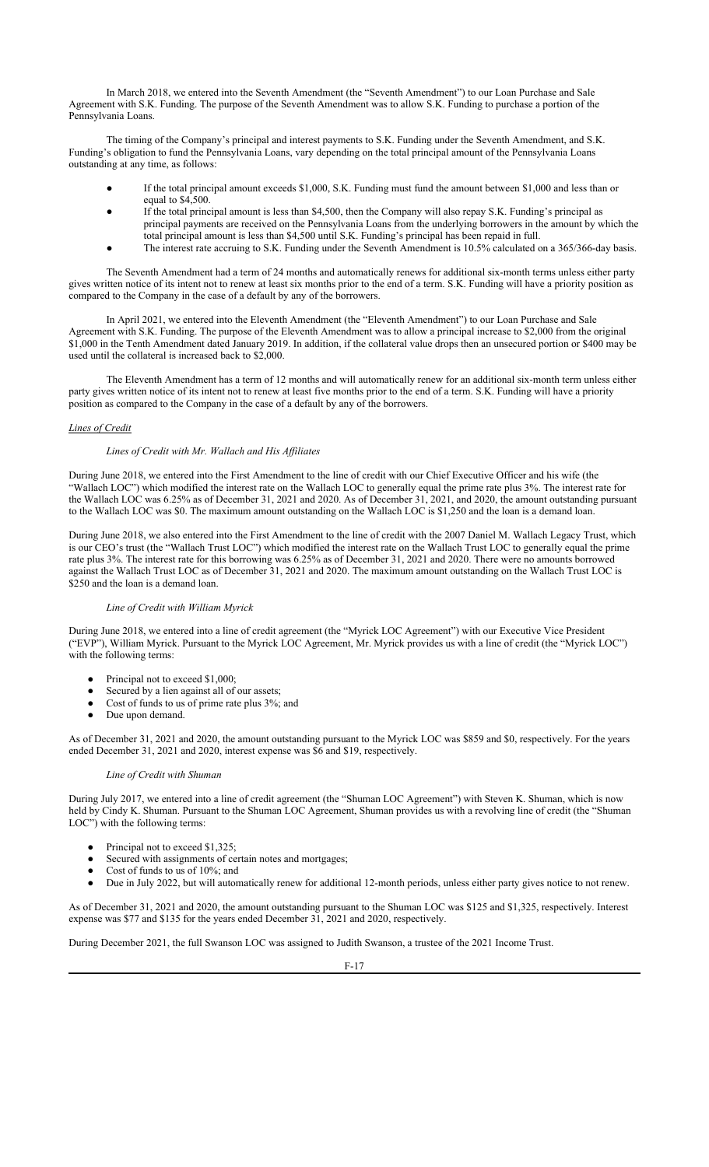In March 2018, we entered into the Seventh Amendment (the "Seventh Amendment") to our Loan Purchase and Sale Agreement with S.K. Funding. The purpose of the Seventh Amendment was to allow S.K. Funding to purchase a portion of the Pennsylvania Loans.

The timing of the Company's principal and interest payments to S.K. Funding under the Seventh Amendment, and S.K. Funding's obligation to fund the Pennsylvania Loans, vary depending on the total principal amount of the Pennsylvania Loans outstanding at any time, as follows:

- If the total principal amount exceeds \$1,000, S.K. Funding must fund the amount between \$1,000 and less than or equal to \$4,500.
- If the total principal amount is less than \$4,500, then the Company will also repay S.K. Funding's principal as principal payments are received on the Pennsylvania Loans from the underlying borrowers in the amount by which the total principal amount is less than \$4,500 until S.K. Funding's principal has been repaid in full.
- The interest rate accruing to S.K. Funding under the Seventh Amendment is 10.5% calculated on a 365/366-day basis.

The Seventh Amendment had a term of 24 months and automatically renews for additional six-month terms unless either party gives written notice of its intent not to renew at least six months prior to the end of a term. S.K. Funding will have a priority position as compared to the Company in the case of a default by any of the borrowers.

In April 2021, we entered into the Eleventh Amendment (the "Eleventh Amendment") to our Loan Purchase and Sale Agreement with S.K. Funding. The purpose of the Eleventh Amendment was to allow a principal increase to \$2,000 from the original \$1,000 in the Tenth Amendment dated January 2019. In addition, if the collateral value drops then an unsecured portion or \$400 may be used until the collateral is increased back to \$2,000.

The Eleventh Amendment has a term of 12 months and will automatically renew for an additional six-month term unless either party gives written notice of its intent not to renew at least five months prior to the end of a term. S.K. Funding will have a priority position as compared to the Company in the case of a default by any of the borrowers.

# *Lines of Credit*

# *Lines of Credit with Mr. Wallach and His Affiliates*

During June 2018, we entered into the First Amendment to the line of credit with our Chief Executive Officer and his wife (the "Wallach LOC") which modified the interest rate on the Wallach LOC to generally equal the prime rate plus 3%. The interest rate for the Wallach LOC was 6.25% as of December 31, 2021 and 2020. As of December 31, 2021, and 2020, the amount outstanding pursuant to the Wallach LOC was \$0. The maximum amount outstanding on the Wallach LOC is \$1,250 and the loan is a demand loan.

During June 2018, we also entered into the First Amendment to the line of credit with the 2007 Daniel M. Wallach Legacy Trust, which is our CEO's trust (the "Wallach Trust LOC") which modified the interest rate on the Wallach Trust LOC to generally equal the prime rate plus 3%. The interest rate for this borrowing was 6.25% as of December 31, 2021 and 2020. There were no amounts borrowed against the Wallach Trust LOC as of December 31, 2021 and 2020. The maximum amount outstanding on the Wallach Trust LOC is \$250 and the loan is a demand loan.

## *Line of Credit with William Myrick*

During June 2018, we entered into a line of credit agreement (the "Myrick LOC Agreement") with our Executive Vice President ("EVP"), William Myrick. Pursuant to the Myrick LOC Agreement, Mr. Myrick provides us with a line of credit (the "Myrick LOC") with the following terms:

- Principal not to exceed \$1,000;
- Secured by a lien against all of our assets;
- Cost of funds to us of prime rate plus 3%; and
- Due upon demand.

As of December 31, 2021 and 2020, the amount outstanding pursuant to the Myrick LOC was \$859 and \$0, respectively. For the years ended December 31, 2021 and 2020, interest expense was \$6 and \$19, respectively.

## *Line of Credit with Shuman*

During July 2017, we entered into a line of credit agreement (the "Shuman LOC Agreement") with Steven K. Shuman, which is now held by Cindy K. Shuman. Pursuant to the Shuman LOC Agreement, Shuman provides us with a revolving line of credit (the "Shuman LOC") with the following terms:

- Principal not to exceed \$1,325;
- Secured with assignments of certain notes and mortgages;
- Cost of funds to us of 10%; and
- Due in July 2022, but will automatically renew for additional 12-month periods, unless either party gives notice to not renew.

As of December 31, 2021 and 2020, the amount outstanding pursuant to the Shuman LOC was \$125 and \$1,325, respectively. Interest expense was \$77 and \$135 for the years ended December 31, 2021 and 2020, respectively.

During December 2021, the full Swanson LOC was assigned to Judith Swanson, a trustee of the 2021 Income Trust.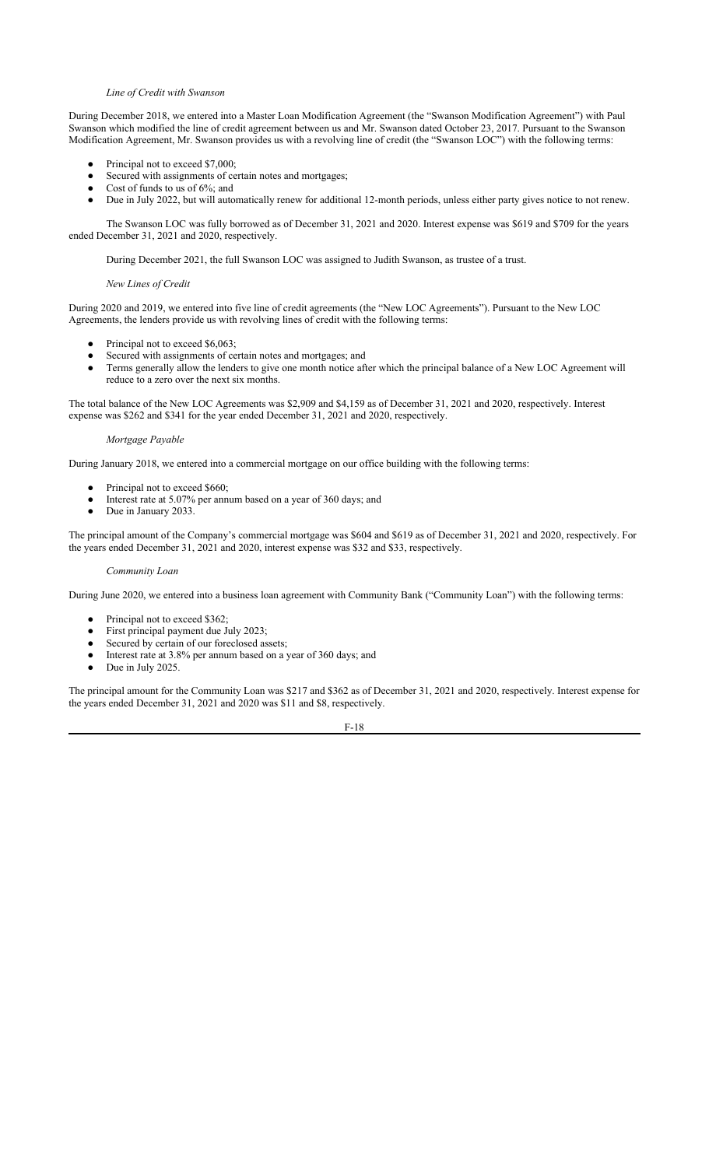# *Line of Credit with Swanson*

During December 2018, we entered into a Master Loan Modification Agreement (the "Swanson Modification Agreement") with Paul Swanson which modified the line of credit agreement between us and Mr. Swanson dated October 23, 2017. Pursuant to the Swanson Modification Agreement, Mr. Swanson provides us with a revolving line of credit (the "Swanson LOC") with the following terms:

- Principal not to exceed \$7,000;
- Secured with assignments of certain notes and mortgages;
- Cost of funds to us of 6%; and
- Due in July 2022, but will automatically renew for additional 12-month periods, unless either party gives notice to not renew.

The Swanson LOC was fully borrowed as of December 31, 2021 and 2020. Interest expense was \$619 and \$709 for the years ended December 31, 2021 and 2020, respectively.

During December 2021, the full Swanson LOC was assigned to Judith Swanson, as trustee of a trust.

## *New Lines of Credit*

During 2020 and 2019, we entered into five line of credit agreements (the "New LOC Agreements"). Pursuant to the New LOC Agreements, the lenders provide us with revolving lines of credit with the following terms:

- Principal not to exceed \$6,063;
- Secured with assignments of certain notes and mortgages; and
- Terms generally allow the lenders to give one month notice after which the principal balance of a New LOC Agreement will reduce to a zero over the next six months.

The total balance of the New LOC Agreements was \$2,909 and \$4,159 as of December 31, 2021 and 2020, respectively. Interest expense was \$262 and \$341 for the year ended December 31, 2021 and 2020, respectively.

# *Mortgage Payable*

During January 2018, we entered into a commercial mortgage on our office building with the following terms:

- Principal not to exceed \$660;
- Interest rate at 5.07% per annum based on a year of 360 days; and
- Due in January 2033.

The principal amount of the Company's commercial mortgage was \$604 and \$619 as of December 31, 2021 and 2020, respectively. For the years ended December 31, 2021 and 2020, interest expense was \$32 and \$33, respectively.

# *Community Loan*

During June 2020, we entered into a business loan agreement with Community Bank ("Community Loan") with the following terms:

- Principal not to exceed \$362;
- First principal payment due July 2023;
- Secured by certain of our foreclosed assets;
- Interest rate at 3.8% per annum based on a year of 360 days; and
- Due in July 2025.

The principal amount for the Community Loan was \$217 and \$362 as of December 31, 2021 and 2020, respectively. Interest expense for the years ended December 31, 2021 and 2020 was \$11 and \$8, respectively.

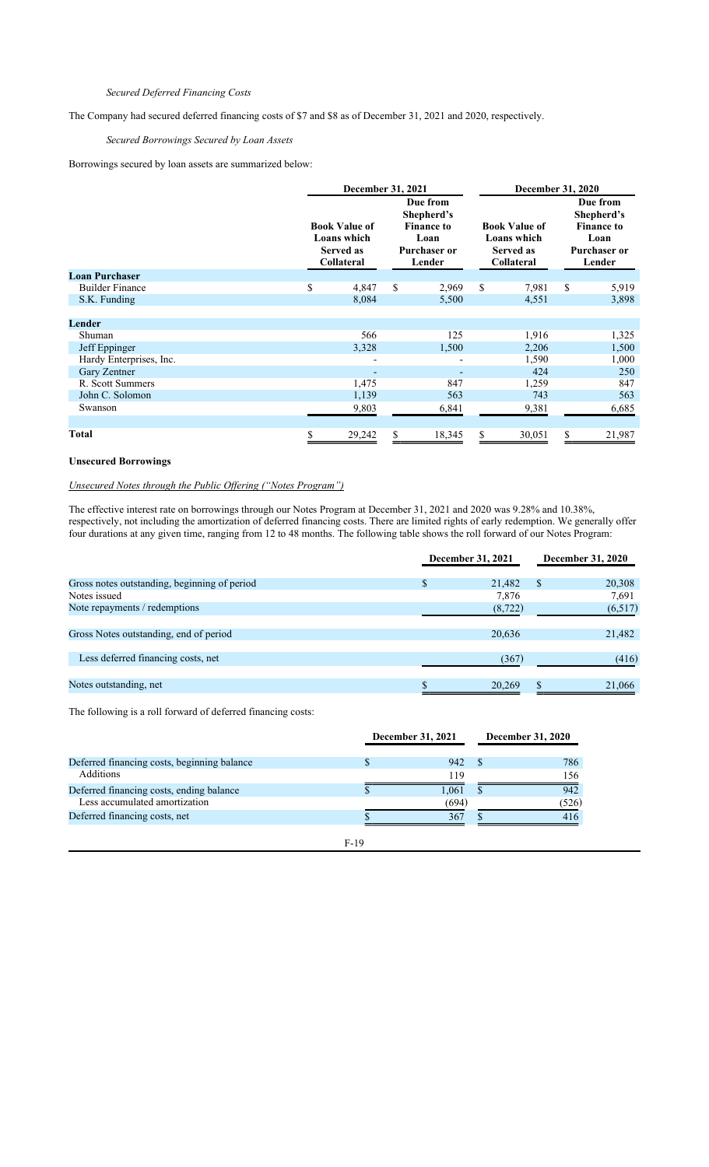# *Secured Deferred Financing Costs*

The Company had secured deferred financing costs of \$7 and \$8 as of December 31, 2021 and 2020, respectively.

# *Secured Borrowings Secured by Loan Assets*

Borrowings secured by loan assets are summarized below:

|                         | December 31, 2021                                                     |                                                                                      | <b>December 31, 2020</b> |                                                                       |        |                                                                                      |        |
|-------------------------|-----------------------------------------------------------------------|--------------------------------------------------------------------------------------|--------------------------|-----------------------------------------------------------------------|--------|--------------------------------------------------------------------------------------|--------|
|                         | <b>Book Value of</b><br>Loans which<br><b>Served as</b><br>Collateral | Due from<br>Shepherd's<br><b>Finance to</b><br>Loan<br><b>Purchaser or</b><br>Lender |                          | <b>Book Value of</b><br>Loans which<br><b>Served as</b><br>Collateral |        | Due from<br>Shepherd's<br><b>Finance to</b><br>Loan<br><b>Purchaser or</b><br>Lender |        |
| <b>Loan Purchaser</b>   |                                                                       |                                                                                      |                          |                                                                       |        |                                                                                      |        |
| <b>Builder Finance</b>  | \$<br>4,847                                                           | \$                                                                                   | 2,969                    | \$                                                                    | 7,981  | \$                                                                                   | 5,919  |
| S.K. Funding            | 8,084                                                                 |                                                                                      | 5,500                    |                                                                       | 4,551  |                                                                                      | 3,898  |
|                         |                                                                       |                                                                                      |                          |                                                                       |        |                                                                                      |        |
| Lender                  |                                                                       |                                                                                      |                          |                                                                       |        |                                                                                      |        |
| Shuman                  | 566                                                                   |                                                                                      | 125                      |                                                                       | 1,916  |                                                                                      | 1,325  |
| Jeff Eppinger           | 3,328                                                                 |                                                                                      | 1,500                    |                                                                       | 2,206  |                                                                                      | 1,500  |
| Hardy Enterprises, Inc. |                                                                       |                                                                                      | ٠                        |                                                                       | 1,590  |                                                                                      | 1,000  |
| Gary Zentner            | $\overline{\phantom{a}}$                                              |                                                                                      |                          |                                                                       | 424    |                                                                                      | 250    |
| R. Scott Summers        | 1,475                                                                 |                                                                                      | 847                      |                                                                       | 1,259  |                                                                                      | 847    |
| John C. Solomon         | 1,139                                                                 |                                                                                      | 563                      |                                                                       | 743    |                                                                                      | 563    |
| Swanson                 | 9,803                                                                 |                                                                                      | 6,841                    |                                                                       | 9,381  |                                                                                      | 6,685  |
|                         |                                                                       |                                                                                      |                          |                                                                       |        |                                                                                      |        |
| Total                   | 29,242                                                                |                                                                                      | 18,345                   | \$                                                                    | 30,051 |                                                                                      | 21,987 |

# **Unsecured Borrowings**

# *Unsecured Notes through the Public Offering ("Notes Program")*

The effective interest rate on borrowings through our Notes Program at December 31, 2021 and 2020 was 9.28% and 10.38%, respectively, not including the amortization of deferred financing costs. There are limited rights of early redemption. We generally offer four durations at any given time, ranging from 12 to 48 months. The following table shows the roll forward of our Notes Program:

|                                              | December 31, 2021 | <b>December 31, 2020</b> |    |         |
|----------------------------------------------|-------------------|--------------------------|----|---------|
| Gross notes outstanding, beginning of period | \$                | 21,482                   | S  | 20,308  |
| Notes issued                                 |                   | 7,876                    |    | 7,691   |
| Note repayments / redemptions                |                   | (8, 722)                 |    | (6,517) |
|                                              |                   |                          |    |         |
| Gross Notes outstanding, end of period       |                   | 20,636                   |    | 21,482  |
|                                              |                   |                          |    |         |
| Less deferred financing costs, net           |                   | (367)                    |    | (416)   |
|                                              |                   |                          |    |         |
| Notes outstanding, net                       |                   | 20,269                   | \$ | 21,066  |
|                                              |                   |                          |    |         |

The following is a roll forward of deferred financing costs:

|                                             | December 31, 2021 | <b>December 31, 2020</b> |  |       |
|---------------------------------------------|-------------------|--------------------------|--|-------|
| Deferred financing costs, beginning balance |                   | 942                      |  | 786   |
| <b>Additions</b>                            |                   | 119                      |  | 156   |
| Deferred financing costs, ending balance    |                   | .061                     |  | 942   |
| Less accumulated amortization               |                   | (694)                    |  | (526) |
| Deferred financing costs, net               |                   | 367                      |  | 416   |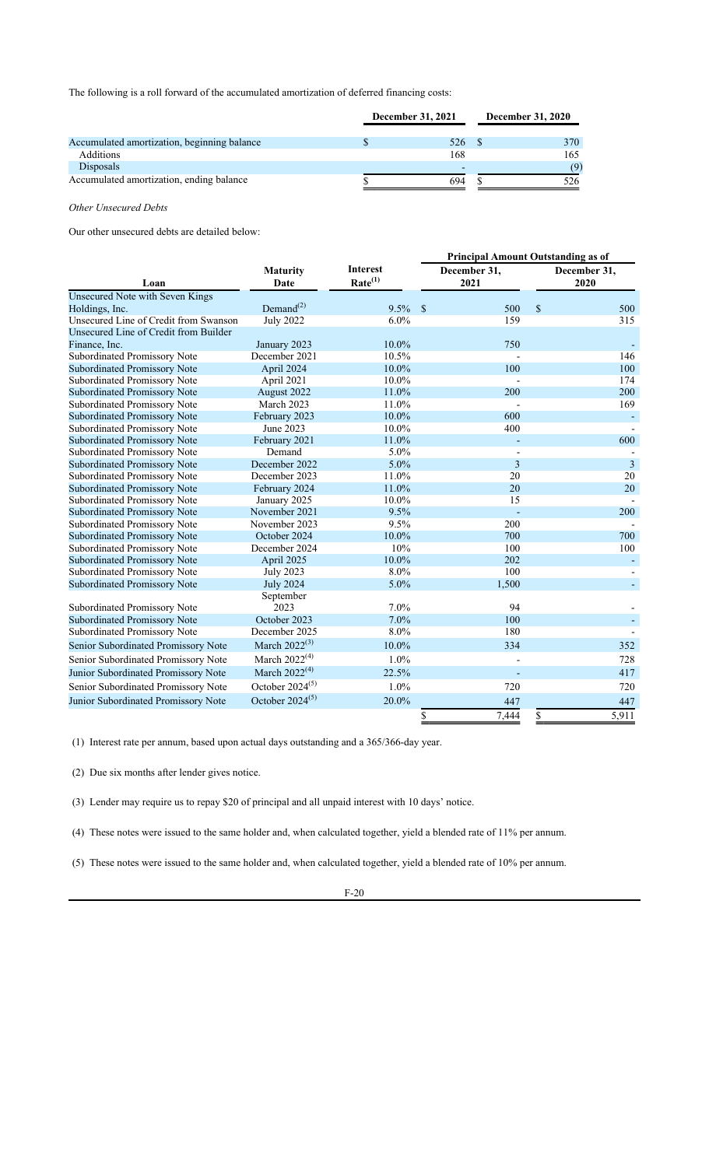The following is a roll forward of the accumulated amortization of deferred financing costs:

|                                             | <b>December 31, 2021</b> |  |      |
|---------------------------------------------|--------------------------|--|------|
|                                             |                          |  |      |
| Accumulated amortization, beginning balance | 526                      |  | 370  |
| <b>Additions</b>                            | 168                      |  | 165. |
| <b>Disposals</b>                            | -                        |  | (9)  |
| Accumulated amortization, ending balance    | 694                      |  | 526  |

# *Other Unsecured Debts*

Our other unsecured debts are detailed below:

|                                        |                           |                                        | <b>Principal Amount Outstanding as of</b> |    |                      |  |  |  |  |
|----------------------------------------|---------------------------|----------------------------------------|-------------------------------------------|----|----------------------|--|--|--|--|
| Loan                                   | <b>Maturity</b><br>Date   | <b>Interest</b><br>Rate <sup>(1)</sup> | December 31,<br>2021                      |    | December 31,<br>2020 |  |  |  |  |
| <b>Unsecured Note with Seven Kings</b> |                           |                                        |                                           |    |                      |  |  |  |  |
| Holdings, Inc.                         | $Demand^{(2)}$            | 9.5%                                   | $\mathcal{S}$<br>500                      | \$ | 500                  |  |  |  |  |
| Unsecured Line of Credit from Swanson  | <b>July 2022</b>          | 6.0%                                   | 159                                       |    | 315                  |  |  |  |  |
| Unsecured Line of Credit from Builder  |                           |                                        |                                           |    |                      |  |  |  |  |
| Finance, Inc.                          | January 2023              | 10.0%                                  | 750                                       |    |                      |  |  |  |  |
| <b>Subordinated Promissory Note</b>    | December 2021             | 10.5%                                  |                                           |    | 146                  |  |  |  |  |
| <b>Subordinated Promissory Note</b>    | April 2024                | 10.0%                                  | 100                                       |    | 100                  |  |  |  |  |
| Subordinated Promissory Note           | April 2021                | 10.0%                                  |                                           |    | 174                  |  |  |  |  |
| <b>Subordinated Promissory Note</b>    | August 2022               | 11.0%                                  | 200                                       |    | 200                  |  |  |  |  |
| Subordinated Promissory Note           | March 2023                | 11.0%                                  |                                           |    | 169                  |  |  |  |  |
| <b>Subordinated Promissory Note</b>    | February 2023             | 10.0%                                  | 600                                       |    |                      |  |  |  |  |
| Subordinated Promissory Note           | June 2023                 | 10.0%                                  | 400                                       |    |                      |  |  |  |  |
| <b>Subordinated Promissory Note</b>    | February 2021             | 11.0%                                  |                                           |    | 600                  |  |  |  |  |
| Subordinated Promissory Note           | Demand                    | 5.0%                                   |                                           |    |                      |  |  |  |  |
| <b>Subordinated Promissory Note</b>    | December 2022             | 5.0%                                   | 3                                         |    | $\overline{3}$       |  |  |  |  |
| Subordinated Promissory Note           | December 2023             | 11.0%                                  | 20                                        |    | 20                   |  |  |  |  |
| <b>Subordinated Promissory Note</b>    | February 2024             | 11.0%                                  | 20                                        |    | 20                   |  |  |  |  |
| Subordinated Promissory Note           | January 2025              | 10.0%                                  | 15                                        |    |                      |  |  |  |  |
| <b>Subordinated Promissory Note</b>    | November 2021             | 9.5%                                   |                                           |    | 200                  |  |  |  |  |
| Subordinated Promissory Note           | November 2023             | 9.5%                                   | 200                                       |    |                      |  |  |  |  |
| <b>Subordinated Promissory Note</b>    | October 2024              | 10.0%                                  | 700                                       |    | 700                  |  |  |  |  |
| Subordinated Promissory Note           | December 2024             | 10%                                    | 100                                       |    | 100                  |  |  |  |  |
| <b>Subordinated Promissory Note</b>    | April 2025                | 10.0%                                  | 202                                       |    |                      |  |  |  |  |
| Subordinated Promissory Note           | <b>July 2023</b>          | 8.0%                                   | 100                                       |    |                      |  |  |  |  |
| <b>Subordinated Promissory Note</b>    | <b>July 2024</b>          | 5.0%                                   | 1,500                                     |    |                      |  |  |  |  |
|                                        | September                 |                                        |                                           |    |                      |  |  |  |  |
| Subordinated Promissory Note           | 2023                      | 7.0%                                   | 94                                        |    |                      |  |  |  |  |
| <b>Subordinated Promissory Note</b>    | October 2023              | 7.0%                                   | 100                                       |    |                      |  |  |  |  |
| Subordinated Promissory Note           | December 2025             | 8.0%                                   | 180                                       |    |                      |  |  |  |  |
| Senior Subordinated Promissory Note    | March 2022 <sup>(3)</sup> | 10.0%                                  | 334                                       |    | 352                  |  |  |  |  |
| Senior Subordinated Promissory Note    | March $2022^{(4)}$        | 1.0%                                   |                                           |    | 728                  |  |  |  |  |
| Junior Subordinated Promissory Note    | March $2022^{(4)}$        | 22.5%                                  |                                           |    | 417                  |  |  |  |  |
| Senior Subordinated Promissory Note    | October $2024^{(5)}$      | $1.0\%$                                | 720                                       |    | 720                  |  |  |  |  |
| Junior Subordinated Promissory Note    | October $2024^{(5)}$      | 20.0%                                  | 447                                       |    | 447                  |  |  |  |  |
|                                        |                           |                                        | 7,444<br>\$                               | \$ | 5,911                |  |  |  |  |

(1) Interest rate per annum, based upon actual days outstanding and a 365/366-day year.

(2) Due six months after lender gives notice.

(3) Lender may require us to repay \$20 of principal and all unpaid interest with 10 days' notice.

(4) These notes were issued to the same holder and, when calculated together, yield a blended rate of 11% per annum.

(5) These notes were issued to the same holder and, when calculated together, yield a blended rate of 10% per annum.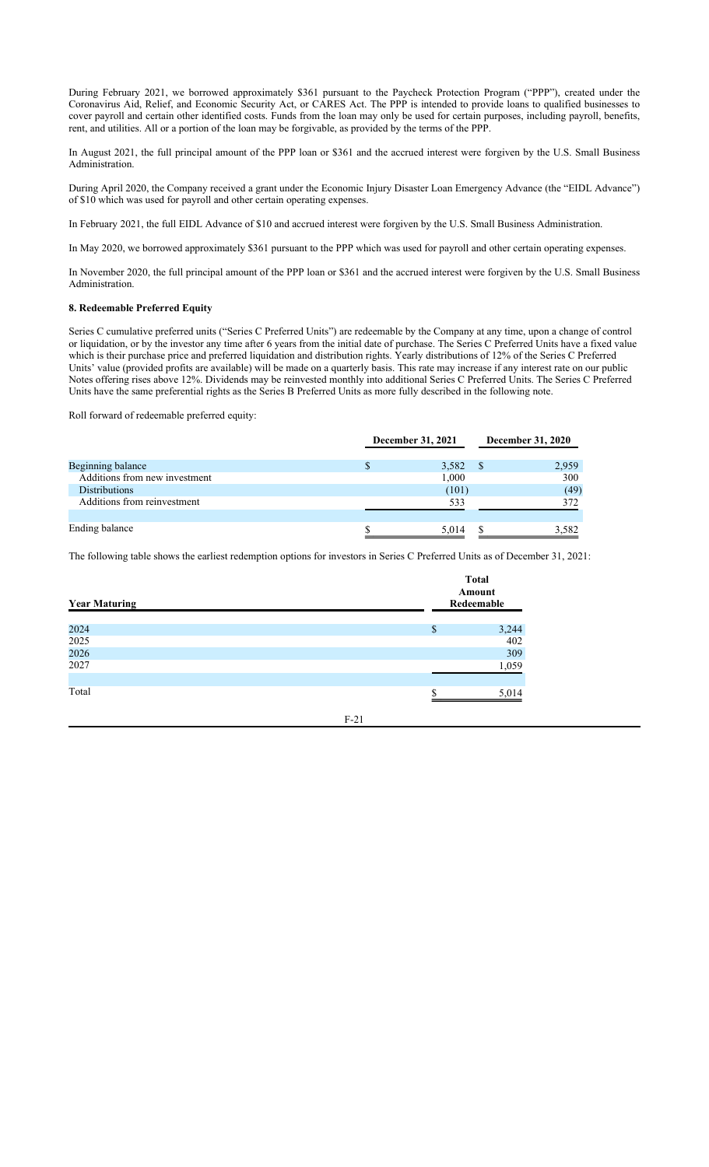During February 2021, we borrowed approximately \$361 pursuant to the Paycheck Protection Program ("PPP"), created under the Coronavirus Aid, Relief, and Economic Security Act, or CARES Act. The PPP is intended to provide loans to qualified businesses to cover payroll and certain other identified costs. Funds from the loan may only be used for certain purposes, including payroll, benefits, rent, and utilities. All or a portion of the loan may be forgivable, as provided by the terms of the PPP.

In August 2021, the full principal amount of the PPP loan or \$361 and the accrued interest were forgiven by the U.S. Small Business Administration.

During April 2020, the Company received a grant under the Economic Injury Disaster Loan Emergency Advance (the "EIDL Advance") of \$10 which was used for payroll and other certain operating expenses.

In February 2021, the full EIDL Advance of \$10 and accrued interest were forgiven by the U.S. Small Business Administration.

In May 2020, we borrowed approximately \$361 pursuant to the PPP which was used for payroll and other certain operating expenses.

In November 2020, the full principal amount of the PPP loan or \$361 and the accrued interest were forgiven by the U.S. Small Business Administration.

## **8. Redeemable Preferred Equity**

Series C cumulative preferred units ("Series C Preferred Units") are redeemable by the Company at any time, upon a change of control or liquidation, or by the investor any time after 6 years from the initial date of purchase. The Series C Preferred Units have a fixed value which is their purchase price and preferred liquidation and distribution rights. Yearly distributions of 12% of the Series C Preferred Units' value (provided profits are available) will be made on a quarterly basis. This rate may increase if any interest rate on our public Notes offering rises above 12%. Dividends may be reinvested monthly into additional Series C Preferred Units. The Series C Preferred Units have the same preferential rights as the Series B Preferred Units as more fully described in the following note.

Roll forward of redeemable preferred equity:

|                               | December 31, 2021 | December 31, 2020 |       |  |
|-------------------------------|-------------------|-------------------|-------|--|
| Beginning balance             | 3,582             | - \$              | 2,959 |  |
| Additions from new investment | 1,000             |                   | 300   |  |
| <b>Distributions</b>          | (101)             |                   | (49)  |  |
| Additions from reinvestment   | 533               |                   | 372   |  |
| Ending balance                | 5.014             |                   | 3,582 |  |

The following table shows the earliest redemption options for investors in Series C Preferred Units as of December 31, 2021:

| <b>Year Maturing</b> |        |          | <b>Total</b><br>Amount<br>Redeemable |
|----------------------|--------|----------|--------------------------------------|
| 2024                 |        | \$       |                                      |
| 2025                 |        |          | $3,244$<br>$402$                     |
| 2026                 |        |          | 309                                  |
| 2027                 |        |          | 1,059                                |
|                      |        |          |                                      |
| Total                |        | <b>Φ</b> | 5,014                                |
|                      |        |          |                                      |
|                      | $F-21$ |          |                                      |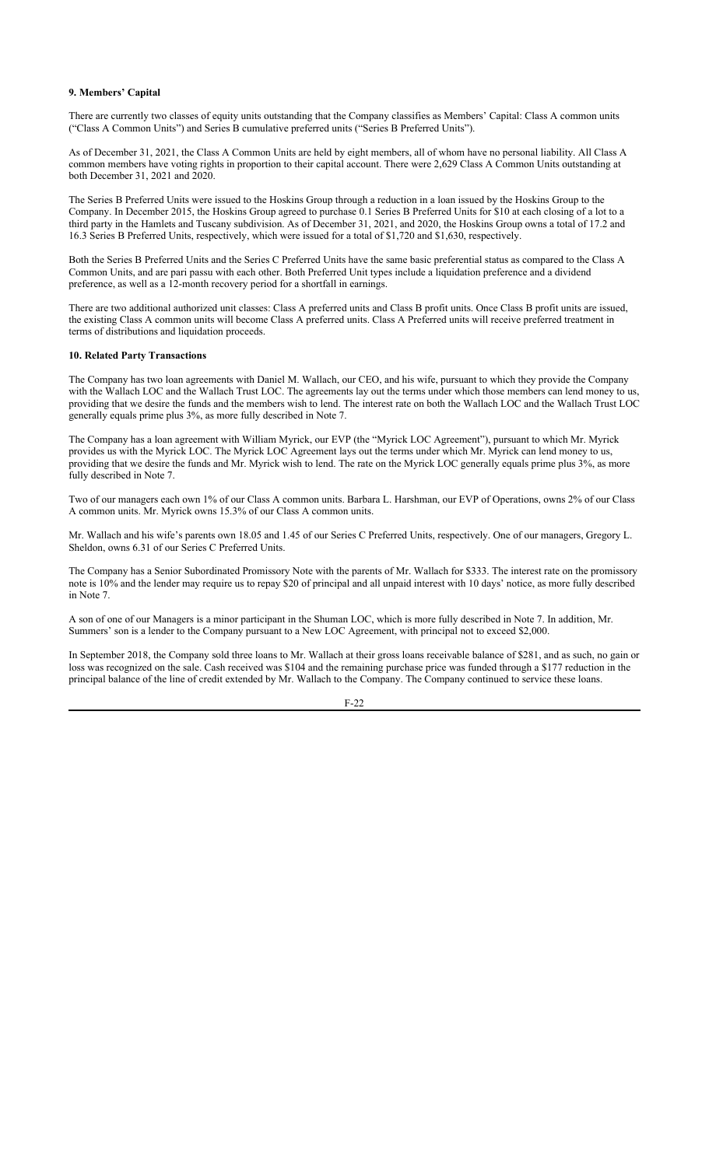# **9. Members' Capital**

There are currently two classes of equity units outstanding that the Company classifies as Members' Capital: Class A common units ("Class A Common Units") and Series B cumulative preferred units ("Series B Preferred Units").

As of December 31, 2021, the Class A Common Units are held by eight members, all of whom have no personal liability. All Class A common members have voting rights in proportion to their capital account. There were 2,629 Class A Common Units outstanding at both December 31, 2021 and 2020.

The Series B Preferred Units were issued to the Hoskins Group through a reduction in a loan issued by the Hoskins Group to the Company. In December 2015, the Hoskins Group agreed to purchase 0.1 Series B Preferred Units for \$10 at each closing of a lot to a third party in the Hamlets and Tuscany subdivision. As of December 31, 2021, and 2020, the Hoskins Group owns a total of 17.2 and 16.3 Series B Preferred Units, respectively, which were issued for a total of \$1,720 and \$1,630, respectively.

Both the Series B Preferred Units and the Series C Preferred Units have the same basic preferential status as compared to the Class A Common Units, and are pari passu with each other. Both Preferred Unit types include a liquidation preference and a dividend preference, as well as a 12-month recovery period for a shortfall in earnings.

There are two additional authorized unit classes: Class A preferred units and Class B profit units. Once Class B profit units are issued, the existing Class A common units will become Class A preferred units. Class A Preferred units will receive preferred treatment in terms of distributions and liquidation proceeds.

# **10. Related Party Transactions**

The Company has two loan agreements with Daniel M. Wallach, our CEO, and his wife, pursuant to which they provide the Company with the Wallach LOC and the Wallach Trust LOC. The agreements lay out the terms under which those members can lend money to us, providing that we desire the funds and the members wish to lend. The interest rate on both the Wallach LOC and the Wallach Trust LOC generally equals prime plus 3%, as more fully described in Note 7.

The Company has a loan agreement with William Myrick, our EVP (the "Myrick LOC Agreement"), pursuant to which Mr. Myrick provides us with the Myrick LOC. The Myrick LOC Agreement lays out the terms under which Mr. Myrick can lend money to us, providing that we desire the funds and Mr. Myrick wish to lend. The rate on the Myrick LOC generally equals prime plus 3%, as more fully described in Note 7.

Two of our managers each own 1% of our Class A common units. Barbara L. Harshman, our EVP of Operations, owns 2% of our Class A common units. Mr. Myrick owns 15.3% of our Class A common units.

Mr. Wallach and his wife's parents own 18.05 and 1.45 of our Series C Preferred Units, respectively. One of our managers, Gregory L. Sheldon, owns 6.31 of our Series C Preferred Units.

The Company has a Senior Subordinated Promissory Note with the parents of Mr. Wallach for \$333. The interest rate on the promissory note is 10% and the lender may require us to repay \$20 of principal and all unpaid interest with 10 days' notice, as more fully described in Note 7.

A son of one of our Managers is a minor participant in the Shuman LOC, which is more fully described in Note 7. In addition, Mr. Summers' son is a lender to the Company pursuant to a New LOC Agreement, with principal not to exceed \$2,000.

In September 2018, the Company sold three loans to Mr. Wallach at their gross loans receivable balance of \$281, and as such, no gain or loss was recognized on the sale. Cash received was \$104 and the remaining purchase price was funded through a \$177 reduction in the principal balance of the line of credit extended by Mr. Wallach to the Company. The Company continued to service these loans.

F-22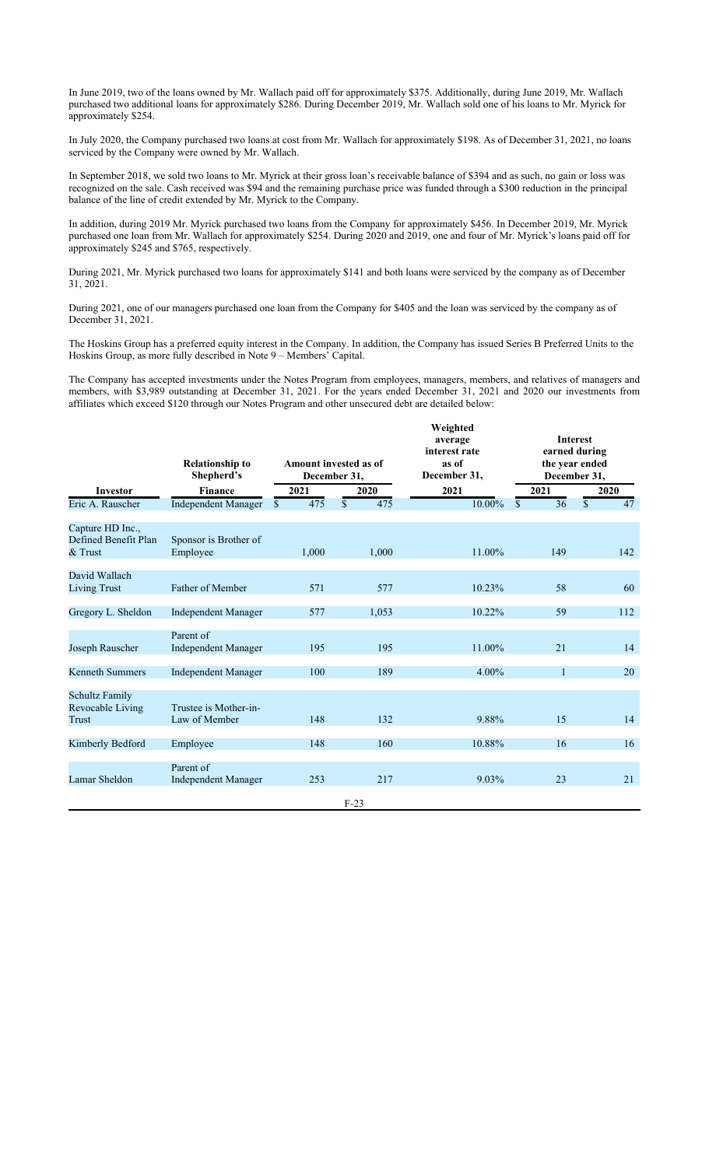In June 2019, two of the loans owned by Mr. Wallach paid off for approximately \$375. Additionally, during June 2019, Mr. Wallach purchased two additional loans for approximately \$286. During December 2019, Mr. Wallach sold one of his loans to Mr. Myrick for approximately \$254.

In July 2020, the Company purchased two loans at cost from Mr. Wallach for approximately \$198. As of December 31, 2021, no loans serviced by the Company were owned by Mr. Wallach.

In September 2018, we sold two loans to Mr. Myrick at their gross loan's receivable balance of \$394 and as such, no gain or loss was recognized on the sale. Cash received was \$94 and the remaining purchase price was funded through a \$300 reduction in the principal balance of the line of credit extended by Mr. Myrick to the Company.

In addition, during 2019 Mr. Myrick purchased two loans from the Company for approximately \$456. In December 2019, Mr. Myrick purchased one loan from Mr. Wallach for approximately \$254. During 2020 and 2019, one and four of Mr. Myrick's loans paid off for approximately \$245 and \$765, respectively.

During 2021, Mr. Myrick purchased two loans for approximately \$141 and both loans were serviced by the company as of December 31, 2021.

During 2021, one of our managers purchased one loan from the Company for \$405 and the loan was serviced by the company as of December 31, 2021.

The Hoskins Group has a preferred equity interest in the Company. In addition, the Company has issued Series B Preferred Units to the Hoskins Group, as more fully described in Note 9 *–* Members' Capital.

The Company has accepted investments under the Notes Program from employees, managers, members, and relatives of managers and members, with \$3,989 outstanding at December 31, 2021. For the years ended December 31, 2021 and 2020 our investments from affiliates which exceed \$120 through our Notes Program and other unsecured debt are detailed below:

|                                                       | average<br>interest rate<br>as of<br><b>Relationship to</b><br>Amount invested as of<br>Shepherd's<br>December 31,<br>December 31, |                                  | Weighted            |          | <b>Interest</b><br>earned during<br>the year ended<br>December 31, |                    |
|-------------------------------------------------------|------------------------------------------------------------------------------------------------------------------------------------|----------------------------------|---------------------|----------|--------------------------------------------------------------------|--------------------|
| Investor                                              | <b>Finance</b>                                                                                                                     | 2021                             | 2020                | 2021     | 2021                                                               | 2020               |
| Eric A. Rauscher                                      | <b>Independent Manager</b>                                                                                                         | $\overline{475}$<br>$\mathbb{S}$ | 475<br>$\mathbb{S}$ | 10.00%   | 36<br><sup>\$</sup>                                                | $\mathbb{S}$<br>47 |
| Capture HD Inc.,<br>Defined Benefit Plan<br>$&$ Trust | Sponsor is Brother of<br>Employee                                                                                                  | 1,000                            | 1,000               | 11.00%   | 149                                                                | 142                |
| David Wallach<br>Living Trust                         | Father of Member                                                                                                                   | 571                              | 577                 | 10.23%   | 58                                                                 | 60                 |
| Gregory L. Sheldon                                    | Independent Manager                                                                                                                | 577                              | 1,053               | 10.22%   | 59                                                                 | 112                |
| Joseph Rauscher                                       | Parent of<br><b>Independent Manager</b>                                                                                            | 195                              | 195                 | 11.00%   | 21                                                                 | 14                 |
| <b>Kenneth Summers</b>                                | Independent Manager                                                                                                                | 100                              | 189                 | $4.00\%$ | 1                                                                  | 20                 |
| Schultz Family<br>Revocable Living<br>Trust           | Trustee is Mother-in-<br>Law of Member                                                                                             | 148                              | 132                 | 9.88%    | 15                                                                 | 14                 |
| Kimberly Bedford                                      | Employee                                                                                                                           | 148                              | 160                 | 10.88%   | 16                                                                 | 16                 |
| Lamar Sheldon                                         | Parent of<br><b>Independent Manager</b>                                                                                            | 253                              | 217                 | 9.03%    | 23                                                                 | 21                 |
|                                                       |                                                                                                                                    |                                  | $F-23$              |          |                                                                    |                    |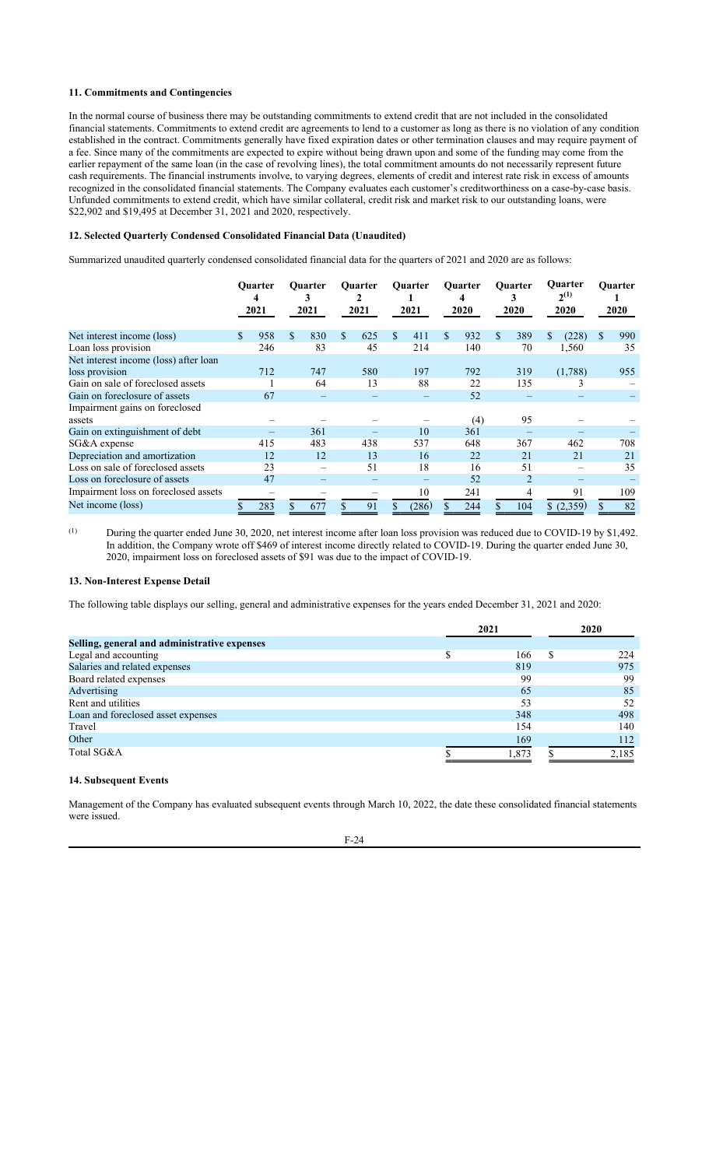# **11. Commitments and Contingencies**

In the normal course of business there may be outstanding commitments to extend credit that are not included in the consolidated financial statements. Commitments to extend credit are agreements to lend to a customer as long as there is no violation of any condition established in the contract. Commitments generally have fixed expiration dates or other termination clauses and may require payment of a fee. Since many of the commitments are expected to expire without being drawn upon and some of the funding may come from the earlier repayment of the same loan (in the case of revolving lines), the total commitment amounts do not necessarily represent future cash requirements. The financial instruments involve, to varying degrees, elements of credit and interest rate risk in excess of amounts recognized in the consolidated financial statements. The Company evaluates each customer's creditworthiness on a case-by-case basis. Unfunded commitments to extend credit, which have similar collateral, credit risk and market risk to our outstanding loans, were \$22,902 and \$19,495 at December 31, 2021 and 2020, respectively.

# **12. Selected Quarterly Condensed Consolidated Financial Data (Unaudited)**

Summarized unaudited quarterly condensed consolidated financial data for the quarters of 2021 and 2020 are as follows:

|                                       |     | <b>Ouarter</b><br>4<br>2021 |   | <b>Ouarter</b><br>3<br>2021 | <b>Ouarter</b><br>2021 |               | <b>Ouarter</b><br>2021 | Quarter<br>4<br>2020 |     | <b>Ouarter</b><br>3<br>2020 |         |           |    |     |  |  |  |  |  |  |  |  |  |  |  |  |  |  |  |  |  |  |  |  |  |  |  |  |  |  |  |  |  |  |  |  |  | <b>Ouarter</b><br>$2^{(1)}$<br>2020 |  | Quarter<br>2020 |
|---------------------------------------|-----|-----------------------------|---|-----------------------------|------------------------|---------------|------------------------|----------------------|-----|-----------------------------|---------|-----------|----|-----|--|--|--|--|--|--|--|--|--|--|--|--|--|--|--|--|--|--|--|--|--|--|--|--|--|--|--|--|--|--|--|--|--|-------------------------------------|--|-----------------|
| Net interest income (loss)            | \$. | 958                         | S | 830                         | \$<br>625              | <sup>\$</sup> | 411                    | \$<br>932            | \$. | 389                         | S       | (228)     | S. | 990 |  |  |  |  |  |  |  |  |  |  |  |  |  |  |  |  |  |  |  |  |  |  |  |  |  |  |  |  |  |  |  |  |  |                                     |  |                 |
| Loan loss provision                   |     | 246                         |   | 83                          | 45                     |               | 214                    | 140                  |     | 70                          |         | 1,560     |    | 35  |  |  |  |  |  |  |  |  |  |  |  |  |  |  |  |  |  |  |  |  |  |  |  |  |  |  |  |  |  |  |  |  |  |                                     |  |                 |
| Net interest income (loss) after loan |     |                             |   |                             |                        |               |                        |                      |     |                             |         |           |    |     |  |  |  |  |  |  |  |  |  |  |  |  |  |  |  |  |  |  |  |  |  |  |  |  |  |  |  |  |  |  |  |  |  |                                     |  |                 |
| loss provision                        |     | 712                         |   | 747                         | 580                    |               | 197                    | 792                  |     | 319                         | (1,788) |           |    | 955 |  |  |  |  |  |  |  |  |  |  |  |  |  |  |  |  |  |  |  |  |  |  |  |  |  |  |  |  |  |  |  |  |  |                                     |  |                 |
| Gain on sale of foreclosed assets     |     |                             |   | 64                          | 13                     |               | 88                     | 22                   |     | 135                         | ∍       |           |    |     |  |  |  |  |  |  |  |  |  |  |  |  |  |  |  |  |  |  |  |  |  |  |  |  |  |  |  |  |  |  |  |  |  |                                     |  |                 |
| Gain on foreclosure of assets         |     | 67                          |   |                             |                        |               |                        | 52                   |     |                             |         |           |    |     |  |  |  |  |  |  |  |  |  |  |  |  |  |  |  |  |  |  |  |  |  |  |  |  |  |  |  |  |  |  |  |  |  |                                     |  |                 |
| Impairment gains on foreclosed        |     |                             |   |                             |                        |               |                        |                      |     |                             |         |           |    |     |  |  |  |  |  |  |  |  |  |  |  |  |  |  |  |  |  |  |  |  |  |  |  |  |  |  |  |  |  |  |  |  |  |                                     |  |                 |
| assets                                |     |                             |   |                             |                        |               |                        | (4)                  |     | 95                          |         |           |    |     |  |  |  |  |  |  |  |  |  |  |  |  |  |  |  |  |  |  |  |  |  |  |  |  |  |  |  |  |  |  |  |  |  |                                     |  |                 |
| Gain on extinguishment of debt        |     |                             |   | 361                         |                        |               | 10                     | 361                  |     |                             |         |           |    |     |  |  |  |  |  |  |  |  |  |  |  |  |  |  |  |  |  |  |  |  |  |  |  |  |  |  |  |  |  |  |  |  |  |                                     |  |                 |
| SG&A expense                          |     | 415                         |   | 483                         | 438                    |               | 537                    | 648                  |     | 367                         |         | 462       |    | 708 |  |  |  |  |  |  |  |  |  |  |  |  |  |  |  |  |  |  |  |  |  |  |  |  |  |  |  |  |  |  |  |  |  |                                     |  |                 |
| Depreciation and amortization         |     | 12                          |   | 12                          | 13                     |               | 16                     | 22                   |     | 21                          |         | 21        |    | 21  |  |  |  |  |  |  |  |  |  |  |  |  |  |  |  |  |  |  |  |  |  |  |  |  |  |  |  |  |  |  |  |  |  |                                     |  |                 |
| Loss on sale of foreclosed assets     |     | 23                          |   |                             | 51                     |               | 18                     | 16                   |     | 51                          |         |           |    | 35  |  |  |  |  |  |  |  |  |  |  |  |  |  |  |  |  |  |  |  |  |  |  |  |  |  |  |  |  |  |  |  |  |  |                                     |  |                 |
| Loss on foreclosure of assets         |     | 47                          |   |                             |                        |               |                        | 52                   |     | $\overline{2}$              |         |           |    |     |  |  |  |  |  |  |  |  |  |  |  |  |  |  |  |  |  |  |  |  |  |  |  |  |  |  |  |  |  |  |  |  |  |                                     |  |                 |
| Impairment loss on foreclosed assets  |     | $\overline{\phantom{0}}$    |   |                             |                        |               | 10                     | 241                  |     | 4                           |         | 91        |    | 109 |  |  |  |  |  |  |  |  |  |  |  |  |  |  |  |  |  |  |  |  |  |  |  |  |  |  |  |  |  |  |  |  |  |                                     |  |                 |
| Net income (loss)                     |     | 283                         |   | 677                         | 91                     |               | (286)                  | 244                  |     | 104                         |         | \$(2,359) |    | 82  |  |  |  |  |  |  |  |  |  |  |  |  |  |  |  |  |  |  |  |  |  |  |  |  |  |  |  |  |  |  |  |  |  |                                     |  |                 |

(1) During the quarter ended June 30, 2020, net interest income after loan loss provision was reduced due to COVID-19 by \$1,492. In addition, the Company wrote off \$469 of interest income directly related to COVID-19. During the quarter ended June 30, 2020, impairment loss on foreclosed assets of \$91 was due to the impact of COVID-19.

## **13. Non-Interest Expense Detail**

The following table displays our selling, general and administrative expenses for the years ended December 31, 2021 and 2020:

|                                              | 2021  | 2020  |
|----------------------------------------------|-------|-------|
| Selling, general and administrative expenses |       |       |
| Legal and accounting                         | 166   | 224   |
| Salaries and related expenses                | 819   | 975   |
| Board related expenses                       | 99    | 99    |
| Advertising                                  | 65    | 85    |
| Rent and utilities                           | 53    | 52    |
| Loan and foreclosed asset expenses           | 348   | 498   |
| Travel                                       | 154   | 140   |
| Other                                        | 169   | 112   |
| Total SG&A                                   | 1.873 | 2,185 |

## **14. Subsequent Events**

Management of the Company has evaluated subsequent events through March 10, 2022, the date these consolidated financial statements were issued.